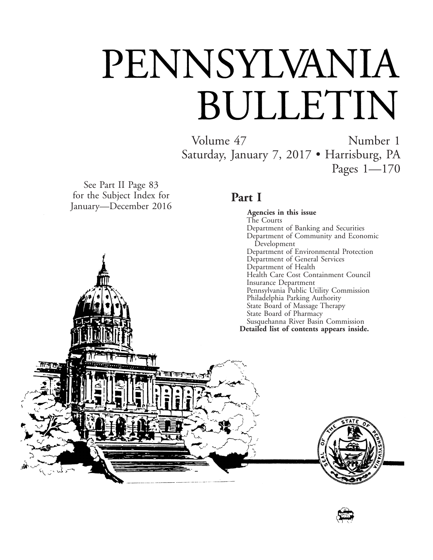# PENNSYLVANIA BULLETIN

Volume 47 Number 1 Saturday, January 7, 2017 • Harrisburg, PA Pages 1—170

See Part II Page 83 for the Subject Index for January—December 2016

गान

### **Part I**

**Agencies in this issue** The Courts Department of Banking and Securities Department of Community and Economic Development Department of Environmental Protection Department of General Services Department of Health Health Care Cost Containment Council Insurance Department Pennsylvania Public Utility Commission Philadelphia Parking Authority State Board of Massage Therapy State Board of Pharmacy Susquehanna River Basin Commission **Detailed list of contents appears inside.**



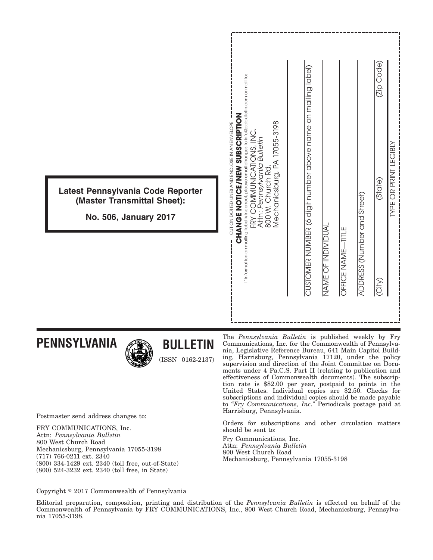|                                                                                           | If information on mailing label is incorrect, please email changes to info@pabulletin.com or mail to:<br><b>CHANGE NOTICE/NEW SUBSCRIPTION</b><br>Mechanicsburg, PA 17055-3198<br>CUT ON DOTTED LINES AND ENCLOSE IN AN ENVELOPE<br>FRY COMMUNICATIONS, INC.<br>Attn: Pennsylvania Bulletin<br>800 W. Church Rd. | (Zip Code<br>CUSTOMER NUMBER (6 digit number above name on mailing label)<br><b>LEGIBL</b> |
|-------------------------------------------------------------------------------------------|------------------------------------------------------------------------------------------------------------------------------------------------------------------------------------------------------------------------------------------------------------------------------------------------------------------|--------------------------------------------------------------------------------------------|
| Latest Pennsylvania Code Reporter<br>(Master Transmittal Sheet):<br>No. 506, January 2017 |                                                                                                                                                                                                                                                                                                                  | <b>YPE OR PRINT</b><br>(State)                                                             |
|                                                                                           |                                                                                                                                                                                                                                                                                                                  | ADDRESS (Number and Street)<br>NAME OF INDIVIDUAL<br><b>OFFICE NAME-TITLE</b><br>City)     |

### **PENNSYLVANIA**



# **BULLETIN**

(ISSN 0162-2137)

The *Pennsylvania Bulletin* is published weekly by Fry Communications, Inc. for the Commonwealth of Pennsylvania, Legislative Reference Bureau, 641 Main Capitol Building, Harrisburg, Pennsylvania 17120, under the policy supervision and direction of the Joint Committee on Documents under 4 Pa.C.S. Part II (relating to publication and effectiveness of Commonwealth documents). The subscription rate is \$82.00 per year, postpaid to points in the United States. Individual copies are \$2.50. Checks for subscriptions and individual copies should be made payable to "*Fry Communications, Inc.*" Periodicals postage paid at Harrisburg, Pennsylvania.

Orders for subscriptions and other circulation matters should be sent to:

Fry Communications, Inc. Attn: *Pennsylvania Bulletin* 800 West Church Road Mechanicsburg, Pennsylvania 17055-3198

Postmaster send address changes to:

FRY COMMUNICATIONS, Inc. Attn: *Pennsylvania Bulletin* 800 West Church Road Mechanicsburg, Pennsylvania 17055-3198 (717) 766-0211 ext. 2340 (800) 334-1429 ext. 2340 (toll free, out-of-State) (800) 524-3232 ext. 2340 (toll free, in State)

Copyright © 2017 Commonwealth of Pennsylvania

Editorial preparation, composition, printing and distribution of the *Pennsylvania Bulletin* is effected on behalf of the Commonwealth of Pennsylvania by FRY COMMUNICATIONS, Inc., 800 West Church Road, Mechanicsburg, Pennsylvania 17055-3198.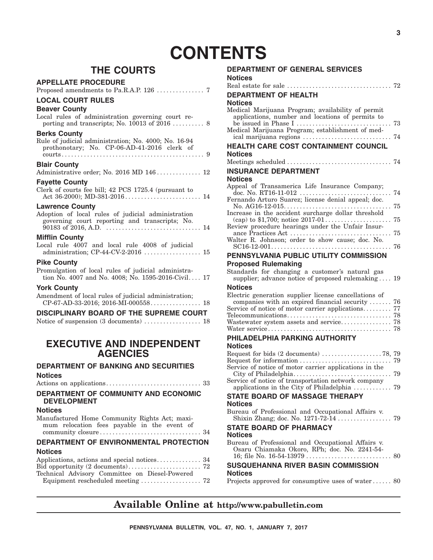# **CONTENTS**

### **THE COURTS**

#### **APPELLATE PROCEDURE**

| <b>LOCAL COURT RULES</b> |  |
|--------------------------|--|
| <b>Beaver County</b>     |  |

| Deaver County<br>Local rules of administration governing court re-                                                             |
|--------------------------------------------------------------------------------------------------------------------------------|
| <b>Berks County</b><br>Rule of judicial administration; No. 4000; No. 16-94<br>prothonotary; No. CP-06-AD-41-2016 clerk of     |
| <b>Blair County</b><br>Administrative order; No. 2016 MD 146 12                                                                |
| <b>Fayette County</b><br>Clerk of courts fee bill; 42 PCS 1725.4 (pursuant to                                                  |
| <b>Lawrence County</b><br>Adoption of local rules of judicial administration<br>governing court reporting and transcripts; No. |
|                                                                                                                                |

#### **Mifflin County**

|  |  |  |  | Local rule 4007 and local rule 4008 of judicial |  |
|--|--|--|--|-------------------------------------------------|--|
|  |  |  |  |                                                 |  |

#### **Pike County**

Promulgation of local rules of judicial administration No. 4007 and No. 4008; No. 1595-2016-Civil. . . . 17

#### **York County**

Amendment of local rules of judicial administration; CP-67-AD-33-2016; 2016-MI-000558. . . . . . . . . . . . . . . . 18

#### **DISCIPLINARY BOARD OF THE SUPREME COURT**

Notice of suspension (3 documents) . . . . . . . . . . . . . . . . 18

#### **EXECUTIVE AND INDEPENDENT AGENCIES**

#### **DEPARTMENT OF BANKING AND SECURITIES Notices**

| DEPARTMENT OF COMMUNITY AND ECONOMIC. |  |
|---------------------------------------|--|

#### **DEPARTMENT OF COMMUNITY AND ECONOMIC DEVELOPMENT**

#### **Notices**

Manufactured Home Community Rights Act; maximum relocation fees payable in the event of community closure . . . . . . . . . . . . . . . . . . . . . . . . . . . . . . . . 34

#### **DEPARTMENT OF ENVIRONMENTAL PROTECTION Notices**

| Technical Advisory Committee on Diesel-Powered |  |
|------------------------------------------------|--|
|                                                |  |

| <b>DEPARTMENT OF GENERAL SERVICES</b>                                                                                                                                                                                   |
|-------------------------------------------------------------------------------------------------------------------------------------------------------------------------------------------------------------------------|
| <b>Notices</b>                                                                                                                                                                                                          |
|                                                                                                                                                                                                                         |
| DEPARTMENT OF HEALTH                                                                                                                                                                                                    |
| Notices                                                                                                                                                                                                                 |
| Medical Marijuana Program; availability of permit<br>applications, number and locations of permits to<br>be issued in Phase I<br>73<br>Medical Marijuana Program; establishment of med-<br>ical marijuana regions<br>74 |
| HEALTH CARE COST CONTAINMENT COUNCIL                                                                                                                                                                                    |
| Notices                                                                                                                                                                                                                 |
|                                                                                                                                                                                                                         |
| <b>INSURANCE DEPARTMENT</b>                                                                                                                                                                                             |
| <b>Notices</b>                                                                                                                                                                                                          |
| Appeal of Transamerica Life Insurance Company;<br>74                                                                                                                                                                    |
| Fernando Arturo Suarez; license denial appeal; doc.<br>75                                                                                                                                                               |
| Increase in the accident surcharge dollar threshold<br>75<br>Review procedure hearings under the Unfair Insur-                                                                                                          |
| 75<br>Walter R. Johnson; order to show cause; doc. No.                                                                                                                                                                  |
| 76<br>PENNSYLVANIA PUBLIC UTILITY COMMISSION                                                                                                                                                                            |
| <b>Proposed Rulemaking</b>                                                                                                                                                                                              |
| Standards for changing a customer's natural gas<br>supplier; advance notice of proposed rulemaking  19                                                                                                                  |
| <b>Notices</b>                                                                                                                                                                                                          |
| Electric generation supplier license cancellations of<br>companies with an expired financial security  76<br>Service of notice of motor carrier applications 77                                                         |
|                                                                                                                                                                                                                         |
| PHILADELPHIA PARKING AUTHORITY                                                                                                                                                                                          |
| <b>Notices</b>                                                                                                                                                                                                          |
|                                                                                                                                                                                                                         |
| Service of notice of motor carrier applications in the                                                                                                                                                                  |
|                                                                                                                                                                                                                         |
| <b>STATE BOARD OF MASSAGE THERAPY</b><br><b>Notices</b>                                                                                                                                                                 |
| Bureau of Professional and Occupational Affairs v.                                                                                                                                                                      |
| <b>STATE BOARD OF PHARMACY</b>                                                                                                                                                                                          |
| <b>Notices</b>                                                                                                                                                                                                          |
| Bureau of Professional and Occupational Affairs v.                                                                                                                                                                      |

| <b>Notices</b>                               |  |
|----------------------------------------------|--|
| <b>SUSQUEHANNA RIVER BASIN COMMISSION</b>    |  |
| Osaru Chiamaka Okoro, RPh; doc. No. 2241-54- |  |

#### Projects approved for consumptive uses of water . . . . . . 80

### **Available Online at http://www.pabulletin.com**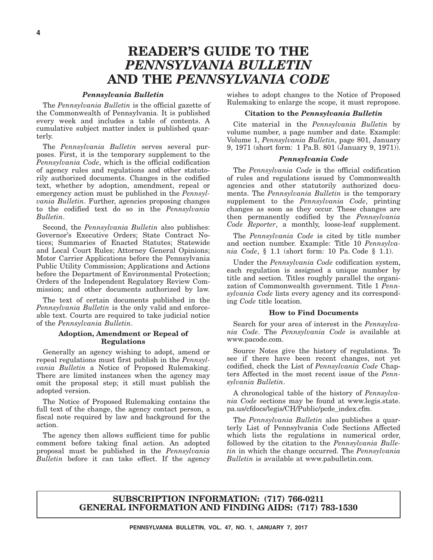# **READER'S GUIDE TO THE** *PENNSYLVANIA BULLETIN* **AND THE** *PENNSYLVANIA CODE*

#### *Pennsylvania Bulletin*

The *Pennsylvania Bulletin* is the official gazette of the Commonwealth of Pennsylvania. It is published every week and includes a table of contents. A cumulative subject matter index is published quarterly.

The *Pennsylvania Bulletin* serves several purposes. First, it is the temporary supplement to the *Pennsylvania Code*, which is the official codification of agency rules and regulations and other statutorily authorized documents. Changes in the codified text, whether by adoption, amendment, repeal or emergency action must be published in the *Pennsylvania Bulletin*. Further, agencies proposing changes to the codified text do so in the *Pennsylvania Bulletin*.

Second, the *Pennsylvania Bulletin* also publishes: Governor's Executive Orders; State Contract Notices; Summaries of Enacted Statutes; Statewide and Local Court Rules; Attorney General Opinions; Motor Carrier Applications before the Pennsylvania Public Utility Commission; Applications and Actions before the Department of Environmental Protection; Orders of the Independent Regulatory Review Commission; and other documents authorized by law.

The text of certain documents published in the *Pennsylvania Bulletin* is the only valid and enforceable text. Courts are required to take judicial notice of the *Pennsylvania Bulletin*.

#### **Adoption, Amendment or Repeal of Regulations**

Generally an agency wishing to adopt, amend or repeal regulations must first publish in the *Pennsylvania Bulletin* a Notice of Proposed Rulemaking. There are limited instances when the agency may omit the proposal step; it still must publish the adopted version.

The Notice of Proposed Rulemaking contains the full text of the change, the agency contact person, a fiscal note required by law and background for the action.

The agency then allows sufficient time for public comment before taking final action. An adopted proposal must be published in the *Pennsylvania Bulletin* before it can take effect. If the agency

wishes to adopt changes to the Notice of Proposed Rulemaking to enlarge the scope, it must repropose.

#### **Citation to the** *Pennsylvania Bulletin*

Cite material in the *Pennsylvania Bulletin* by volume number, a page number and date. Example: Volume 1, *Pennsylvania Bulletin*, page 801, January 9, 1971 (short form: 1 Pa.B. 801 (January 9, 1971)).

#### *Pennsylvania Code*

The *Pennsylvania Code* is the official codification of rules and regulations issued by Commonwealth agencies and other statutorily authorized documents. The *Pennsylvania Bulletin* is the temporary supplement to the *Pennsylvania Code*, printing changes as soon as they occur. These changes are then permanently codified by the *Pennsylvania Code Reporter*, a monthly, loose-leaf supplement.

The *Pennsylvania Code* is cited by title number and section number. Example: Title 10 *Pennsylvania Code*, § 1.1 (short form: 10 Pa. Code § 1.1).

Under the *Pennsylvania Code* codification system, each regulation is assigned a unique number by title and section. Titles roughly parallel the organization of Commonwealth government. Title 1 *Pennsylvania Code* lists every agency and its corresponding *Code* title location.

#### **How to Find Documents**

Search for your area of interest in the *Pennsylvania Code*. The *Pennsylvania Code* is available at www.pacode.com.

Source Notes give the history of regulations. To see if there have been recent changes, not yet codified, check the List of *Pennsylvania Code* Chapters Affected in the most recent issue of the *Pennsylvania Bulletin*.

A chronological table of the history of *Pennsylvania Code* sections may be found at www.legis.state. pa.us/cfdocs/legis/CH/Public/pcde\_index.cfm.

The *Pennsylvania Bulletin* also publishes a quarterly List of Pennsylvania Code Sections Affected which lists the regulations in numerical order, followed by the citation to the *Pennsylvania Bulletin* in which the change occurred. The *Pennsylvania Bulletin* is available at www.pabulletin.com.

#### **SUBSCRIPTION INFORMATION: (717) 766-0211 GENERAL INFORMATION AND FINDING AIDS: (717) 783-1530**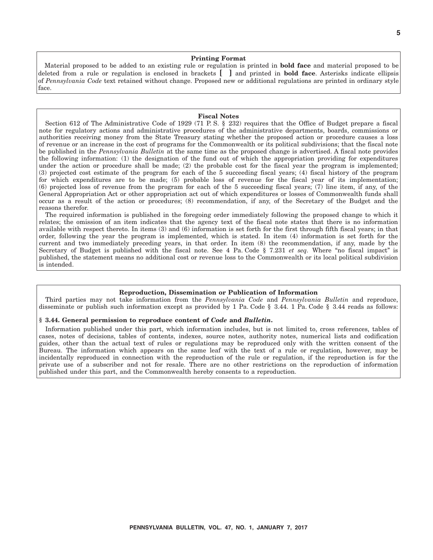#### **Printing Format**

Material proposed to be added to an existing rule or regulation is printed in **bold face** and material proposed to be deleted from a rule or regulation is enclosed in brackets **[ ]** and printed in **bold face**. Asterisks indicate ellipsis of *Pennsylvania Code* text retained without change. Proposed new or additional regulations are printed in ordinary style face.

#### **Fiscal Notes**

Section 612 of The Administrative Code of 1929 (71 P. S. § 232) requires that the Office of Budget prepare a fiscal note for regulatory actions and administrative procedures of the administrative departments, boards, commissions or authorities receiving money from the State Treasury stating whether the proposed action or procedure causes a loss of revenue or an increase in the cost of programs for the Commonwealth or its political subdivisions; that the fiscal note be published in the *Pennsylvania Bulletin* at the same time as the proposed change is advertised. A fiscal note provides the following information: (1) the designation of the fund out of which the appropriation providing for expenditures under the action or procedure shall be made; (2) the probable cost for the fiscal year the program is implemented; (3) projected cost estimate of the program for each of the 5 succeeding fiscal years; (4) fiscal history of the program for which expenditures are to be made; (5) probable loss of revenue for the fiscal year of its implementation; (6) projected loss of revenue from the program for each of the 5 succeeding fiscal years; (7) line item, if any, of the General Appropriation Act or other appropriation act out of which expenditures or losses of Commonwealth funds shall occur as a result of the action or procedures; (8) recommendation, if any, of the Secretary of the Budget and the reasons therefor.

The required information is published in the foregoing order immediately following the proposed change to which it relates; the omission of an item indicates that the agency text of the fiscal note states that there is no information available with respect thereto. In items (3) and (6) information is set forth for the first through fifth fiscal years; in that order, following the year the program is implemented, which is stated. In item (4) information is set forth for the current and two immediately preceding years, in that order. In item (8) the recommendation, if any, made by the Secretary of Budget is published with the fiscal note. See 4 Pa. Code § 7.231 *et seq.* Where "no fiscal impact" is published, the statement means no additional cost or revenue loss to the Commonwealth or its local political subdivision is intended.

#### **Reproduction, Dissemination or Publication of Information**

Third parties may not take information from the *Pennsylvania Code* and *Pennsylvania Bulletin* and reproduce, disseminate or publish such information except as provided by 1 Pa. Code § 3.44. 1 Pa. Code § 3.44 reads as follows:

#### **§ 3.44. General permission to reproduce content of** *Code* **and** *Bulletin***.**

Information published under this part, which information includes, but is not limited to, cross references, tables of cases, notes of decisions, tables of contents, indexes, source notes, authority notes, numerical lists and codification guides, other than the actual text of rules or regulations may be reproduced only with the written consent of the Bureau. The information which appears on the same leaf with the text of a rule or regulation, however, may be incidentally reproduced in connection with the reproduction of the rule or regulation, if the reproduction is for the private use of a subscriber and not for resale. There are no other restrictions on the reproduction of information published under this part, and the Commonwealth hereby consents to a reproduction.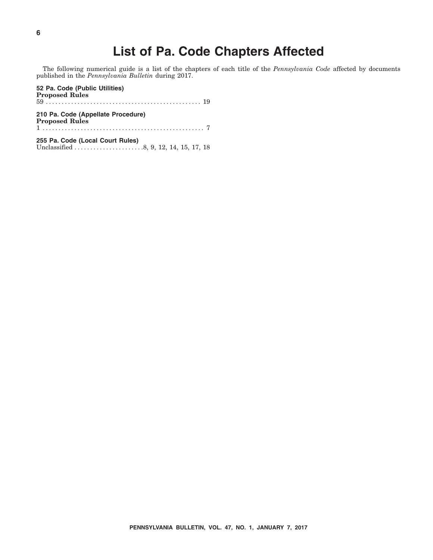# **List of Pa. Code Chapters Affected**

The following numerical guide is a list of the chapters of each title of the *Pennsylvania Code* affected by documents published in the *Pennsylvania Bulletin* during 2017.

**52 Pa. Code (Public Utilities) Proposed Rules** 59 . . . . . . . . . . . . . . . . . . . . . . . . . . . . . . . . . . . . . . . . . . . . . . . . . 19 **210 Pa. Code (Appellate Procedure) Proposed Rules** 1 ................................................... 7 **255 Pa. Code (Local Court Rules)** Unclassified . . . . . . . . . . . . . . . . . . . . . .8, 9, 12, 14, 15, 17, 18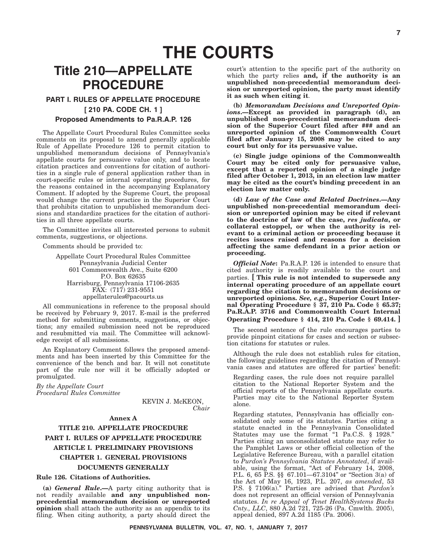# **THE COURTS**

# **Title 210—APPELLATE PROCEDURE**

#### **PART I. RULES OF APPELLATE PROCEDURE [ 210 PA. CODE CH. 1 ]**

#### **Proposed Amendments to Pa.R.A.P. 126**

The Appellate Court Procedural Rules Committee seeks comments on its proposal to amend generally applicable Rule of Appellate Procedure 126 to permit citation to unpublished memorandum decisions of Pennsylvania's appellate courts for persuasive value only, and to locate citation practices and conventions for citation of authorities in a single rule of general application rather than in court-specific rules or internal operating procedures, for the reasons contained in the accompanying Explanatory Comment. If adopted by the Supreme Court, the proposal would change the current practice in the Superior Court that prohibits citation to unpublished memorandum decisions and standardize practices for the citation of authorities in all three appellate courts.

The Committee invites all interested persons to submit comments, suggestions, or objections.

Comments should be provided to:

Appellate Court Procedural Rules Committee Pennsylvania Judicial Center 601 Commonwealth Ave., Suite 6200 P.O. Box 62635 Harrisburg, Pennsylvania 17106-2635 FAX: (717) 231-9551 appellaterules@pacourts.us

All communications in reference to the proposal should be received by February 9, 2017. E-mail is the preferred method for submitting comments, suggestions, or objections; any emailed submission need not be reproduced and resubmitted via mail. The Committee will acknowledge receipt of all submissions.

An Explanatory Comment follows the proposed amendments and has been inserted by this Committee for the convenience of the bench and bar. It will not constitute part of the rule nor will it be officially adopted or promulgated.

*By the Appellate Court Procedural Rules Committee*

> KEVIN J. McKEON, *Chair*

#### **Annex A**

### **TITLE 210. APPELLATE PROCEDURE PART I. RULES OF APPELLATE PROCEDURE ARTICLE I. PRELIMINARY PROVISIONS CHAPTER 1. GENERAL PROVISIONS DOCUMENTS GENERALLY**

#### **Rule 126. Citations of Authorities.**

**(a)** *General Rule***.—**A party citing authority that is not readily available **and any unpublished nonprecedential memorandum decision or unreported opinion** shall attach the authority as an appendix to its filing. When citing authority, a party should direct the

court's attention to the specific part of the authority on which the party relies **and, if the authority is an unpublished non-precedential memorandum decision or unreported opinion, the party must identify it as such when citing it**.

**(b)** *Memorandum Decisions and Unreported Opinions***.—Except as provided in paragraph (d), an unpublished non-precedential memorandum decision of the Superior Court filed after ### and an unreported opinion of the Commonwealth Court filed after January 15, 2008 may be cited to any court but only for its persuasive value.**

**(c) Single judge opinions of the Commonwealth Court may be cited only for persuasive value, except that a reported opinion of a single judge filed after October 1, 2013, in an election law matter may be cited as the court's binding precedent in an election law matter only.**

**(d)** *Law of the Case and Related Doctrines***.—Any unpublished non-precedential memorandum decision or unreported opinion may be cited if relevant to the doctrine of law of the case,** *res judicata***, or collateral estoppel, or when the authority is relevant to a criminal action or proceeding because it recites issues raised and reasons for a decision affecting the same defendant in a prior action or proceeding.**

*Official Note***:** Pa.R.A.P. 126 is intended to ensure that cited authority is readily available to the court and parties. **[ This rule is not intended to supersede any internal operating procedure of an appellate court regarding the citation to memorandum decisions or unreported opinions.** *See, e.g.***, Superior Court Internal Operating Procedure § 37, 210 Pa. Code § 65.37; Pa.R.A.P. 3716 and Commonwealth Court Internal Operating Procedure § 414, 210 Pa. Code § 69.414. ]**

The second sentence of the rule encourages parties to provide pinpoint citations for cases and section or subsection citations for statutes or rules.

Although the rule does not establish rules for citation, the following guidelines regarding the citation of Pennsylvania cases and statutes are offered for parties' benefit:

Regarding cases, the rule does not require parallel citation to the National Reporter System and the official reports of the Pennsylvania appellate courts. Parties may cite to the National Reporter System alone.

Regarding statutes, Pennsylvania has officially consolidated only some of its statutes. Parties citing a statute enacted in the Pennsylvania Consolidated Statutes may use the format "1 Pa.C.S. § 1928." Parties citing an unconsolidated statute may refer to the Pamphlet Laws or other official collection of the Legislative Reference Bureau, with a parallel citation to *Purdon's Pennsylvania Statutes Annotated*, if available, using the format, "Act of February 14, 2008, P.L. 6, 65 P.S. §§ 67.101—67.3104" or "Section 3(a) of the Act of May 16, 1923, P.L. 207, *as amended*, 53 P.S. § 7106(a).'' Parties are advised that *Purdon's* does not represent an official version of Pennsylvania statutes. *In re Appeal of Tenet HealthSystems Bucks Cnty., LLC*, 880 A.2d 721, 725-26 (Pa. Cmwlth. 2005), appeal denied, 897 A.2d 1185 (Pa. 2006).

**PENNSYLVANIA BULLETIN, VOL. 47, NO. 1, JANUARY 7, 2017**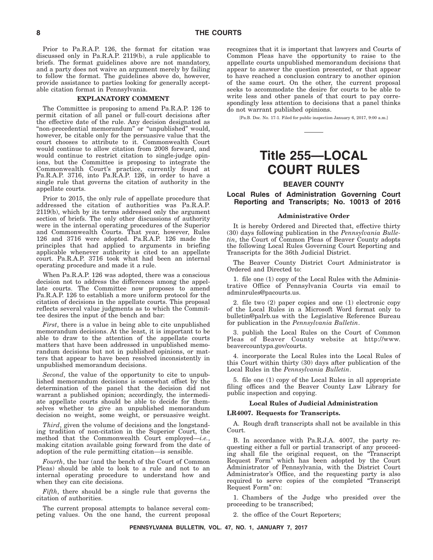Prior to Pa.R.A.P. 126, the format for citation was discussed only in Pa.R.A.P. 2119(b), a rule applicable to briefs. The format guidelines above are not mandatory, and a party does not waive an argument merely by failing to follow the format. The guidelines above do, however, provide assistance to parties looking for generally acceptable citation format in Pennsylvania.

#### **EXPLANATORY COMMENT**

The Committee is proposing to amend Pa.R.A.P. 126 to permit citation of all panel or full-court decisions after the effective date of the rule. Any decision designated as "non-precedential memorandum" or "unpublished" would, however, be citable only for the persuasive value that the court chooses to attribute to it. Commonwealth Court would continue to allow citation from 2008 forward, and would continue to restrict citation to single-judge opinions, but the Committee is proposing to integrate the Commonwealth Court's practice, currently found at Pa.R.A.P. 3716, into Pa.R.A.P. 126, in order to have a single rule that governs the citation of authority in the appellate courts.

Prior to 2015, the only rule of appellate procedure that addressed the citation of authorities was Pa.R.A.P. 2119(b), which by its terms addressed only the argument section of briefs. The only other discussions of authority were in the internal operating procedures of the Superior and Commonwealth Courts. That year, however, Rules 126 and 3716 were adopted. Pa.R.A.P. 126 made the principles that had applied to arguments in briefing applicable whenever authority is cited to an appellate court. Pa.R.A.P. 3716 took what had been an internal operating procedure and made it a rule.

When Pa.R.A.P. 126 was adopted, there was a conscious decision not to address the differences among the appellate courts. The Committee now proposes to amend Pa.R.A.P. 126 to establish a more uniform protocol for the citation of decisions in the appellate courts. This proposal reflects several value judgments as to which the Committee desires the input of the bench and bar:

*First*, there is a value in being able to cite unpublished memorandum decisions. At the least, it is important to be able to draw to the attention of the appellate courts matters that have been addressed in unpublished memorandum decisions but not in published opinions, or matters that appear to have been resolved inconsistently in unpublished memorandum decisions.

*Second*, the value of the opportunity to cite to unpublished memorandum decisions is somewhat offset by the determination of the panel that the decision did not warrant a published opinion; accordingly, the intermediate appellate courts should be able to decide for themselves whether to give an unpublished memorandum decision no weight, some weight, or persuasive weight.

*Third*, given the volume of decisions and the longstanding tradition of non-citation in the Superior Court, the method that the Commonwealth Court employed—*i.e.*, making citation available going forward from the date of adoption of the rule permitting citation—is sensible.

*Fourth*, the bar (and the bench of the Court of Common Pleas) should be able to look to a rule and not to an internal operating procedure to understand how and when they can cite decisions.

*Fifth*, there should be a single rule that governs the citation of authorities.

The current proposal attempts to balance several competing values. On the one hand, the current proposal recognizes that it is important that lawyers and Courts of Common Pleas have the opportunity to raise to the appellate courts unpublished memorandum decisions that appear to answer the question presented, or that appear to have reached a conclusion contrary to another opinion of the same court. On the other, the current proposal seeks to accommodate the desire for courts to be able to write less and other panels of that court to pay correspondingly less attention to decisions that a panel thinks do not warrant published opinions.

[Pa.B. Doc. No. 17-1. Filed for public inspection January 6, 2017, 9:00 a.m.]

# **Title 255—LOCAL COURT RULES**

#### **BEAVER COUNTY**

**Local Rules of Administration Governing Court Reporting and Transcripts; No. 10013 of 2016**

#### **Administrative Order**

It is hereby Ordered and Directed that, effective thirty (30) days following publication in the *Pennsylvania Bulletin*, the Court of Common Pleas of Beaver County adopts the following Local Rules Governing Court Reporting and Transcripts for the 36th Judicial District.

The Beaver County District Court Administrator is Ordered and Directed to:

1. file one (1) copy of the Local Rules with the Administrative Office of Pennsylvania Courts via email to adminrules@pacourts.us.

2. file two (2) paper copies and one (1) electronic copy of the Local Rules in a Microsoft Word format only to bulletin@palrb.us with the Legislative Reference Bureau for publication in the *Pennsylvania Bulletin*.

3. publish the Local Rules on the Court of Common Pleas of Beaver County website at http://www. beavercountypa.gov/courts.

4. incorporate the Local Rules into the Local Rules of this Court within thirty (30) days after publication of the Local Rules in the *Pennsylvania Bulletin*.

5. file one (1) copy of the Local Rules in all appropriate filing offices and the Beaver County Law Library for public inspection and copying.

#### **Local Rules of Judicial Administration**

#### **LR4007. Requests for Transcripts.**

A. Rough draft transcripts shall not be available in this Court.

B. In accordance with Pa.R.J.A. 4007, the party requesting either a full or partial transcript of any proceeding shall file the original request, on the ''Transcript Request Form'' which has been adopted by the Court Administrator of Pennsylvania, with the District Court Administrator's Office, and the requesting party is also required to serve copies of the completed ''Transcript Request Form'' on:

1. Chambers of the Judge who presided over the proceeding to be transcribed;

2. the office of the Court Reporters;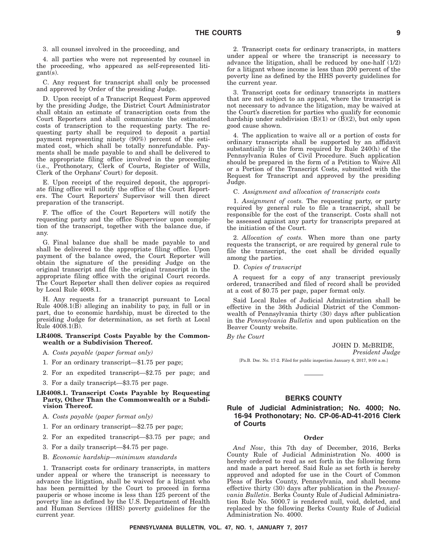3. all counsel involved in the proceeding, and

4. all parties who were not represented by counsel in the proceeding, who appeared as self-represented litigant(s).

C. Any request for transcript shall only be processed and approved by Order of the presiding Judge.

D. Upon receipt of a Transcript Request Form approved by the presiding Judge, the District Court Administrator shall obtain an estimate of transcription costs from the Court Reporters and shall communicate the estimated costs of transcription to the requesting party. The requesting party shall be required to deposit a partial payment representing ninety (90%) percent of the estimated cost, which shall be totally nonrefundable. Payments shall be made payable to and shall be delivered to the appropriate filing office involved in the proceeding (i.e., Prothonotary, Clerk of Courts, Register of Wills, Clerk of the Orphans' Court) for deposit.

E. Upon receipt of the required deposit, the appropriate filing office will notify the office of the Court Reporters. The Court Reporters' Supervisor will then direct preparation of the transcript.

F. The office of the Court Reporters will notify the requesting party and the office Supervisor upon completion of the transcript, together with the balance due, if any.

G. Final balance due shall be made payable to and shall be delivered to the appropriate filing office. Upon payment of the balance owed, the Court Reporter will obtain the signature of the presiding Judge on the original transcript and file the original transcript in the appropriate filing office with the original Court records. The Court Reporter shall then deliver copies as required by Local Rule 4008.1.

H. Any requests for a transcript pursuant to Local Rule  $4008.1(\overrightarrow{B})$  alleging an inability to pay, in full or in part, due to economic hardship, must be directed to the presiding Judge for determination, as set forth at Local Rule 4008.1(B).

#### **LR4008. Transcript Costs Payable by the Commonwealth or a Subdivision Thereof.**

- A. *Costs payable (paper format only)*
- 1. For an ordinary transcript—\$1.75 per page;
- 2. For an expedited transcript—\$2.75 per page; and
- 3. For a daily transcript—\$3.75 per page.

#### **LR4008.1. Transcript Costs Payable by Requesting Party, Other Than the Commonwealth or a Subdivision Thereof.**

- A. *Costs payable (paper format only)*
- 1. For an ordinary transcript—\$2.75 per page;
- 2. For an expedited transcript—\$3.75 per page; and
- 3. For a daily transcript—\$4.75 per page.
- B. *Economic hardship—minimum standards*

1. Transcript costs for ordinary transcripts, in matters under appeal or where the transcript is necessary to advance the litigation, shall be waived for a litigant who has been permitted by the Court to proceed in forma pauperis or whose income is less than 125 percent of the poverty line as defined by the U.S. Department of Health and Human Services (HHS) poverty guidelines for the current year.

2. Transcript costs for ordinary transcripts, in matters under appeal or where the transcript is necessary to advance the litigation, shall be reduced by one-half (1/2) for a litigant whose income is less than 200 percent of the poverty line as defined by the HHS poverty guidelines for the current year.

3. Transcript costs for ordinary transcripts in matters that are not subject to an appeal, where the transcript is not necessary to advance the litigation, may be waived at the Court's discretion for parties who qualify for economic hardship under subdivision  $(B)(1)$  or  $(B)(2)$ , but only upon good cause shown.

4. The application to waive all or a portion of costs for ordinary transcripts shall be supported by an affidavit substantially in the form required by Rule 240(h) of the Pennsylvania Rules of Civil Procedure. Such application should be prepared in the form of a Petition to Waive All or a Portion of the Transcript Costs, submitted with the Request for Transcript and approved by the presiding Judge.

C. *Assignment and allocation of transcripts costs*

1. *Assignment of costs.* The requesting party, or party required by general rule to file a transcript, shall be responsible for the cost of the transcript. Costs shall not be assessed against any party for transcripts prepared at the initiation of the Court.

2. *Allocation of costs.* When more than one party requests the transcript, or are required by general rule to file the transcript, the cost shall be divided equally among the parties.

D. *Copies of transcript*

A request for a copy of any transcript previously ordered, transcribed and filed of record shall be provided at a cost of \$0.75 per page, paper format only.

Said Local Rules of Judicial Administration shall be effective in the 36th Judicial District of the Commonwealth of Pennsylvania thirty (30) days after publication in the *Pennsylvania Bulletin* and upon publication on the Beaver County website.

*By the Court*

JOHN D. McBRIDE,

*President Judge*

[Pa.B. Doc. No. 17-2. Filed for public inspection January 6, 2017, 9:00 a.m.]

#### **BERKS COUNTY**

**Rule of Judicial Administration; No. 4000; No. 16-94 Prothonotary; No. CP-06-AD-41-2016 Clerk of Courts**

#### **Order**

*And Now*, this 7th day of December, 2016, Berks County Rule of Judicial Administration No. 4000 is hereby ordered to read as set forth in the following form and made a part hereof. Said Rule as set forth is hereby approved and adopted for use in the Court of Common Pleas of Berks County, Pennsylvania, and shall become effective thirty (30) days after publication in the *Pennsylvania Bulletin*. Berks County Rule of Judicial Administration Rule No. 5000.7 is rendered null, void, deleted, and replaced by the following Berks County Rule of Judicial Administration No. 4000.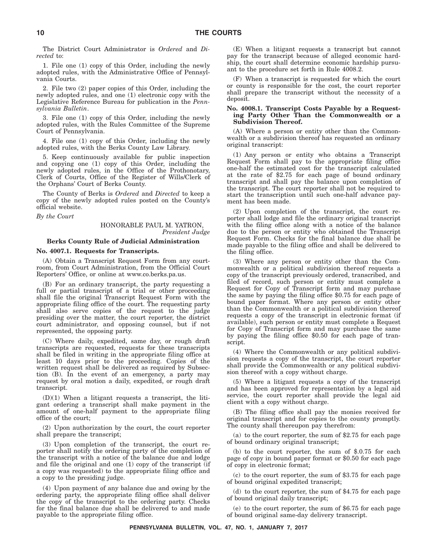The District Court Administrator is *Ordered* and *Directed* to:

1. File one (1) copy of this Order, including the newly adopted rules, with the Administrative Office of Pennsylvania Courts.

2. File two (2) paper copies of this Order, including the newly adopted rules, and one (1) electronic copy with the Legislative Reference Bureau for publication in the *Pennsylvania Bulletin*.

3. File one (1) copy of this Order, including the newly adopted rules, with the Rules Committee of the Supreme Court of Pennsylvania.

4. File one (1) copy of this Order, including the newly adopted rules, with the Berks County Law Library.

5. Keep continuously available for public inspection and copying one (1) copy of this Order, including the newly adopted rules, in the Office of the Prothonotary, Clerk of Courts, Office of the Register of Wills/Clerk of the Orphans' Court of Berks County.

The County of Berks is *Ordered* and *Directed* to keep a copy of the newly adopted rules posted on the County's official website.

*By the Court*

#### HONORABLE PAUL M. YATRON, *President Judge*

#### **Berks County Rule of Judicial Administration**

#### **No. 4007.1. Requests for Transcripts.**

(A) Obtain a Transcript Request Form from any courtroom, from Court Administration, from the Official Court Reporters' Office, or online at www.co.berks.pa.us.

(B) For an ordinary transcript, the party requesting a full or partial transcript of a trial or other proceeding shall file the original Transcript Request Form with the appropriate filing office of the court. The requesting party shall also serve copies of the request to the judge presiding over the matter, the court reporter, the district court administrator, and opposing counsel, but if not represented, the opposing party.

(C) Where daily, expedited, same day, or rough draft transcripts are requested, requests for these transcripts shall be filed in writing in the appropriate filing office at least 10 days prior to the proceeding. Copies of the written request shall be delivered as required by Subsection (B). In the event of an emergency, a party may request by oral motion a daily, expedited, or rough draft transcript.

 $(D)(1)$  When a litigant requests a transcript, the litigant ordering a transcript shall make payment in the amount of one-half payment to the appropriate filing office of the court;

(2) Upon authorization by the court, the court reporter shall prepare the transcript;

(3) Upon completion of the transcript, the court reporter shall notify the ordering party of the completion of the transcript with a notice of the balance due and lodge and file the original and one (1) copy of the transcript (if a copy was requested) to the appropriate filing office and a copy to the presiding judge.

(4) Upon payment of any balance due and owing by the ordering party, the appropriate filing office shall deliver the copy of the transcript to the ordering party. Checks for the final balance due shall be delivered to and made payable to the appropriate filing office.

(E) When a litigant requests a transcript but cannot pay for the transcript because of alleged economic hardship, the court shall determine economic hardship pursuant to the procedure set forth in Rule 4008.2.

(F) When a transcript is requested for which the court or county is responsible for the cost, the court reporter shall prepare the transcript without the necessity of a deposit.

#### **No. 4008.1. Transcript Costs Payable by a Requesting Party Other Than the Commonwealth or a Subdivision Thereof.**

(A) Where a person or entity other than the Commonwealth or a subdivision thereof has requested an ordinary original transcript:

(1) Any person or entity who obtains a Transcript Request Form shall pay to the appropriate filing office one-half the estimated cost for the transcript calculated at the rate of \$2.75 for each page of bound ordinary transcript and shall pay the balance upon completion of the transcript. The court reporter shall not be required to start the transcription until such one-half advance payment has been made.

(2) Upon completion of the transcript, the court reporter shall lodge and file the ordinary original transcript with the filing office along with a notice of the balance due to the person or entity who obtained the Transcript Request Form. Checks for the final balance due shall be made payable to the filing office and shall be delivered to the filing office.

(3) Where any person or entity other than the Commonwealth or a political subdivision thereof requests a copy of the transcript previously ordered, transcribed, and filed of record, such person or entity must complete a Request for Copy of Transcript form and may purchase the same by paying the filing office \$0.75 for each page of bound paper format. Where any person or entity other than the Commonwealth or a political subdivision thereof requests a copy of the transcript in electronic format (if available), such person or entity must complete a Request for Copy of Transcript form and may purchase the same by paying the filing office \$0.50 for each page of transcript.

(4) Where the Commonwealth or any political subdivision requests a copy of the transcript, the court reporter shall provide the Commonwealth or any political subdivision thereof with a copy without charge.

(5) Where a litigant requests a copy of the transcript and has been approved for representation by a legal aid service, the court reporter shall provide the legal aid client with a copy without charge.

(B) The filing office shall pay the monies received for original transcript and for copies to the county promptly. The county shall thereupon pay therefrom:

(a) to the court reporter, the sum of \$2.75 for each page of bound ordinary original transcript;

(b) to the court reporter, the sum of \$.0.75 for each page of copy in bound paper format or \$0.50 for each page of copy in electronic format;

(c) to the court reporter, the sum of \$3.75 for each page of bound original expedited transcript;

(d) to the court reporter, the sum of \$4.75 for each page of bound original daily transcript;

(e) to the court reporter, the sum of \$6.75 for each page of bound original same-day delivery transcript.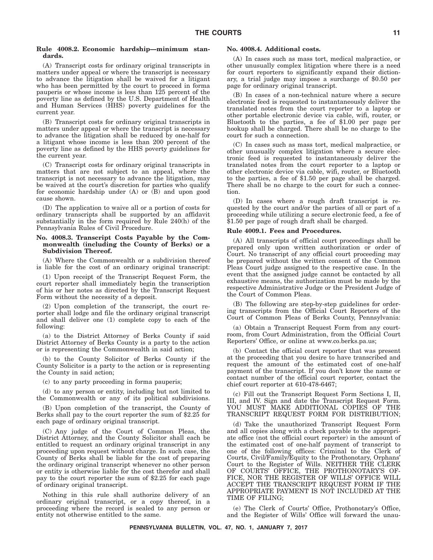#### **Rule 4008.2. Economic hardship—minimum standards.**

#### (A) Transcript costs for ordinary original transcripts in matters under appeal or where the transcript is necessary to advance the litigation shall be waived for a litigant who has been permitted by the court to proceed in forma pauperis or whose income is less than 125 percent of the poverty line as defined by the U.S. Department of Health and Human Services (HHS) poverty guidelines for the current year.

(B) Transcript costs for ordinary original transcripts in matters under appeal or where the transcript is necessary to advance the litigation shall be reduced by one-half for a litigant whose income is less than 200 percent of the poverty line as defined by the HHS poverty guidelines for the current year.

(C) Transcript costs for ordinary original transcripts in matters that are not subject to an appeal, where the transcript is not necessary to advance the litigation, may be waived at the court's discretion for parties who qualify for economic hardship under (A) or (B) and upon good cause shown.

(D) The application to waive all or a portion of costs for ordinary transcripts shall be supported by an affidavit substantially in the form required by Rule 240(h) of the Pennsylvania Rules of Civil Procedure.

#### **No. 4008.3. Transcript Costs Payable by the Commonwealth (including the County of Berks) or a Subdivision Thereof.**

(A) Where the Commonwealth or a subdivision thereof is liable for the cost of an ordinary original transcript:

(1) Upon receipt of the Transcript Request Form, the court reporter shall immediately begin the transcription of his or her notes as directed by the Transcript Request Form without the necessity of a deposit.

(2) Upon completion of the transcript, the court reporter shall lodge and file the ordinary original transcript and shall deliver one (1) complete copy to each of the following:

(a) to the District Attorney of Berks County if said District Attorney of Berks County is a party to the action or is representing the Commonwealth in said action;

(b) to the County Solicitor of Berks County if the County Solicitor is a party to the action or is representing the County in said action;

(c) to any party proceeding in forma pauperis;

(d) to any person or entity, including but not limited to the Commonwealth or any of its political subdivisions.

(B) Upon completion of the transcript, the County of Berks shall pay to the court reporter the sum of \$2.25 for each page of ordinary original transcript.

(C) Any judge of the Court of Common Pleas, the District Attorney, and the County Solicitor shall each be entitled to request an ordinary original transcript in any proceeding upon request without charge. In such case, the County of Berks shall be liable for the cost of preparing the ordinary original transcript whenever no other person or entity is otherwise liable for the cost therefor and shall pay to the court reporter the sum of \$2.25 for each page of ordinary original transcript.

Nothing in this rule shall authorize delivery of an ordinary original transcript, or a copy thereof, in a proceeding where the record is sealed to any person or entity not otherwise entitled to the same.

#### **No. 4008.4. Additional costs.**

(A) In cases such as mass tort, medical malpractice, or other unusually complex litigation where there is a need for court reporters to significantly expand their dictionary, a trial judge may impose a surcharge of \$0.50 per page for ordinary original transcript.

(B) In cases of a non-technical nature where a secure electronic feed is requested to instantaneously deliver the translated notes from the court reporter to a laptop or other portable electronic device via cable, wifi, router, or Bluetooth to the parties, a fee of \$1.00 per page per hookup shall be charged. There shall be no charge to the court for such a connection.

(C) In cases such as mass tort, medical malpractice, or other unusually complex litigation where a secure electronic feed is requested to instantaneously deliver the translated notes from the court reporter to a laptop or other electronic device via cable, wifi, router, or Bluetooth to the parties, a fee of \$1.50 per page shall be charged. There shall be no charge to the court for such a connection.

(D) In cases where a rough draft transcript is requested by the court and/or the parties of all or part of a proceeding while utilizing a secure electronic feed, a fee of \$1.50 per page of rough draft shall be charged.

#### **Rule 4009.1. Fees and Procedures.**

(A) All transcripts of official court proceedings shall be prepared only upon written authorization or order of Court. No transcript of any official court proceeding may be prepared without the written consent of the Common Pleas Court judge assigned to the respective case. In the event that the assigned judge cannot be contacted by all exhaustive means, the authorization must be made by the respective Administrative Judge or the President Judge of the Court of Common Pleas.

(B) The following are step-by-step guidelines for ordering transcripts from the Official Court Reporters of the Court of Common Pleas of Berks County, Pennsylvania:

(a) Obtain a Transcript Request Form from any courtroom, from Court Administration, from the Official Court Reporters' Office, or online at www.co.berks.pa.us;

(b) Contact the official court reporter that was present at the proceeding that you desire to have transcribed and request the amount of the estimated cost of one-half payment of the transcript. If you don't know the name or contact number of the official court reporter, contact the chief court reporter at 610-478-6467;

(c) Fill out the Transcript Request Form Sections I, II, III, and IV. Sign and date the Transcript Request Form. YOU MUST MAKE ADDITIONAL COPIES OF THE TRANSCRIPT REQUEST FORM FOR DISTRIBUTION;

(d) Take the unauthorized Transcript Request Form and all copies along with a check payable to the appropriate office (not the official court reporter) in the amount of the estimated cost of one-half payment of transcript to one of the following offices: Criminal to the Clerk of Courts, Civil/Family/Equity to the Prothonotary, Orphans' Court to the Register of Wills. NEITHER THE CLERK OF COURTS' OFFICE, THE PROTHONOTARY'S OF-FICE, NOR THE REGISTER OF WILLS' OFFICE WILL ACCEPT THE TRANSCRIPT REQUEST FORM IF THE APPROPRIATE PAYMENT IS NOT INCLUDED AT THE TIME OF FILING;

(e) The Clerk of Courts' Office, Prothonotary's Office, and the Register of Wills' Office will forward the unau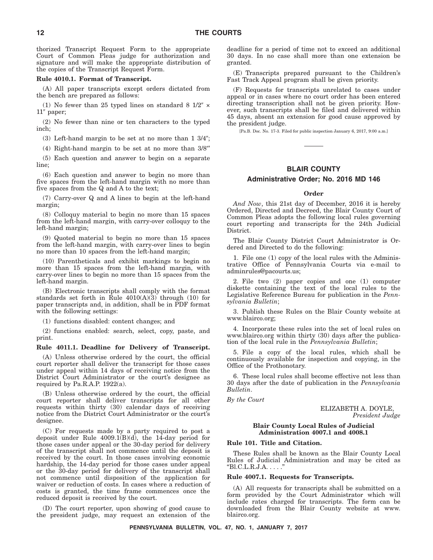thorized Transcript Request Form to the appropriate Court of Common Pleas judge for authorization and signature and will make the appropriate distribution of the copies of the Transcript Request Form.

#### **Rule 4010.1. Format of Transcript.**

(A) All paper transcripts except orders dictated from the bench are prepared as follows:

(1) No fewer than 25 typed lines on standard 8  $1/2$ <sup>"</sup>  $\times$ 11" paper;

(2) No fewer than nine or ten characters to the typed inch;

 $(3)$  Left-hand margin to be set at no more than  $1\frac{3}{4}$ ;

 $(4)$  Right-hand margin to be set at no more than  $3/8$ "

(5) Each question and answer to begin on a separate line;

(6) Each question and answer to begin no more than five spaces from the left-hand margin with no more than five spaces from the Q and A to the text;

(7) Carry-over Q and A lines to begin at the left-hand margin;

(8) Colloquy material to begin no more than 15 spaces from the left-hand margin, with carry-over colloquy to the left-hand margin;

(9) Quoted material to begin no more than 15 spaces from the left-hand margin, with carry-over lines to begin no more than 10 spaces from the left-hand margin;

(10) Parentheticals and exhibit markings to begin no more than 15 spaces from the left-hand margin, with carry-over lines to begin no more than 15 spaces from the left-hand margin.

(B) Electronic transcripts shall comply with the format standards set forth in Rule 4010(A)(3) through (10) for paper transcripts and, in addition, shall be in PDF format with the following settings:

(1) functions disabled: content changes; and

(2) functions enabled: search, select, copy, paste, and print.

#### **Rule 4011.1. Deadline for Delivery of Transcript.**

(A) Unless otherwise ordered by the court, the official court reporter shall deliver the transcript for those cases under appeal within 14 days of receiving notice from the District Court Administrator or the court's designee as required by Pa.R.A.P. 1922(a).

(B) Unless otherwise ordered by the court, the official court reporter shall deliver transcripts for all other requests within thirty (30) calendar days of receiving notice from the District Court Administrator or the court's designee.

(C) For requests made by a party required to post a deposit under Rule  $4009.1(B)(d)$ , the 14-day period for those cases under appeal or the 30-day period for delivery of the transcript shall not commence until the deposit is received by the court. In those cases involving economic hardship, the 14-day period for those cases under appeal or the 30-day period for delivery of the transcript shall not commence until disposition of the application for waiver or reduction of costs. In cases where a reduction of costs is granted, the time frame commences once the reduced deposit is received by the court.

(D) The court reporter, upon showing of good cause to the president judge, may request an extension of the deadline for a period of time not to exceed an additional 30 days. In no case shall more than one extension be granted.

(E) Transcripts prepared pursuant to the Children's Fast Track Appeal program shall be given priority.

(F) Requests for transcripts unrelated to cases under appeal or in cases where no court order has been entered directing transcription shall not be given priority. However, such transcripts shall be filed and delivered within 45 days, absent an extension for good cause approved by the president judge.

[Pa.B. Doc. No. 17-3. Filed for public inspection January 6, 2017, 9:00 a.m.]

#### **BLAIR COUNTY**

#### **Administrative Order; No. 2016 MD 146**

#### **Order**

*And Now*, this 21st day of December, 2016 it is hereby Ordered, Directed and Decreed, the Blair County Court of Common Pleas adopts the following local rules governing court reporting and transcripts for the 24th Judicial District.

The Blair County District Court Administrator is Ordered and Directed to do the following:

1. File one (1) copy of the local rules with the Administrative Office of Pennsylvania Courts via e-mail to adminrules@pacourts.us;

2. File two (2) paper copies and one (1) computer diskette containing the text of the local rules to the Legislative Reference Bureau for publication in the *Pennsylvania Bulletin*;

3. Publish these Rules on the Blair County website at www.blairco.org;

4. Incorporate these rules into the set of local rules on www.blairco.org within thirty (30) days after the publication of the local rule in the *Pennsylvania Bulletin*;

5. File a copy of the local rules, which shall be continuously available for inspection and copying, in the Office of the Prothonotary.

6. These local rules shall become effective not less than 30 days after the date of publication in the *Pennsylvania Bulletin*.

*By the Court*

ELIZABETH A. DOYLE, *President Judge*

#### **Blair County Local Rules of Judicial Administration 4007.1 and 4008.1**

#### **Rule 101. Title and Citation.**

These Rules shall be known as the Blair County Local Rules of Judicial Administration and may be cited as  $"B1.C.L.R.J.A. . . . ."$ 

#### **Rule 4007.1. Requests for Transcripts.**

(A) All requests for transcripts shall be submitted on a form provided by the Court Administrator which will include rates charged for transcripts. The form can be downloaded from the Blair County website at www. blairco.org.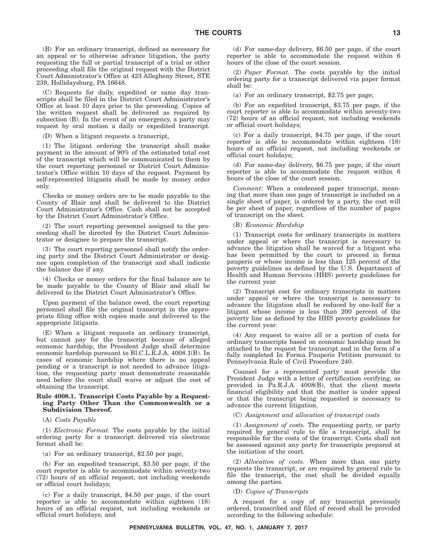(B) For an ordinary transcript, defined as necessary for an appeal or to otherwise advance litigation, the party requesting the full or partial transcript of a trial or other proceeding shall file the original request with the District Court Administrator's Office at 423 Allegheny Street, STE 239, Hollidaysburg, PA 16648.

(C) Requests for daily, expedited or same day transcripts shall be filed in the District Court Administrator's Office at least 10 days prior to the proceeding. Copies of the written request shall be delivered as required by subsection (B). In the event of an emergency, a party may request by oral motion a daily or expedited transcript.

(D) When a litigant requests a transcript,

(1) The litigant ordering the transcript shall make payment in the amount of 90% of the estimated total cost of the transcript which will be communicated to them by the court reporting personnel or District Court Administrator's Office within 10 days of the request. Payment by self-represented litigants shall be made by money order only.

Checks or money orders are to be made payable to the County of Blair and shall be delivered to the District Court Administrator's Office. Cash shall not be accepted by the District Court Administrator's Office.

(2) The court reporting personnel assigned to the proceeding shall be directed by the District Court Administrator or designee to prepare the transcript.

(3) The court reporting personnel shall notify the ordering party and the District Court Administrator or designee upon completion of the transcript and shall indicate the balance due if any.

(4) Checks or money orders for the final balance are to be made payable to the County of Blair and shall be delivered to the District Court Administrator's Office.

Upon payment of the balance owed, the court reporting personnel shall file the original transcript in the appropriate filing office with copies made and delivered to the appropriate litigants.

(E) When a litigant requests an ordinary transcript, but cannot pay for the transcript because of alleged economic hardship, the President Judge shall determine economic hardship pursuant to Bl.C.L.R.J.A. 4008.1(B). In cases of economic hardship where there is no appeal pending or a transcript is not needed to advance litigation, the requesting party must demonstrate reasonable need before the court shall waive or adjust the cost of obtaining the transcript.

#### **Rule 4008.1. Transcript Costs Payable by a Requesting Party Other Than the Commonwealth or a Subdivision Thereof.**

(A) *Costs Payable*

(1) *Electronic Format.* The costs payable by the initial ordering party for a transcript delivered via electronic format shall be:

(a) For an ordinary transcript, \$2.50 per page;

(b) For an expedited transcript, \$3.50 per page, if the court reporter is able to accommodate within seventy-two (72) hours of an official request, not including weekends or official court holidays;

(c) For a daily transcript, \$4.50 per page, if the court reporter is able to accommodate within eighteen (18) hours of an official request, not including weekends or official court holidays; and

(d) For same-day delivery, \$6.50 per page, if the court reporter is able to accommodate the request within 6 hours of the close of the court session.

(2) *Paper Format.* The costs payable by the initial ordering party for a transcript delivered via paper format shall be:

(a) For an ordinary transcript, \$2.75 per page;

(b) For an expedited transcript, \$3.75 per page, if the court reporter is able to accommodate within seventy-two (72) hours of an official request, not including weekends or official court holidays;

(c) For a daily transcript, \$4.75 per page, if the court reporter is able to accommodate within eighteen (18) hours of an official request, not including weekends or official court holidays;

(d) For same-day delivery, \$6.75 per page, if the court reporter is able to accommodate the request within 6 hours of the close of the court session.

*Comment*: When a condensed paper transcript, meaning that more than one page of transcript is included on a single sheet of paper, is ordered by a party, the cost will be per sheet of paper, regardless of the number of pages of transcript on the sheet.

#### (B) *Economic Hardship*

(1) Transcript costs for ordinary transcripts in matters under appeal or where the transcript is necessary to advance the litigation shall be waived for a litigant who has been permitted by the court to proceed in forma pauperis or whose income is less than 125 percent of the poverty guidelines as defined by the U.S. Department of Health and Human Services (HHS) poverty guidelines for the current year.

(2) Transcript cost for ordinary transcripts in matters under appeal or where the transcript is necessary to advance the litigation shall be reduced by one-half for a litigant whose income is less than 200 percent of the poverty line as defined by the HHS poverty guidelines for the current year.

(4) Any request to waive all or a portion of costs for ordinary transcripts based on economic hardship must be attached to the request for transcript and in the form of a fully completed In Forma Pauperis Petition pursuant to Pennsylvania Rule of Civil Procedure 240.

Counsel for a represented party must provide the President Judge with a letter of certification verifying, as provided in Pa.R.J.A. 4008(B), that the client meets financial eligibility and that the matter is under appeal or that the transcript being requested is necessary to advance the current litigation.

(C) *Assignment and allocation of transcript costs*

(1) *Assignment of costs.* The requesting party, or party required by general rule to file a transcript, shall be responsible for the costs of the transcript. Costs shall not be assessed against any party for transcripts prepared at the initiation of the court.

(2) *Allocation of costs.* When more than one party requests the transcript, or are required by general rule to file the transcript, the cost shall be divided equally among the parties.

(D) *Copies of Transcripts*

A request for a copy of any transcript previously ordered, transcribed and filed of record shall be provided according to the following schedule: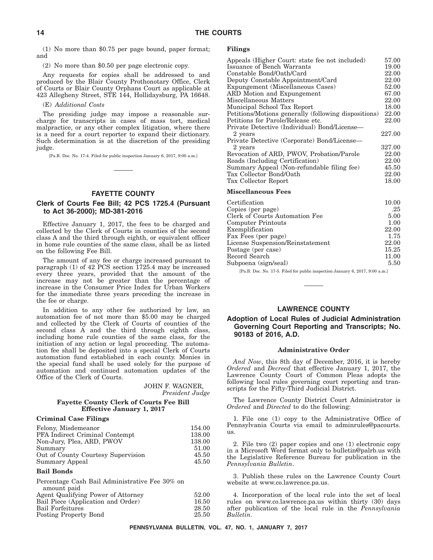(1) No more than \$0.75 per page bound, paper format; and

(2) No more than \$0.50 per page electronic copy.

Any requests for copies shall be addressed to and produced by the Blair County Prothonotary Office, Clerk of Courts or Blair County Orphans Court as applicable at 423 Allegheny Street, STE 144, Hollidaysburg, PA 16648.

#### (E) *Additional Costs*

The presiding judge may impose a reasonable surcharge for transcripts in cases of mass tort, medical malpractice, or any other complex litigation, where there is a need for a court reporter to expand their dictionary. Such determination is at the discretion of the presiding judge.

[Pa.B. Doc. No. 17-4. Filed for public inspection January 6, 2017, 9:00 a.m.]

#### **FAYETTE COUNTY**

#### **Clerk of Courts Fee Bill; 42 PCS 1725.4 (Pursuant to Act 36-2000); MD-381-2016**

Effective January 1, 2017, the fees to be charged and collected by the Clerk of Courts in counties of the second class A and the third through eighth, or equivalent officer in home rule counties of the same class, shall be as listed on the following Fee Bill.

The amount of any fee or charge increased pursuant to paragraph (1) of 42 PCS section 1725.4 may be increased every three years, provided that the amount of the increase may not be greater than the percentage of increase in the Consumer Price Index for Urban Workers for the immediate three years preceding the increase in the fee or charge.

In addition to any other fee authorized by law, an automation fee of not more than \$5.00 may be charged and collected by the Clerk of Courts of counties of the second class A and the third through eighth class, including home rule counties of the same class, for the initiation of any action or legal proceeding. The automation fee shall be deposited into a special Clerk of Courts automation fund established in each county. Monies in the special fund shall be used solely for the purpose of automation and continued automation updates of the Office of the Clerk of Courts.

| JOHN F. WAGNER, |                 |
|-----------------|-----------------|
|                 | President Judge |

#### **Fayette County Clerk of Courts Fee Bill Effective January 1, 2017**

#### **Criminal Case Filings**

| Felony, Misdemeanor                | 154.00 |
|------------------------------------|--------|
| PFA Indirect Criminal Contempt     | 138.00 |
| Non-Jury, Plea, ARD, PWOV          | 138.00 |
| Summary                            | 51.00  |
| Out of County Courtesy Supervision | 45.50  |
| Summary Appeal                     | 45.50  |

#### **Bail Bonds**

| Percentage Cash Bail Administrative Fee 30% on |       |
|------------------------------------------------|-------|
| amount paid                                    |       |
| Agent Qualifying Power of Attorney             | 52.00 |
| Bail Piece (Application and Order)             | 16.50 |
| Bail Forfeitures                               | 28.50 |
| Posting Property Bond                          | 25.50 |

#### **Filings**

| Appeals (Higher Court: state fee not included)       | 57.00  |
|------------------------------------------------------|--------|
| Issuance of Bench Warrants                           | 19.00  |
| Constable Bond/Oath/Card                             | 22.00  |
| Deputy Constable Appointment/Card                    | 22.00  |
| Expungement (Miscellaneous Cases)                    | 52.00  |
| ARD Motion and Expungement                           | 67.00  |
| Miscellaneous Matters                                | 22.00  |
| Municipal School Tax Report                          | 18.00  |
| Petitions/Motions generally (following dispositions) | 22.00  |
| Petitions for Parole/Release etc.                    | 22.00  |
| Private Detective (Individual) Bond/License—         |        |
| 2 years                                              | 227.00 |
| Private Detective (Corporate) Bond/License—          |        |
| 2 years                                              | 327.00 |
| Revocation of ARD, PWOV, Probation/Parole            | 22.00  |
| Roads (Including Certification)                      | 22.00  |
| Summary Appeal (Non-refundable filing fee)           | 45.50  |
| Tax Collector Bond/Oath                              | 22.00  |
| Tax Collector Report                                 | 18.00  |
| <b>Miscellaneous Fees</b>                            |        |
| Certification                                        | 10 OO  |

| Certification                    | 10.00 |
|----------------------------------|-------|
| Copies (per page)                | .25   |
| Clerk of Courts Automation Fee   | 5.00  |
| Computer Printouts               | 1.00  |
| Exemplification                  | 22.00 |
| Fax Fees (per page)              | 1.75  |
| License Suspension/Reinstatement | 22.00 |
| Postage (per case)               | 15.25 |
| Record Search                    | 11.00 |
| Subpoena (sign/seal)             | 5.50  |

[Pa.B. Doc. No. 17-5. Filed for public inspection January 6, 2017, 9:00 a.m.]

#### **LAWRENCE COUNTY**

#### **Adoption of Local Rules of Judicial Administration Governing Court Reporting and Transcripts; No. 90183 of 2016, A.D.**

#### **Administrative Order**

*And Now*, this 8th day of December, 2016, it is hereby *Ordered* and *Decreed* that effective January 1, 2017, the Lawrence County Court of Common Pleas adopts the following local rules governing court reporting and transcripts for the Fifty-Third Judicial District.

The Lawrence County District Court Administrator is *Ordered* and *Directed* to do the following:

1. File one (1) copy to the Administrative Office of Pennsylvania Courts via email to adminrules@pacourts. us.

2. File two (2) paper copies and one (1) electronic copy in a Microsoft Word format only to bulletin@palrb.us with the Legislative Reference Bureau for publication in the *Pennsylvania Bulletin*.

3. Publish these rules on the Lawrence County Court website at www.co.lawrence.pa.us.

4. Incorporation of the local rule into the set of local rules on www.co.lawrence.pa.us within thirty (30) days after publication of the local rule in the *Pennsylvania Bulletin*.

**PENNSYLVANIA BULLETIN, VOL. 47, NO. 1, JANUARY 7, 2017**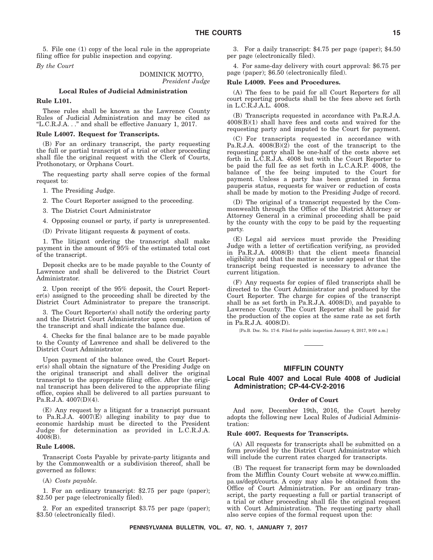5. File one (1) copy of the local rule in the appropriate filing office for public inspection and copying.

*By the Court*

DOMINICK MOTTO, *President Judge*

#### **Local Rules of Judicial Administration**

#### **Rule L101.**

These rules shall be known as the Lawrence County Rules of Judicial Administration and may be cited as ''L.C.R.J.A. . .'' and shall be effective January 1, 2017.

#### **Rule L4007. Request for Transcripts.**

(B) For an ordinary transcript, the party requesting the full or partial transcript of a trial or other proceeding shall file the original request with the Clerk of Courts, Prothonotary, or Orphans Court.

The requesting party shall serve copies of the formal request to:

1. The Presiding Judge.

2. The Court Reporter assigned to the proceeding.

3. The District Court Administrator

4. Opposing counsel or party, if party is unrepresented.

(D) Private litigant requests & payment of costs.

1. The litigant ordering the transcript shall make payment in the amount of 95% of the estimated total cost of the transcript.

Deposit checks are to be made payable to the County of Lawrence and shall be delivered to the District Court Administrator.

2. Upon receipt of the 95% deposit, the Court Reporter(s) assigned to the proceeding shall be directed by the District Court Administrator to prepare the transcript.

3. The Court Reporter(s) shall notify the ordering party and the District Court Administrator upon completion of the transcript and shall indicate the balance due.

4. Checks for the final balance are to be made payable to the County of Lawrence and shall be delivered to the District Court Administrator.

Upon payment of the balance owed, the Court Reporter(s) shall obtain the signature of the Presiding Judge on the original transcript and shall deliver the original transcript to the appropriate filing office. After the original transcript has been delivered to the appropriate filing office, copies shall be delivered to all parties pursuant to Pa.R.J.A. 4007(D)(4).

(E) Any request by a litigant for a transcript pursuant to Pa.R.J.A. 4007(E) alleging inability to pay due to economic hardship must be directed to the President Judge for determination as provided in L.C.R.J.A. 4008(B).

#### **Rule L4008.**

Transcript Costs Payable by private-party litigants and by the Commonwealth or a subdivision thereof, shall be governed as follows:

#### (A) *Costs payable.*

1. For an ordinary transcript: \$2.75 per page (paper); \$2.50 per page (electronically filed).

2. For an expedited transcript \$3.75 per page (paper); \$3.50 (electronically filed).

3. For a daily transcript: \$4.75 per page (paper); \$4.50 per page (electronically filed).

4. For same-day delivery with court approval: \$6.75 per page (paper); \$6.50 (electronically filed).

#### **Rule L4009. Fees and Procedures.**

(A) The fees to be paid for all Court Reporters for all court reporting products shall be the fees above set forth in L.C.R.J.A.L. 4008.

(B) Transcripts requested in accordance with Pa.R.J.A. 4008(B)(1) shall have fees and costs and waived for the requesting party and imputed to the Court for payment.

(C) For transcripts requested in accordance with Pa.R.J.A. 4008(B)(2) the cost of the transcript to the requesting party shall be one-half of the costs above set forth in L.C.R.J.A. 4008 but with the Court Reporter to be paid the full fee as set forth in L.C.A.R.P. 4008, the balance of the fee being imputed to the Court for payment. Unless a party has been granted in forma pauperis status, requests for waiver or reduction of costs shall be made by motion to the Presiding Judge of record.

(D) The original of a transcript requested by the Commonwealth through the Office of the District Attorney or Attorney General in a criminal proceeding shall be paid by the county with the copy to be paid by the requesting party.

(E) Legal aid services must provide the Presiding Judge with a letter of certification verifying, as provided in Pa.R.J.A. 4008(B) that the client meets financial eligibility and that the matter is under appeal or that the transcript being requested is necessary to advance the current litigation.

(F) Any requests for copies of filed transcripts shall be directed to the Court Administrator and produced by the Court Reporter. The charge for copies of the transcript shall be as set forth in Pa.R.J.A. 4008(D), and payable to Lawrence County. The Court Reporter shall be paid for the production of the copies at the same rate as set forth in Pa.R.J.A. 4008(D).

[Pa.B. Doc. No. 17-6. Filed for public inspection January 6, 2017, 9:00 a.m.]

#### **MIFFLIN COUNTY**

#### **Local Rule 4007 and Local Rule 4008 of Judicial Administration; CP-44-CV-2-2016**

#### **Order of Court**

And now, December 19th, 2016, the Court hereby adopts the following new Local Rules of Judicial Administration:

#### **Rule 4007. Requests for Transcripts.**

(A) All requests for transcripts shall be submitted on a form provided by the District Court Administrator which will include the current rates charged for transcripts.

(B) The request for transcript form may be downloaded from the Mifflin County Court website at www.co.mifflin. pa.us/dept/courts. A copy may also be obtained from the Office of Court Administration. For an ordinary transcript, the party requesting a full or partial transcript of a trial or other proceeding shall file the original request with Court Administration. The requesting party shall also serve copies of the formal request upon the:

**PENNSYLVANIA BULLETIN, VOL. 47, NO. 1, JANUARY 7, 2017**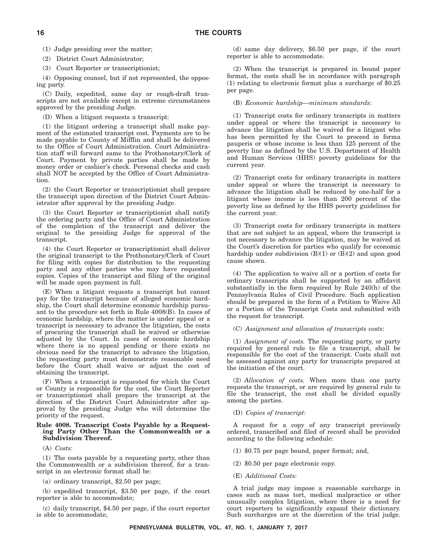(1) Judge presiding over the matter;

(2) District Court Administrator;

(3) Court Reporter or transcriptionist;

(4) Opposing counsel, but if not represented, the opposing party.

(C) Daily, expedited, same day or rough-draft transcripts are not available except in extreme circumstances approved by the presiding Judge.

(D) When a litigant requests a transcript:

(1) the litigant ordering a transcript shall make payment of the estimated transcript cost. Payments are to be made payable to County of Mifflin and shall be delivered to the Office of Court Administration. Court Administration staff will forward same to the Prothonotary/Clerk of Court. Payment by private parties shall be made by money order or cashier's check. Personal checks and cash shall NOT be accepted by the Office of Court Administration.

(2) the Court Reporter or transcriptionist shall prepare the transcript upon direction of the District Court Administrator after approval by the presiding Judge.

(3) the Court Reporter or transcriptionist shall notify the ordering party and the Office of Court Administration of the completion of the transcript and deliver the original to the presiding Judge for approval of the transcript.

(4) the Court Reporter or transcriptionist shall deliver the original transcript to the Prothonotary/Clerk of Court for filing with copies for distribution to the requesting party and any other parties who may have requested copies. Copies of the transcript and filing of the original will be made upon payment in full.

(E) When a litigant requests a transcript but cannot pay for the transcript because of alleged economic hardship, the Court shall determine economic hardship pursuant to the procedure set forth in Rule 4008(B). In cases of economic hardship, where the matter is under appeal or a transcript is necessary to advance the litigation, the costs of procuring the transcript shall be waived or otherwise adjusted by the Court. In cases of economic hardship where there is no appeal pending or there exists no obvious need for the transcript to advance the litigation, the requesting party must demonstrate reasonable need before the Court shall waive or adjust the cost of obtaining the transcript.

(F) When a transcript is requested for which the Court or County is responsible for the cost, the Court Reporter or transcriptionist shall prepare the transcript at the direction of the District Court Administrator after approval by the presiding Judge who will determine the priority of the request.

#### **Rule 4008. Transcript Costs Payable by a Requesting Party Other Than the Commonwealth or a Subdivision Thereof.**

(A) *Costs*:

(1) The costs payable by a requesting party, other than the Commonwealth or a subdivision thereof, for a transcript in an electronic format shall be:

(a) ordinary transcript, \$2.50 per page;

(b) expedited transcript, \$3.50 per page, if the court reporter is able to accommodate;

(c) daily transcript, \$4.50 per page, if the court reporter is able to accommodate;

(d) same day delivery, \$6.50 per page, if the court reporter is able to accommodate.

(2) When the transcript is prepared in bound paper format, the costs shall be in accordance with paragraph (1) relating to electronic format plus a surcharge of \$0.25 per page.

#### (B) *Economic hardship—minimum standards*:

(1) Transcript costs for ordinary transcripts in matters under appeal or where the transcript is necessary to advance the litigation shall be waived for a litigant who has been permitted by the Court to proceed in forma pauperis or whose income is less than 125 percent of the poverty line as defined by the U.S. Department of Health and Human Services (HHS) poverty guidelines for the current year.

(2) Transcript costs for ordinary transcripts in matters under appeal or where the transcript is necessary to advance the litigation shall be reduced by one-half for a litigant whose income is less than 200 percent of the poverty line as defined by the HHS poverty guidelines for the current year.

(3) Transcript costs for ordinary transcripts in matters that are not subject to an appeal, where the transcript is not necessary to advance the litigation, may be waived at the Court's discretion for parties who qualify for economic hardship under subdivision  $(B)(1)$  or  $(B)(2)$  and upon good cause shown.

(4) The application to waive all or a portion of costs for ordinary transcripts shall be supported by an affidavit substantially in the form required by Rule 240(h) of the Pennsylvania Rules of Civil Procedure. Such application should be prepared in the form of a Petition to Waive All or a Portion of the Transcript Costs and submitted with the request for transcript.

(C) *Assignment and allocation of transcripts costs*:

(1) *Assignment of costs.* The requesting party, or party required by general rule to file a transcript, shall be responsible for the cost of the transcript. Costs shall not be assessed against any party for transcripts prepared at the initiation of the court.

(2) *Allocation of costs.* When more than one party requests the transcript, or are required by general rule to file the transcript, the cost shall be divided equally among the parties.

#### (D) *Copies of transcript*:

A request for a copy of any transcript previously ordered, transcribed and filed of record shall be provided according to the following schedule:

- (1) \$0.75 per page bound, paper format; and,
- (2) \$0.50 per page electronic copy.
- (E) *Additional Costs*:

A trial judge may impose a reasonable surcharge in cases such as mass tort, medical malpractice or other unusually complex litigation, where there is a need for court reporters to significantly expand their dictionary. Such surcharges are at the discretion of the trial judge.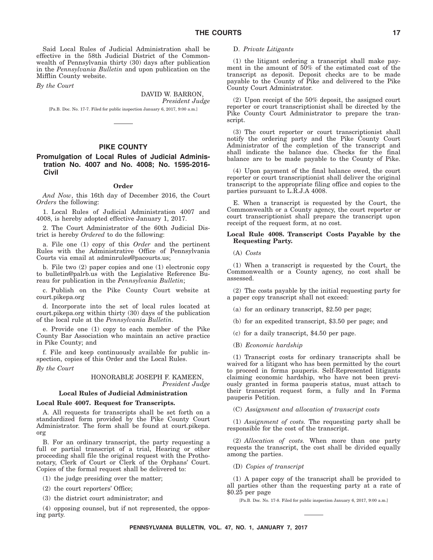Said Local Rules of Judicial Administration shall be effective in the 58th Judicial District of the Commonwealth of Pennsylvania thirty (30) days after publication in the *Pennsylvania Bulletin* and upon publication on the Mifflin County website.

*By the Court*

DAVID W. BARRON, *President Judge*

[Pa.B. Doc. No. 17-7. Filed for public inspection January 6, 2017, 9:00 a.m.]

#### **PIKE COUNTY**

#### **Promulgation of Local Rules of Judicial Administration No. 4007 and No. 4008; No. 1595-2016- Civil**

#### **Order**

*And Now*, this 16th day of December 2016, the Court *Orders* the following:

1. Local Rules of Judicial Administration 4007 and 4008, is hereby adopted effective January 1, 2017.

2. The Court Administrator of the 60th Judicial District is hereby *Ordered* to do the following:

a. File one (1) copy of this *Order* and the pertinent Rules with the Administrative Office of Pennsylvania Courts via email at adminrules@pacourts.us;

b. File two (2) paper copies and one (1) electronic copy to bulletin@palrb.us with the Legislative Reference Bureau for publication in the *Pennsylvania Bulletin*;

c. Publish on the Pike County Court website at court.pikepa.org

d. Incorporate into the set of local rules located at court.pikepa.org within thirty (30) days of the publication of the local rule at the *Pennsylvania Bulletin*.

e. Provide one (1) copy to each member of the Pike County Bar Association who maintain an active practice in Pike County; and

f. File and keep continuously available for public inspection, copies of this Order and the Local Rules.

*By the Court*

#### HONORABLE JOSEPH F. KAMEEN, *President Judge*

#### **Local Rules of Judicial Administration**

#### **Local Rule 4007. Request for Transcripts.**

A. All requests for transcripts shall be set forth on a standardized form provided by the Pike County Court Administrator. The form shall be found at court.pikepa. org

B. For an ordinary transcript, the party requesting a full or partial transcript of a trial, Hearing or other proceeding shall file the original request with the Prothonotary, Clerk of Court or Clerk of the Orphans' Court. Copies of the formal request shall be delivered to:

(1) the judge presiding over the matter;

(2) the court reporters' Office;

(3) the district court administrator; and

(4) opposing counsel, but if not represented, the opposing party.

#### D. *Private Litigants*

(1) the litigant ordering a transcript shall make payment in the amount of 50% of the estimated cost of the transcript as deposit. Deposit checks are to be made payable to the County of Pike and delivered to the Pike County Court Administrator.

(2) Upon receipt of the 50% deposit, the assigned court reporter or court transcriptionist shall be directed by the Pike County Court Administrator to prepare the transcript.

(3) The court reporter or court transcriptionist shall notify the ordering party and the Pike County Court Administrator of the completion of the transcript and shall indicate the balance due. Checks for the final balance are to be made payable to the County of Pike.

(4) Upon payment of the final balance owed, the court reporter or court transcriptionist shall deliver the original transcript to the appropriate filing office and copies to the parties pursuant to L.R.J.A 4008.

E. When a transcript is requested by the Court, the Commonwealth or a County agency, the court reporter or court transcriptionist shall prepare the transcript upon receipt of the request form, at no cost.

#### **Local Rule 4008. Transcript Costs Payable by the Requesting Party.**

(A) *Costs*

(1) When a transcript is requested by the Court, the Commonwealth or a County agency, no cost shall be assessed.

(2) The costs payable by the initial requesting party for a paper copy transcript shall not exceed:

(a) for an ordinary transcript, \$2.50 per page;

(b) for an expedited transcript, \$3.50 per page; and

(c) for a daily transcript, \$4.50 per page.

(B) *Economic hardship*

(1) Transcript costs for ordinary transcripts shall be waived for a litigant who has been permitted by the court to proceed in forma pauperis. Self-Represented litigants claiming economic hardship, who have not been previously granted in forma pauperis status, must attach to their transcript request form, a fully and In Forma pauperis Petition.

(C) *Assignment and allocation of transcript costs*

(1) *Assignment of costs.* The requesting party shall be responsible for the cost of the transcript.

(2) *Allocation of costs.* When more than one party requests the transcript, the cost shall be divided equally among the parties.

(D) *Copies of transcript*

(1) A paper copy of the transcript shall be provided to all parties other than the requesting party at a rate of \$0.25 per page

[Pa.B. Doc. No. 17-8. Filed for public inspection January 6, 2017, 9:00 a.m.]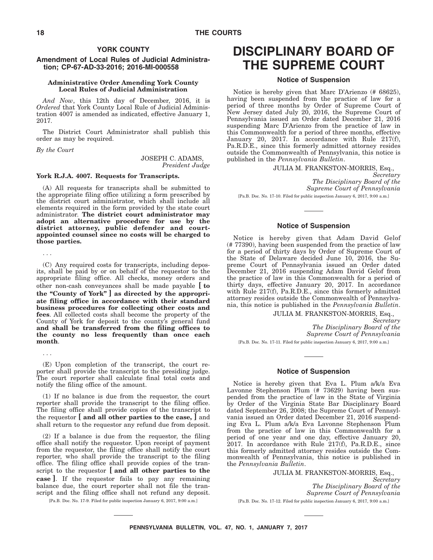#### **YORK COUNTY**

#### **Amendment of Local Rules of Judicial Administration; CP-67-AD-33-2016; 2016-MI-000558**

#### **Administrative Order Amending York County Local Rules of Judicial Administration**

*And Now*, this 12th day of December, 2016, it is *Ordered* that York County Local Rule of Judicial Administration 4007 is amended as indicated, effective January 1, 2017.

The District Court Administrator shall publish this order as may be required.

*By the Court*

...

JOSEPH C. ADAMS, *President Judge*

#### **York R.J.A. 4007. Requests for Transcripts.**

(A) All requests for transcripts shall be submitted to the appropriate filing office utilizing a form prescribed by the district court administrator, which shall include all elements required in the form provided by the state court administrator. **The district court administrator may adopt an alternative procedure for use by the district attorney, public defender and courtappointed counsel since no costs will be charged to those parties.**

(C) Any required costs for transcripts, including deposits, shall be paid by or on behalf of the requestor to the appropriate filing office. All checks, money orders and other non-cash conveyances shall be made payable **[ to the ''County of York'' ] as directed by the appropriate filing office in accordance with their standard business procedures for collecting other costs and fees**. All collected costs shall become the property of the County of York for deposit to the county's general fund **and shall be transferred from the filing offices to the county no less frequently than once each month**.

... (E) Upon completion of the transcript, the court reporter shall provide the transcript to the presiding judge. The court reporter shall calculate final total costs and notify the filing office of the amount.

(1) If no balance is due from the requestor, the court reporter shall provide the transcript to the filing office. The filing office shall provide copies of the transcript to the requestor **[ and all other parties to the case, ]** and shall return to the requestor any refund due from deposit.

(2) If a balance is due from the requestor, the filing office shall notify the requestor. Upon receipt of payment from the requestor, the filing office shall notify the court reporter, who shall provide the transcript to the filing office. The filing office shall provide copies of the transcript to the requestor **[ and all other parties to the case ]**. If the requestor fails to pay any remaining balance due, the court reporter shall not file the transcript and the filing office shall not refund any deposit.

[Pa.B. Doc. No. 17-9. Filed for public inspection January 6, 2017, 9:00 a.m.]

# **DISCIPLINARY BOARD OF THE SUPREME COURT**

#### **Notice of Suspension**

Notice is hereby given that Marc D'Arienzo (# 68625), having been suspended from the practice of law for a period of three months by Order of Supreme Court of New Jersey dated July 20, 2016, the Supreme Court of Pennsylvania issued an Order dated December 21, 2016 suspending Marc D'Arienzo from the practice of law in this Commonwealth for a period of three months, effective January 20, 2017. In accordance with Rule 217(f), Pa.R.D.E., since this formerly admitted attorney resides outside the Commonwealth of Pennsylvania, this notice is published in the *Pennsylvania Bulletin*.

JULIA M. FRANKSTON-MORRIS, Esq.,

*Secretary The Disciplinary Board of the Supreme Court of Pennsylvania*

[Pa.B. Doc. No. 17-10. Filed for public inspection January 6, 2017, 9:00 a.m.]

#### **Notice of Suspension**

Notice is hereby given that Adam David Gelof (# 77390), having been suspended from the practice of law for a period of thirty days by Order of Supreme Court of the State of Delaware decided June 10, 2016, the Supreme Court of Pennsylvania issued an Order dated December 21, 2016 suspending Adam David Gelof from the practice of law in this Commonwealth for a period of thirty days, effective January 20, 2017. In accordance with Rule 217(f), Pa.R.D.E., since this formerly admitted attorney resides outside the Commonwealth of Pennsylvania, this notice is published in the *Pennsylvania Bulletin*.

JULIA M. FRANKSTON-MORRIS, Esq.,

*Secretary The Disciplinary Board of the Supreme Court of Pennsylvania*

[Pa.B. Doc. No. 17-11. Filed for public inspection January 6, 2017, 9:00 a.m.]

#### **Notice of Suspension**

Notice is hereby given that Eva L. Plum a/k/a Eva Lavonne Stephenson Plum (# 73629) having been suspended from the practice of law in the State of Virginia by Order of the Virginia State Bar Disciplinary Board dated September 26, 2008; the Supreme Court of Pennsylvania issued an Order dated December 21, 2016 suspending Eva L. Plum a/k/a Eva Lavonne Stephenson Plum from the practice of law in this Commonwealth for a period of one year and one day, effective January 20, 2017. In accordance with Rule 217(f), Pa.R.D.E., since this formerly admitted attorney resides outside the Commonwealth of Pennsylvania, this notice is published in the *Pennsylvania Bulletin*.

#### JULIA M. FRANKSTON-MORRIS, Esq.,

*Secretary The Disciplinary Board of the Supreme Court of Pennsylvania* [Pa.B. Doc. No. 17-12. Filed for public inspection January 6, 2017, 9:00 a.m.]

**PENNSYLVANIA BULLETIN, VOL. 47, NO. 1, JANUARY 7, 2017**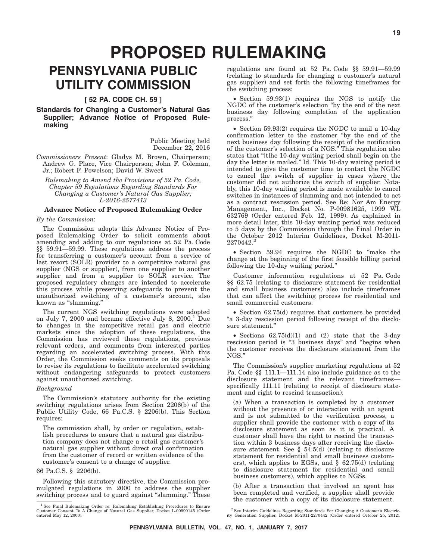# **PROPOSED RULEMAKING**

# **PENNSYLVANIA PUBLIC UTILITY COMMISSION**

#### **[ 52 PA. CODE CH. 59 ]**

#### **Standards for Changing a Customer's Natural Gas Supplier; Advance Notice of Proposed Rulemaking**

Public Meeting held December 22, 2016

*Commissioners Present*: Gladys M. Brown, Chairperson; Andrew G. Place, Vice Chairperson; John F. Coleman, Jr.; Robert F. Powelson; David W. Sweet

*Rulemaking to Amend the Provisions of 52 Pa. Code, Chapter 59 Regulations Regarding Standards For Changing a Customer's Natural Gas Supplier; L-2016-2577413*

#### **Advance Notice of Proposed Rulemaking Order**

#### *By the Commission*:

The Commission adopts this Advance Notice of Proposed Rulemaking Order to solicit comments about amending and adding to our regulations at 52 Pa. Code §§ 59.91—59.99. These regulations address the process for transferring a customer's account from a service of last resort (SOLR) provider to a competitive natural gas supplier (NGS or supplier), from one supplier to another supplier and from a supplier to SOLR service. The proposed regulatory changes are intended to accelerate this process while preserving safeguards to prevent the unauthorized switching of a customer's account, also known as "slamming."

The current NGS switching regulations were adopted on July 7, 2000 and became effective July 8,  $2000$ .<sup>1</sup> Due to changes in the competitive retail gas and electric markets since the adoption of these regulations, the Commission has reviewed these regulations, previous relevant orders, and comments from interested parties regarding an accelerated switching process. With this Order, the Commission seeks comments on its proposals to revise its regulations to facilitate accelerated switching without endangering safeguards to protect customers against unauthorized switching.

#### *Background*

The Commission's statutory authority for the existing switching regulations arises from Section 2206(b) of the Public Utility Code, 66 Pa.C.S. § 2206(b). This Section requires:

The commission shall, by order or regulation, establish procedures to ensure that a natural gas distribution company does not change a retail gas customer's natural gas supplier without direct oral confirmation from the customer of record or written evidence of the customer's consent to a change of supplier.

#### 66 Pa.C.S. § 2206(b).

Following this statutory directive, the Commission promulgated regulations in 2000 to address the supplier switching process and to guard against "slamming." These regulations are found at 52 Pa. Code §§ 59.91—59.99 (relating to standards for changing a customer's natural gas supplier) and set forth the following timeframes for the switching process:

• Section 59.93(1) requires the NGS to notify the NGDC of the customer's selection ''by the end of the next business day following completion of the application process.''

• Section 59.93(2) requires the NGDC to mail a 10-day confirmation letter to the customer ''by the end of the next business day following the receipt of the notification of the customer's selection of a NGS.'' This regulation also states that "[t]he 10-day waiting period shall begin on the day the letter is mailed.'' Id. This 10-day waiting period is intended to give the customer time to contact the NGDC to cancel the switch of supplier in cases where the customer did not authorize the switch of supplier. Notably, this 10-day waiting period is made available to cancel switches in instances of slamming and not intended to act as a contract rescission period. See Re: Nor Am Energy Management, Inc., Docket No. P-00981625, 1999 WL 632769 (Order entered Feb. 12, 1999). As explained in more detail later, this 10-day waiting period was reduced to 5 days by the Commission through the Final Order in the October 2012 Interim Guidelines, Docket M-2011- 2270442.

• Section 59.94 requires the NGDC to ''make the change at the beginning of the first feasible billing period following the 10-day waiting period.''

Customer information regulations at 52 Pa. Code §§ 62.75 (relating to disclosure statement for residential and small business customers) also include timeframes that can affect the switching process for residential and small commercial customers:

• Section 62.75(d) requires that customers be provided "a 3-day rescission period following receipt of the disclosure statement.''

• Sections  $62.75(d)(1)$  and  $(2)$  state that the 3-day rescission period is "3 business days" and "begins when the customer receives the disclosure statement from the NGS.''

The Commission's supplier marketing regulations at 52 Pa. Code §§ 111.1—111.14 also include guidance as to the disclosure statement and the relevant timeframesspecifically 111.11 (relating to receipt of disclosure statement and right to rescind transaction):

(a) When a transaction is completed by a customer without the presence of or interaction with an agent and is not submitted to the verification process, a supplier shall provide the customer with a copy of its disclosure statement as soon as it is practical. A customer shall have the right to rescind the transaction within 3 business days after receiving the disclosure statement. See  $\S$  54.5(d) (relating to disclosure statement for residential and small business customers), which applies to EGSs, and § 62.75(d) (relating to disclosure statement for residential and small business customers), which applies to NGSs.

(b) After a transaction that involved an agent has been completed and verified, a supplier shall provide the customer with a copy of its disclosure statement.

<sup>1</sup> See Final Rulemaking Order re: Rulemaking Establishing Procedures to Ensure Customer Consent To A Change of Natural Gas Supplier, Docket L-00990145 (Order entered May 12, 2000).

<sup>2</sup> See Interim Guidelines Regarding Standards For Changing A Customer's Electric-ity Generation Supplier, Docket M-2011-2270442 (Order entered October 25, 2012).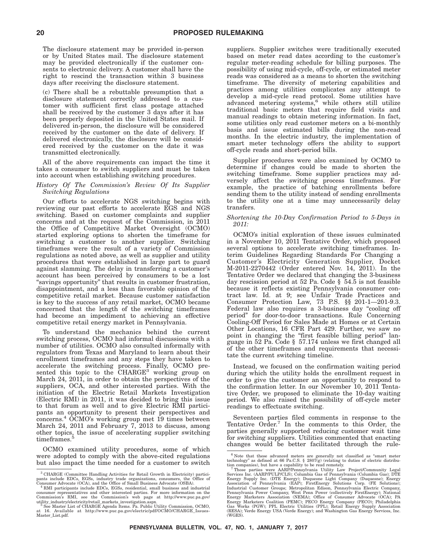The disclosure statement may be provided in-person or by United States mail. The disclosure statement may be provided electronically if the customer consents to electronic delivery. A customer shall have the right to rescind the transaction within 3 business days after receiving the disclosure statement.

(c) There shall be a rebuttable presumption that a disclosure statement correctly addressed to a customer with sufficient first class postage attached shall be received by the customer 3 days after it has been properly deposited in the United States mail. If delivered in-person, the disclosure will be considered received by the customer on the date of delivery. If delivered electronically, the disclosure will be considered received by the customer on the date it was transmitted electronically.

All of the above requirements can impact the time it takes a consumer to switch suppliers and must be taken into account when establishing switching procedures.

#### *History Of The Commission's Review Of Its Supplier Switching Regulations*

Our efforts to accelerate NGS switching begins with reviewing our past efforts to accelerate EGS and NGS switching. Based on customer complaints and supplier concerns and at the request of the Commission, in 2011 the Office of Competitive Market Oversight (OCMO) started exploring options to shorten the timeframe for switching a customer to another supplier. Switching timeframes were the result of a variety of Commission regulations as noted above, as well as supplier and utility procedures that were established in large part to guard against slamming. The delay in transferring a customer's account has been perceived by consumers to be a lost "savings opportunity" that results in customer frustration, disappointment, and a less than favorable opinion of the competitive retail market. Because customer satisfaction is key to the success of any retail market, OCMO became concerned that the length of the switching timeframes had become an impediment to achieving an effective competitive retail energy market in Pennsylvania.

To understand the mechanics behind the current switching process, OCMO had informal discussions with a number of utilities. OCMO also consulted informally with regulators from Texas and Maryland to learn about their enrollment timeframes and any steps they have taken to accelerate the switching process. Finally, OCMO pre-<br>sented this topic to the CHARGE<sup>3</sup> working group on March 24, 2011, in order to obtain the perspectives of the suppliers, OCA, and other interested parties. With the initiation of the Electric Retail Markets Investigation (Electric RMI) in 2011, it was decided to bring this issue to that forum as well and to give Electric RMI participants an opportunity to present their perspectives and concerns.4 OCMO's working group met 19 times between March 24, 2011 and February 7, 2013 to discuss, among other topics, the issue of accelerating supplier switching timeframes.<sup>5</sup>

OCMO examined utility procedures, some of which were adopted to comply with the above-cited regulations but also impact the time needed for a customer to switch

suppliers. Supplier switches were traditionally executed based on meter read dates according to the customer's regular meter-reading schedule for billing purposes. The possibility of using mid-cycle, off-cycle, or estimated meter reads was considered as a means to shorten the switching timeframe. The diversity of metering capabilities and practices among utilities complicates any attempt to develop a mid-cycle read protocol. Some utilities have advanced metering systems,<sup>6</sup> while others still utilize traditional basic meters that require field visits and manual readings to obtain metering information. In fact, some utilities only read customer meters on a bi-monthly basis and issue estimated bills during the non-read months. In the electric industry, the implementation of smart meter technology offers the ability to support off-cycle reads and short-period bills.

Supplier procedures were also examined by OCMO to determine if changes could be made to shorten the switching timeframe. Some supplier practices may adversely affect the switching process timeframes. For example, the practice of batching enrollments before sending them to the utility instead of sending enrollments to the utility one at a time may unnecessarily delay transfers.

#### *Shortening the 10-Day Confirmation Period to 5-Days in 2011:*

OCMO's initial exploration of these issues culminated in a November 10, 2011 Tentative Order, which proposed several options to accelerate switching timeframes. Interim Guidelines Regarding Standards For Changing a Customer's Electricity Generation Supplier, Docket M-2011-2270442 (Order entered Nov. 14, 2011). In the Tentative Order we declared that changing the 3-business day rescission period at 52 Pa. Code § 54.5 is not feasible because it reflects existing Pennsylvania consumer contract law. Id. at 9; see Unfair Trade Practices and Consumer Protection Law, 73 P.S. §§ 201-1—201-9.3. Federal law also requires a 3-business day "cooling off period'' for door-to-door transactions. Rule Concerning Cooling-Off Period for Sales Made at Homes or at Certain Other Locations, 16 CFR Part 429. Further, we saw no point in changing the "first feasible billing period" language in 52 Pa. Code § 57.174 unless we first changed all of the other timeframes and requirements that necessitate the current switching timeline.

Instead, we focused on the confirmation waiting period during which the utility holds the enrollment request in order to give the customer an opportunity to respond to the confirmation letter. In our November 10, 2011 Tentative Order, we proposed to eliminate the 10-day waiting period. We also raised the possibility of off-cycle meter readings to effectuate switching.

Seventeen parties filed comments in response to the Tentative Order.<sup>7</sup> In the comments to this Order, the parties generally supported reducing customer wait time for switching suppliers. Utilities commented that enacting changes would be better facilitated through the rule-

<sup>3</sup> CHARGE (Committee Handling Activities for Retail Growth in Electricity) participants include EDCs, EGSs, industry trade organizations, consumers, the Office of Corsumer Advocate (OCA), and the Office of Small Business Advocate (OSBA).<br>Consumer Advocate (OCA), and the Office of Small Business and salu

consumer representatives and other interested parties. For more information on the Commission's RMI, see the Commission's web page at http://www.puc.pa.gov/<br>utility\_industry/electricity/retail\_markets\_investigation.aspx.<br>i

Master\_List.pdf.

 $^6$  Note that these advanced meters are generally not classified as "smart meter technology" as defined at 66 Pa.C.S. § 2807(g) (relating to duties of electric distribution companies), but have a capability to be read re

Energy Supply Inc. (DTE Energy); Duquesne Light Company (Duquesne); Energy<br>Association of Pennsylvania (EAP); FirstEnergy Solutions Corp. (FE Solutions);<br>Industrial Customer Groups; Metropolitan Edison, Pennsylvania Electr Energy Marketers Coalition (PEMC); PECO Energy Company (PECO); Philadelphia<br>Gas Works (PGW); PPL Electric Utilities (PPL); Retail Energy Supply Association<br>(RESA); Verde Energy USA (Verde Energy); and Washington Gas Energy (WGES).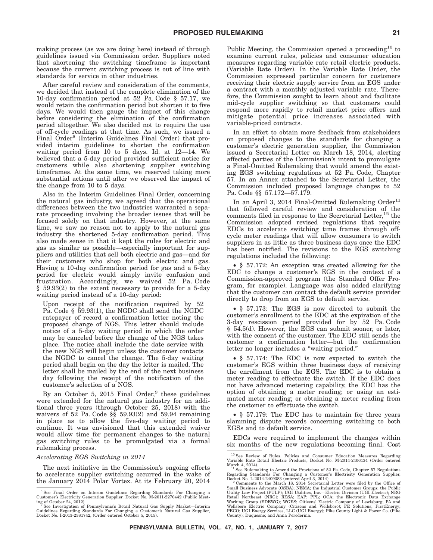making process (as we are doing here) instead of through guidelines issued via Commission order. Suppliers noted that shortening the switching timeframe is important because the current switching process is out of line with standards for service in other industries.

After careful review and consideration of the comments, we decided that instead of the complete elimination of the 10-day confirmation period at 52 Pa. Code § 57.17, we would retain the confirmation period but shorten it to five days. We would then gauge the impact of this change before considering the elimination of the confirmation period altogether. We also decided not to require the use of off-cycle readings at that time. As such, we issued a Final Order<sup>8</sup> (Interim Guidelines Final Order) that provided interim guidelines to shorten the confirmation waiting period from 10 to 5 days. Id. at 12—14. We believed that a 5-day period provided sufficient notice for customers while also shortening supplier switching timeframes. At the same time, we reserved taking more substantial actions until after we observed the impact of the change from 10 to 5 days.

Also in the Interim Guidelines Final Order, concerning the natural gas industry, we agreed that the operational differences between the two industries warranted a separate proceeding involving the broader issues that will be focused solely on that industry. However, at the same time, we saw no reason not to apply to the natural gas industry the shortened 5-day confirmation period. This also made sense in that it kept the rules for electric and gas as similar as possible—especially important for suppliers and utilities that sell both electric and gas—and for their customers who shop for both electric and gas. Having a 10-day confirmation period for gas and a 5-day period for electric would simply invite confusion and frustration. Accordingly, we waived 52 Pa. Code § 59.93(2) to the extent necessary to provide for a 5-day waiting period instead of a 10-day period:

Upon receipt of the notification required by 52 Pa. Code § 59.93(1), the NGDC shall send the NGDC ratepayer of record a confirmation letter noting the proposed change of NGS. This letter should include notice of a 5-day waiting period in which the order may be canceled before the change of the NGS takes place. The notice shall include the date service with the new NGS will begin unless the customer contacts the NGDC to cancel the change. The 5-day waiting period shall begin on the day the letter is mailed. The letter shall be mailed by the end of the next business day following the receipt of the notification of the customer's selection of a NGS.

By an October 5, 2015 Final Order,<sup>9</sup> these guidelines were extended for the natural gas industry for an additional three years (through October 25, 2018) with the waivers of  $52$  Pa. Code  $\S$ §  $59.93(2)$  and  $59.94$  remaining in place as to allow the five-day waiting period to continue. It was envisioned that this extended waiver would allow time for permanent changes to the natural gas switching rules to be promulgated via a formal rulemaking process.

#### *Accelerating EGS Switching in 2014*

The next initiative in the Commission's ongoing efforts to accelerate supplier switching occurred in the wake of the January 2014 Polar Vortex. At its February 20, 2014

Public Meeting, the Commission opened a proceeding<sup>10</sup> to examine current rules, policies and consumer education measures regarding variable rate retail electric products. (Variable Rate Order). In the Variable Rate Order, the Commission expressed particular concern for customers receiving their electric supply service from an EGS under a contract with a monthly adjusted variable rate. Therefore, the Commission sought to learn about and facilitate mid-cycle supplier switching so that customers could respond more rapidly to retail market price offers and mitigate potential price increases associated with variable-priced contracts.

In an effort to obtain more feedback from stakeholders on proposed changes to the standards for changing a customer's electric generation supplier, the Commission issued a Secretarial Letter on March 18, 2014, alerting affected parties of the Commission's intent to promulgate a Final-Omitted Rulemaking that would amend the existing EGS switching regulations at 52 Pa. Code, Chapter 57. In an Annex attached to the Secretarial Letter, the Commission included proposed language changes to 52 Pa. Code §§ 57.172—57.179.

In an April 3, 2014 Final-Omitted Rulemaking Order<sup>11</sup> that followed careful review and consideration of the comments filed in response to the Secretarial Letter,<sup>12</sup> the Commission adopted revised regulations that require EDCs to accelerate switching time frames through offcycle meter readings that will allow consumers to switch suppliers in as little as three business days once the EDC has been notified. The revisions to the EGS switching regulations included the following:

• § 57.172: An exception was created allowing for the EDC to change a customer's EGS in the context of a Commission-approved program (the Standard Offer Program, for example). Language was also added clarifying that the customer can contact the default service provider directly to drop from an EGS to default service.

• § 57.173: The EGS is now directed to submit the customer's enrollment to the EDC at the expiration of the 3-day rescission period provided for by 52 Pa. Code § 54.5(d). However, the EGS can submit sooner, or later, with the consent of the customer. The EDC still sends the customer a confirmation letter—but the confirmation letter no longer includes a "waiting period."

• § 57.174: The EDC is now expected to switch the customer's EGS within three business days of receiving the enrollment from the EGS. The EDC is to obtain a meter reading to effectuate the switch. If the EDC does not have advanced metering capability, the EDC has the option of obtaining a meter reading; or using an estimated meter reading; or obtaining a meter reading from the customer to effectuate the switch.

• § 57.179: The EDC has to maintain for three years slamming dispute records concerning switching to both EGSs and to default service.

EDCs were required to implement the changes within six months of the new regulations becoming final. Cost

<sup>8</sup> See Final Order on Interim Guidelines Regarding Standards For Changing a Customer's Electricity Generation Supplier. Docket No. M-2011-2270442 (Public Meet-

ing of October 24, 2012).<br><sup>9</sup> See Investigation of Pennsylvania's Retail Natural Gas Supply Market—Interim<br>Guidelines Regarding Standards For Changing a Customer's Natural Gas Supplier,<br>Docket No. I-2013-2381742, (Order en

<sup>10</sup> See Review of Rules, Policies and Consumer Education Measures Regarding Variable Rate Retail Electric Products, Docket No. M-2014-2406134 (Order entered

March 4, 2014).<br>
<sup>11</sup> See Rulemaking to Amend the Provisions of 52 Pa. Code, Chapter 57 Regulations<br>
Regarding Standards For Changing a Customer's Electricity Generation Supplier,<br>
Docket No. L-2014-2409383 (entered April

Utility Law Project (PULP); UGI Utilities, Inc.—Electric Division (UGI Electric); NRG<br>Retail Northeast (NRG); RESA; EAP; PPL; OCA; the Electronic Data Exchange<br>Working Group (EDEWG); WGES; Citizens' Electric Company of Lew County); Duquesne; and Anna Perederina.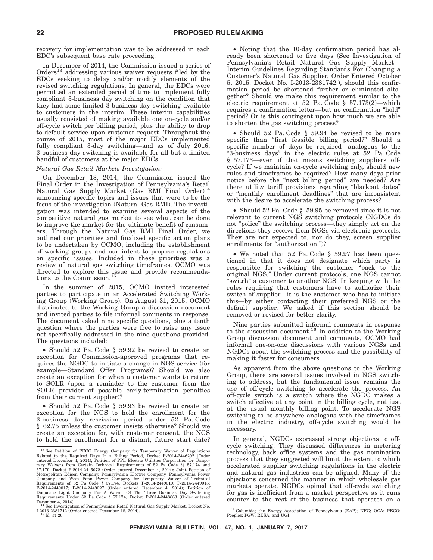recovery for implementation was to be addressed in each EDC's subsequent base rate proceeding.

In December of 2014, the Commission issued a series of Orders<sup>13</sup> addressing various waiver requests filed by the EDCs seeking to delay and/or modify elements of the revised switching regulations. In general, the EDCs were permitted an extended period of time to implement fully compliant 3-business day switching on the condition that they had some limited 3-business day switching available to customers in the interim. These interim capabilities usually consisted of making available one on-cycle and/or off-cycle switch per billing period; plus the ability to drop to default service upon customer request. Throughout the course of 2015, most of the major EDCs implemented fully compliant 3-day switching—and as of July 2016, 3-business day switching is available for all but a limited handful of customers at the major EDCs.

#### *Natural Gas Retail Markets Investigation:*

On December 18, 2014, the Commission issued the Final Order in the Investigation of Pennsylvania's Retail Natural Gas Supply Market (Gas RMI Final Order)<sup>14</sup> announcing specific topics and issues that were to be the focus of the investigation (Natural Gas RMI). The investigation was intended to examine several aspects of the competitive natural gas market to see what can be done to improve the market for the ultimate benefit of consumers. Through the Natural Gas RMI Final Order, we outlined our priorities and finalized specific action plans to be undertaken by OCMO, including the establishment of working groups and our intent to propose regulations on specific issues. Included in these priorities was a review of natural gas switching timeframes. OCMO was directed to explore this issue and provide recommendations to the Commission.15

In the summer of 2015, OCMO invited interested parties to participate in an Accelerated Switching Working Group (Working Group). On August 31, 2015, OCMO distributed to the Working Group a discussion document and invited parties to file informal comments in response. The document asked nine specific questions, plus a tenth question where the parties were free to raise any issue not specifically addressed in the nine questions provided. The questions included:

• Should 52 Pa. Code § 59.92 be revised to create an exception for Commission-approved programs that requires the NGDC to initiate a change in NGS service (for example—Standard Offer Programs)? Should we also create an exception for when a customer wants to return to SOLR (upon a reminder to the customer from the SOLR provider of possible early-termination penalties from their current supplier)?

• Should 52 Pa. Code § 59.93 be revised to create an exception for the NGS to hold the enrollment for the 3-business day rescission period under 52 Pa. Code § 62.75 unless the customer insists otherwise? Should we create an exception for, with customer consent, the NGS to hold the enrollment for a distant, future start date?

• Noting that the 10-day confirmation period has already been shortened to five days (See Investigation of Pennsylvania's Retail Natural Gas Supply Market— Interim Guidelines Regarding Standards For Changing a Customer's Natural Gas Supplier, Order Entered October 5, 2015. Docket No. I-2013-2381742.), should this confirmation period be shortened further or eliminated altogether? Should we make this requirement similar to the electric requirement at 52 Pa. Code  $\S$  57.173(2)—which requires a confirmation letter—but no confirmation ''hold'' period? Or is this contingent upon how much we are able to shorten the gas switching process?

• Should 52 Pa. Code § 59.94 be revised to be more specific than "first feasible billing period?" Should a specific number of days be required—analogous to the ''3-business days'' in the electric rules at 52 Pa. Code § 57.173—even if that means switching suppliers offcycle? If we maintain on-cycle switching only, should new rules and timeframes be required? How many days prior notice before the "next billing period" are needed? Are there utility tariff provisions regarding ''blackout dates'' or ''monthly enrollment deadlines'' that are inconsistent with the desire to accelerate the switching process?

• Should 52 Pa. Code § 59.95 be removed since it is not relevant to current NGS switching protocols (NGDCs do not "police" the switching process—they simply act on the directions they receive from NGSs via electronic protocols. They are not expected to, nor do they, screen supplier enrollments for "authorization.")?

• We noted that 52 Pa. Code § 59.97 has been questioned in that it does not designate which party is responsible for switching the customer ''back to the original NGS.'' Under current protocols, one NGS cannot "switch" a customer to another NGS. In keeping with the rules requiring that customers have to authorize their switch of supplier—it is the customer who has to initiate this—by either contacting their preferred NGS or the default supplier. We asked if this section should be removed or revised for better clarity.

Nine parties submitted informal comments in response to the discussion document.16 In addition to the Working Group discussion document and comments, OCMO had informal one-on-one discussions with various NGSs and NGDCs about the switching process and the possibility of making it faster for consumers.

As apparent from the above questions to the Working Group, there are several issues involved in NGS switching to address, but the fundamental issue remains the use of off-cycle switching to accelerate the process. An off-cycle switch is a switch where the NGDC makes a switch effective at any point in the billing cycle, not just at the usual monthly billing point. To accelerate NGS switching to be anywhere analogous with the timeframes in the electric industry, off-cycle switching would be necessary.

In general, NGDCs expressed strong objections to offcycle switching. They discussed differences in metering technology, back office systems and the gas nomination process that they suggested will limit the extent to which accelerated supplier switching regulations in the electric and natural gas industries can be aligned. Many of the objections concerned the manner in which wholesale gas markets operate. NGDCs opined that off-cycle switching for gas is inefficient from a market perspective as it runs counter to the rest of the business that operates on a

 $^{13}$  See Petition of PECO Energy Company for Temporary Waiver of Regulations Related to the Required Days In a Billing Period, Docket P-2014-2446292 (Order entered December 4, 2014); Petition of PPL Electric Utilities C 57.179, Docket P-2014-2445072 (Order entered December 4, 2014); Joint Petition of<br>Metropolitan Edison Company, Pennsylvania Electric Company, Pennsylvania Power<br>Company and West Penn Power Company for Temporary Waiver of December 4, 2014). <sup>14</sup> See Investigation of Pennsylvania's Retail Natural Gas Supply Market, Docket No.

I-2013-2381742 (Order entered December 18, 2014). <sup>15</sup> Id. at 26.

<sup>16</sup> Columbia; the Energy Association of Pennsylvania (EAP); NFG; OCA; PECO; Peoples; PGW; RESA; and UGI.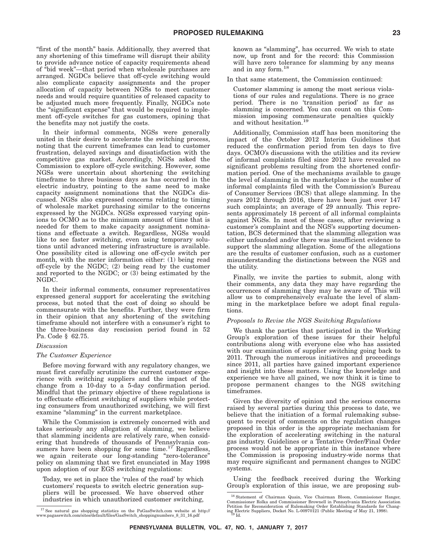"first of the month" basis. Additionally, they averred that any shortening of this timeframe will disrupt their ability to provide advance notice of capacity requirements ahead of ''bid week''—that period when wholesale purchases are arranged. NGDCs believe that off-cycle switching would also complicate capacity assignments and the proper allocation of capacity between NGSs to meet customer needs and would require quantities of released capacity to be adjusted much more frequently. Finally, NGDCs note the "significant expense" that would be required to implement off-cycle switches for gas customers, opining that the benefits may not justify the costs.

In their informal comments, NGSs were generally united in their desire to accelerate the switching process, noting that the current timeframes can lead to customer frustration, delayed savings and dissatisfaction with the competitive gas market. Accordingly, NGSs asked the Commission to explore off-cycle switching. However, some NGSs were uncertain about shortening the switching timeframe to three business days as has occurred in the electric industry, pointing to the same need to make capacity assignment nominations that the NGDCs discussed. NGSs also expressed concerns relating to timing of wholesale market purchasing similar to the concerns expressed by the NGDCs. NGSs expressed varying opinions to OCMO as to the minimum amount of time that is needed for them to make capacity assignment nominations and effectuate a switch. Regardless, NGSs would like to see faster switching, even using temporary solutions until advanced metering infrastructure is available. One possibility cited is allowing one off-cycle switch per month, with the meter information either: (1) being read off-cycle by the NGDC; (2) being read by the customer and reported to the NGDC; or (3) being estimated by the NGDC.

In their informal comments, consumer representatives expressed general support for accelerating the switching process, but noted that the cost of doing so should be commensurate with the benefits. Further, they were firm in their opinion that any shortening of the switching timeframe should not interfere with a consumer's right to the three-business day rescission period found in 52 Pa. Code § 62.75.

#### *Discussion*

#### *The Customer Experience*

Before moving forward with any regulatory changes, we must first carefully scrutinize the current customer experience with switching suppliers and the impact of the change from a 10-day to a 5-day confirmation period. Mindful that the primary objective of these regulations is to effectuate efficient switching of suppliers while protecting consumers from unauthorized switching, we will first examine "slamming" in the current marketplace.

While the Commission is extremely concerned with and takes seriously any allegation of slamming, we believe that slamming incidents are relatively rare, when considering that hundreds of thousands of Pennsylvania consumers have been shopping for some time.<sup>17</sup> Regardless, we again reiterate our long-standing "zero-tolerance" policy on slamming that we first enunciated in May 1998 upon adoption of our EGS switching regulations:

Today, we set in place the 'rules of the road' by which customers' requests to switch electric generation suppliers will be processed. We have observed other industries in which unauthorized customer switching,

known as ''slamming'', has occurred. We wish to state now, up front and for the record: this Commission will have zero tolerance for slamming by any means and in any form.18

In that same statement, the Commission continued:

Customer slamming is among the most serious violations of our rules and regulations. There is no grace period. There is no 'transition period' as far as slamming is concerned. You can count on this Commission imposing commensurate penalties quickly and without hesitation.19

Additionally, Commission staff has been monitoring the impact of the October 2012 Interim Guidelines that reduced the confirmation period from ten days to five days. OCMO's discussions with the utilities and its review of informal complaints filed since 2012 have revealed no significant problems resulting from the shortened confirmation period. One of the mechanisms available to gauge the level of slamming in the marketplace is the number of informal complaints filed with the Commission's Bureau of Consumer Services (BCS) that allege slamming. In the years 2012 through 2016, there have been just over 147 such complaints; an average of 29 annually. This represents approximately 18 percent of all informal complaints against NGSs. In most of these cases, after reviewing a customer's complaint and the NGS's supporting documentation, BCS determined that the slamming allegation was either unfounded and/or there was insufficient evidence to support the slamming allegation. Some of the allegations are the results of customer confusion, such as a customer misunderstanding the distinctions between the NGS and the utility.

Finally, we invite the parties to submit, along with their comments, any data they may have regarding the occurrences of slamming they may be aware of. This will allow us to comprehensively evaluate the level of slamming in the marketplace before we adopt final regulations.

#### *Proposals to Revise the NGS Switching Regulations*

We thank the parties that participated in the Working Group's exploration of these issues for their helpful contributions along with everyone else who has assisted with our examination of supplier switching going back to 2011. Through the numerous initiatives and proceedings since 2011, all parties have gained important experience and insight into these matters. Using the knowledge and experience we have all gained, we now think it is time to propose permanent changes to the NGS switching timeframes.

Given the diversity of opinion and the serious concerns raised by several parties during this process to date, we believe that the initiation of a formal rulemaking subsequent to receipt of comments on the regulation changes proposed in this order is the appropriate mechanism for the exploration of accelerating switching in the natural gas industry. Guidelines or a Tentative Order/Final Order process would not be appropriate in this instance where the Commission is proposing industry-wide norms that may require significant and permanent changes to NGDC systems.

Using the feedback received during the Working Group's exploration of this issue, we are proposing sub-

 $17$  See natural gas shopping statistics on the PaGasSwitch.com website at http://<br>www.pagasswitch.com/sites/default/files/GasSwitch\_shoppingnumbers\_8\_31\_16.pdf

<sup>18</sup> Statement of Chairman Quain, Vice Chairman Bloom, Commissioner Hanger, Commissioner Rolka and Commissioner Brownell in Pennsylvania Electric Association Petition for Reconsideration of Rulemaking Order Establishing Standards for Chang-<br>
ing Electric Suppliers, Docket No. L-00970121 (Public Meeting of May 21, 1998).<br>
<sup>19</sup>1d.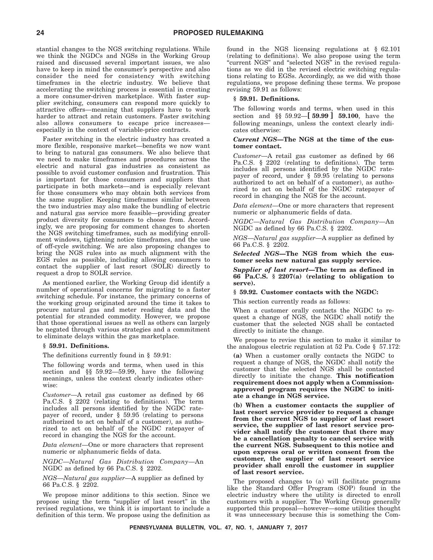stantial changes to the NGS switching regulations. While we think the NGDCs and NGSs in the Working Group raised and discussed several important issues, we also have to keep in mind the consumer's perspective and also consider the need for consistency with switching timeframes in the electric industry. We believe that accelerating the switching process is essential in creating a more consumer-driven marketplace. With faster supplier switching, consumers can respond more quickly to attractive offers—meaning that suppliers have to work harder to attract and retain customers. Faster switching also allows consumers to escape price increases especially in the context of variable-price contracts.

Faster switching in the electric industry has created a more flexible, responsive market—benefits we now want to bring to natural gas consumers. We also believe that we need to make timeframes and procedures across the electric and natural gas industries as consistent as possible to avoid customer confusion and frustration. This is important for those consumers and suppliers that participate in both markets—and is especially relevant for those consumers who may obtain both services from the same supplier. Keeping timeframes similar between the two industries may also make the bundling of electric and natural gas service more feasible—providing greater product diversity for consumers to choose from. Accordingly, we are proposing for comment changes to shorten the NGS switching timeframes, such as modifying enrollment windows, tightening notice timeframes, and the use of off-cycle switching. We are also proposing changes to bring the NGS rules into as much alignment with the EGS rules as possible, including allowing consumers to contact the supplier of last resort (SOLR) directly to request a drop to SOLR service.

As mentioned earlier, the Working Group did identify a number of operational concerns for migrating to a faster switching schedule. For instance, the primary concerns of the working group originated around the time it takes to procure natural gas and meter reading data and the potential for stranded commodity. However, we propose that those operational issues as well as others can largely be negated through various strategies and a commitment to eliminate delays within the gas marketplace.

#### **§ 59.91. Definitions.**

The definitions currently found in § 59.91:

The following words and terms, when used in this section and §§ 59.92—59.99, have the following meanings, unless the context clearly indicates otherwise:

*Customer*—A retail gas customer as defined by 66 Pa.C.S. § 2202 (relating to definitions). The term includes all persons identified by the NGDC ratepayer of record, under § 59.95 (relating to persons authorized to act on behalf of a customer), as authorized to act on behalf of the NGDC ratepayer of record in changing the NGS for the account.

*Data element*—One or more characters that represent numeric or alphanumeric fields of data.

*NGDC*—*Natural Gas Distribution Company*—An NGDC as defined by 66 Pa.C.S. § 2202.

*NGS*—*Natural gas supplier*—A supplier as defined by 66 Pa.C.S. § 2202.

We propose minor additions to this section. Since we propose using the term "supplier of last resort" in the revised regulations, we think it is important to include a definition of this term. We propose using the definition as found in the NGS licensing regulations at § 62.101 (relating to definitions). We also propose using the term "current NGS" and "selected NGS" in the revised regulations as we did in the revised electric switching regulations relating to EGSs. Accordingly, as we did with those regulations, we propose defining these terms. We propose revising 59.91 as follows:

#### **§ 59.91. Definitions.**

The following words and terms, when used in this section and §§ 59.92—**[ 59.99 ] 59.100**, have the following meanings, unless the context clearly indicates otherwise:

#### *Current NGS***—The NGS at the time of the customer contact.**

*Customer*—A retail gas customer as defined by 66 Pa.C.S. § 2202 (relating to definitions). The term includes all persons identified by the NGDC ratepayer of record, under § 59.95 (relating to persons authorized to act on behalf of a customer), as authorized to act on behalf of the NGDC ratepayer of record in changing the NGS for the account.

*Data element*—One or more characters that represent numeric or alphanumeric fields of data.

*NGDC*—*Natural Gas Distribution Company*—An NGDC as defined by 66 Pa.C.S. § 2202.

*NGS*—*Natural gas supplier*—A supplier as defined by 66 Pa.C.S. § 2202.

*Selected NGS***—The NGS from which the customer seeks new natural gas supply service.**

*Supplier of last resort***—The term as defined in 66 Pa.C.S. § 2207(a) (relating to obligation to serve).**

#### **§ 59.92. Customer contacts with the NGDC:**

This section currently reads as follows:

When a customer orally contacts the NGDC to request a change of NGS, the NGDC shall notify the customer that the selected NGS shall be contacted directly to initiate the change.

We propose to revise this section to make it similar to the analogous electric regulation at 52 Pa. Code § 57.172:

**(a)** When a customer orally contacts the NGDC to request a change of NGS, the NGDC shall notify the customer that the selected NGS shall be contacted directly to initiate the change. **This notification requirement does not apply when a Commissionapproved program requires the NGDC to initiate a change in NGS service.**

**(b) When a customer contacts the supplier of last resort service provider to request a change from the current NGS to supplier of last resort service, the supplier of last resort service provider shall notify the customer that there may be a cancellation penalty to cancel service with the current NGS. Subsequent to this notice and upon express oral or written consent from the customer, the supplier of last resort service provider shall enroll the customer in supplier of last resort service.**

The proposed changes to (a) will facilitate programs like the Standard Offer Program (SOP) found in the electric industry where the utility is directed to enroll customers with a supplier. The Working Group generally supported this proposal—however—some utilities thought it was unnecessary because this is something the Com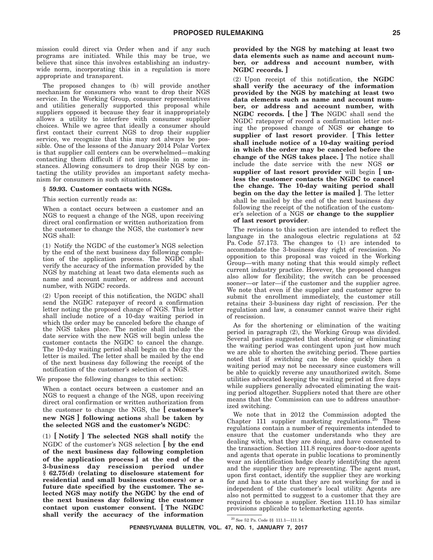mission could direct via Order when and if any such programs are initiated. While this may be true, we believe that since this involves establishing an industrywide norm, incorporating this in a regulation is more appropriate and transparent.

The proposed changes to (b) will provide another mechanism for consumers who want to drop their NGS service. In the Working Group, consumer representatives and utilities generally supported this proposal while suppliers opposed it because they fear it inappropriately allows a utility to interfere with consumer supplier choices. While we agree that ideally a consumer should first contact their current NGS to drop their supplier service, we recognize that this may not always be possible. One of the lessons of the January 2014 Polar Vortex is that supplier call centers can be overwhelmed—making contacting them difficult if not impossible in some instances. Allowing consumers to drop their NGS by contacting the utility provides an important safety mechanism for consumers in such situations.

#### **§ 59.93. Customer contacts with NGSs.**

This section currently reads as:

When a contact occurs between a customer and an NGS to request a change of the NGS, upon receiving direct oral confirmation or written authorization from the customer to change the NGS, the customer's new NGS shall:

(1) Notify the NGDC of the customer's NGS selection by the end of the next business day following completion of the application process. The NGDC shall verify the accuracy of the information provided by the NGS by matching at least two data elements such as name and account number, or address and account number, with NGDC records.

(2) Upon receipt of this notification, the NGDC shall send the NGDC ratepayer of record a confirmation letter noting the proposed change of NGS. This letter shall include notice of a 10-day waiting period in which the order may be canceled before the change of the NGS takes place. The notice shall include the date service with the new NGS will begin unless the customer contacts the NGDC to cancel the change. The 10-day waiting period shall begin on the day the letter is mailed. The letter shall be mailed by the end of the next business day following the receipt of the notification of the customer's selection of a NGS.

We propose the following changes to this section:

When a contact occurs between a customer and an NGS to request a change of the NGS, upon receiving direct oral confirmation or written authorization from the customer to change the NGS, the **[ customer's new NGS ] following actions** shall **be taken by the selected NGS and the customer's NGDC**:

(1) **[ Notify ] The selected NGS shall notify** the NGDC of the customer's NGS selection **[ by the end of the next business day following completion of the application process ] at the end of the 3-business day rescission period under § 62.75(d) (relating to disclosure statement for residential and small business customers) or a future date specified by the customer. The selected NGS may notify the NGDC by the end of the next business day following the customer contact upon customer consent. [ The NGDC shall verify the accuracy of the information**

**provided by the NGS by matching at least two data elements such as name and account number, or address and account number, with NGDC records. ]**

(2) Upon receipt of this notification, **the NGDC shall verify the accuracy of the information provided by the NGS by matching at least two data elements such as name and account number, or address and account number, with NGDC records. [ the ] The** NGDC shall send the NGDC ratepayer of record a confirmation letter noting the proposed change of NGS **or change to supplier of last resort provider**. **[ This letter shall include notice of a 10-day waiting period in which the order may be canceled before the change of the NGS takes place. ]** The notice shall include the date service with the new NGS **or supplier of last resort provider** will begin **[ unless the customer contacts the NGDC to cancel the change. The 10-day waiting period shall begin on the day the letter is mailed ]**. The letter shall be mailed by the end of the next business day following the receipt of the notification of the customer's selection of a NGS **or change to the supplier of last resort provider**.

The revisions to this section are intended to reflect the language in the analogous electric regulations at 52 Pa. Code 57.173. The changes to (1) are intended to accommodate the 3-business day right of rescission. No opposition to this proposal was voiced in the Working Group—with many noting that this would simply reflect current industry practice. However, the proposed changes also allow for flexibility; the switch can be processed sooner—or later—if the customer and the supplier agree. We note that even if the supplier and customer agree to submit the enrollment immediately, the customer still retains their 3-business day right of rescission. Per the regulation and law, a consumer cannot waive their right of rescission.

As for the shortening or elimination of the waiting period in paragraph (2), the Working Group was divided. Several parties suggested that shortening or eliminating the waiting period was contingent upon just how much we are able to shorten the switching period. These parties noted that if switching can be done quickly then a waiting period may not be necessary since customers will be able to quickly reverse any unauthorized switch. Some utilities advocated keeping the waiting period at five days while suppliers generally advocated eliminating the waiting period altogether. Suppliers noted that there are other means that the Commission can use to address unauthorized switching.

We note that in 2012 the Commission adopted the Chapter 111 supplier marketing regulations.20 These regulations contain a number of requirements intended to ensure that the customer understands who they are dealing with, what they are doing, and have consented to the transaction. Section 111.8 requires door-to-door agents and agents that operate in public locations to prominently wear an identification badge clearly identifying the agent and the supplier they are representing. The agent must, upon first contact, identify the supplier they are working for and has to state that they are not working for and is independent of the customer's local utility. Agents are also not permitted to suggest to a customer that they are required to choose a supplier. Section 111.10 has similar provisions applicable to telemarketing agents.

 $^{20}$  See 52 Pa. Code  $\S\$  111.1—111.14.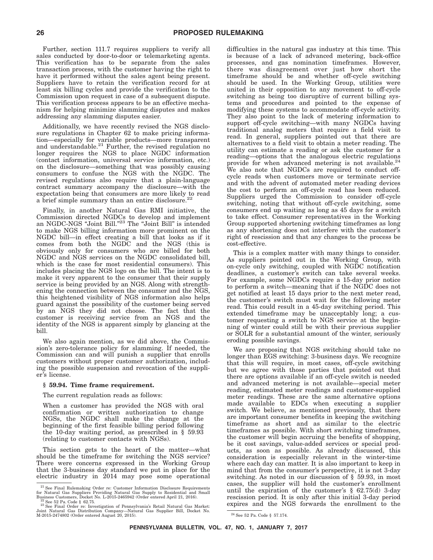Further, section 111.7 requires suppliers to verify all sales conducted by door-to-door or telemarketing agents. This verification has to be separate from the sales transaction process, with the customer having the right to have it performed without the sales agent being present. Suppliers have to retain the verification record for at least six billing cycles and provide the verification to the Commission upon request in case of a subsequent dispute. This verification process appears to be an effective mechanism for helping minimize slamming disputes and makes addressing any slamming disputes easier.

Additionally, we have recently revised the NGS disclosure regulations in Chapter 62 to make pricing information—especially for variable products—more transparent and understandable.<sup>21</sup> Further, the revised regulation no longer requires the NGS to place NGDC information (contact information, universal service information, etc.) on the disclosure—something that was possibly causing consumers to confuse the NGS with the NGDC. The revised regulations also require that a plain-language contract summary accompany the disclosure—with the expectation being that consumers are more likely to read a brief simple summary than an entire disclosure.<sup>22</sup>

Finally, in another Natural Gas RMI initiative, the Commission directed NGDCs to develop and implement an NGDC-NGS ''Joint Bill.''23 The ''Joint Bill'' is intended to make NGS billing information more prominent on the NGDC bill—in effect creating a bill that looks as if it comes from both the NGDC and the NGS (this is obviously only for consumers who are billed for both NGDC and NGS services on the NGDC consolidated bill, which is the case for most residential consumers). This includes placing the NGS logo on the bill. The intent is to make it very apparent to the consumer that their supply service is being provided by an NGS. Along with strengthening the connection between the consumer and the NGS, this heightened visibility of NGS information also helps guard against the possibility of the customer being served by an NGS they did not choose. The fact that the customer is receiving service from an NGS and the identity of the NGS is apparent simply by glancing at the bill.

We also again mention, as we did above, the Commission's zero-tolerance policy for slamming. If needed, the Commission can and will punish a supplier that enrolls customers without proper customer authorization, including the possible suspension and revocation of the supplier's license.

#### **§ 59.94. Time frame requirement.**

The current regulation reads as follows:

When a customer has provided the NGS with oral confirmation or written authorization to change NGSs, the NGDC shall make the change at the beginning of the first feasible billing period following the 10-day waiting period, as prescribed in § 59.93 (relating to customer contacts with NGSs).

This section gets to the heart of the matter—what should be the timeframe for switching the NGS service? There were concerns expressed in the Working Group that the 3-business day standard we put in place for the electric industry in 2014 may pose some operational difficulties in the natural gas industry at this time. This is because of a lack of advanced metering, back-office processes, and gas nomination timeframes. However, there was disagreement over just how short the timeframe should be and whether off-cycle switching should be used. In the Working Group, utilities were united in their opposition to any movement to off-cycle switching as being too disruptive of current billing systems and procedures and pointed to the expense of modifying these systems to accommodate off-cycle activity. They also point to the lack of metering information to support off-cycle switching—with many NGDCs having traditional analog meters that require a field visit to read. In general, suppliers pointed out that there are alternatives to a field visit to obtain a meter reading. The utility can estimate a reading or ask the customer for a reading—options that the analogous electric regulations provide for when advanced metering is not available.<sup>24</sup> We also note that NGDCs are required to conduct offcycle reads when customers move or terminate service and with the advent of automated meter reading devices the cost to perform an off-cycle read has been reduced. Suppliers urged the Commission to consider off-cycle switching, noting that without off-cycle switching, some consumers end up waiting as long as 45 days for a switch to take effect. Consumer representatives in the Working Group supported shortening switching timeframes as long as any shortening does not interfere with the customer's right of rescission and that any changes to the process be cost-effective.

This is a complex matter with many things to consider. As suppliers pointed out in the Working Group, with on-cycle only switching, coupled with NGDC notification deadlines, a customer's switch can take several weeks. For example, some NGDCs require a 15-day prior notice to perform a switch—meaning that if the NGDC does not get notified at least 15 days prior to the next meter read, the customer's switch must wait for the following meter read. This could result in a 45-day switching period. This extended timeframe may be unacceptably long; a customer requesting a switch to NGS service at the beginning of winter could still be with their previous supplier or SOLR for a substantial amount of the winter, seriously eroding possible savings.

We are proposing that NGS switching should take no longer than EGS switching: 3-business days. We recognize that this will require, in most cases, off-cycle switching but we agree with those parties that pointed out that there are options available if an off-cycle switch is needed and advanced metering is not available—special meter reading, estimated meter readings and customer-supplied meter readings. These are the same alternative options made available to EDCs when executing a supplier switch. We believe, as mentioned previously, that there are important consumer benefits in keeping the switching timeframe as short and as similar to the electric timeframes as possible. With short switching timeframes, the customer will begin accruing the benefits of shopping, be it cost savings, value-added services or special products, as soon as possible. As already discussed, this consideration is especially relevant in the winter-time where each day can matter. It is also important to keep in mind that from the consumer's perspective, it is not 3-day switching. As noted in our discussion of § 59.93, in most cases, the supplier will hold the customer's enrollment until the expiration of the customer's  $\S$  62.75(d) 3-day rescission period. It is only after this initial 3-day period expires and the NGS forwards the enrollment to the

**PENNSYLVANIA BULLETIN, VOL. 47, NO. 1, JANUARY 7, 2017**

<sup>&</sup>lt;sup>21</sup> See Final Rulemaking Order re: Customer Information Disclosure Requirements<br>for Natural Gas Suppliers Providing Natural Gas Supply to Residential and Small

Business Customers, Docket No. L-2015-2465942 (Order entered April 21, 2016). <br>
<sup>22</sup> See 52 Pa. Code § 62.75.<br>
<sup>23</sup> See Final Order re: Investigation of Pennsylvania's Retail Natural Gas Market:<br>
Joint Natural Gas Distrib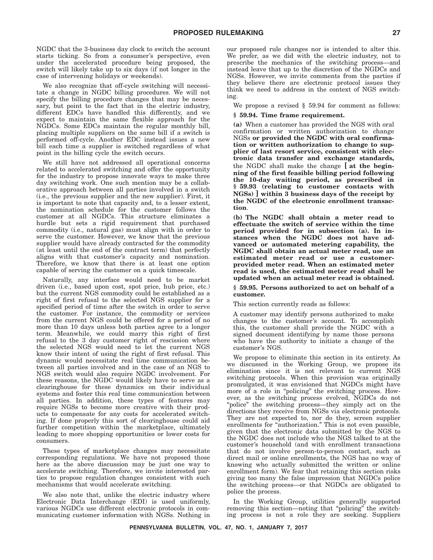NGDC that the 3-business day clock to switch the account starts ticking. So from a consumer's perspective, even under the accelerated procedure being proposed, the switch will likely take up to six days (if not longer in the case of intervening holidays or weekends).

We also recognize that off-cycle switching will necessitate a change in NGDC billing procedures. We will not specify the billing procedure changes that may be necessary, but point to the fact that in the electric industry, different EDCs have handled this differently, and we expect to maintain the same flexible approach for the NGDCs. Some EDCs maintain the regular monthly bill, placing multiple suppliers on the same bill if a switch is performed off-cycle. Another EDC instead issues a new bill each time a supplier is switched regardless of what point in the billing cycle the switch occurs.

We still have not addressed all operational concerns related to accelerated switching and offer the opportunity for the industry to propose innovate ways to make three day switching work. One such mention may be a collaborative approach between all parties involved in a switch (i.e., the previous supplier and the new supplier). First, it is important to note that capacity and, to a lesser extent, the nomination schedule for the customer follows the customer at all NGDCs. This structure eliminates a hurdle but sets a rigid requirement that purchased commodity (i.e., natural gas) must align with in order to serve the customer. However, we know that the previous supplier would have already contracted for the commodity (at least until the end of the contract term) that perfectly aligns with that customer's capacity and nomination. Therefore, we know that there is at least one option capable of serving the customer on a quick timescale.

Naturally, any interface would need to be market driven (i.e., based upon cost, spot price, hub price, etc.) but the current NGS commodity could be established as a right of first refusal to the selected NGS supplier for a specified period of time after the switch in order to serve the customer. For instance, the commodity or services from the current NGS could be offered for a period of no more than 10 days unless both parties agree to a longer term. Meanwhile, we could marry this right of first refusal to the 3 day customer right of rescission where the selected NGS would need to let the current NGS know their intent of using the right of first refusal. This dynamic would necessitate real time communication between all parties involved and in the case of an NGS to NGS switch would also require NGDC involvement. For these reasons, the NGDC would likely have to serve as a clearinghouse for these dynamics on their individual systems and foster this real time communication between all parties. In addition, these types of features may require NGSs to become more creative with their products to compensate for any costs for accelerated switching. If done properly this sort of clearinghouse could aid further competition within the marketplace, ultimately leading to more shopping opportunities or lower costs for consumers.

These types of marketplace changes may necessitate corresponding regulations. We have not proposed those here as the above discussion may be just one way to accelerate switching. Therefore, we invite interested parties to propose regulation changes consistent with such mechanisms that would accelerate switching.

We also note that, unlike the electric industry where Electronic Data Interchange (EDI) is used uniformly, various NGDCs use different electronic protocols in communicating customer information with NGSs. Nothing in our proposed rule changes nor is intended to alter this. We prefer, as we did with the electric industry, not to prescribe the mechanics of the switching process—and instead leave that up to the discretion of the NGDCs and NGSs. However, we invite comments from the parties if they believe there are electronic protocol issues they think we need to address in the context of NGS switching.

We propose a revised § 59.94 for comment as follows:

#### **§ 59.94. Time frame requirement.**

**(a)** When a customer has provided the NGS with oral confirmation or written authorization to change NGSs **or provided the NGDC with oral confirmation or written authorization to change to supplier of last resort service, consistent with electronic data transfer and exchange standards,** the NGDC shall make the change **[ at the beginning of the first feasible billing period following the 10-day waiting period, as prescribed in § 59.93 (relating to customer contacts with NGSs) ] within 3 business days of the receipt by the NGDC of the electronic enrollment transaction**.

**(b) The NGDC shall obtain a meter read to effectuate the switch of service within the time period provided for in subsection (a). In instances when the NGDC does not have advanced or automated metering capability, the NGDC shall obtain an actual meter read, use an estimated meter read or use a customerprovided meter read. When an estimated meter read is used, the estimated meter read shall be updated when an actual meter read is obtained.**

#### **§ 59.95. Persons authorized to act on behalf of a customer.**

This section currently reads as follows:

A customer may identify persons authorized to make changes to the customer's account. To accomplish this, the customer shall provide the NGDC with a signed document identifying by name those persons who have the authority to initiate a change of the customer's NGS.

We propose to eliminate this section in its entirety. As we discussed in the Working Group, we propose its elimination since it is not relevant to current NGS switching protocols. When this provision was originally promulgated, it was envisioned that NGDCs might have more of a role in ''policing'' the switching process. However, as the switching process evolved, NGDCs do not "police" the switching process—they simply act on the directions they receive from NGSs via electronic protocols. They are not expected to, nor do they, screen supplier enrollments for "authorization." This is not even possible, given that the electronic data submitted by the NGS to the NGDC does not include who the NGS talked to at the customer's household (and with enrollment transactions that do not involve person-to-person contact, such as direct mail or online enrollments, the NGS has no way of knowing who actually submitted the written or online enrollment form). We fear that retaining this section risks giving too many the false impression that NGDCs police the switching process—or that NGDCs are obligated to police the process.

In the Working Group, utilities generally supported removing this section—noting that ''policing'' the switching process is not a role they are seeking. Suppliers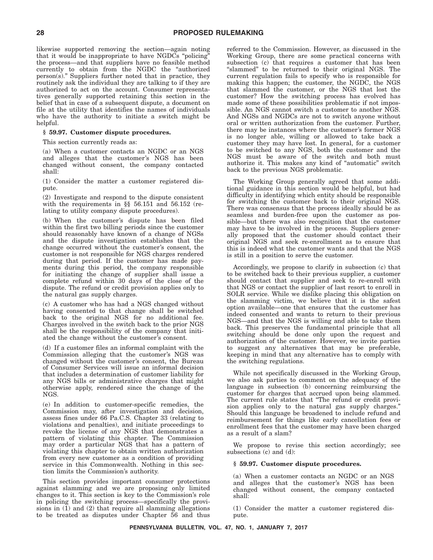likewise supported removing the section—again noting that it would be inappropriate to have  $NGD\overline{Cs}$  "policing" the process—and that suppliers have no feasible method currently to obtain from the NGDC the ''authorized person(s).'' Suppliers further noted that in practice, they routinely ask the individual they are talking to if they are authorized to act on the account. Consumer representatives generally supported retaining this section in the belief that in case of a subsequent dispute, a document on file at the utility that identifies the names of individuals who have the authority to initiate a switch might be helpful.

#### **§ 59.97. Customer dispute procedures.**

This section currently reads as:

(a) When a customer contacts an NGDC or an NGS and alleges that the customer's NGS has been changed without consent, the company contacted shall:

(1) Consider the matter a customer registered dispute.

(2) Investigate and respond to the dispute consistent with the requirements in §§ 56.151 and 56.152 (relating to utility company dispute procedures).

(b) When the customer's dispute has been filed within the first two billing periods since the customer should reasonably have known of a change of NGSs and the dispute investigation establishes that the change occurred without the customer's consent, the customer is not responsible for NGS charges rendered during that period. If the customer has made payments during this period, the company responsible for initiating the change of supplier shall issue a complete refund within 30 days of the close of the dispute. The refund or credit provision applies only to the natural gas supply charges.

(c) A customer who has had a NGS changed without having consented to that change shall be switched back to the original NGS for no additional fee. Charges involved in the switch back to the prior NGS shall be the responsibility of the company that initiated the change without the customer's consent.

(d) If a customer files an informal complaint with the Commission alleging that the customer's NGS was changed without the customer's consent, the Bureau of Consumer Services will issue an informal decision that includes a determination of customer liability for any NGS bills or administrative charges that might otherwise apply, rendered since the change of the NGS.

(e) In addition to customer-specific remedies, the Commission may, after investigation and decision, assess fines under 66 Pa.C.S. Chapter 33 (relating to violations and penalties), and initiate proceedings to revoke the license of any NGS that demonstrates a pattern of violating this chapter. The Commission may order a particular NGS that has a pattern of violating this chapter to obtain written authorization from every new customer as a condition of providing service in this Commonwealth. Nothing in this section limits the Commission's authority.

This section provides important consumer protections against slamming and we are proposing only limited changes to it. This section is key to the Commission's role in policing the switching process—specifically the provisions in  $(1)$  and  $(2)$  that require all slamming allegations to be treated as disputes under Chapter 56 and thus referred to the Commission. However, as discussed in the Working Group, there are some practical concerns with subsection (c) that requires a customer that has been "slammed" to be returned to their original NGS. The current regulation fails to specify who is responsible for making this happen; the customer, the NGDC, the NGS that slammed the customer, or the NGS that lost the customer? How the switching process has evolved has made some of these possibilities problematic if not impossible. An NGS cannot switch a customer to another NGS. And NGSs and NGDCs are not to switch anyone without oral or written authorization from the customer. Further, there may be instances where the customer's former NGS is no longer able, willing or allowed to take back a customer they may have lost. In general, for a customer to be switched to any NGS, both the customer and the NGS must be aware of the switch and both must authorize it. This makes any kind of ''automatic'' switch back to the previous NGS problematic.

The Working Group generally agreed that some additional guidance in this section would be helpful, but had difficulty in identifying which entity should be responsible for switching the customer back to their original NGS. There was consensus that the process ideally should be as seamless and burden-free upon the customer as possible—but there was also recognition that the customer may have to be involved in the process. Suppliers generally proposed that the customer should contact their original NGS and seek re-enrollment as to ensure that this is indeed what the customer wants and that the NGS is still in a position to serve the customer.

Accordingly, we propose to clarify in subsection (c) that to be switched back to their previous supplier, a customer should contact that supplier and seek to re-enroll with that NGS or contact the supplier of last resort to enroll in SOLR service. While we dislike placing this obligation on the slamming victim, we believe that it is the safest option available—one that ensures that the customer has indeed consented and wants to return to their previous NGS—and that the NGS is willing and able to take them back. This preserves the fundamental principle that all switching should be done only upon the request and authorization of the customer. However, we invite parties to suggest any alternatives that may be preferable, keeping in mind that any alternative has to comply with the switching regulations.

While not specifically discussed in the Working Group, we also ask parties to comment on the adequacy of the language in subsection (b) concerning reimbursing the customer for charges that accrued upon being slammed. The current rule states that ''The refund or credit provision applies only to the natural gas supply charges.'' Should this language be broadened to include refund and reimbursement for things like early cancellation fees or enrollment fees that the customer may have been charged as a result of a slam?

We propose to revise this section accordingly; see subsections (c) and (d):

#### **§ 59.97. Customer dispute procedures.**

(a) When a customer contacts an NGDC or an NGS and alleges that the customer's NGS has been changed without consent, the company contacted shall:

(1) Consider the matter a customer registered dispute.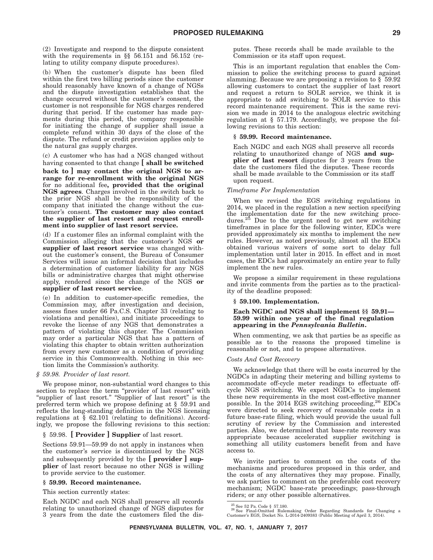(2) Investigate and respond to the dispute consistent with the requirements in §§ 56.151 and 56.152 (relating to utility company dispute procedures).

(b) When the customer's dispute has been filed within the first two billing periods since the customer should reasonably have known of a change of NGSs and the dispute investigation establishes that the change occurred without the customer's consent, the customer is not responsible for NGS charges rendered during that period. If the customer has made payments during this period, the company responsible for initiating the change of supplier shall issue a complete refund within 30 days of the close of the dispute. The refund or credit provision applies only to the natural gas supply charges.

(c) A customer who has had a NGS changed without having consented to that change **[ shall be switched**

**back to ] may contact the original NGS to arrange for re-enrollment with the original NGS** for no additional fee**, provided that the original NGS agrees**. Charges involved in the switch back to the prior NGS shall be the responsibility of the company that initiated the change without the customer's consent. **The customer may also contact the supplier of last resort and request enrollment into supplier of last resort service.**

(d) If a customer files an informal complaint with the Commission alleging that the customer's NGS **or supplier of last resort service** was changed without the customer's consent, the Bureau of Consumer Services will issue an informal decision that includes a determination of customer liability for any NGS bills or administrative charges that might otherwise apply, rendered since the change of the NGS **or supplier of last resort service**.

(e) In addition to customer-specific remedies, the Commission may, after investigation and decision, assess fines under 66 Pa.C.S. Chapter 33 (relating to violations and penalties), and initiate proceedings to revoke the license of any NGS that demonstrates a pattern of violating this chapter. The Commission may order a particular NGS that has a pattern of violating this chapter to obtain written authorization from every new customer as a condition of providing service in this Commonwealth. Nothing in this section limits the Commission's authority.

#### *§ 59.98. Provider of last resort.*

We propose minor, non-substantial word changes to this section to replace the term "provider of last resort" with "supplier of last resort." "Supplier of last resort" is the preferred term which we propose defining at § 59.91 and reflects the long-standing definition in the NGS licensing regulations at  $\S$  62.101 (relating to definitions). Accordingly, we propose the following revisions to this section:

#### § 59.98. **[ Provider ] Supplier** of last resort.

Sections 59.91—59.99 do not apply in instances when the customer's service is discontinued by the NGS and subsequently provided by the **[ provider ] supplier** of last resort because no other NGS is willing to provide service to the customer.

#### **§ 59.99. Record maintenance.**

This section currently states:

Each NGDC and each NGS shall preserve all records relating to unauthorized change of NGS disputes for 3 years from the date the customers filed the disputes. These records shall be made available to the Commission or its staff upon request.

This is an important regulation that enables the Commission to police the switching process to guard against slamming. Because we are proposing a revision to § 59.92 allowing customers to contact the supplier of last resort and request a return to SOLR service, we think it is appropriate to add switching to SOLR service to this record maintenance requirement. This is the same revision we made in 2014 to the analogous electric switching regulation at § 57.179. Accordingly, we propose the following revisions to this section:

#### **§ 59.99. Record maintenance.**

Each NGDC and each NGS shall preserve all records relating to unauthorized change of NGS **and supplier of last resort** disputes for 3 years from the date the customers filed the disputes. These records shall be made available to the Commission or its staff upon request.

#### *Timeframe For Implementation*

When we revised the EGS switching regulations in 2014, we placed in the regulation a new section specifying the implementation date for the new switching procedures.25 Due to the urgent need to get new switching timeframes in place for the following winter, EDCs were provided approximately six months to implement the new rules. However, as noted previously, almost all the EDCs obtained various waivers of some sort to delay full implementation until later in 2015. In effect and in most cases, the EDCs had approximately an entire year to fully implement the new rules.

We propose a similar requirement in these regulations and invite comments from the parties as to the practicality of the deadline proposed:

#### **§ 59.100. Implementation.**

#### **Each NGDC and NGS shall implement §§ 59.91— 59.99 within one year of the final regulation appearing in the** *Pennsylvania Bulletin***.**

When commenting, we ask that parties be as specific as possible as to the reasons the proposed timeline is reasonable or not, and to propose alternatives.

#### *Costs And Cost Recovery*

We acknowledge that there will be costs incurred by the NGDCs in adapting their metering and billing systems to accommodate off-cycle meter readings to effectuate offcycle NGS switching. We expect NGDCs to implement these new requirements in the most cost-effective manner possible. In the 2014 EGS switching proceeding,26 EDCs were directed to seek recovery of reasonable costs in a future base-rate filing, which would provide the usual full scrutiny of review by the Commission and interested parties. Also, we determined that base-rate recovery was appropriate because accelerated supplier switching is something all utility customers benefit from and have access to.

We invite parties to comment on the costs of the mechanisms and procedures proposed in this order, and the costs of any alternatives they may propose. Finally, we ask parties to comment on the preferable cost recovery mechanism; NGDC base-rate proceedings; pass-through riders; or any other possible alternatives.

<sup>&</sup>lt;sup>25</sup> See 52 Pa. Code § 57.180.<br><sup>26</sup> See Final-Omitted Rulemaking Order Regarding Standards for Changing a<br>Customer's EGS, Docket No. L-2014-2409383 (Public Meeting of April 3, 2014).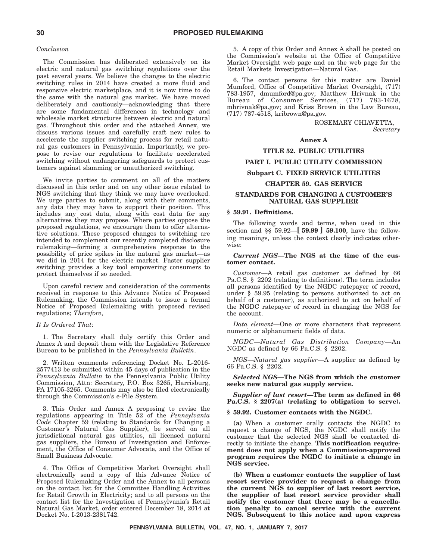#### *Conclusion*

The Commission has deliberated extensively on its electric and natural gas switching regulations over the past several years. We believe the changes to the electric switching rules in 2014 have created a more fluid and responsive electric marketplace, and it is now time to do the same with the natural gas market. We have moved deliberately and cautiously—acknowledging that there are some fundamental differences in technology and wholesale market structures between electric and natural gas. Throughout this order and the attached Annex, we discuss various issues and carefully craft new rules to accelerate the supplier switching process for retail natural gas customers in Pennsylvania. Importantly, we propose to revise our regulations to facilitate accelerated switching without endangering safeguards to protect customers against slamming or unauthorized switching.

We invite parties to comment on all of the matters discussed in this order and on any other issue related to NGS switching that they think we may have overlooked. We urge parties to submit, along with their comments, any data they may have to support their position. This includes any cost data, along with cost data for any alternatives they may propose. Where parties oppose the proposed regulations, we encourage them to offer alternative solutions. These proposed changes to switching are intended to complement our recently completed disclosure rulemaking—forming a comprehensive response to the possibility of price spikes in the natural gas market—as we did in 2014 for the electric market. Faster supplier switching provides a key tool empowering consumers to protect themselves if so needed.

Upon careful review and consideration of the comments received in response to this Advance Notice of Proposed Rulemaking, the Commission intends to issue a formal Notice of Proposed Rulemaking with proposed revised regulations; *Therefore*,

#### *It Is Ordered That*:

1. The Secretary shall duly certify this Order and Annex A and deposit them with the Legislative Reference Bureau to be published in the *Pennsylvania Bulletin*.

2. Written comments referencing Docket No. L-2016- 2577413 be submitted within 45 days of publication in the *Pennsylvania Bulletin* to the Pennsylvania Public Utility Commission, Attn: Secretary, P.O. Box 3265, Harrisburg, PA 17105-3265. Comments may also be filed electronically through the Commission's e-File System.

3. This Order and Annex A proposing to revise the regulations appearing in Title 52 of the *Pennsylvania Code* Chapter 59 (relating to Standards for Changing a Customer's Natural Gas Supplier), be served on all jurisdictional natural gas utilities, all licensed natural gas suppliers, the Bureau of Investigation and Enforcement, the Office of Consumer Advocate, and the Office of Small Business Advocate.

4. The Office of Competitive Market Oversight shall electronically send a copy of this Advance Notice of Proposed Rulemaking Order and the Annex to all persons on the contact list for the Committee Handling Activities for Retail Growth in Electricity; and to all persons on the contact list for the Investigation of Pennsylvania's Retail Natural Gas Market, order entered December 18, 2014 at Docket No. I-2013-2381742.

5. A copy of this Order and Annex A shall be posted on the Commission's website at the Office of Competitive Market Oversight web page and on the web page for the Retail Markets Investigation—Natural Gas.

6. The contact persons for this matter are Daniel Mumford, Office of Competitive Market Oversight, (717) 783-1957, dmumford@pa.gov; Matthew Hrivnak in the Bureau of Consumer Services, (717) 783-1678, mhrivnak@pa.gov; and Kriss Brown in the Law Bureau, (717) 787-4518, kribrown@pa.gov.

> ROSEMARY CHIAVETTA, *Secretary*

#### **Annex A**

#### **TITLE 52. PUBLIC UTILITIES**

#### **PART I. PUBLIC UTILITY COMMISSION**

#### **Subpart C. FIXED SERVICE UTILITIES**

#### **CHAPTER 59. GAS SERVICE**

#### **STANDARDS FOR CHANGING A CUSTOMER'S NATURAL GAS SUPPLIER**

#### **§ 59.91. Definitions.**

The following words and terms, when used in this section and §§ 59.92—**[ 59.99 ] 59.100**, have the following meanings, unless the context clearly indicates otherwise:

#### *Current NGS***—The NGS at the time of the customer contact.**

*Customer*—A retail gas customer as defined by 66 Pa.C.S. § 2202 (relating to definitions). The term includes all persons identified by the NGDC ratepayer of record, under § 59.95 (relating to persons authorized to act on behalf of a customer), as authorized to act on behalf of the NGDC ratepayer of record in changing the NGS for the account.

*Data element*—One or more characters that represent numeric or alphanumeric fields of data.

*NGDC*—*Natural Gas Distribution Company*—An NGDC as defined by 66 Pa.C.S. § 2202.

*NGS*—*Natural gas supplier*—A supplier as defined by 66 Pa.C.S. § 2202.

*Selected NGS***—The NGS from which the customer seeks new natural gas supply service.**

*Supplier of last resort***—The term as defined in 66 Pa.C.S. § 2207(a) (relating to obligation to serve).**

#### **§ 59.92. Customer contacts with the NGDC.**

**(a)** When a customer orally contacts the NGDC to request a change of NGS, the NGDC shall notify the customer that the selected NGS shall be contacted directly to initiate the change. **This notification requirement does not apply when a Commission-approved program requires the NGDC to initiate a change in NGS service.**

**(b) When a customer contacts the supplier of last resort service provider to request a change from the current NGS to supplier of last resort service, the supplier of last resort service provider shall notify the customer that there may be a cancellation penalty to cancel service with the current NGS. Subsequent to this notice and upon express**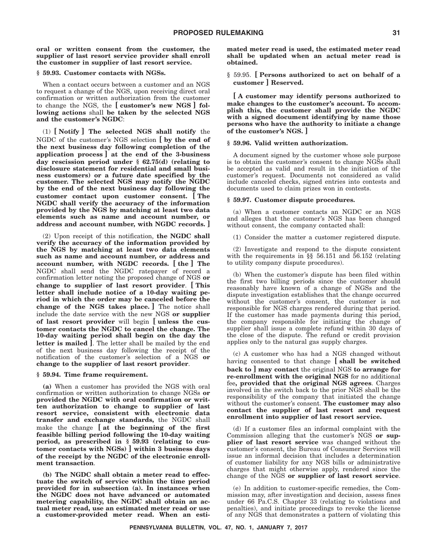**oral or written consent from the customer, the supplier of last resort service provider shall enroll the customer in supplier of last resort service.**

#### **§ 59.93. Customer contacts with NGSs.**

When a contact occurs between a customer and an NGS to request a change of the NGS, upon receiving direct oral confirmation or written authorization from the customer to change the NGS, the **[ customer's new NGS ] following actions** shall **be taken by the selected NGS and the customer's NGDC**:

(1) **[ Notify ] The selected NGS shall notify** the NGDC of the customer's NGS selection **[ by the end of the next business day following completion of the application process ] at the end of the 3-business day rescission period under § 62.75(d) (relating to disclosure statement for residential and small business customers) or a future date specified by the customer. The selected NGS may notify the NGDC by the end of the next business day following the customer contact upon customer consent. [ The NGDC shall verify the accuracy of the information provided by the NGS by matching at least two data elements such as name and account number, or address and account number, with NGDC records. ]**

(2) Upon receipt of this notification, **the NGDC shall verify the accuracy of the information provided by the NGS by matching at least two data elements such as name and account number, or address and account number, with NGDC records. [ the ] The** NGDC shall send the NGDC ratepayer of record a confirmation letter noting the proposed change of NGS **or change to supplier of last resort provider**. **[ This letter shall include notice of a 10-day waiting period in which the order may be canceled before the change of the NGS takes place. ]** The notice shall include the date service with the new NGS **or supplier of last resort provider** will begin **[ unless the customer contacts the NGDC to cancel the change. The 10-day waiting period shall begin on the day the letter is mailed ]**. The letter shall be mailed by the end of the next business day following the receipt of the notification of the customer's selection of a NGS **or change to the supplier of last resort provider**.

#### **§ 59.94. Time frame requirement.**

**(a)** When a customer has provided the NGS with oral confirmation or written authorization to change NGSs **or provided the NGDC with oral confirmation or written authorization to change to supplier of last resort service, consistent with electronic data transfer and exchange standards,** the NGDC shall make the change **[ at the beginning of the first feasible billing period following the 10-day waiting period, as prescribed in § 59.93 (relating to customer contacts with NGSs) ] within 3 business days of the receipt by the NGDC of the electronic enrollment transaction**.

**(b) The NGDC shall obtain a meter read to effectuate the switch of service within the time period provided for in subsection (a). In instances when the NGDC does not have advanced or automated metering capability, the NGDC shall obtain an actual meter read, use an estimated meter read or use a customer-provided meter read. When an esti-** **mated meter read is used, the estimated meter read shall be updated when an actual meter read is obtained.**

§ 59.95. **[ Persons authorized to act on behalf of a customer ] Reserved.**

**[ A customer may identify persons authorized to make changes to the customer's account. To accomplish this, the customer shall provide the NGDC with a signed document identifying by name those persons who have the authority to initiate a change of the customer's NGS. ]**

#### **§ 59.96. Valid written authorization.**

A document signed by the customer whose sole purpose is to obtain the customer's consent to change NGSs shall be accepted as valid and result in the initiation of the customer's request. Documents not considered as valid include canceled checks, signed entries into contests and documents used to claim prizes won in contests.

#### **§ 59.97. Customer dispute procedures.**

(a) When a customer contacts an NGDC or an NGS and alleges that the customer's NGS has been changed without consent, the company contacted shall:

(1) Consider the matter a customer registered dispute.

(2) Investigate and respond to the dispute consistent with the requirements in §§ 56.151 and 56.152 (relating to utility company dispute procedures).

(b) When the customer's dispute has been filed within the first two billing periods since the customer should reasonably have known of a change of NGSs and the dispute investigation establishes that the change occurred without the customer's consent, the customer is not responsible for NGS charges rendered during that period. If the customer has made payments during this period, the company responsible for initiating the change of supplier shall issue a complete refund within 30 days of the close of the dispute. The refund or credit provision applies only to the natural gas supply charges.

(c) A customer who has had a NGS changed without having consented to that change **[ shall be switched back to ] may contact** the original NGS **to arrange for re-enrollment with the original NGS** for no additional fee**, provided that the original NGS agrees**. Charges involved in the switch back to the prior NGS shall be the responsibility of the company that initiated the change without the customer's consent. **The customer may also contact the supplier of last resort and request enrollment into supplier of last resort service.**

(d) If a customer files an informal complaint with the Commission alleging that the customer's NGS **or supplier of last resort service** was changed without the customer's consent, the Bureau of Consumer Services will issue an informal decision that includes a determination of customer liability for any NGS bills or administrative charges that might otherwise apply, rendered since the change of the NGS **or supplier of last resort service**.

(e) In addition to customer-specific remedies, the Commission may, after investigation and decision, assess fines under 66 Pa.C.S. Chapter 33 (relating to violations and penalties), and initiate proceedings to revoke the license of any NGS that demonstrates a pattern of violating this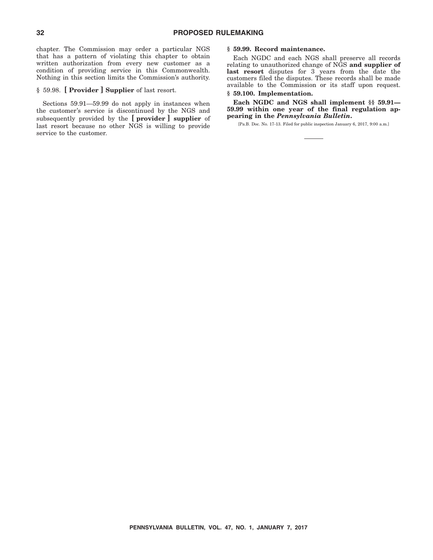chapter. The Commission may order a particular NGS that has a pattern of violating this chapter to obtain written authorization from every new customer as a condition of providing service in this Commonwealth. Nothing in this section limits the Commission's authority.

#### § 59.98. **[ Provider ] Supplier** of last resort.

Sections 59.91—59.99 do not apply in instances when the customer's service is discontinued by the NGS and subsequently provided by the **[ provider ] supplier** of last resort because no other NGS is willing to provide service to the customer.

#### **§ 59.99. Record maintenance.**

Each NGDC and each NGS shall preserve all records relating to unauthorized change of NGS **and supplier of last resort** disputes for 3 years from the date the customers filed the disputes. These records shall be made available to the Commission or its staff upon request.

**§ 59.100. Implementation.**

**Each NGDC and NGS shall implement §§ 59.91— 59.99 within one year of the final regulation appearing in the** *Pennsylvania Bulletin***.**

[Pa.B. Doc. No. 17-13. Filed for public inspection January 6, 2017, 9:00 a.m.]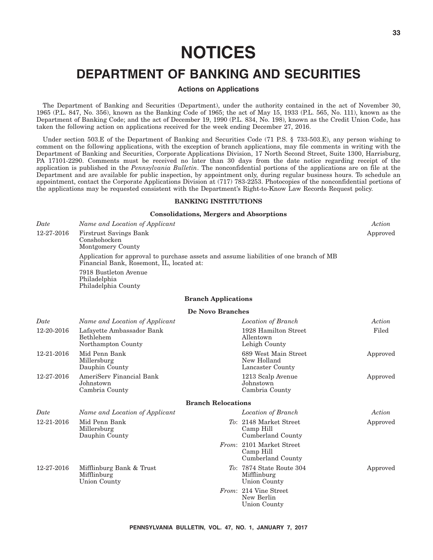# **NOTICES**

## **DEPARTMENT OF BANKING AND SECURITIES**

#### **Actions on Applications**

The Department of Banking and Securities (Department), under the authority contained in the act of November 30, 1965 (P.L. 847, No. 356), known as the Banking Code of 1965; the act of May 15, 1933 (P.L. 565, No. 111), known as the Department of Banking Code; and the act of December 19, 1990 (P.L. 834, No. 198), known as the Credit Union Code, has taken the following action on applications received for the week ending December 27, 2016.

Under section 503.E of the Department of Banking and Securities Code (71 P.S. § 733-503.E), any person wishing to comment on the following applications, with the exception of branch applications, may file comments in writing with the Department of Banking and Securities, Corporate Applications Division, 17 North Second Street, Suite 1300, Harrisburg, PA 17101-2290. Comments must be received no later than 30 days from the date notice regarding receipt of the application is published in the *Pennsylvania Bulletin*. The nonconfidential portions of the applications are on file at the Department and are available for public inspection, by appointment only, during regular business hours. To schedule an appointment, contact the Corporate Applications Division at (717) 783-2253. Photocopies of the nonconfidential portions of the applications may be requested consistent with the Department's Right-to-Know Law Records Request policy.

#### **BANKING INSTITUTIONS**

#### **Consolidations, Mergers and Absorptions**

| Date       | Name and Location of Applicant                                                                                                      |                            |                                                            | Action   |  |
|------------|-------------------------------------------------------------------------------------------------------------------------------------|----------------------------|------------------------------------------------------------|----------|--|
| 12-27-2016 | <b>Firstrust Savings Bank</b><br>Conshohocken<br>Montgomery County                                                                  |                            |                                                            |          |  |
|            | Application for approval to purchase assets and assume liabilities of one branch of MB<br>Financial Bank, Rosemont, IL, located at: |                            |                                                            |          |  |
|            | 7918 Bustleton Avenue<br>Philadelphia<br>Philadelphia County                                                                        |                            |                                                            |          |  |
|            |                                                                                                                                     | <b>Branch Applications</b> |                                                            |          |  |
|            |                                                                                                                                     | De Novo Branches           |                                                            |          |  |
| Date       | Name and Location of Applicant                                                                                                      |                            | Location of Branch                                         | Action   |  |
| 12-20-2016 | Lafayette Ambassador Bank<br>Bethlehem<br>Northampton County                                                                        |                            | 1928 Hamilton Street<br>Allentown<br>Lehigh County         | Filed    |  |
| 12-21-2016 | Mid Penn Bank<br>Millersburg<br>Dauphin County                                                                                      |                            | 689 West Main Street<br>New Holland<br>Lancaster County    | Approved |  |
| 12-27-2016 | AmeriServ Financial Bank<br>Johnstown<br>Cambria County                                                                             |                            | 1213 Scalp Avenue<br>Johnstown<br>Cambria County           | Approved |  |
|            |                                                                                                                                     | <b>Branch Relocations</b>  |                                                            |          |  |
| Date       | Name and Location of Applicant                                                                                                      |                            | Location of Branch                                         | Action   |  |
| 12-21-2016 | Mid Penn Bank<br>Millersburg<br>Dauphin County                                                                                      |                            | To: 2148 Market Street<br>Camp Hill<br>Cumberland County   | Approved |  |
|            |                                                                                                                                     |                            | From: 2101 Market Street<br>Camp Hill<br>Cumberland County |          |  |
| 12-27-2016 | Mifflinburg Bank & Trust<br>Mifflinburg<br>Union County                                                                             |                            | To: 7874 State Route 304<br>Mifflinburg<br>Union County    | Approved |  |
|            |                                                                                                                                     |                            | From: 214 Vine Street<br>New Berlin<br>Union County        |          |  |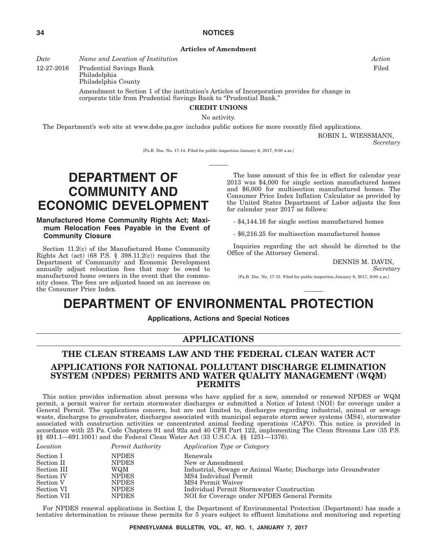**Articles of Amendment**

*Date Name and Location of Institution Action*

12-27-2016 Prudential Savings Bank

Philadelphia Philadelphia County

> Amendment to Section 1 of the institution's Articles of Incorporation provides for change in corporate title from Prudential Savings Bank to ''Prudential Bank.''

#### **CREDIT UNIONS**

No activity.

The Department's web site at www.dobs.pa.gov includes public notices for more recently filed applications.

ROBIN L. WIESSMANN,

*Secretary*

[Pa.B. Doc. No. 17-14. Filed for public inspection January 6, 2017, 9:00 a.m.]

# **DEPARTMENT OF COMMUNITY AND ECONOMIC DEVELOPMENT**

#### **Manufactured Home Community Rights Act; Maximum Relocation Fees Payable in the Event of Community Closure**

Section 11.2(c) of the Manufactured Home Community Rights Act (act) (68 P.S.  $\S$  398.11.2(c)) requires that the Department of Community and Economic Development annually adjust relocation fees that may be owed to manufactured home owners in the event that the community closes. The fees are adjusted based on an increase on the Consumer Price Index.

The base amount of this fee in effect for calendar year 2013 was \$4,000 for single section manufactured homes and \$6,000 for multisection manufactured homes. The Consumer Price Index Inflation Calculator as provided by the United States Department of Labor adjusts the fees for calendar year 2017 as follows:

- \$4,144.16 for single section manufactured homes

- \$6,216.25 for multisection manufactured homes

Inquiries regarding the act should be directed to the Office of the Attorney General.

DENNIS M. DAVIN,

*Secretary*

[Pa.B. Doc. No. 17-15. Filed for public inspection January 6, 2017, 9:00 a.m.]

# **DEPARTMENT OF ENVIRONMENTAL PROTECTION**

**Applications, Actions and Special Notices**

#### **APPLICATIONS**

#### **THE CLEAN STREAMS LAW AND THE FEDERAL CLEAN WATER ACT APPLICATIONS FOR NATIONAL POLLUTANT DISCHARGE ELIMINATION SYSTEM (NPDES) PERMITS AND WATER QUALITY MANAGEMENT (WQM) PERMITS**

This notice provides information about persons who have applied for a new, amended or renewed NPDES or WQM permit, a permit waiver for certain stormwater discharges or submitted a Notice of Intent (NOI) for coverage under a General Permit. The applications concern, but are not limited to, discharges regarding industrial, animal or sewage waste, discharges to groundwater, discharges associated with municipal separate storm sewer systems (MS4), stormwater associated with construction activities or concentrated animal feeding operations (CAFO). This notice is provided in accordance with 25 Pa. Code Chapters 91 and 92a and 40 CFR Part 122, implementing The Clean Streams Law (35 P.S. §§ 691.1—691.1001) and the Federal Clean Water Act (33 U.S.C.A. §§ 1251—1376).

| Location    | Permit Authority | Application Type or Category                                   |
|-------------|------------------|----------------------------------------------------------------|
| Section I   | <b>NPDES</b>     | Renewals                                                       |
| Section II  | <b>NPDES</b>     | New or Amendment                                               |
| Section III | WQM              | Industrial, Sewage or Animal Waste; Discharge into Groundwater |
| Section IV  | <b>NPDES</b>     | MS4 Individual Permit                                          |
| Section V   | <b>NPDES</b>     | MS4 Permit Waiver                                              |
| Section VI  | <b>NPDES</b>     | Individual Permit Stormwater Construction                      |
| Section VII | <b>NPDES</b>     | NOI for Coverage under NPDES General Permits                   |

For NPDES renewal applications in Section I, the Department of Environmental Protection (Department) has made a tentative determination to reissue these permits for 5 years subject to effluent limitations and monitoring and reporting

Filed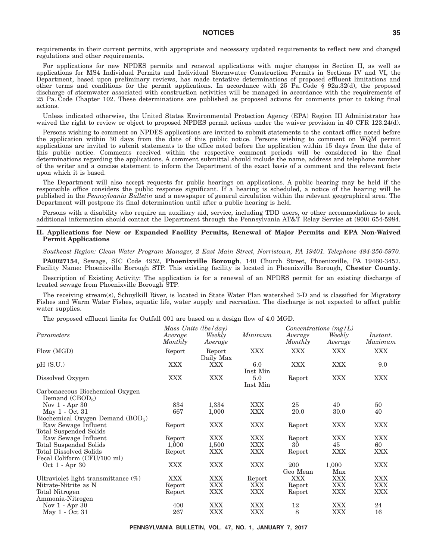#### **NOTICES 35**

requirements in their current permits, with appropriate and necessary updated requirements to reflect new and changed regulations and other requirements.

For applications for new NPDES permits and renewal applications with major changes in Section II, as well as applications for MS4 Individual Permits and Individual Stormwater Construction Permits in Sections IV and VI, the Department, based upon preliminary reviews, has made tentative determinations of proposed effluent limitations and other terms and conditions for the permit applications. In accordance with 25 Pa. Code § 92a.32(d), the proposed discharge of stormwater associated with construction activities will be managed in accordance with the requirements of 25 Pa. Code Chapter 102. These determinations are published as proposed actions for comments prior to taking final actions.

Unless indicated otherwise, the United States Environmental Protection Agency (EPA) Region III Administrator has waived the right to review or object to proposed NPDES permit actions under the waiver provision in 40 CFR 123.24(d).

Persons wishing to comment on NPDES applications are invited to submit statements to the contact office noted before the application within 30 days from the date of this public notice. Persons wishing to comment on WQM permit applications are invited to submit statements to the office noted before the application within 15 days from the date of this public notice. Comments received within the respective comment periods will be considered in the final determinations regarding the applications. A comment submittal should include the name, address and telephone number of the writer and a concise statement to inform the Department of the exact basis of a comment and the relevant facts upon which it is based.

The Department will also accept requests for public hearings on applications. A public hearing may be held if the responsible office considers the public response significant. If a hearing is scheduled, a notice of the hearing will be published in the *Pennsylvania Bulletin* and a newspaper of general circulation within the relevant geographical area. The Department will postpone its final determination until after a public hearing is held.

Persons with a disability who require an auxiliary aid, service, including TDD users, or other accommodations to seek additional information should contact the Department through the Pennsylvania AT&T Relay Service at (800) 654-5984.

#### **II. Applications for New or Expanded Facility Permits, Renewal of Major Permits and EPA Non-Waived Permit Applications**

*Southeast Region: Clean Water Program Manager, 2 East Main Street, Norristown, PA 19401. Telephone 484-250-5970.*

**PA0027154**, Sewage, SIC Code 4952, **Phoenixville Borough**, 140 Church Street, Phoenixville, PA 19460-3457. Facility Name: Phoenixville Borough STP. This existing facility is located in Phoenixville Borough, **Chester County**.

Description of Existing Activity: The application is for a renewal of an NPDES permit for an existing discharge of treated sewage from Phoenixville Borough STP.

The receiving stream(s), Schuylkill River, is located in State Water Plan watershed 3-D and is classified for Migratory Fishes and Warm Water Fishes, aquatic life, water supply and recreation. The discharge is not expected to affect public water supplies.

The proposed effluent limits for Outfall 001 are based on a design flow of 4.0 MGD.

|                                                     | Mass Units (lbs/day) |                     |                 | Concentrations $(mg/L)$ |                   |                     |  |
|-----------------------------------------------------|----------------------|---------------------|-----------------|-------------------------|-------------------|---------------------|--|
| Parameters                                          | Average<br>Monthly   | Weekly<br>Average   | Minimum         | Average<br>Monthly      | Weekly<br>Average | Instant.<br>Maximum |  |
| Flow (MGD)                                          | Report               | Report<br>Daily Max | <b>XXX</b>      | <b>XXX</b>              | <b>XXX</b>        | <b>XXX</b>          |  |
| pH(S.U.)                                            | XXX                  | XXX                 | 6.0<br>Inst Min | <b>XXX</b>              | <b>XXX</b>        | 9.0                 |  |
| Dissolved Oxygen                                    | XXX                  | <b>XXX</b>          | 5.0<br>Inst Min | Report                  | <b>XXX</b>        | <b>XXX</b>          |  |
| Carbonaceous Biochemical Oxygen<br>Demand $(CBOD5)$ |                      |                     |                 |                         |                   |                     |  |
| Nov $1 -$ Apr $30$                                  | 834                  | 1,334               | <b>XXX</b>      | 25                      | 40                | 50                  |  |
| May 1 - Oct 31                                      | 667                  | 1,000               | <b>XXX</b>      | 20.0                    | 30.0              | 40                  |  |
| Biochemical Oxygen Demand $(BOD5)$                  |                      |                     |                 |                         |                   |                     |  |
| Raw Sewage Influent                                 | Report               | <b>XXX</b>          | <b>XXX</b>      | Report                  | <b>XXX</b>        | XXX                 |  |
| Total Suspended Solids                              |                      |                     |                 |                         |                   |                     |  |
| Raw Sewage Influent                                 | Report               | <b>XXX</b>          | XXX             | Report                  | <b>XXX</b>        | <b>XXX</b>          |  |
| Total Suspended Solids                              | 1,000                | 1,500               | <b>XXX</b>      | 30                      | 45                | 60                  |  |
| Total Dissolved Solids                              | Report               | XXX                 | <b>XXX</b>      | Report                  | <b>XXX</b>        | <b>XXX</b>          |  |
| Fecal Coliform (CFU/100 ml)                         |                      |                     |                 |                         |                   |                     |  |
| Oct 1 - Apr 30                                      | XXX                  | <b>XXX</b>          | <b>XXX</b>      | 200                     | 1,000             | <b>XXX</b>          |  |
|                                                     |                      |                     |                 | Geo Mean                | Max               |                     |  |
| Ultraviolet light transmittance $(\%)$              | XXX                  | <b>XXX</b>          | Report          | XXX                     | XXX               | <b>XXX</b>          |  |
| Nitrate-Nitrite as N                                | Report               | <b>XXX</b>          | XXX             | Report                  | XXX               | <b>XXX</b>          |  |
| Total Nitrogen                                      | Report               | <b>XXX</b>          | <b>XXX</b>      | Report                  | XXX               | <b>XXX</b>          |  |
| Ammonia-Nitrogen                                    |                      |                     |                 |                         |                   |                     |  |
| Nov 1 - Apr 30                                      | 400                  | <b>XXX</b>          | XXX             | 12                      | XXX               | 24                  |  |
| May 1 - Oct 31                                      | 267                  | XXX                 | XXX             | 8                       | <b>XXX</b>        | 16                  |  |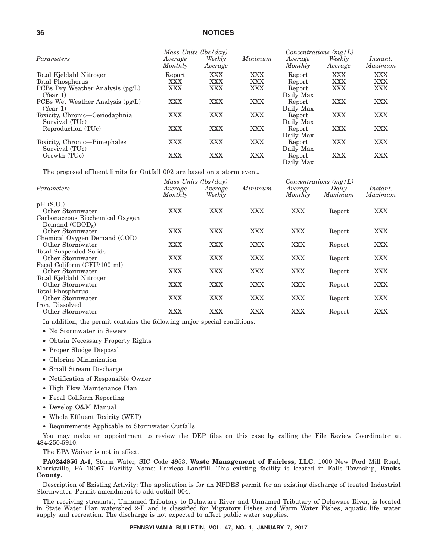#### **36 NOTICES**

|                                  | Mass Units $(lbs/day)$ |                   |            | Concentrations $(mg/L)$ |                   |                     |
|----------------------------------|------------------------|-------------------|------------|-------------------------|-------------------|---------------------|
| Parameters                       | Average<br>Monthly     | Weekly<br>Average | Minimum    | Average<br>Monthly      | Weekly<br>Average | Instant.<br>Maximum |
| Total Kjeldahl Nitrogen          | Report                 | XXX               | XXX        | Report                  | XXX               | XXX                 |
| Total Phosphorus                 | XXX                    | XXX               | XXX        | Report                  | XXX               | XXX                 |
| PCBs Dry Weather Analysis (pg/L) | XXX                    | XXX               | XXX        | Report                  | <b>XXX</b>        | XXX                 |
| (Year 1)                         |                        |                   |            | Daily Max               |                   |                     |
| PCBs Wet Weather Analysis (pg/L) | <b>XXX</b>             | <b>XXX</b>        | XXX        | Report                  | <b>XXX</b>        | XXX                 |
| (Year 1)                         |                        |                   |            | Daily Max               |                   |                     |
| Toxicity, Chronic—Ceriodaphnia   | XXX                    | XXX               | XXX        | Report                  | <b>XXX</b>        | XXX                 |
| Survival (TUc)                   |                        |                   |            | Daily Max               |                   |                     |
| Reproduction (TUc)               | XXX                    | XXX               | <b>XXX</b> | Report                  | <b>XXX</b>        | XXX                 |
|                                  |                        |                   |            | Daily Max               |                   |                     |
| Toxicity, Chronic—Pimephales     | XXX                    | XXX               | <b>XXX</b> | Report                  | <b>XXX</b>        | XXX                 |
| Survival (TUc)                   |                        |                   |            | Daily Max               |                   |                     |
| Growth (TUc)                     | XXX                    | XXX               | XXX        | Report                  | XXX               | XXX                 |
|                                  |                        |                   |            | Daily Max               |                   |                     |

The proposed effluent limits for Outfall 002 are based on a storm event.

| Parameters                                          | Mass Units (lbs/day) |                   | Minimum    | Concentrations $(mg/L)$ |                  |                            |  |
|-----------------------------------------------------|----------------------|-------------------|------------|-------------------------|------------------|----------------------------|--|
|                                                     | Average<br>Monthly   | Average<br>Weekly |            | Average<br>Monthly      | Daily<br>Maximum | <i>Instant.</i><br>Maximum |  |
| pH(S.U.)                                            |                      |                   |            |                         |                  |                            |  |
| Other Stormwater                                    | <b>XXX</b>           | XXX               | <b>XXX</b> | <b>XXX</b>              | Report           | <b>XXX</b>                 |  |
| Carbonaceous Biochemical Oxygen<br>Demand $(CBOD5)$ |                      |                   |            |                         |                  |                            |  |
| Other Stormwater                                    | XXX                  | XXX               | <b>XXX</b> | <b>XXX</b>              | Report           | XXX                        |  |
| Chemical Oxygen Demand (COD)                        |                      |                   |            |                         |                  |                            |  |
| Other Stormwater                                    | <b>XXX</b>           | <b>XXX</b>        | <b>XXX</b> | <b>XXX</b>              | Report           | <b>XXX</b>                 |  |
| <b>Total Suspended Solids</b>                       |                      |                   |            |                         |                  |                            |  |
| Other Stormwater                                    | XXX                  | <b>XXX</b>        | <b>XXX</b> | <b>XXX</b>              | Report           | <b>XXX</b>                 |  |
| Fecal Coliform (CFU/100 ml)                         |                      |                   |            |                         |                  |                            |  |
| Other Stormwater                                    | XXX                  | <b>XXX</b>        | <b>XXX</b> | <b>XXX</b>              | Report           | <b>XXX</b>                 |  |
| Total Kjeldahl Nitrogen                             |                      |                   |            |                         |                  |                            |  |
| Other Stormwater                                    | <b>XXX</b>           | <b>XXX</b>        | <b>XXX</b> | <b>XXX</b>              | Report           | <b>XXX</b>                 |  |
| Total Phosphorus                                    |                      |                   |            |                         |                  |                            |  |
| Other Stormwater                                    | XXX                  | XXX               | <b>XXX</b> | XXX                     | Report           | <b>XXX</b>                 |  |
| Iron, Dissolved                                     |                      |                   |            |                         |                  |                            |  |
| Other Stormwater                                    | $\rm XXX$            | XXX               | XXX        | XXX                     | Report           | XXX                        |  |

In addition, the permit contains the following major special conditions:

- No Stormwater in Sewers
- Obtain Necessary Property Rights
- Proper Sludge Disposal
- Chlorine Minimization
- Small Stream Discharge
- Notification of Responsible Owner
- High Flow Maintenance Plan
- Fecal Coliform Reporting
- Develop O&M Manual
- Whole Effluent Toxicity (WET)
- Requirements Applicable to Stormwater Outfalls

You may make an appointment to review the DEP files on this case by calling the File Review Coordinator at 484-250-5910.

The EPA Waiver is not in effect.

**PA0244856 A-1**, Storm Water, SIC Code 4953, **Waste Management of Fairless, LLC**, 1000 New Ford Mill Road, Morrisville, PA 19067. Facility Name: Fairless Landfill. This existing facility is located in Falls Township, **Bucks County**.

Description of Existing Activity: The application is for an NPDES permit for an existing discharge of treated Industrial Stormwater. Permit amendment to add outfall 004.

The receiving stream(s), Unnamed Tributary to Delaware River and Unnamed Tributary of Delaware River, is located in State Water Plan watershed 2-E and is classified for Migratory Fishes and Warm Water Fishes, aquatic life, water supply and recreation. The discharge is not expected to affect public water supplies.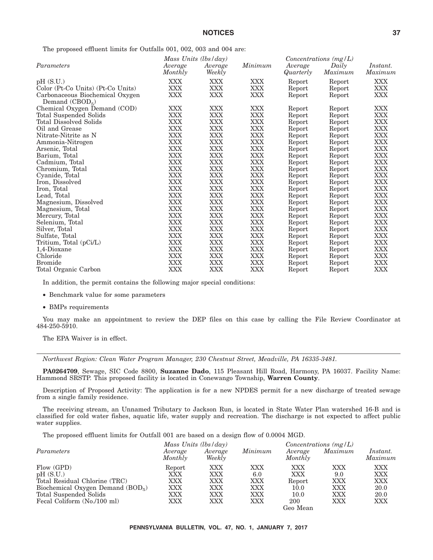The proposed effluent limits for Outfalls 001, 002, 003 and 004 are:

|                                                     |                    | Mass Units (lbs/day) |            | Concentrations $(mg/L)$ |         |                     |
|-----------------------------------------------------|--------------------|----------------------|------------|-------------------------|---------|---------------------|
| Parameters                                          | Average<br>Monthly | Average<br>Weekly    | Minimum    | Average<br>Quarterly    | Daily   | Instant.<br>Maximum |
|                                                     |                    |                      |            |                         | Maximum |                     |
| pH(S.U.)                                            | XXX                | XXX                  | XXX        | Report                  | Report  | <b>XXX</b>          |
| Color (Pt-Co Units) (Pt-Co Units)                   | XXX                | <b>XXX</b>           | <b>XXX</b> | Report                  | Report  | <b>XXX</b>          |
| Carbonaceous Biochemical Oxygen<br>Demand $(CBOD5)$ | <b>XXX</b>         | <b>XXX</b>           | <b>XXX</b> | Report                  | Report  | <b>XXX</b>          |
| Chemical Oxygen Demand (COD)                        | XXX                | XXX                  | XXX        | Report                  | Report  | XXX                 |
| Total Suspended Solids                              | XXX                | XXX                  | XXX        | Report                  | Report  | <b>XXX</b>          |
| Total Dissolved Solids                              | XXX                | <b>XXX</b>           | <b>XXX</b> | Report                  | Report  | <b>XXX</b>          |
| Oil and Grease                                      | XXX                | <b>XXX</b>           | <b>XXX</b> | Report                  | Report  | <b>XXX</b>          |
| Nitrate-Nitrite as N                                | XXX                | <b>XXX</b>           | XXX        | Report                  | Report  | <b>XXX</b>          |
| Ammonia-Nitrogen                                    | <b>XXX</b>         | <b>XXX</b>           | <b>XXX</b> | Report                  | Report  | <b>XXX</b>          |
| Arsenic, Total                                      | XXX                | <b>XXX</b>           | <b>XXX</b> | Report                  | Report  | <b>XXX</b>          |
| Barium, Total                                       | XXX                | <b>XXX</b>           | <b>XXX</b> | Report                  | Report  | XXX                 |
| Cadmium, Total                                      | XXX                | <b>XXX</b>           | <b>XXX</b> | Report                  | Report  | <b>XXX</b>          |
| Chromium, Total                                     | <b>XXX</b>         | <b>XXX</b>           | XXX        | Report                  | Report  | <b>XXX</b>          |
| Cyanide, Total                                      | XXX                | XXX                  | <b>XXX</b> | Report                  | Report  | <b>XXX</b>          |
| Iron, Dissolved                                     | <b>XXX</b>         | <b>XXX</b>           | <b>XXX</b> | Report                  | Report  | <b>XXX</b>          |
| Iron, Total                                         | XXX                | <b>XXX</b>           | <b>XXX</b> | Report                  | Report  | <b>XXX</b>          |
| Lead, Total                                         | XXX                | <b>XXX</b>           | XXX        | Report                  | Report  | <b>XXX</b>          |
| Magnesium, Dissolved                                | <b>XXX</b>         | <b>XXX</b>           | <b>XXX</b> | Report                  | Report  | <b>XXX</b>          |
| Magnesium, Total                                    | XXX                | <b>XXX</b>           | <b>XXX</b> | Report                  | Report  | <b>XXX</b>          |
| Mercury, Total                                      | XXX                | <b>XXX</b>           | XXX        | Report                  | Report  | <b>XXX</b>          |
| Selenium, Total                                     | XXX                | <b>XXX</b>           | <b>XXX</b> | Report                  | Report  | <b>XXX</b>          |
| Silver, Total                                       | <b>XXX</b>         | <b>XXX</b>           | <b>XXX</b> | Report                  | Report  | <b>XXX</b>          |
| Sulfate, Total                                      | XXX                | <b>XXX</b>           | <b>XXX</b> | Report                  | Report  | <b>XXX</b>          |
| Tritium, Total (pCi/L)                              | XXX                | <b>XXX</b>           | XXX        | Report                  | Report  | XXX                 |
| 1,4-Dioxane                                         | <b>XXX</b>         | <b>XXX</b>           | <b>XXX</b> | Report                  | Report  | <b>XXX</b>          |
| Chloride                                            | <b>XXX</b>         | <b>XXX</b>           | <b>XXX</b> | Report                  | Report  | <b>XXX</b>          |
| <b>Bromide</b>                                      | XXX                | XXX                  | <b>XXX</b> | Report                  | Report  | <b>XXX</b>          |
| Total Organic Carbon                                | <b>XXX</b>         | <b>XXX</b>           | <b>XXX</b> | Report                  | Report  | <b>XXX</b>          |

In addition, the permit contains the following major special conditions:

- Benchmark value for some parameters
- BMPs requirements

You may make an appointment to review the DEP files on this case by calling the File Review Coordinator at 484-250-5910.

The EPA Waiver is in effect.

*Northwest Region: Clean Water Program Manager, 230 Chestnut Street, Meadville, PA 16335-3481.*

**PA0264709**, Sewage, SIC Code 8800, **Suzanne Dado**, 115 Pleasant Hill Road, Harmony, PA 16037. Facility Name: Hammond SRSTP. This proposed facility is located in Conewango Township, **Warren County**.

Description of Proposed Activity: The application is for a new NPDES permit for a new discharge of treated sewage from a single family residence.

The receiving stream, an Unnamed Tributary to Jackson Run, is located in State Water Plan watershed 16-B and is classified for cold water fishes, aquatic life, water supply and recreation. The discharge is not expected to affect public water supplies.

The proposed effluent limits for Outfall 001 are based on a design flow of 0.0004 MGD.

|                                    |                    | Mass Units (lbs/day) |         |                    | Concentrations $(mg/L)$ |                     |
|------------------------------------|--------------------|----------------------|---------|--------------------|-------------------------|---------------------|
| Parameters                         | Average<br>Monthly | Average<br>Weekly    | Minimum | Average<br>Monthly | Maximum                 | Instant.<br>Maximum |
| Flow (GPD)                         | Report             | XXX                  | XXX     | XXX                | XXX                     | XXX                 |
| pH(S.U.)                           | XXX                | XXX                  | 6.0     | XXX                | 9.0                     | XXX                 |
| Total Residual Chlorine (TRC)      | XXX                | XXX                  | XXX     | Report             | XXX                     | XXX                 |
| Biochemical Oxygen Demand $(BOD5)$ | XXX                | XXX                  | XXX     | 10.0               | XXX                     | 20.0                |
| Total Suspended Solids             | XXX                | XXX                  | XXX     | 10.0               | <b>XXX</b>              | 20.0                |
| Fecal Coliform (No./100 ml)        | XXX                | XXX                  | XXX     | 200                | <b>XXX</b>              | XXX                 |
|                                    |                    |                      |         | Geo Mean           |                         |                     |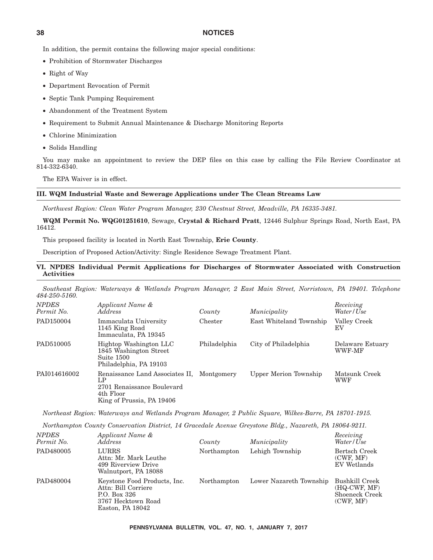In addition, the permit contains the following major special conditions:

- Prohibition of Stormwater Discharges
- Right of Way
- Department Revocation of Permit
- Septic Tank Pumping Requirement
- Abandonment of the Treatment System
- Requirement to Submit Annual Maintenance & Discharge Monitoring Reports
- Chlorine Minimization
- Solids Handling

You may make an appointment to review the DEP files on this case by calling the File Review Coordinator at 814-332-6340.

The EPA Waiver is in effect.

### **III. WQM Industrial Waste and Sewerage Applications under The Clean Streams Law**

*Northwest Region: Clean Water Program Manager, 230 Chestnut Street, Meadville, PA 16335-3481.*

**WQM Permit No. WQG01251610**, Sewage, **Crystal & Richard Pratt**, 12446 Sulphur Springs Road, North East, PA 16412.

This proposed facility is located in North East Township, **Erie County**.

Description of Proposed Action/Activity: Single Residence Sewage Treatment Plant.

### **VI. NPDES Individual Permit Applications for Discharges of Stormwater Associated with Construction Activities**

*Southeast Region: Waterways & Wetlands Program Manager, 2 East Main Street, Norristown, PA 19401. Telephone 484-250-5160. NPDES Applicant Name & Receiving*

| , , , <i>, , , ,</i> , ,<br>Permit No. | $\lambda$<br><i>Address</i>                                                                                              | County       | Municipality            | 1000000005<br>Water/Use    |
|----------------------------------------|--------------------------------------------------------------------------------------------------------------------------|--------------|-------------------------|----------------------------|
| PAD150004                              | Immaculata University<br>1145 King Road<br>Immaculata, PA 19345                                                          | Chester      | East Whiteland Township | Valley Creek<br>EV         |
| PAD510005                              | Hightop Washington LLC<br>1845 Washington Street<br>Suite 1500<br>Philadelphia, PA 19103                                 | Philadelphia | City of Philadelphia    | Delaware Estuary<br>WWF-MF |
| PAI014616002                           | Renaissance Land Associates II, Montgomery<br>LP<br>2701 Renaissance Boulevard<br>4th Floor<br>King of Prussia, PA 19406 |              | Upper Merion Township   | Matsunk Creek<br>WWF       |

*Northeast Region: Waterways and Wetlands Program Manager, 2 Public Square, Wilkes-Barre, PA 18701-1915.*

*Northampton County Conservation District, 14 Gracedale Avenue Greystone Bldg., Nazareth, PA 18064-9211.*

| <b>NPDES</b><br>Permit No. | Applicant Name &<br><i>Address</i>                                                                            | County      | Municipality            | Receiving<br>Water/Use                                          |
|----------------------------|---------------------------------------------------------------------------------------------------------------|-------------|-------------------------|-----------------------------------------------------------------|
| PAD480005                  | LURRS<br>Attn: Mr. Mark Leuthe<br>499 Riverview Drive<br>Walnutport, PA 18088                                 | Northampton | Lehigh Township         | Bertsch Creek<br>(CWF, MF)<br>EV Wetlands                       |
| PAD480004                  | Keystone Food Products, Inc.<br>Attn: Bill Corriere<br>P.O. Box 326<br>3767 Hecktown Road<br>Easton, PA 18042 | Northampton | Lower Nazareth Township | Bushkill Creek<br>$(HQ-CWF, MF)$<br>Shoeneck Creek<br>(CWF, MF) |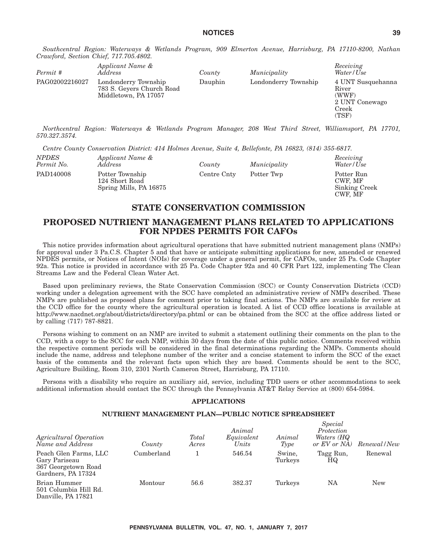*Southcentral Region: Waterways & Wetlands Program, 909 Elmerton Avenue, Harrisburg, PA 17110-8200, Nathan Crawford, Section Chief, 717.705.4802.*

| Permit #       | Applicant Name &<br>Address                                               | County  | Municipality         | Receiving<br>Water/Use                                                  |
|----------------|---------------------------------------------------------------------------|---------|----------------------|-------------------------------------------------------------------------|
| PAG02002216027 | Londonderry Township<br>783 S. Gevers Church Road<br>Middletown, PA 17057 | Dauphin | Londonderry Township | 4 UNT Susquehanna<br>River<br>(WWF)<br>2 UNT Conewago<br>Creek<br>(TSF) |

*Northcentral Region: Waterways & Wetlands Program Manager, 208 West Third Street, Williamsport, PA 17701, 570.327.3574.*

*Centre County Conservation District: 414 Holmes Avenue, Suite 4, Bellefonte, PA 16823, (814) 355-6817.*

| <i>NPDES</i><br>Permit No. | Applicant Name &<br><i>Address</i>                          | County      | Municipality | Receiving<br>Water/Use                            |
|----------------------------|-------------------------------------------------------------|-------------|--------------|---------------------------------------------------|
| PAD140008                  | Potter Township<br>124 Short Road<br>Spring Mills, PA 16875 | Centre Cnty | Potter Twp   | Potter Run<br>CWF. MF<br>Sinking Creek<br>CWF. MF |

## **STATE CONSERVATION COMMISSION**

### **PROPOSED NUTRIENT MANAGEMENT PLANS RELATED TO APPLICATIONS FOR NPDES PERMITS FOR CAFOs**

This notice provides information about agricultural operations that have submitted nutrient management plans (NMPs) for approval under 3 Pa.C.S. Chapter 5 and that have or anticipate submitting applications for new, amended or renewed NPDES permits, or Notices of Intent (NOIs) for coverage under a general permit, for CAFOs, under 25 Pa. Code Chapter 92a. This notice is provided in accordance with 25 Pa. Code Chapter 92a and 40 CFR Part 122, implementing The Clean Streams Law and the Federal Clean Water Act.

Based upon preliminary reviews, the State Conservation Commission (SCC) or County Conservation Districts (CCD) working under a delegation agreement with the SCC have completed an administrative review of NMPs described. These NMPs are published as proposed plans for comment prior to taking final actions. The NMPs are available for review at the CCD office for the county where the agricultural operation is located. A list of CCD office locations is available at http://www.nacdnet.org/about/districts/directory/pa.phtml or can be obtained from the SCC at the office address listed or by calling (717) 787-8821.

Persons wishing to comment on an NMP are invited to submit a statement outlining their comments on the plan to the CCD, with a copy to the SCC for each NMP, within 30 days from the date of this public notice. Comments received within the respective comment periods will be considered in the final determinations regarding the NMPs. Comments should include the name, address and telephone number of the writer and a concise statement to inform the SCC of the exact basis of the comments and the relevant facts upon which they are based. Comments should be sent to the SCC, Agriculture Building, Room 310, 2301 North Cameron Street, Harrisburg, PA 17110.

Persons with a disability who require an auxiliary aid, service, including TDD users or other accommodations to seek additional information should contact the SCC through the Pennsylvania AT&T Relay Service at (800) 654-5984.

### **APPLICATIONS**

### **NUTRIENT MANAGEMENT PLAN—PUBLIC NOTICE SPREADSHEET**

*Special*

| Agricultural Operation<br>Name and Address                                          | County     | Total<br>Acres | Animal<br>Equivalent<br>Units | Animal<br>Type    | $\Omega$ bectut<br>Protection<br>Waters (HQ<br>or EV or NA | Renewal / New |
|-------------------------------------------------------------------------------------|------------|----------------|-------------------------------|-------------------|------------------------------------------------------------|---------------|
| Peach Glen Farms, LLC<br>Gary Pariseau<br>367 Georgetown Road<br>Gardners, PA 17324 | Cumberland |                | 546.54                        | Swine.<br>Turkeys | Tagg Run,<br>HQ                                            | Renewal       |
| Brian Hummer<br>501 Columbia Hill Rd.<br>Danville, PA 17821                         | Montour    | 56.6           | 382.37                        | Turkeys           | NA                                                         | <b>New</b>    |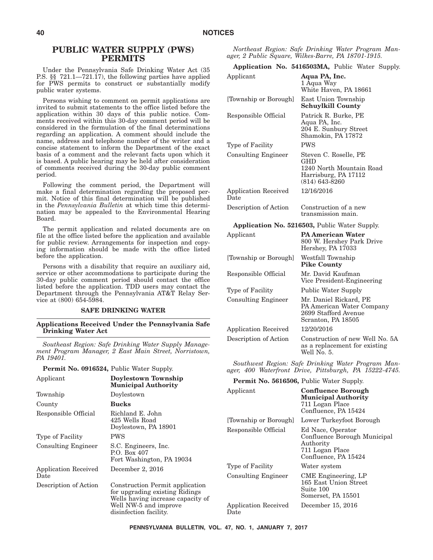### **PUBLIC WATER SUPPLY (PWS) PERMITS**

Under the Pennsylvania Safe Drinking Water Act (35 P.S. §§ 721.1—721.17), the following parties have applied for PWS permits to construct or substantially modify public water systems.

Persons wishing to comment on permit applications are invited to submit statements to the office listed before the application within 30 days of this public notice. Comments received within this 30-day comment period will be considered in the formulation of the final determinations regarding an application. A comment should include the name, address and telephone number of the writer and a concise statement to inform the Department of the exact basis of a comment and the relevant facts upon which it is based. A public hearing may be held after consideration of comments received during the 30-day public comment period.

Following the comment period, the Department will make a final determination regarding the proposed permit. Notice of this final determination will be published in the *Pennsylvania Bulletin* at which time this determination may be appealed to the Environmental Hearing Board.

The permit application and related documents are on file at the office listed before the application and available for public review. Arrangements for inspection and copying information should be made with the office listed before the application.

Persons with a disability that require an auxiliary aid, service or other accommodations to participate during the 30-day public comment period should contact the office listed before the application. TDD users may contact the Department through the Pennsylvania AT&T Relay Service at (800) 654-5984.

#### **SAFE DRINKING WATER**

**Applications Received Under the Pennsylvania Safe Drinking Water Act**

*Southeast Region: Safe Drinking Water Supply Management Program Manager, 2 East Main Street, Norristown, PA 19401.*

**Permit No. 0916524,** Public Water Supply.

|                                                                |                                                                                                                                                           | $^{u}$ ger, 400 muterpolit Drive, Futsourgh, IA 10222-41 |                                                          |  |  |
|----------------------------------------------------------------|-----------------------------------------------------------------------------------------------------------------------------------------------------------|----------------------------------------------------------|----------------------------------------------------------|--|--|
| Applicant<br>Doylestown Township<br><b>Municipal Authority</b> |                                                                                                                                                           | <b>Permit No. 5616506, Public Water Supply.</b>          |                                                          |  |  |
| Township                                                       | Doylestown                                                                                                                                                | Applicant                                                | <b>Confluence Borough</b><br><b>Municipal Authority</b>  |  |  |
| County                                                         | Bucks                                                                                                                                                     |                                                          | 711 Logan Place                                          |  |  |
| Responsible Official                                           | Richland E. John                                                                                                                                          |                                                          | Confluence, PA 15424                                     |  |  |
|                                                                | 425 Wells Road                                                                                                                                            | [Township or Borough]                                    | Lower Turkeyfoot Borough                                 |  |  |
|                                                                | Doylestown, PA 18901                                                                                                                                      | Responsible Official                                     | Ed Nace, Operator                                        |  |  |
| Type of Facility                                               | <b>PWS</b>                                                                                                                                                |                                                          | Confluence Borough Municipal                             |  |  |
| <b>Consulting Engineer</b>                                     | S.C. Engineers, Inc.<br>P.O. Box 407<br>Fort Washington, PA 19034                                                                                         |                                                          | Authority<br>711 Logan Place<br>Confluence, PA 15424     |  |  |
| <b>Application Received</b>                                    | December 2, 2016                                                                                                                                          | Type of Facility                                         | Water system                                             |  |  |
| Date                                                           |                                                                                                                                                           | <b>Consulting Engineer</b>                               | CME Engineering, LP                                      |  |  |
| Description of Action                                          | Construction Permit application<br>for upgrading existing Ridings<br>Wells having increase capacity of<br>Well NW-5 and improve<br>disinfection facility. |                                                          | 165 East Union Street<br>Suite 100<br>Somerset, PA 15501 |  |  |
|                                                                |                                                                                                                                                           | Application Received<br>Date                             | December 15, 2016                                        |  |  |

*Northeast Region: Safe Drinking Water Program Manager, 2 Public Square, Wilkes-Barre, PA 18701-1915.*

**Application No. 5416503MA,** Public Water Supply.

| Applicant                           | Aqua PA, Inc.<br>1 Aqua Way<br>White Haven, PA 18661                                                   |
|-------------------------------------|--------------------------------------------------------------------------------------------------------|
| [Township or Borough]               | East Union Township<br><b>Schuylkill County</b>                                                        |
| Responsible Official                | Patrick R. Burke, PE<br>Aqua PA, Inc.<br>204 E. Sunbury Street<br>Shamokin, PA 17872                   |
| Type of Facility                    | <b>PWS</b>                                                                                             |
| <b>Consulting Engineer</b>          | Steven C. Roselle, PE<br>GHD<br>1240 North Mountain Road<br>Harrisburg, PA 17112<br>$(814) 643 - 8260$ |
| <b>Application Received</b><br>Date | 12/16/2016                                                                                             |
| Description of Action               | Construction of a new<br>transmission main.                                                            |
|                                     | <b>Application No. 5216503, Public Water Supply.</b>                                                   |
| Applicant                           | <b>PA American Water</b><br>800 W. Hershey Park Drive<br>Hershey, PA 17033                             |
| [Township or Borough]               | Westfall Township<br><b>Pike County</b>                                                                |
| Responsible Official                | Mr. David Kaufman<br>Vice President-Engineering                                                        |
| Type of Facility                    | <b>Public Water Supply</b>                                                                             |
| <b>Consulting Engineer</b>          | Mr. Daniel Rickard, PE<br>PA American Water Company<br>2699 Stafford Avenue<br>Scranton, PA 18505      |
| <b>Application Received</b>         | 12/20/2016                                                                                             |
| Description of Action               | Construction of new Well No. 5A<br>as a replacement for existing                                       |

*Southwest Region: Safe Drinking Water Program Manager, 400 Waterfront Drive, Pittsburgh, PA 15222-4745.*

Well No. 5.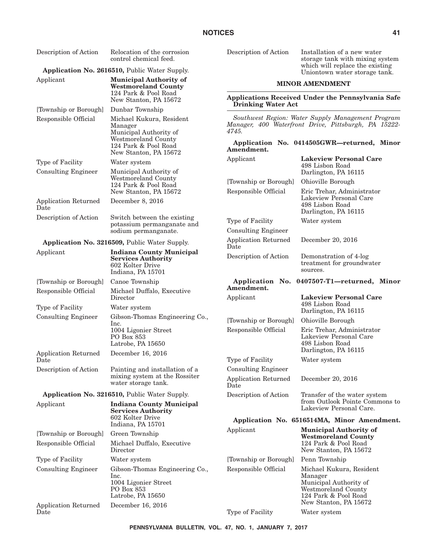| Description of Action                                    | Relocation of the corrosion<br>control chemical feed.                                                 | Description of Action<br>Installation of a new water<br>storage tank with mixing system                     |                                                                         |  |  |  |
|----------------------------------------------------------|-------------------------------------------------------------------------------------------------------|-------------------------------------------------------------------------------------------------------------|-------------------------------------------------------------------------|--|--|--|
|                                                          | Application No. 2616510, Public Water Supply.                                                         |                                                                                                             | which will replace the existing<br>Uniontown water storage tank.        |  |  |  |
| Applicant                                                | <b>Municipal Authority of</b><br><b>Westmoreland County</b>                                           | <b>MINOR AMENDMENT</b><br>Applications Received Under the Pennsylvania Safe<br><b>Drinking Water Act</b>    |                                                                         |  |  |  |
|                                                          | 124 Park & Pool Road<br>New Stanton, PA 15672                                                         |                                                                                                             |                                                                         |  |  |  |
| [Township or Borough]<br>Responsible Official            | Dunbar Township<br>Michael Kukura, Resident                                                           | Southwest Region: Water Supply Management Program                                                           |                                                                         |  |  |  |
| Manager<br>Municipal Authority of<br>Westmoreland County |                                                                                                       | Manager, 400 Waterfront Drive, Pittsburgh, PA 15222-<br>4745.<br>Application No. 0414505GWR-returned, Minor |                                                                         |  |  |  |
|                                                          | 124 Park & Pool Road<br>New Stanton, PA 15672                                                         | Amendment.                                                                                                  |                                                                         |  |  |  |
| Type of Facility                                         | Water system                                                                                          | Applicant                                                                                                   | <b>Lakeview Personal Care</b><br>498 Lisbon Road                        |  |  |  |
| <b>Consulting Engineer</b>                               | Municipal Authority of<br>Westmoreland County                                                         |                                                                                                             | Darlington, PA 16115                                                    |  |  |  |
|                                                          | 124 Park & Pool Road<br>New Stanton, PA 15672                                                         | [Township or Borough]<br>Responsible Official                                                               | Ohioville Borough<br>Eric Trehar, Administrator                         |  |  |  |
| <b>Application Returned</b><br>Date                      | December 8, 2016                                                                                      |                                                                                                             | Lakeview Personal Care<br>498 Lisbon Road<br>Darlington, PA 16115       |  |  |  |
| Description of Action                                    | Switch between the existing<br>potassium permanganate and                                             | Type of Facility                                                                                            | Water system                                                            |  |  |  |
|                                                          | sodium permanganate.                                                                                  | <b>Consulting Engineer</b>                                                                                  |                                                                         |  |  |  |
|                                                          | <b>Application No. 3216509, Public Water Supply.</b>                                                  | <b>Application Returned</b><br>Date                                                                         | December 20, 2016                                                       |  |  |  |
| Applicant                                                | <b>Indiana County Municipal</b><br><b>Services Authority</b><br>602 Kolter Drive<br>Indiana, PA 15701 | Description of Action                                                                                       | Demonstration of 4-log<br>treatment for groundwater<br>sources.         |  |  |  |
| [Township or Borough]                                    | Canoe Township                                                                                        |                                                                                                             | Application No. 0407507-T1-returned, Minor                              |  |  |  |
| Responsible Official                                     | Michael Duffalo, Executive<br>Director                                                                | Amendment.<br>Applicant                                                                                     | <b>Lakeview Personal Care</b>                                           |  |  |  |
| Type of Facility                                         | Water system                                                                                          |                                                                                                             | 498 Lisbon Road<br>Darlington, PA 16115                                 |  |  |  |
| <b>Consulting Engineer</b>                               | Gibson-Thomas Engineering Co.,<br>lnc.                                                                | [Township or Borough]                                                                                       | Ohioville Borough                                                       |  |  |  |
|                                                          | 1004 Ligonier Street<br>PO Box 853<br>Latrobe, PA 15650                                               | Responsible Official                                                                                        | Eric Trehar, Administrator<br>Lakeview Personal Care<br>498 Lisbon Road |  |  |  |
| <b>Application Returned</b><br>Date                      | December 16, 2016                                                                                     | Type of Facility                                                                                            | Darlington, PA 16115<br>Water system                                    |  |  |  |
| Description of Action                                    | Painting and installation of a                                                                        | <b>Consulting Engineer</b>                                                                                  |                                                                         |  |  |  |
|                                                          | mixing system at the Rossiter<br>water storage tank.                                                  | <b>Application Returned</b><br>Date                                                                         | December 20, 2016                                                       |  |  |  |
|                                                          | <b>Application No. 3216510, Public Water Supply.</b>                                                  | Description of Action                                                                                       | Transfer of the water system                                            |  |  |  |
| Applicant                                                | <b>Indiana County Municipal</b><br><b>Services Authority</b><br>602 Kolter Drive                      |                                                                                                             | from Outlook Pointe Commons to<br>Lakeview Personal Care.               |  |  |  |
|                                                          | Indiana, PA 15701                                                                                     |                                                                                                             | Application No. 6516514MA, Minor Amendment.                             |  |  |  |
| [Township or Borough]                                    | Green Township                                                                                        | Applicant                                                                                                   | <b>Municipal Authority of</b><br><b>Westmoreland County</b>             |  |  |  |
| Responsible Official                                     | Michael Duffalo, Executive<br>Director                                                                |                                                                                                             | 124 Park & Pool Road<br>New Stanton, PA 15672                           |  |  |  |
| Type of Facility                                         | Water system                                                                                          | [Township or Borough]                                                                                       | Penn Township                                                           |  |  |  |
| <b>Consulting Engineer</b>                               | Gibson-Thomas Engineering Co.,<br>lnc.<br>1004 Ligonier Street                                        | Responsible Official                                                                                        | Michael Kukura, Resident<br>Manager<br>Municipal Authority of           |  |  |  |
|                                                          | PO Box 853<br>Latrobe, PA 15650                                                                       |                                                                                                             | Westmoreland County<br>124 Park & Pool Road<br>New Stanton, PA 15672    |  |  |  |
| Application Returned<br>Date                             | December 16, 2016                                                                                     | Type of Facility                                                                                            | Water system                                                            |  |  |  |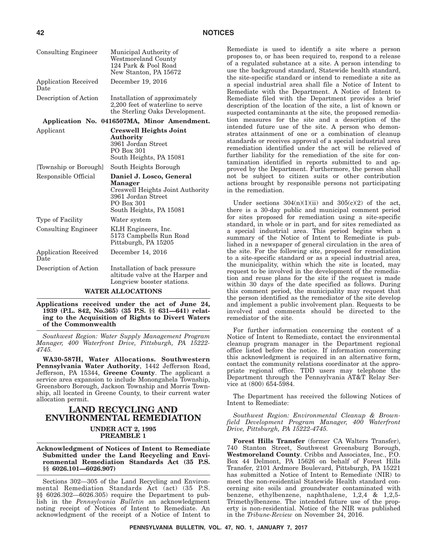| <b>Consulting Engineer</b>          | Municipal Authority of<br>Westmoreland County<br>124 Park & Pool Road<br>New Stanton, PA 15672                                         |
|-------------------------------------|----------------------------------------------------------------------------------------------------------------------------------------|
| <b>Application Received</b><br>Date | December 19, 2016                                                                                                                      |
| Description of Action               | Installation of approximately<br>2,200 feet of waterline to serve<br>the Sterling Oaks Development.                                    |
|                                     | Application No. 0416507MA, Minor Amendment.                                                                                            |
| Applicant                           | <b>Creswell Heights Joint</b><br>Authority<br>3961 Jordan Street<br>PO Box 301<br>South Heights, PA 15081                              |
| [Township or Borough]               | South Heights Borough                                                                                                                  |
| Responsible Official                | Daniel J. Losco, General<br>Manager<br>Creswell Heights Joint Authority<br>3961 Jordan Street<br>PO Box 301<br>South Heights, PA 15081 |
| Type of Facility                    | Water system                                                                                                                           |
| <b>Consulting Engineer</b>          | KLH Engineers, Inc.<br>5173 Campbells Run Road<br>Pittsburgh, PA 15205                                                                 |
| <b>Application Received</b><br>Date | December 14, 2016                                                                                                                      |
| Description of Action               | Installation of back pressure<br>altitude valve at the Harper and<br>Longview booster stations.                                        |

### **WATER ALLOCATIONS**

**Applications received under the act of June 24, 1939 (P.L. 842, No.365) (35 P.S. §§ 631—641) relating to the Acquisition of Rights to Divert Waters of the Commonwealth**

*Southwest Region: Water Supply Management Program Manager, 400 Waterfront Drive, Pittsburgh, PA 15222- 4745.*

**WA30-587H, Water Allocations. Southwestern Pennsylvania Water Authority**, 1442 Jefferson Road, Jefferson, PA 15344, **Greene County**. The applicant a service area expansion to include Monongahela Township, Greensboro Borough, Jackson Township and Morris Township, all located in Greene County, to their current water allocation permit.

### **LAND RECYCLING AND ENVIRONMENTAL REMEDIATION UNDER ACT 2, 1995**

**PREAMBLE 1**

**Acknowledgment of Notices of Intent to Remediate Submitted under the Land Recycling and Environmental Remediation Standards Act (35 P.S. §§ 6026.101—6026.907)**

Sections 302—305 of the Land Recycling and Environmental Remediation Standards Act (act) (35 P.S. §§ 6026.302—6026.305) require the Department to publish in the *Pennsylvania Bulletin* an acknowledgment noting receipt of Notices of Intent to Remediate. An acknowledgment of the receipt of a Notice of Intent to

Remediate is used to identify a site where a person proposes to, or has been required to, respond to a release of a regulated substance at a site. A person intending to use the background standard, Statewide health standard, the site-specific standard or intend to remediate a site as a special industrial area shall file a Notice of Intent to Remediate with the Department. A Notice of Intent to Remediate filed with the Department provides a brief description of the location of the site, a list of known or suspected contaminants at the site, the proposed remediation measures for the site and a description of the intended future use of the site. A person who demonstrates attainment of one or a combination of cleanup standards or receives approval of a special industrial area remediation identified under the act will be relieved of further liability for the remediation of the site for contamination identified in reports submitted to and approved by the Department. Furthermore, the person shall not be subject to citizen suits or other contribution actions brought by responsible persons not participating in the remediation.

Under sections  $304(n)(1)(ii)$  and  $305(c)(2)$  of the act, there is a 30-day public and municipal comment period for sites proposed for remediation using a site-specific standard, in whole or in part, and for sites remediated as a special industrial area. This period begins when a summary of the Notice of Intent to Remediate is published in a newspaper of general circulation in the area of the site. For the following site, proposed for remediation to a site-specific standard or as a special industrial area, the municipality, within which the site is located, may request to be involved in the development of the remediation and reuse plans for the site if the request is made within 30 days of the date specified as follows. During this comment period, the municipality may request that the person identified as the remediator of the site develop and implement a public involvement plan. Requests to be involved and comments should be directed to the remediator of the site.

For further information concerning the content of a Notice of Intent to Remediate, contact the environmental cleanup program manager in the Department regional office listed before the notice. If information concerning this acknowledgment is required in an alternative form, contact the community relations coordinator at the appropriate regional office. TDD users may telephone the Department through the Pennsylvania AT&T Relay Service at (800) 654-5984.

The Department has received the following Notices of Intent to Remediate:

*Southwest Region: Environmental Cleanup & Brownfield Development Program Manager, 400 Waterfront Drive, Pittsburgh, PA 15222-4745.*

**Forest Hills Transfer** (former CA Walters Transfer), 740 Stanton Street, Southwest Greensburg Borough, **Westmoreland County**. Cribbs and Associates, Inc., P.O. Box 44 Delmont, PA 15626 on behalf of Forest Hills Transfer, 2101 Ardmore Boulevard, Pittsburgh, PA 15221 has submitted a Notice of Intent to Remediate (NIR) to meet the non-residential Statewide Health standard concerning site soils and groundwater contaminated with benzene, ethylbenzene, naphthalene, 1,2,4 & 1,2,5- Trimethylbenzene. The intended future use of the property is non-residential. Notice of the NIR was published in the *Tribune-Review* on November 24, 2016.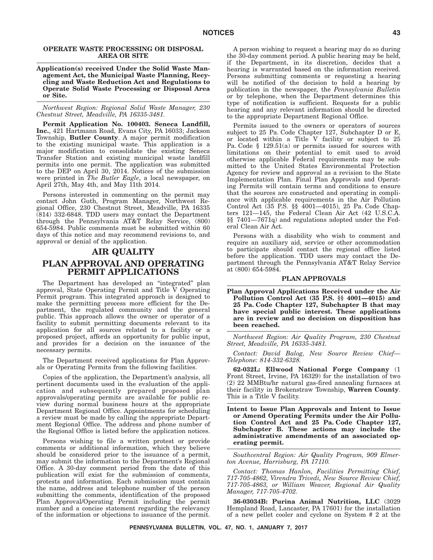### **OPERATE WASTE PROCESSING OR DISPOSAL AREA OR SITE**

#### **Application(s) received Under the Solid Waste Management Act, the Municipal Waste Planning, Recycling and Waste Reduction Act and Regulations to Operate Solid Waste Processing or Disposal Area or Site.**

*Northwest Region: Regional Solid Waste Manager, 230 Chestnut Street, Meadville, PA 16335-3481.*

**Permit Application No. 100403. Seneca Landfill, Inc.**, 421 Hartmann Road, Evans City, PA 16033; Jackson Township, **Butler County**. A major permit modification to the existing municipal waste. This application is a major modification to consolidate the existing Seneca Transfer Station and existing municipal waste landfill permits into one permit. The application was submitted to the DEP on April 30, 2014. Notices of the submission were printed in *The Butler Eagle*, a local newspaper, on April 27th, May 4th, and May 11th 2014.

Persons interested in commenting on the permit may contact John Guth, Program Manager, Northwest Regional Office, 230 Chestnut Street, Meadville, PA 16335 (814) 332-6848. TDD users may contact the Department through the Pennsylvania AT&T Relay Service, (800) 654-5984. Public comments must be submitted within 60 days of this notice and may recommend revisions to, and approval or denial of the application.

### **AIR QUALITY PLAN APPROVAL AND OPERATING PERMIT APPLICATIONS**

The Department has developed an ''integrated'' plan approval, State Operating Permit and Title V Operating Permit program. This integrated approach is designed to make the permitting process more efficient for the Department, the regulated community and the general public. This approach allows the owner or operator of a facility to submit permitting documents relevant to its application for all sources related to a facility or a proposed project, affords an opportunity for public input, and provides for a decision on the issuance of the necessary permits.

The Department received applications for Plan Approvals or Operating Permits from the following facilities.

Copies of the application, the Department's analysis, all pertinent documents used in the evaluation of the application and subsequently prepared proposed plan approvals/operating permits are available for public review during normal business hours at the appropriate Department Regional Office. Appointments for scheduling a review must be made by calling the appropriate Department Regional Office. The address and phone number of the Regional Office is listed before the application notices.

Persons wishing to file a written protest or provide comments or additional information, which they believe should be considered prior to the issuance of a permit, may submit the information to the Department's Regional Office. A 30-day comment period from the date of this publication will exist for the submission of comments, protests and information. Each submission must contain the name, address and telephone number of the person submitting the comments, identification of the proposed Plan Approval/Operating Permit including the permit number and a concise statement regarding the relevancy of the information or objections to issuance of the permit.

A person wishing to request a hearing may do so during the 30-day comment period. A public hearing may be held, if the Department, in its discretion, decides that a hearing is warranted based on the information received. Persons submitting comments or requesting a hearing will be notified of the decision to hold a hearing by publication in the newspaper, the *Pennsylvania Bulletin* or by telephone, when the Department determines this type of notification is sufficient. Requests for a public hearing and any relevant information should be directed to the appropriate Department Regional Office.

Permits issued to the owners or operators of sources subject to 25 Pa. Code Chapter 127, Subchapter D or E, or located within a Title V facility or subject to 25 Pa. Code § 129.51(a) or permits issued for sources with limitations on their potential to emit used to avoid otherwise applicable Federal requirements may be submitted to the United States Environmental Protection Agency for review and approval as a revision to the State Implementation Plan. Final Plan Approvals and Operating Permits will contain terms and conditions to ensure that the sources are constructed and operating in compliance with applicable requirements in the Air Pollution Control Act (35 P.S. §§ 4001—4015), 25 Pa. Code Chapters 121—145, the Federal Clean Air Act (42 U.S.C.A. §§ 7401—7671q) and regulations adopted under the Federal Clean Air Act.

Persons with a disability who wish to comment and require an auxiliary aid, service or other accommodation to participate should contact the regional office listed before the application. TDD users may contact the Department through the Pennsylvania AT&T Relay Service at (800) 654-5984.

### **PLAN APPROVALS**

**Plan Approval Applications Received under the Air Pollution Control Act (35 P.S. §§ 4001—4015) and 25 Pa. Code Chapter 127, Subchapter B that may have special public interest. These applications are in review and no decision on disposition has been reached.**

*Northwest Region: Air Quality Program, 230 Chestnut Street, Meadville, PA 16335-3481.*

*Contact: David Balog, New Source Review Chief— Telephone: 814-332-6328.*

**62-032L: Ellwood National Forge Company** (1 Front Street, Irvine, PA 16329) for the installation of two (2) 22 MMBtu/hr natural gas-fired annealing furnaces at their facility in Brokenstraw Township, **Warren County**. This is a Title V facility.

**Intent to Issue Plan Approvals and Intent to Issue or Amend Operating Permits under the Air Pollution Control Act and 25 Pa. Code Chapter 127, Subchapter B. These actions may include the administrative amendments of an associated operating permit.**

*Southcentral Region: Air Quality Program, 909 Elmerton Avenue, Harrisburg, PA 17110.*

*Contact: Thomas Hanlon, Facilities Permitting Chief, 717-705-4862, Virendra Trivedi, New Source Review Chief, 717-705-4863, or William Weaver, Regional Air Quality Manager, 717-705-4702.*

**36-03034B: Purina Animal Nutrition, LLC** (3029 Hempland Road, Lancaster, PA 17601) for the installation of a new pellet cooler and cyclone on System # 2 at the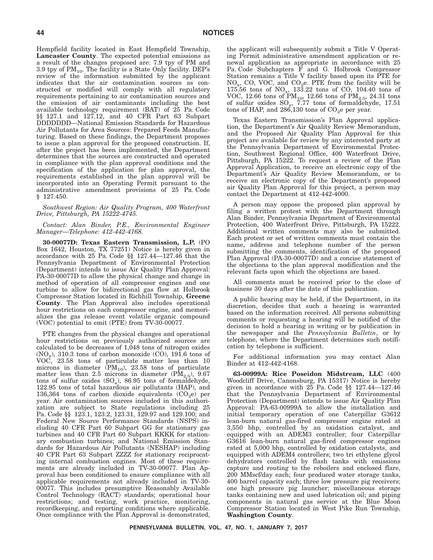Hempfield facility located in East Hempfield Township, **Lancaster County**. The expected potential emissions as a result of the changes proposed are: 7.9 tpy of PM and 3.9 tpy of  $PM_{10}$ . The facility is a State Only facility. DEP's review of the information submitted by the applicant indicates that the air contamination sources as constructed or modified will comply with all regulatory requirements pertaining to air contamination sources and the emission of air contaminants including the best available technology requirement (BAT) of 25 Pa. Code §§ 127.1 and 127.12, and 40 CFR Part 63 Subpart DDDDDDD—National Emission Standards for Hazardous Air Pollutants for Area Sources: Prepared Feeds Manufacturing. Based on these findings, the Department proposes to issue a plan approval for the proposed construction. If, after the project has been implemented, the Department determines that the sources are constructed and operated in compliance with the plan approval conditions and the specification of the application for plan approval, the requirements established in the plan approval will be incorporated into an Operating Permit pursuant to the administrative amendment provisions of 25 Pa. Code § 127.450.

#### *Southwest Region: Air Quality Program, 400 Waterfront Drive, Pittsburgh, PA 15222-4745.*

#### *Contact: Alan Binder, P.E., Environmental Engineer Manager—Telephone: 412-442-4168.*

**30-00077D: Texas Eastern Transmission, L.P.** (PO Box 1642, Houston, TX 77251) Notice is hereby given in accordance with 25 Pa. Code §§ 127.44—127.46 that the Pennsylvania Department of Environmental Protection (Department) intends to issue Air Quality Plan Approval: PA-30-00077D to allow the physical change and change in method of operation of all compressor engines and one turbine to allow for bidirectional gas flow at Holbrook Compressor Station located in Richhill Township, **Greene County**. The Plan Approval also includes operational hour restrictions on each compressor engine, and memorializes the gas release event volatile organic compound (VOC) potential to emit (PTE) from TV-30-00077.

PTE changes from the physical changes and operational hour restrictions on previously authorized sources are calculated to be decreases of 1,048 tons of nitrogen oxides  $(NO_x)$ , 310.3 tons of carbon monoxide  $(CO)$ , 191.6 tons of VOC, 23.58 tons of particulate matter less than 10 microns in diameter  $(PM_{10})$ , 23.58 tons of particulate matter less than 2.5 microns in diameter ( $\overline{PM}_{2.5}$ ), 9.67 tons of sulfur oxides  $(SO_x)$ , 86.95 tons of formaldehyde, 122.95 tons of total hazardous air pollutants (HAP), and 136,364 tons of carbon dioxide equivalents  $(CO_2e)$  per year. Air contamination sources included in this authorization are subject to State regulations including 25 Pa. Code §§ 123.1, 123.2, 123.31, 129.97 and 129.100; and Federal New Source Performance Standards (NSPS) including 40 CFR Part 60 Subpart GG for stationary gas turbines and 40 CFR Part 60 Subpart KKKK for stationary combustion turbines; and National Emission Standards for Hazardous Air Pollutants (NESHAP) including 40 CFR Part 63 Subpart ZZZZ for stationary reciprocating internal combustion engines. Most of these requirements are already included in TV-30-00077. Plan Approval has been conditioned to ensure compliance with all applicable requirements not already included in TV-30- 00077. This includes presumptive Reasonably Available Control Technology (RACT) standards; operational hour restrictions; and testing, work practice, monitoring, recordkeeping, and reporting conditions where applicable. Once compliance with the Plan Approval is demonstrated, the applicant will subsequently submit a Title V Operating Permit administrative amendment application or renewal application as appropriate in accordance with 25 Pa. Code Subchapters F and G. Holbrook Compressor Station remains a Title V facility based upon its PTE for  $NO_x$ , CO, VOC, and CO<sub>2</sub>e. PTE from the facility will be 175.56 tons of  $NO_x$ , 133.22 tons of CO, 104.40 tons of VOC, 12.66 tons of  $PM_{10}$ , 12.66 tons of  $PM_{2.5}$ , 24.31 tons of sulfur oxides  $SO_x$ , 7.77 tons of formaldehyde, 17.51 tons of HAP, and  $286,130$  tons of  $CO<sub>2</sub>e$  per year.

Texas Eastern Transmission's Plan Approval application, the Department's Air Quality Review Memorandum, and the Proposed Air Quality Plan Approval for this project are available for review by any interested party at the Pennsylvania Department of Environmental Protection, Southwest Regional Office, 400 Waterfront Drive, Pittsburgh, PA 15222. To request a review of the Plan Approval Application, to receive an electronic copy of the Department's Air Quality Review Memorandum, or to receive an electronic copy of the Department's proposed air Quality Plan Approval for this project, a person may contact the Department at 412-442-4000.

A person may oppose the proposed plan approval by filing a written protest with the Department through Alan Binder, Pennsylvania Department of Environmental Protection, 400 Waterfront Drive, Pittsburgh, PA 15222. Additional written comments may also be submitted. Each protest or set of written comments must contain the name, address and telephone number of the person submitting the comments, identification of the proposed Plan Approval (PA-30-00077D) and a concise statement of the objections to the plan approval modification and the relevant facts upon which the objections are based.

All comments must be received prior to the close of business 30 days after the date of this publication.

A public hearing may be held, if the Department, in its discretion, decides that such a hearing is warranted based on the information received. All persons submitting comments or requesting a hearing will be notified of the decision to hold a hearing in writing or by publication in the newspaper and the *Pennsylvania Bulletin*, or by telephone, where the Department determines such notification by telephone is sufficient.

For additional information you may contact Alan Binder at 412-442-4168.

**63-00999A: Rice Poseidon Midstream, LLC** (400 Woodcliff Drive, Canonsburg, PA 15317) Notice is hereby given in accordance with 25 Pa. Code §§ 127.44—127.46 that the Pennsylvania Department of Environmental Protection (Department) intends to issue Air Quality Plan Approval: PA-63-00999A to allow the installation and initial temporary operation of one Caterpillar G3612 lean-burn natural gas-fired compressor engine rated at 3,550 bhp, controlled by an oxidation catalyst, and equipped with an ADEM3 controller; four Caterpillar G3616 lean-burn natural gas-fired compressor engines rated at 5,000 bhp, controlled by oxidation catalysts, and equipped with ADEM4 controllers; two tri ethylene glycol dehydrators controlled by flash tanks with emissions capture and routing to the reboilers and enclosed flare, 200 MMscf/day each; four produced water storage tanks, 400 barrel capacity each; three low pressure pig receivers; one high pressure pig launcher; miscellaneous storage tanks containing new and used lubrication oil; and piping components in natural gas service at the Blue Moon Compressor Station located in West Pike Run Township, **Washington County**.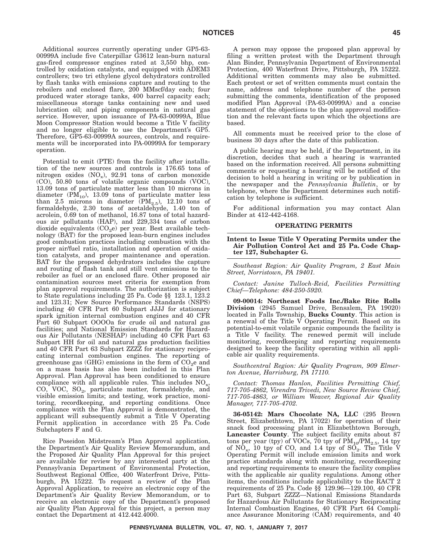Additional sources currently operating under GP5-63- 00999A include five Caterpillar G3612 lean-burn natural gas-fired compressor engines rated at 3,550 bhp, controlled by oxidation catalysts, and equipped with ADEM3 controllers; two tri ethylene glycol dehydrators controlled by flash tanks with emissions capture and routing to the reboilers and enclosed flare, 200 MMscf/day each; four produced water storage tanks, 400 barrel capacity each; miscellaneous storage tanks containing new and used lubrication oil; and piping components in natural gas service. However, upon issuance of PA-63-00999A, Blue Moon Compressor Station would become a Title V facility and no longer eligible to use the Department's GP5. Therefore, GP5-63-00999A sources, controls, and requirements will be incorporated into PA-00999A for temporary operation.

Potential to emit (PTE) from the facility after installation of the new sources and controls is 176.65 tons of nitrogen oxides  $(NO_x)$ , 92.91 tons of carbon monoxide (CO), 50.80 tons of volatile organic compounds (VOC), 13.09 tons of particulate matter less than 10 microns in diameter  $(PM_{10})$ , 13.09 tons of particulate matter less than 2.5 microns in diameter  $(PM_{2.5})$ , 12.10 tons of formaldehyde, 2.30 tons of acetaldehyde, 1.40 ton of acrolein, 0.69 ton of methanol, 16.87 tons of total hazardous air pollutants (HAP), and 229,334 tons of carbon dioxide equivalents  $(CO<sub>2</sub>e)$  per year. Best available technology (BAT) for the proposed lean-burn engines includes good combustion practices including combustion with the proper air/fuel ratio, installation and operation of oxidation catalysts, and proper maintenance and operation. BAT for the proposed dehydrators includes the capture and routing of flash tank and still vent emissions to the reboiler as fuel or an enclosed flare. Other proposed air contamination sources meet criteria for exemption from plan approval requirements. The authorization is subject to State regulations including 25 Pa. Code §§ 123.1, 123.2 and 123.31; New Source Performance Standards (NSPS) including 40 CFR Part 60 Subpart JJJJ for stationary spark ignition internal combustion engines and 40 CFR Part 60 Subpart OOOOa for crude oil and natural gas facilities; and National Emission Standards for Hazardous Air Pollutants (NESHAP) including 40 CFR Part 63 Subpart HH for oil and natural gas production facilities and 40 CFR Part 63 Subpart ZZZZ for stationary reciprocating internal combustion engines. The reporting of greenhouse gas (GHG) emissions in the form of  $CO_2e$  and on a mass basis has also been included in this Plan Approval. Plan Approval has been conditioned to ensure compliance with all applicable rules. This includes  $NO<sub>x</sub>$ , CO, VOC,  $SO_2$ , particulate matter, formaldehyde, and visible emission limits; and testing, work practice, monitoring, recordkeeping, and reporting conditions. Once compliance with the Plan Approval is demonstrated, the applicant will subsequently submit a Title V Operating Permit application in accordance with 25 Pa. Code Subchapters F and G.

Rice Poseidon Midstream's Plan Approval application, the Department's Air Quality Review Memorandum, and the Proposed Air Quality Plan Approval for this project are available for review by any interested party at the Pennsylvania Department of Environmental Protection, Southwest Regional Office, 400 Waterfront Drive, Pittsburgh, PA 15222. To request a review of the Plan Approval Application, to receive an electronic copy of the Department's Air Quality Review Memorandum, or to receive an electronic copy of the Department's proposed air Quality Plan Approval for this project, a person may contact the Department at 412.442.4000.

A person may oppose the proposed plan approval by filing a written protest with the Department through Alan Binder, Pennsylvania Department of Environmental Protection, 400 Waterfront Drive, Pittsburgh, PA 15222. Additional written comments may also be submitted. Each protest or set of written comments must contain the name, address and telephone number of the person submitting the comments, identification of the proposed modified Plan Approval (PA-63-00999A) and a concise statement of the objections to the plan approval modification and the relevant facts upon which the objections are based.

All comments must be received prior to the close of business 30 days after the date of this publication.

A public hearing may be held, if the Department, in its discretion, decides that such a hearing is warranted based on the information received. All persons submitting comments or requesting a hearing will be notified of the decision to hold a hearing in writing or by publication in the newspaper and the *Pennsylvania Bulletin*, or by telephone, where the Department determines such notification by telephone is sufficient.

For additional information you may contact Alan Binder at 412-442-4168.

### **OPERATING PERMITS**

**Intent to Issue Title V Operating Permits under the Air Pollution Control Act and 25 Pa. Code Chapter 127, Subchapter G.**

*Southeast Region: Air Quality Program, 2 East Main Street, Norristown, PA 19401.*

*Contact: Janine Tulloch-Reid, Facilities Permitting Chief—Telephone: 484-250-5920.*

**09-00014: Northeast Foods Inc./Bake Rite Rolls Division** (2945 Samuel Drive, Bensalem, PA 19020) located in Falls Township, **Bucks County**. This action is a renewal of the Title V Operating Permit. Based on its potential-to-emit volatile organic compounds the facility is a Title V facility. The renewed permit will include monitoring, recordkeeping and reporting requirements designed to keep the facility operating within all applicable air quality requirements.

*Southcentral Region: Air Quality Program, 909 Elmerton Avenue, Harrisburg, PA 17110.*

*Contact: Thomas Hanlon, Facilities Permitting Chief, 717-705-4862, Virendra Trivedi, New Source Review Chief, 717-705-4863, or William Weaver, Regional Air Quality Manager, 717-705-4702.*

**36-05142: Mars Chocolate NA, LLC** (295 Brown Street, Elizabethtown, PA 17022) for operation of their snack food processing plant in Elizabethtown Borough, **Lancaster County**. The subject facility emits about 87 tons per year (tpy) of VOCs, 70 tpy of  $PM_{10}/PM_{2.5}$ , 14 tpy of  $NO_x$ , 10 tpy of CO, and 1.4 tpy of  $SO_2$ . The Title V Operating Permit will include emission limits and work practice standards along with monitoring, recordkeeping and reporting requirements to ensure the facility complies with the applicable air quality regulations. Among other items, the conditions include applicability to the RACT 2 requirements of 25 Pa. Code §§ 129.96—129.100, 40 CFR Part 63, Subpart ZZZZ—National Emissions Standards for Hazardous Air Pollutants for Stationary Reciprocating Internal Combustion Engines, 40 CFR Part 64 Compliance Assurance Monitoring (CAM) requirements, and 40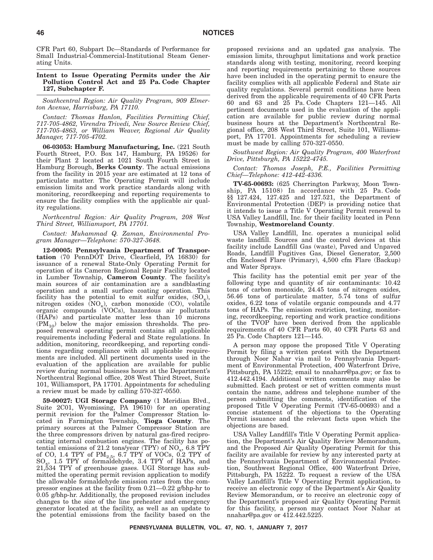CFR Part 60, Subpart Dc—Standards of Performance for Small Industrial-Commercial-Institutional Steam Generating Units.

### **Intent to Issue Operating Permits under the Air Pollution Control Act and 25 Pa. Code Chapter 127, Subchapter F.**

*Southcentral Region: Air Quality Program, 909 Elmerton Avenue, Harrisburg, PA 17110.*

*Contact: Thomas Hanlon, Facilities Permitting Chief, 717-705-4862, Virendra Trivedi, New Source Review Chief, 717-705-4863, or William Weaver, Regional Air Quality Manager, 717-705-4702.*

**06-03053: Hamburg Manufacturing, Inc.** (221 South Fourth Street, P.O. Box 147, Hamburg, PA 19526) for their Plant 2 located at 1021 South Fourth Street in Hamburg Borough, **Berks County**. The actual emissions from the facility in 2015 year are estimated at 12 tons of particulate matter. The Operating Permit will include emission limits and work practice standards along with monitoring, recordkeeping and reporting requirements to ensure the facility complies with the applicable air quality regulations.

*Northcentral Region: Air Quality Program, 208 West Third Street, Williamsport, PA 17701.*

*Contact: Muhammad Q. Zaman, Environmental Program Manager—Telephone: 570-327-3648.*

**12-00005: Pennsylvania Department of Transportation** (70 PennDOT Drive, Clearfield, PA 16830) for issuance of a renewal State-Only Operating Permit for operation of its Cameron Regional Repair Facility located in Lumber Township, **Cameron County**. The facility's main sources of air contamination are a sandblasting operation and a small surface coating operation. This facility has the potential to emit sulfur oxides,  $(SO_x)$ , nitrogen oxides  $(NO_x)$ , carbon monoxide  $(CO)$ , volatile organic compounds (VOCs), hazardous air pollutants (HAPs) and particulate matter less than 10 microns  $(PM_{10})$  below the major emission thresholds. The proposed renewal operating permit contains all applicable requirements including Federal and State regulations. In addition, monitoring, recordkeeping, and reporting conditions regarding compliance with all applicable requirements are included. All pertinent documents used in the evaluation of the application are available for public review during normal business hours at the Department's Northcentral Regional office, 208 West Third Street, Suite 101, Williamsport, PA 17701. Appointments for scheduling a review must be made by calling 570-327-0550.

**59-00027: UGI Storage Company** (1 Meridian Blvd., Suite 2C01, Wyomissing, PA 19610) for an operating permit revision for the Palmer Compressor Station located in Farmington Township, **Tioga County**. The primary sources at the Palmer Compressor Station are the three compressors driven by natural gas-fired reciprocating internal combustion engines. The facility has potential emissions of 21.2 tons/year (TPY) of  $\rm NO_x$ , 6.8 TPY of CO, 1.4 TPY of  $\text{PM}_{2.5}$ , 6.7 TPY of VOCs, 0.2 TPY of  $SO<sub>x</sub>$ , 1.5 TPY of formaldehyde, 3.4 TPY of HAPs, and 21,534 TPY of greenhouse gases. UGI Storage has submitted the operating permit revision application to modify the allowable formaldehyde emission rates from the compressor engines at the facility from 0.21—0.22 g/bhp-hr to 0.05 g/bhp-hr. Additionally, the proposed revision includes changes to the size of the line preheater and emergency generator located at the facility, as well as an update to the potential emissions from the facility based on the proposed revisions and an updated gas analysis. The emission limits, throughput limitations and work practice standards along with testing, monitoring, record keeping and reporting requirements pertaining to these sources have been included in the operating permit to ensure the facility complies with all applicable Federal and State air quality regulations. Several permit conditions have been derived from the applicable requirements of 40 CFR Parts 60 and 63 and 25 Pa. Code Chapters 121—145. All pertinent documents used in the evaluation of the application are available for public review during normal business hours at the Department's Northcentral Regional office, 208 West Third Street, Suite 101, Williamsport, PA 17701. Appointments for scheduling a review must be made by calling 570-327-0550.

*Southwest Region: Air Quality Program, 400 Waterfront Drive, Pittsburgh, PA 15222-4745.*

*Contact: Thomas Joseph, P.E., Facilities Permitting Chief—Telephone: 412-442-4336.*

**TV-65-00693:** (625 Cherrington Parkway, Moon Township, PA 15108) In accordance with 25 Pa. Code §§ 127.424, 127.425 and 127.521, the Department of Environmental Protection (DEP) is providing notice that it intends to issue a Title V Operating Permit renewal to USA Valley Landfill, Inc. for their facility located in Penn Township, **Westmoreland County**.

USA Valley Landfill, Inc. operates a municipal solid waste landfill. Sources and the control devices at this facility include Landfill Gas (waste), Paved and Unpaved Roads, Landfill Fugitives Gas, Diesel Generator, 2,500 cfm Enclosed Flare (Primary), 4,500 cfm Flare (Backup) and Water Sprays.

This facility has the potential emit per year of the following type and quantity of air contaminants: 10.42 tons of carbon monoxide, 24.45 tons of nitrogen oxides, 56.46 tons of particulate matter, 5.74 tons of sulfur oxides, 6.22 tons of volatile organic compounds and 4.77 tons of HAPs. The emission restriction, testing, monitoring, recordkeeping, reporting and work practice conditions of the TVOP have been derived from the applicable requirements of 40 CFR Parts 60, 40 CFR Parts 63 and 25 Pa. Code Chapters 121—145.

A person may oppose the proposed Title V Operating Permit by filing a written protest with the Department through Noor Nahar via mail to Pennsylvania Department of Environmental Protection, 400 Waterfront Drive, Pittsburgh, PA 15222; email to nnaharr@pa.gov; or fax to 412.442.4194. Additional written comments may also be submitted. Each protest or set of written comments must contain the name, address and telephone number of the person submitting the comments, identification of the proposed Title V Operating Permit (TV-65-00693) and a concise statement of the objections to the Operating Permit issuance and the relevant facts upon which the objections are based.

USA Valley Landfill's Title V Operating Permit application, the Department's Air Quality Review Memorandum, and the Proposed Air Quality Operating Permit for this facility are available for review by any interested party at the Pennsylvania Department of Environmental Protection, Southwest Regional Office, 400 Waterfront Drive, Pittsburgh, PA 15222. To request a review of the USA Valley Landfill's Title V Operating Permit application, to receive an electronic copy of the Department's Air Quality Review Memorandum, or to receive an electronic copy of the Department's proposed air Quality Operating Permit for this facility, a person may contact Noor Nahar at nnahar@pa.gov or 412.442.5225.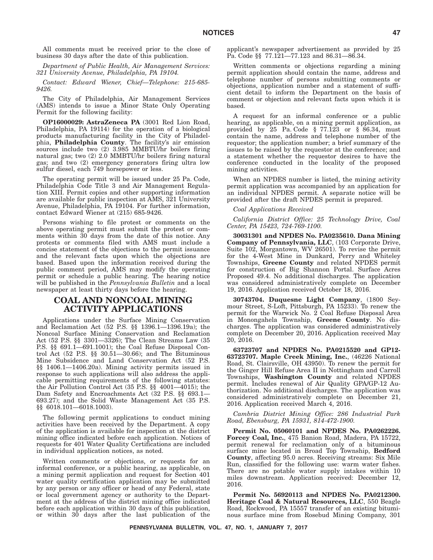All comments must be received prior to the close of business 30 days after the date of this publication.

*Department of Public Health, Air Management Services: 321 University Avenue, Philadelphia, PA 19104.*

*Contact: Edward Wiener, Chief—Telephone: 215-685- 9426.*

The City of Philadelphia, Air Management Services (AMS) intends to issue a Minor State Only Operating Permit for the following facility:

**OP16000029: AstraZeneca PA** (3001 Red Lion Road, Philadelphia, PA 19114) for the operation of a biological products manufacturing facility in the City of Philadelphia, **Philadelphia County**. The facility's air emission sources include two (2) 3.985 MMBTU/hr boilers firing natural gas; two (2) 2.0 MMBTU/hr boilers firing natural gas; and two (2) emergency generators firing ultra low sulfur diesel, each 749 horsepower or less.

The operating permit will be issued under 25 Pa. Code, Philadelphia Code Title 3 and Air Management Regulation XIII. Permit copies and other supporting information are available for public inspection at AMS, 321 University Avenue, Philadelphia, PA 19104. For further information, contact Edward Wiener at (215) 685-9426.

Persons wishing to file protest or comments on the above operating permit must submit the protest or comments within 30 days from the date of this notice. Any protests or comments filed with AMS must include a concise statement of the objections to the permit issuance and the relevant facts upon which the objections are based. Based upon the information received during the public comment period, AMS may modify the operating permit or schedule a public hearing. The hearing notice will be published in the *Pennsylvania Bulletin* and a local newspaper at least thirty days before the hearing.

### **COAL AND NONCOAL MINING ACTIVITY APPLICATIONS**

Applications under the Surface Mining Conservation and Reclamation Act (52 P.S. §§ 1396.1—1396.19a); the Noncoal Surface Mining Conservation and Reclamation Act (52 P.S. §§ 3301—3326); The Clean Streams Law (35 P.S. §§ 691.1—691.1001); the Coal Refuse Disposal Control Act (52 P.S. §§ 30.51—30.66); and The Bituminous Mine Subsidence and Land Conservation Act (52 P.S. §§ 1406.1—1406.20a). Mining activity permits issued in response to such applications will also address the applicable permitting requirements of the following statutes: the Air Pollution Control Act (35 P.S. §§ 4001—4015); the Dam Safety and Encroachments Act (32 P.S. §§ 693.1– 693.27); and the Solid Waste Management Act (35 P.S. §§ 6018.101—6018.1003).

The following permit applications to conduct mining activities have been received by the Department. A copy of the application is available for inspection at the district mining office indicated before each application. Notices of requests for 401 Water Quality Certifications are included in individual application notices, as noted.

Written comments or objections, or requests for an informal conference, or a public hearing, as applicable, on a mining permit application and request for Section 401 water quality certification application may be submitted by any person or any officer or head of any Federal, state or local government agency or authority to the Department at the address of the district mining office indicated before each application within 30 days of this publication, or within 30 days after the last publication of the applicant's newspaper advertisement as provided by 25 Pa. Code §§ 77.121—77.123 and 86.31—86.34.

Written comments or objections regarding a mining permit application should contain the name, address and telephone number of persons submitting comments or objections, application number and a statement of sufficient detail to inform the Department on the basis of comment or objection and relevant facts upon which it is based.

A request for an informal conference or a public hearing, as applicable, on a mining permit application, as provided by  $25$  Pa. Code  $\S$  77.123 or  $\S$  86.34, must contain the name, address and telephone number of the requestor; the application number; a brief summary of the issues to be raised by the requestor at the conference; and a statement whether the requestor desires to have the conference conducted in the locality of the proposed mining activities.

When an NPDES number is listed, the mining activity permit application was accompanied by an application for an individual NPDES permit. A separate notice will be provided after the draft NPDES permit is prepared.

### *Coal Applications Received*

*California District Office: 25 Technology Drive, Coal Center, PA 15423, 724-769-1100.*

**30031301 and NPDES No. PA0235610. Dana Mining Company of Pennsylvania, LLC**, (103 Corporate Drive, Suite 102, Morgantown, WV 26501). To revise the permit for the 4-West Mine in Dunkard, Perry and Whiteley Townships, **Greene County** and related NPDES permit for construction of Big Shannon Portal. Surface Acres Proposed 49.4. No additional discharges. The application was considered administratively complete on December 19, 2016. Application received October 18, 2016.

**30743704. Duquesne Light Company**, (1800 Seymour Street, S-Loft, Pittsburgh, PA 15233). To renew the permit for the Warwick No. 2 Coal Refuse Disposal Area in Monongahela Township, **Greene County**. No discharges. The application was considered administratively complete on December 20, 2016. Application received May 20, 2016.

**63723707 and NPDES No. PA0215520 and GP12- 63723707. Maple Creek Mining, Inc.**, (46226 National Road, St. Clairsville, OH 43950). To renew the permit for the Ginger Hill Refuse Area II in Nottingham and Carroll Townships, **Washington County** and related NPDES permit. Includes renewal of Air Quality GPA/GP-12 Authorization. No additional discharges. The application was considered administratively complete on December 21, 2016. Application received March 4, 2016.

*Cambria District Mining Office: 286 Industrial Park Road, Ebensburg, PA 15931, 814-472-1900.*

**Permit No. 05060101 and NPDES No. PA0262226. Forcey Coal, Inc.**, 475 Banion Road, Madera, PA 15722, permit renewal for reclamation only of a bituminous surface mine located in Broad Top Township, **Bedford County**, affecting 95.0 acres. Receiving streams: Six Mile Run, classified for the following use: warm water fishes. There are no potable water supply intakes within 10 miles downstream. Application received: December 12, 2016.

**Permit No. 56920113 and NPDES No. PA0212300. Heritage Coal & Natural Resources, LLC**, 550 Beagle Road, Rockwood, PA 15557 transfer of an existing bituminous surface mine from Rosebud Mining Company, 301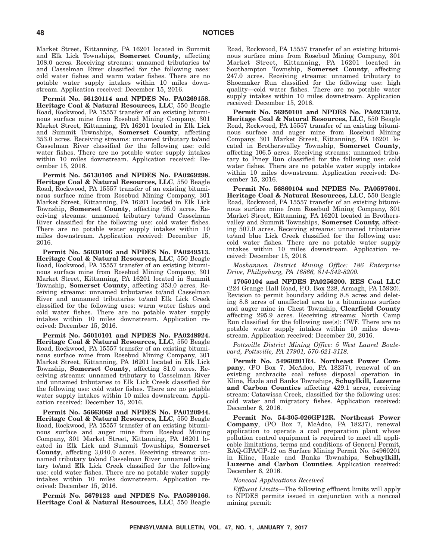Market Street, Kittanning, PA 16201 located in Summit and Elk Lick Townships, **Somerset County**, affecting 108.0 acres. Receiving streams: unnamed tributaries to/ and Casselman River classified for the following uses: cold water fishes and warm water fishes. There are no potable water supply intakes within 10 miles downstream. Application received: December 15, 2016.

**Permit No. 56120114 and NPDES No. PA0269158. Heritage Coal & Natural Resources, LLC**, 550 Beagle Road, Rockwood, PA 15557 transfer of an existing bituminous surface mine from Rosebud Mining Company, 301 Market Street, Kittanning, PA 16201 located in Elk Lick and Summit Townships, **Somerset County**, affecting 353.0 acres. Receiving streams: unnamed tributary to/and Casselman River classified for the following use: cold water fishes. There are no potable water supply intakes within 10 miles downstream. Application received: December 15, 2016.

**Permit No. 56130105 and NPDES No. PA0269298. Heritage Coal & Natural Resources, LLC**, 550 Beagle Road, Rockwood, PA 15557 transfer of an existing bituminous surface mine from Rosebud Mining Company, 301 Market Street, Kittanning, PA 16201 located in Elk Lick Township, **Somerset County**, affecting 95.0 acres. Receiving streams: unnamed tributary to/and Casselman River classified for the following use: cold water fishes. There are no potable water supply intakes within 10 miles downstream. Application received: December 15, 2016.

**Permit No. 56030106 and NPDES No. PA0249513. Heritage Coal & Natural Resources, LLC**, 550 Beagle Road, Rockwood, PA 15557 transfer of an existing bituminous surface mine from Rosebud Mining Company, 301 Market Street, Kittanning, PA 16201 located in Summit Township, **Somerset County**, affecting 353.0 acres. Receiving streams: unnamed tributaries to/and Casselman River and unnamed tributaries to/and Elk Lick Creek classified for the following uses: warm water fishes and cold water fishes. There are no potable water supply intakes within 10 miles downstream. Application received: December 15, 2016.

**Permit No. 56010101 and NPDES No. PA0248924. Heritage Coal & Natural Resources, LLC**, 550 Beagle Road, Rockwood, PA 15557 transfer of an existing bituminous surface mine from Rosebud Mining Company, 301 Market Street, Kittanning, PA 16201 located in Elk Lick Township, **Somerset County**, affecting 81.0 acres. Receiving streams: unnamed tributary to Casselman River and unnamed tributaries to Elk Lick Creek classified for the following use: cold water fishes. There are no potable water supply intakes within 10 miles downstream. Application received: December 15, 2016.

**Permit No. 56663069 and NPDES No. PA0120944. Heritage Coal & Natural Resources, LLC**, 550 Beagle Road, Rockwood, PA 15557 transfer of an existing bituminous surface and auger mine from Rosebud Mining Company, 301 Market Street, Kittanning, PA 16201 located in Elk Lick and Summit Townships, **Somerset County**, affecting 3,040.0 acres. Receiving streams: unnamed tributary to/and Casselman River unnamed tributary to/and Elk Lick Creek classified for the following use: cold water fishes. There are no potable water supply intakes within 10 miles downstream. Application received: December 15, 2016.

**Permit No. 5679123 and NPDES No. PA0599166. Heritage Coal & Natural Resources, LLC**, 550 Beagle Road, Rockwood, PA 15557 transfer of an existing bituminous surface mine from Rosebud Mining Company, 301 Market Street, Kittanning, PA 16201 located in Southampton Township, **Somerset County**, affecting 247.0 acres. Receiving streams: unnamed tributary to Shoemaker Run classified for the following use: high quality—cold water fishes. There are no potable water supply intakes within 10 miles downstream. Application received: December 15, 2016.

**Permit No. 56950101 and NPDES No. PA0213012. Heritage Coal & Natural Resources, LLC**, 550 Beagle Road, Rockwood, PA 15557 transfer of an existing bituminous surface and auger mine from Rosebud Mining Company, 301 Market Street, Kittanning, PA 16201 located in Brothersvalley Township, **Somerset County**, affecting 106.5 acres. Receiving streams: unnamed tributary to Piney Run classified for the following use: cold water fishes. There are no potable water supply intakes within 10 miles downstream. Application received: December 15, 2016.

**Permit No. 56860104 and NPDES No. PA0597601. Heritage Coal & Natural Resources, LLC**, 550 Beagle Road, Rockwood, PA 15557 transfer of an existing bituminous surface mine from Rosebud Mining Company, 301 Market Street, Kittanning, PA 16201 located in Brothersvalley and Summit Townships, **Somerset County,** affecting 507.0 acres. Receiving streams: unnamed tributaries to/and blue Lick Creek classified for the following use: cold water fishes. There are no potable water supply intakes within 10 miles downstream. Application received: December 15, 2016.

#### *Moshannon District Mining Office: 186 Enterprise Drive, Philipsburg, PA 16866, 814-342-8200.*

**17050104 and NPDES PA0256200. RES Coal LLC** (224 Grange Hall Road, P.O. Box 228, Armagh, PA 15920). Revision to permit boundary adding 8.8 acres and deleting 8.8 acres of unaffected area to a bituminous surface and auger mine in Chest Township, **Clearfield County** affecting 295.9 acres. Receiving streams: North Camp Run classified for the following use(s): CWF. There are no potable water supply intakes within 10 miles downstream. Application received: December 20, 2016.

*Pottsville District Mining Office: 5 West Laurel Boulevard, Pottsville, PA 17901, 570-621-3118.*

**Permit No. 54960201R4. Northeast Power Company**, (PO Box 7, McAdoo, PA 18237), renewal of an existing anthracite coal refuse disposal operation in Kline, Hazle and Banks Townships, **Schuylkill, Luzerne and Carbon Counties** affecting 429.1 acres, receiving stream: Catawissa Creek, classified for the following uses: cold water and migratory fishes. Application received: December 6, 2016.

**Permit No. 54-305-026GP12R. Northeast Power Company**, (PO Box 7, McAdoo, PA 18237), renewal application to operate a coal preparation plant whose pollution control equipment is required to meet all applicable limitations, terms and conditions of General Permit, BAQ-GPA/GP-12 on Surface Mining Permit No. 54960201 in Kline, Hazle and Banks Townships, **Schuylkill, Luzerne and Carbon Counties**. Application received: December 6, 2016.

*Noncoal Applications Received*

*Effluent Limits*—The following effluent limits will apply to NPDES permits issued in conjunction with a noncoal mining permit: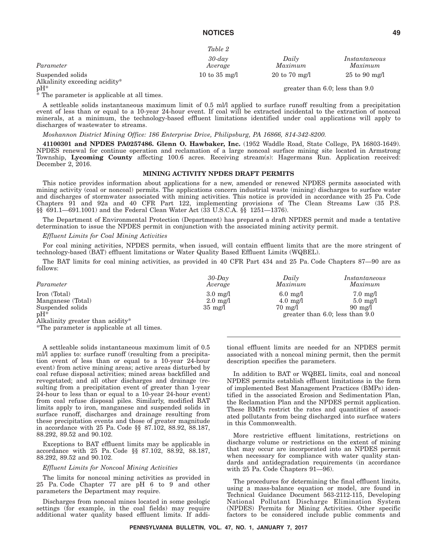$T<sub>α</sub>$  $h l<sub>α</sub>$ <sup>2</sup>

|                                                   | $1000 \angle$           |                                  |                                      |
|---------------------------------------------------|-------------------------|----------------------------------|--------------------------------------|
| Parameter                                         | $30$ -dav<br>Average    | Daily<br>Maximum                 | Instantaneous<br>Maximum             |
| Suspended solids<br>Alkalinity exceeding acidity* | 10 to $35 \text{ mg/l}$ | $20 \text{ to } 70 \text{ mg/l}$ | $25 \text{ to } 90 \text{ mg/l}$     |
| $pH^*$                                            |                         |                                  | greater than $6.0$ ; less than $9.0$ |

 $*$  The parameter is applicable at all times.

A settleable solids instantaneous maximum limit of 0.5 ml/l applied to surface runoff resulting from a precipitation event of less than or equal to a 10-year 24-hour event. If coal will be extracted incidental to the extraction of noncoal minerals, at a minimum, the technology-based effluent limitations identified under coal applications will apply to discharges of wastewater to streams.

*Moshannon District Mining Office: 186 Enterprise Drive, Philipsburg, PA 16866, 814-342-8200.*

**41100301 and NPDES PA0257486. Glenn O. Hawbaker, Inc.** (1952 Waddle Road, State College, PA 16803-1649). NPDES renewal for continue operation and reclamation of a large noncoal surface mining site located in Armstrong Township, **Lycoming County** affecting 100.6 acres. Receiving stream(s): Hagermans Run. Application received: December 2, 2016.

### **MINING ACTIVITY NPDES DRAFT PERMITS**

This notice provides information about applications for a new, amended or renewed NPDES permits associated with mining activity (coal or noncoal) permits. The applications concern industrial waste (mining) discharges to surface water and discharges of stormwater associated with mining activities. This notice is provided in accordance with 25 Pa. Code Chapters 91 and 92a and 40 CFR Part 122, implementing provisions of The Clean Streams Law (35 P.S. §§ 691.1—691.1001) and the Federal Clean Water Act (33 U.S.C.A. §§ 1251—1376).

The Department of Environmental Protection (Department) has prepared a draft NPDES permit and made a tentative determination to issue the NPDES permit in conjunction with the associated mining activity permit.

#### *Effluent Limits for Coal Mining Activities*

For coal mining activities, NPDES permits, when issued, will contain effluent limits that are the more stringent of technology-based (BAT) effluent limitations or Water Quality Based Effluent Limits (WQBEL).

The BAT limits for coal mining activities, as provided in 40 CFR Part 434 and 25 Pa. Code Chapters 87—90 are as follows:

| Parameter         | $30$ -Dav<br>Average | Daily<br>Maximum   | Instantaneous<br>Maximum             |
|-------------------|----------------------|--------------------|--------------------------------------|
| Iron (Total)      | $3.0 \text{ mg}/1$   | $6.0 \text{ mg}/1$ | $7.0 \text{ mg}/1$                   |
| Manganese (Total) | $2.0 \text{ mg}/1$   | $4.0 \text{ mg}/1$ | $5.0 \text{ mg}/l$                   |
| Suspended solids  | $35 \text{ mg/l}$    | $70 \text{ mg}/1$  | $90 \text{ mg}/1$                    |
| $pH^*$            |                      |                    | greater than $6.0$ ; less than $9.0$ |

Alkalinity greater than acidity\*

\*The parameter is applicable at all times.

A settleable solids instantaneous maximum limit of 0.5 ml/l applies to: surface runoff (resulting from a precipitation event of less than or equal to a 10-year 24-hour event) from active mining areas; active areas disturbed by coal refuse disposal activities; mined areas backfilled and revegetated; and all other discharges and drainage (resulting from a precipitation event of greater than 1-year 24-hour to less than or equal to a 10-year 24-hour event) from coal refuse disposal piles. Similarly, modified BAT limits apply to iron, manganese and suspended solids in surface runoff, discharges and drainage resulting from these precipitation events and those of greater magnitude in accordance with 25 Pa. Code §§ 87.102, 88.92, 88.187, 88.292, 89.52 and 90.102.

Exceptions to BAT effluent limits may be applicable in accordance with 25 Pa. Code §§ 87.102, 88.92, 88.187, 88.292, 89.52 and 90.102.

#### *Effluent Limits for Noncoal Mining Activities*

The limits for noncoal mining activities as provided in 25 Pa. Code Chapter 77 are pH 6 to 9 and other parameters the Department may require.

Discharges from noncoal mines located in some geologic settings (for example, in the coal fields) may require additional water quality based effluent limits. If additional effluent limits are needed for an NPDES permit associated with a noncoal mining permit, then the permit description specifies the parameters.

In addition to BAT or WQBEL limits, coal and noncoal NPDES permits establish effluent limitations in the form of implemented Best Management Practices (BMPs) identified in the associated Erosion and Sedimentation Plan, the Reclamation Plan and the NPDES permit application. These BMPs restrict the rates and quantities of associated pollutants from being discharged into surface waters in this Commonwealth.

More restrictive effluent limitations, restrictions on discharge volume or restrictions on the extent of mining that may occur are incorporated into an NPDES permit when necessary for compliance with water quality standards and antidegradation requirements (in accordance with 25 Pa. Code Chapters 91—96).

The procedures for determining the final effluent limits, using a mass-balance equation or model, are found in Technical Guidance Document 563-2112-115, Developing National Pollutant Discharge Elimination System (NPDES) Permits for Mining Activities. Other specific factors to be considered include public comments and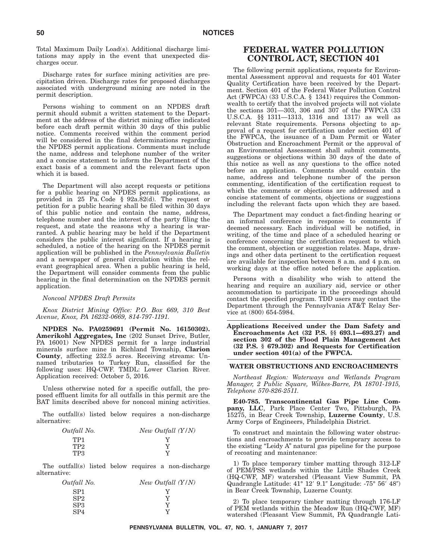Total Maximum Daily Load(s). Additional discharge limitations may apply in the event that unexpected discharges occur.

Discharge rates for surface mining activities are precipitation driven. Discharge rates for proposed discharges associated with underground mining are noted in the permit description.

Persons wishing to comment on an NPDES draft permit should submit a written statement to the Department at the address of the district mining office indicated before each draft permit within 30 days of this public notice. Comments received within the comment period will be considered in the final determinations regarding the NPDES permit applications. Comments must include the name, address and telephone number of the writer and a concise statement to inform the Department of the exact basis of a comment and the relevant facts upon which it is based.

The Department will also accept requests or petitions for a public hearing on NPDES permit applications, as provided in 25 Pa. Code § 92a.82(d). The request or petition for a public hearing shall be filed within 30 days of this public notice and contain the name, address, telephone number and the interest of the party filing the request, and state the reasons why a hearing is warranted. A public hearing may be held if the Department considers the public interest significant. If a hearing is scheduled, a notice of the hearing on the NPDES permit application will be published in the *Pennsylvania Bulletin* and a newspaper of general circulation within the relevant geographical area. When a public hearing is held, the Department will consider comments from the public hearing in the final determination on the NPDES permit application.

### *Noncoal NPDES Draft Permits*

*Knox District Mining Office: P.O. Box 669, 310 Best Avenue, Knox, PA 16232-0669, 814-797-1191.*

**NPDES No. PA0259691 (Permit No. 16150302). Amerikohl Aggregates, Inc** (202 Sunset Drive, Butler, PA 16001) New NPDES permit for a large industrial minerals surface mine in Richland Township, **Clarion County**, affecting 232.5 acres. Receiving streams: Unnamed tributaries to Turkey Run, classified for the following uses: HQ-CWF. TMDL: Lower Clarion River. Application received: October 5, 2016.

Unless otherwise noted for a specific outfall, the proposed effluent limits for all outfalls in this permit are the BAT limits described above for noncoal mining activities.

The outfall(s) listed below requires a non-discharge alternative:

| Outfall No.     | New Outfall $(Y/N)$ |
|-----------------|---------------------|
| TP1             |                     |
| TP <sub>2</sub> | v                   |
| TP3             | v                   |

The outfall(s) listed below requires a non-discharge alternative:

| Outfall No.     | New Outfall $(Y/N)$ |
|-----------------|---------------------|
| SP <sub>1</sub> |                     |
| SP <sub>2</sub> | v                   |
| SP3             | v                   |
| SP <sub>4</sub> | v                   |

### **FEDERAL WATER POLLUTION CONTROL ACT, SECTION 401**

The following permit applications, requests for Environmental Assessment approval and requests for 401 Water Quality Certification have been received by the Department. Section 401 of the Federal Water Pollution Control Act (FWPCA) (33 U.S.C.A. § 1341) requires the Commonwealth to certify that the involved projects will not violate the sections  $301-303$ ,  $306$  and  $307$  of the FWPCA (33 U.S.C.A. §§ 1311—1313, 1316 and 1317) as well as relevant State requirements. Persons objecting to approval of a request for certification under section 401 of the FWPCA, the issuance of a Dam Permit or Water Obstruction and Encroachment Permit or the approval of an Environmental Assessment shall submit comments, suggestions or objections within 30 days of the date of this notice as well as any questions to the office noted before an application. Comments should contain the name, address and telephone number of the person commenting, identification of the certification request to which the comments or objections are addressed and a concise statement of comments, objections or suggestions including the relevant facts upon which they are based.

The Department may conduct a fact-finding hearing or an informal conference in response to comments if deemed necessary. Each individual will be notified, in writing, of the time and place of a scheduled hearing or conference concerning the certification request to which the comment, objection or suggestion relates. Maps, drawings and other data pertinent to the certification request are available for inspection between 8 a.m. and 4 p.m. on working days at the office noted before the application.

Persons with a disability who wish to attend the hearing and require an auxiliary aid, service or other accommodation to participate in the proceedings should contact the specified program. TDD users may contact the Department through the Pennsylvania AT&T Relay Service at (800) 654-5984.

**Applications Received under the Dam Safety and Encroachments Act (32 P.S. §§ 693.1—693.27) and section 302 of the Flood Plain Management Act (32 P.S. § 679.302) and Requests for Certification under section 401(a) of the FWPCA.**

### **WATER OBSTRUCTIONS AND ENCROACHMENTS**

*Northeast Region: Waterways and Wetlands Program Manager, 2 Public Square, Wilkes-Barre, PA 18701-1915, Telephone 570-826-2511.*

**E40-785. Transcontinental Gas Pipe Line Company, LLC**, Park Place Center Two, Pittsburgh, PA 15275, in Bear Creek Township, **Luzerne County**, U.S. Army Corps of Engineers, Philadelphia District.

To construct and maintain the following water obstructions and encroachments to provide temporary access to the existing ''Leidy A'' natural gas pipeline for the purpose of recoating and maintenance:

1) To place temporary timber matting through 312-LF of PEM/PSS wetlands within the Little Shades Creek (HQ-CWF, MF) watershed (Pleasant View Summit, PA Quadrangle Latitude: 41° 12′ 9.1″ Longitude: -75° 56′ 48″) in Bear Creek Township, Luzerne County.

2) To place temporary timber matting through 176-LF of PEM wetlands within the Meadow Run (HQ-CWF, MF) watershed (Pleasant View Summit, PA Quadrangle Lati-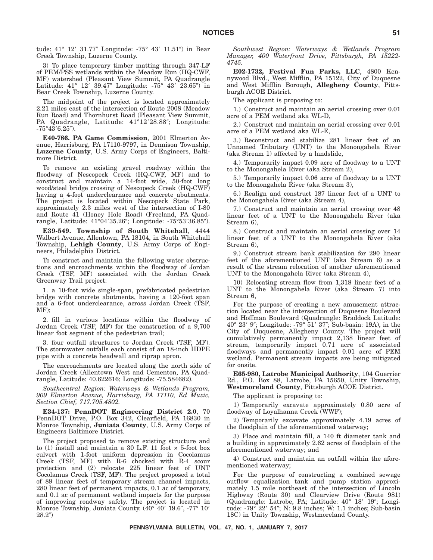tude: 41° 12′ 31.77″ Longitude: -75° 43′ 11.51″) in Bear Creek Township, Luzerne County.

3) To place temporary timber matting through 347-LF of PEM/PSS wetlands within the Meadow Run (HQ-CWF, MF) watershed (Pleasant View Summit, PA Quadrangle Latitude: 41° 12′ 39.47″ Longitude: -75° 43′ 23.65″) in Bear Creek Township, Luzerne County.

The midpoint of the project is located approximately 2.21 miles east of the intersection of Route 2008 (Meadow Run Road) and Thornhurst Road (Pleasant View Summit, PA Quadrangle, Latitude: 41°12'28.88"; Longitude:  $-75^{\circ}43'6.25'$ ).

**E40-786. PA Game Commission**, 2001 Elmerton Avenue, Harrisburg, PA 17110-9797, in Dennison Township, **Luzerne County**, U.S. Army Corps of Engineers, Baltimore District.

To remove an existing gravel roadway within the floodway of Nescopeck Creek (HQ-CWF, MF) and to construct and maintain a 14-foot wide, 50-foot long wood/steel bridge crossing of Nescopeck Creek (HQ-CWF) having a 4-foot underclearnace and concrete abutments. The project is located within Nescopeck State Park, approximately 2.3 miles west of the intersection of I-80 and Route 41 (Honey Hole Road) (Freeland, PA Quadrangle, Latitude: 41°04′35.26"; Longitude: -75°53′36.85").

**E39-549. Township of South Whitehall**, 4444 Walbert Avenue, Allentown, PA 18104, in South Whitehall Township, **Lehigh County**, U.S. Army Corps of Engineers, Philadelphia District.

To construct and maintain the following water obstructions and encroachments within the floodway of Jordan Creek (TSF, MF) associated with the Jordan Creek Greenway Trail project:

1. a 10-foot wide single-span, prefabricated pedestrian bridge with concrete abutments, having a 120-foot span and a 6-foot underclearance, across Jordan Creek (TSF, MF);

2. fill in various locations within the floodway of Jordan Creek (TSF, MF) for the construction of a 9,700 linear foot segment of the pedestrian trail;

3. four outfall structures to Jordan Creek (TSF, MF). The stormwater outfalls each consist of an 18-inch HDPE pipe with a concrete headwall and riprap apron.

The encroachments are located along the north side of Jordan Creek (Allentown West and Cementon, PA Quadrangle, Latitude: 40.622616; Longitude: -75.584682).

*Southcentral Region: Waterways & Wetlands Program, 909 Elmerton Avenue, Harrisburg, PA 17110, Ed Muzic, Section Chief, 717.705.4802.*

**E34-137: PennDOT Engineering District 2.0**, 70 PennDOT Drive, P.O. Box 342, Clearfield, PA 16830 in Monroe Township, **Juniata County**, U.S. Army Corps of Engineers Baltimore District.

The project proposed to remove existing structure and to  $(1)$  install and maintain a 30 L.F. 11 foot  $\times$  5-foot box culvert with 1-foot uniform depression in Cocolamus Creek (TSF, MF) with R-6 chocked with R-4 scour protection and (2) relocate 225 linear feet of UNT Cocolamus Creek (TSF, MF). The project proposed a total of 89 linear feet of temporary stream channel impacts, 280 linear feet of permanent impacts, 0.1 ac of temporary, and 0.1 ac of permanent wetland impacts for the purpose of improving roadway safety. The project is located in Monroe Township, Juniata County. (40° 40′ 19.6″, -77° 10′  $28.2"$ 

*Southwest Region: Waterways & Wetlands Program Manager, 400 Waterfront Drive, Pittsburgh, PA 15222- 4745.*

**E02-1732, Festival Fun Parks, LLC**, 4800 Kennywood Blvd., West Mifflin, PA 15122, City of Duquesne and West Mifflin Borough, **Allegheny County**, Pittsburgh ACOE District.

The applicant is proposing to:

1.) Construct and maintain an aerial crossing over 0.01 acre of a PEM wetland aka WL-D,

2.) Construct and maintain an aerial crossing over 0.01 acre of a PEM wetland aka WL-E,

3.) Reconstruct and stabilize 281 linear feet of an Unnamed Tributary (UNT) to the Monongahela River (aka Stream 1) affected by a landslide,

4.) Temporarily impact 0.09 acre of floodway to a UNT to the Monongahela River (aka Stream 2),

5.) Temporarily impact 0.06 acre of floodway to a UNT to the Monongahela River (aka Stream 3),

6.) Realign and construct 187 linear feet of a UNT to the Monongahela River (aka Stream 4),

7.) Construct and maintain an aerial crossing over 48 linear feet of a UNT to the Monongahela River (aka Stream 6),

8.) Construct and maintain an aerial crossing over 14 linear feet of a UNT to the Monongahela River (aka Stream 6),

9.) Construct stream bank stabilization for 290 linear feet of the aforementioned UNT (aka Stream 6) as a result of the stream relocation of another aforementioned UNT to the Monongahela River (aka Stream 4),

10) Relocating stream flow from 1,318 linear feet of a UNT to the Monongahela River (aka Stream 7) into Stream 6,

For the purpose of creating a new amusement attraction located near the intersection of Duquesne Boulevard and Hoffman Boulevard (Quadrangle: Braddock Latitude: 40° 23′ 9″; Longitude: -79° 51′ 37″; Sub-basin: 19A), in the City of Duquesne, Allegheny County. The project will cumulatively permanently impact 2,138 linear feet of stream, temporarily impact 0.71 acre of associated floodways and permanently impact 0.01 acre of PEM wetland. Permanent stream impacts are being mitigated for onsite.

**E65-980, Latrobe Municipal Authority**, 104 Guerrier Rd., P.O. Box 88, Latrobe, PA 15650, Unity Township, **Westmoreland County**, Pittsburgh ACOE District.

The applicant is proposing to:

1) Temporarily excavate approximately 0.80 acre of floodway of Loyalhanna Creek (WWF);

2) Temporarily excavate approximately 4.19 acres of the floodplain of the aforementioned waterway;

3) Place and maintain fill, a 140 ft diameter tank and a building in approximately 2.62 acres of floodplain of the aforementioned waterway; and

4) Construct and maintain an outfall within the aforementioned waterway;

For the purpose of constructing a combined sewage outflow equalization tank and pump station approximately 1.5 mile northeast of the intersection of Lincoln Highway (Route 30) and Clearview Drive (Route 981) (Quadrangle: Latrobe, PA; Latitude: 40° 18' 19"; Longitude: -79° 22′ 54″; N: 9.8 inches; W: 1.1 inches; Sub-basin 18C) in Unity Township, Westmoreland County.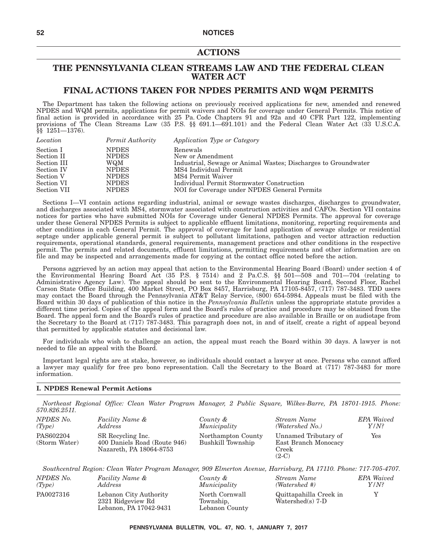## **ACTIONS**

### **THE PENNSYLVANIA CLEAN STREAMS LAW AND THE FEDERAL CLEAN WATER ACT**

### **FINAL ACTIONS TAKEN FOR NPDES PERMITS AND WQM PERMITS**

The Department has taken the following actions on previously received applications for new, amended and renewed NPDES and WQM permits, applications for permit waivers and NOIs for coverage under General Permits. This notice of final action is provided in accordance with 25 Pa. Code Chapters 91 and 92a and 40 CFR Part 122, implementing provisions of The Clean Streams Law (35 P.S. §§ 691.1—691.101) and the Federal Clean Water Act (33 U.S.C.A. §§ 1251—1376).

| Location    | Permit Authority | Application Type or Category                                   |
|-------------|------------------|----------------------------------------------------------------|
| Section I   | <b>NPDES</b>     | Renewals                                                       |
| Section II  | <b>NPDES</b>     | New or Amendment                                               |
| Section III | WQM              | Industrial, Sewage or Animal Wastes; Discharges to Groundwater |
| Section IV  | <b>NPDES</b>     | MS4 Individual Permit                                          |
| Section V   | <b>NPDES</b>     | MS4 Permit Waiver                                              |
| Section VI  | <b>NPDES</b>     | Individual Permit Stormwater Construction                      |
| Section VII | <b>NPDES</b>     | NOI for Coverage under NPDES General Permits                   |

Sections I—VI contain actions regarding industrial, animal or sewage wastes discharges, discharges to groundwater, and discharges associated with MS4, stormwater associated with construction activities and CAFOs. Section VII contains notices for parties who have submitted NOIs for Coverage under General NPDES Permits. The approval for coverage under these General NPDES Permits is subject to applicable effluent limitations, monitoring, reporting requirements and other conditions in each General Permit. The approval of coverage for land application of sewage sludge or residential septage under applicable general permit is subject to pollutant limitations, pathogen and vector attraction reduction requirements, operational standards, general requirements, management practices and other conditions in the respective permit. The permits and related documents, effluent limitations, permitting requirements and other information are on file and may be inspected and arrangements made for copying at the contact office noted before the action.

Persons aggrieved by an action may appeal that action to the Environmental Hearing Board (Board) under section 4 of the Environmental Hearing Board Act (35 P.S. § 7514) and 2 Pa.C.S. §§ 501—508 and 701—704 (relating to Administrative Agency Law). The appeal should be sent to the Environmental Hearing Board, Second Floor, Rachel Carson State Office Building, 400 Market Street, PO Box 8457, Harrisburg, PA 17105-8457, (717) 787-3483. TDD users may contact the Board through the Pennsylvania AT&T Relay Service, (800) 654-5984. Appeals must be filed with the Board within 30 days of publication of this notice in the *Pennsylvania Bulletin* unless the appropriate statute provides a different time period. Copies of the appeal form and the Board's rules of practice and procedure may be obtained from the Board. The appeal form and the Board's rules of practice and procedure are also available in Braille or on audiotape from the Secretary to the Board at (717) 787-3483. This paragraph does not, in and of itself, create a right of appeal beyond that permitted by applicable statutes and decisional law.

For individuals who wish to challenge an action, the appeal must reach the Board within 30 days. A lawyer is not needed to file an appeal with the Board.

Important legal rights are at stake, however, so individuals should contact a lawyer at once. Persons who cannot afford a lawyer may qualify for free pro bono representation. Call the Secretary to the Board at (717) 787-3483 for more information.

### **I. NPDES Renewal Permit Actions**

*Northeast Regional Office: Clean Water Program Manager, 2 Public Square, Wilkes-Barre, PA 18701-1915. Phone: 570.826.2511.*

| NPDES No.                  | Facility Name &                                                              | County &                                | Stream Name                                                      | <b>EPA</b> Waived |
|----------------------------|------------------------------------------------------------------------------|-----------------------------------------|------------------------------------------------------------------|-------------------|
| (Tvpe)                     | Address                                                                      | Municipality                            | (Watershed No.)                                                  | $Y/N$ ?           |
| PAS602204<br>(Storm Water) | SR Recycling Inc.<br>400 Daniels Road (Route 946)<br>Nazareth, PA 18064-8753 | Northampton County<br>Bushkill Township | Unnamed Tributary of<br>East Branch Monocacy<br>Creek<br>$(2-C)$ | Yes               |

*Southcentral Region: Clean Water Program Manager, 909 Elmerton Avenue, Harrisburg, PA 17110. Phone: 717-705-4707.*

| NPDES No. | <i>Facility Name &amp;</i>                                            | County &                                      | Stream Name                                  | <b>EPA</b> Waived |
|-----------|-----------------------------------------------------------------------|-----------------------------------------------|----------------------------------------------|-------------------|
| (Tvpe)    | Address                                                               | Municipality                                  | (Watershed #)                                | Y/N?              |
| PA0027316 | Lebanon City Authority<br>2321 Ridgeview Rd<br>Lebanon, PA 17042-9431 | North Cornwall<br>Township,<br>Lebanon County | Quittapahilla Creek in<br>Watershed(s) $7-D$ |                   |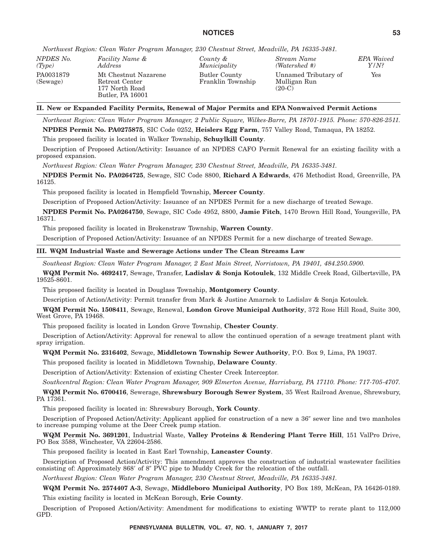*Northwest Region: Clean Water Program Manager, 230 Chestnut Street, Meadville, PA 16335-3481.*

| NPDES No.             | Facility Name &                                                              | County &                           | Stream Name                                      | <b>EPA</b> Waived |
|-----------------------|------------------------------------------------------------------------------|------------------------------------|--------------------------------------------------|-------------------|
| (Tvpe)                | Address                                                                      | Municipality                       | (Watershed #)                                    | Y/N?              |
| PA0031879<br>(Sewage) | Mt Chestnut Nazarene<br>Retreat Center<br>177 North Road<br>Butler, PA 16001 | Butler County<br>Franklin Township | Unnamed Tributary of<br>Mulligan Run<br>$(20-C)$ | Yes               |

### **II. New or Expanded Facility Permits, Renewal of Major Permits and EPA Nonwaived Permit Actions**

*Northeast Region: Clean Water Program Manager, 2 Public Square, Wilkes-Barre, PA 18701-1915. Phone: 570-826-2511.* **NPDES Permit No. PA0275875**, SIC Code 0252, **Heislers Egg Farm**, 757 Valley Road, Tamaqua, PA 18252.

This proposed facility is located in Walker Township, **Schuylkill County**.

Description of Proposed Action/Activity: Issuance of an NPDES CAFO Permit Renewal for an existing facility with a proposed expansion.

*Northwest Region: Clean Water Program Manager, 230 Chestnut Street, Meadville, PA 16335-3481.*

**NPDES Permit No. PA0264725**, Sewage, SIC Code 8800, **Richard A Edwards**, 476 Methodist Road, Greenville, PA 16125.

This proposed facility is located in Hempfield Township, **Mercer County**.

Description of Proposed Action/Activity: Issuance of an NPDES Permit for a new discharge of treated Sewage.

**NPDES Permit No. PA0264750**, Sewage, SIC Code 4952, 8800, **Jamie Fitch**, 1470 Brown Hill Road, Youngsville, PA 16371.

This proposed facility is located in Brokenstraw Township, **Warren County**.

Description of Proposed Action/Activity: Issuance of an NPDES Permit for a new discharge of treated Sewage.

### **III. WQM Industrial Waste and Sewerage Actions under The Clean Streams Law**

*Southeast Region: Clean Water Program Manager, 2 East Main Street, Norristown, PA 19401, 484.250.5900.*

**WQM Permit No. 4692417**, Sewage, Transfer, **Ladislav & Sonja Kotoulek**, 132 Middle Creek Road, Gilbertsville, PA 19525-8601.

This proposed facility is located in Douglass Township, **Montgomery County**.

Description of Action/Activity: Permit transfer from Mark & Justine Amarnek to Ladislav & Sonja Kotoulek.

**WQM Permit No. 1508411**, Sewage, Renewal, **London Grove Municipal Authority**, 372 Rose Hill Road, Suite 300, West Grove, PA 19468.

This proposed facility is located in London Grove Township, **Chester County**.

Description of Action/Activity: Approval for renewal to allow the continued operation of a sewage treatment plant with spray irrigation.

### **WQM Permit No. 2316402**, Sewage, **Middletown Township Sewer Authority**, P.O. Box 9, Lima, PA 19037.

This proposed facility is located in Middletown Township, **Delaware County**.

Description of Action/Activity: Extension of existing Chester Creek Interceptor.

*Southcentral Region: Clean Water Program Manager, 909 Elmerton Avenue, Harrisburg, PA 17110. Phone: 717-705-4707.*

**WQM Permit No. 6700416**, Sewerage, **Shrewsbury Borough Sewer System**, 35 West Railroad Avenue, Shrewsbury, PA 17361.

This proposed facility is located in: Shrewsbury Borough, **York County**.

Description of Proposed Action/Activity: Applicant applied for construction of a new a 36" sewer line and two manholes to increase pumping volume at the Deer Creek pump station.

**WQM Permit No. 3691201**, Industrial Waste, **Valley Proteins & Rendering Plant Terre Hill**, 151 ValPro Drive, PO Box 3588, Winchester, VA 22604-2586.

This proposed facility is located in East Earl Township, **Lancaster County**.

Description of Proposed Action/Activity: This amendment approves the construction of industrial wastewater facilities consisting of: Approximately 868' of 8" PVC pipe to Muddy Creek for the relocation of the outfall.

*Northwest Region: Clean Water Program Manager, 230 Chestnut Street, Meadville, PA 16335-3481.*

**WQM Permit No. 2574407 A-3**, Sewage, **Middleboro Municipal Authority**, PO Box 189, McKean, PA 16426-0189. This existing facility is located in McKean Borough, **Erie County**.

Description of Proposed Action/Activity: Amendment for modifications to existing WWTP to rerate plant to 112,000 GPD.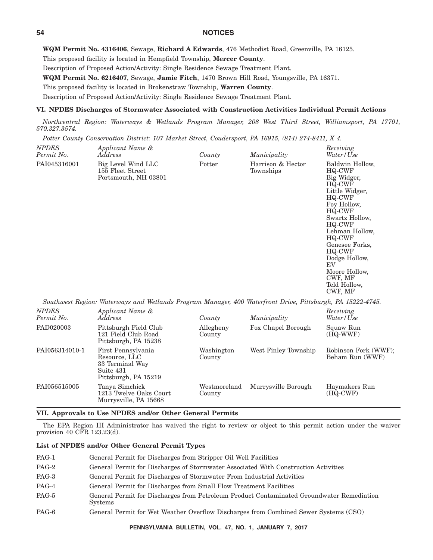**WQM Permit No. 4316406**, Sewage, **Richard A Edwards**, 476 Methodist Road, Greenville, PA 16125.

This proposed facility is located in Hempfield Township, **Mercer County**.

Description of Proposed Action/Activity: Single Residence Sewage Treatment Plant.

**WQM Permit No. 6216407**, Sewage, **Jamie Fitch**, 1470 Brown Hill Road, Youngsville, PA 16371.

This proposed facility is located in Brokenstraw Township, **Warren County**.

Description of Proposed Action/Activity: Single Residence Sewage Treatment Plant.

#### **VI. NPDES Discharges of Stormwater Associated with Construction Activities Individual Permit Actions**

*Northcentral Region: Waterways & Wetlands Program Manager, 208 West Third Street, Williamsport, PA 17701, 570.327.3574.*

*Potter County Conservation District: 107 Market Street, Coudersport, PA 16915, (814) 274-8411, X 4.*

| <b>NPDES</b><br>Permit No. | Applicant Name &<br>Address                                                                                | County | Municipality                   | Receiving<br>Water/Use                                                                                                                                                                                                                                                    |
|----------------------------|------------------------------------------------------------------------------------------------------------|--------|--------------------------------|---------------------------------------------------------------------------------------------------------------------------------------------------------------------------------------------------------------------------------------------------------------------------|
| PAI045316001               | Big Level Wind LLC<br>155 Fleet Street<br>Portsmouth, NH 03801                                             | Potter | Harrison & Hector<br>Townships | Baldwin Hollow,<br>HQ-CWF<br>Big Widger,<br>HQ-CWF<br>Little Widger,<br>HQ-CWF<br>Foy Hollow,<br>HQ-CWF<br>Swartz Hollow,<br>HQ-CWF<br>Lehman Hollow,<br>HQ-CWF<br>Genesee Forks,<br>HQ-CWF<br>Dodge Hollow,<br>EV<br>Moore Hollow,<br>CWF, MF<br>Teld Hollow,<br>CWF, MF |
|                            | Southwest Region: Waterways and Wetlands Program Manager, 400 Waterfront Drive, Pittsburgh, PA 15222-4745. |        |                                |                                                                                                                                                                                                                                                                           |

| Applicant Name &<br><i>Address</i>                                                          | County                 | Municipality         | Receiving<br>Water/Use                  |
|---------------------------------------------------------------------------------------------|------------------------|----------------------|-----------------------------------------|
| Pittsburgh Field Club<br>121 Field Club Road<br>Pittsburgh, PA 15238                        | Allegheny<br>County    | Fox Chapel Borough   | Squaw Run<br>(HQ-WWF)                   |
| First Pennsylvania<br>Resource, LLC<br>33 Terminal Way<br>Suite 431<br>Pittsburgh, PA 15219 | Washington<br>County   | West Finley Township | Robinson Fork (WWF);<br>Beham Run (WWF) |
| Tanya Simchick<br>1213 Twelve Oaks Court<br>Murrysville, PA 15668                           | Westmoreland<br>County | Murrysville Borough  | Haymakers Run<br>(HQ-CWF)               |
|                                                                                             |                        |                      |                                         |

### **VII. Approvals to Use NPDES and/or Other General Permits**

The EPA Region III Administrator has waived the right to review or object to this permit action under the waiver provision 40 CFR 123.23(d).

### **List of NPDES and/or Other General Permit Types**

| $PAG-1$ | General Permit for Discharges from Stripper Oil Well Facilities                                             |
|---------|-------------------------------------------------------------------------------------------------------------|
| PAG-2   | General Permit for Discharges of Stormwater Associated With Construction Activities                         |
| PAG-3   | General Permit for Discharges of Stormwater From Industrial Activities                                      |
| PAG-4   | General Permit for Discharges from Small Flow Treatment Facilities                                          |
| PAG-5   | General Permit for Discharges from Petroleum Product Contaminated Groundwater Remediation<br><b>Systems</b> |
| PAG-6   | General Permit for Wet Weather Overflow Discharges from Combined Sewer Systems (CSO)                        |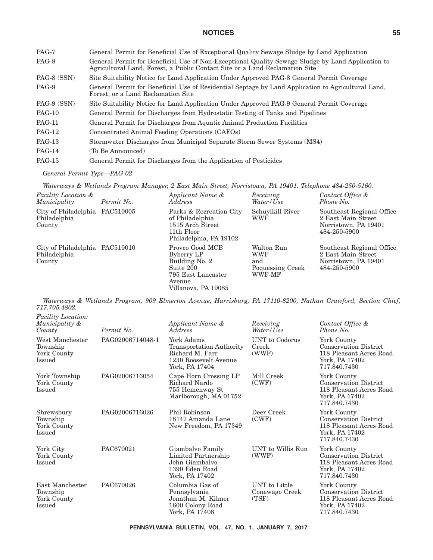| PAG-7         | General Permit for Beneficial Use of Exceptional Quality Sewage Sludge by Land Application                                                                                       |
|---------------|----------------------------------------------------------------------------------------------------------------------------------------------------------------------------------|
| PAG-8         | General Permit for Beneficial Use of Non-Exceptional Quality Sewage Sludge by Land Application to<br>Agricultural Land, Forest, a Public Contact Site or a Land Reclamation Site |
| PAG-8 (SSN)   | Site Suitability Notice for Land Application Under Approved PAG-8 General Permit Coverage                                                                                        |
| PAG-9         | General Permit for Beneficial Use of Residential Septage by Land Application to Agricultural Land,<br>Forest, or a Land Reclamation Site                                         |
| PAG-9 (SSN)   | Site Suitability Notice for Land Application Under Approved PAG-9 General Permit Coverage                                                                                        |
| $PAG-10$      | General Permit for Discharges from Hydrostatic Testing of Tanks and Pipelines                                                                                                    |
| <b>PAG-11</b> | General Permit for Discharges from Aquatic Animal Production Facilities                                                                                                          |
| $PAG-12$      | Concentrated Animal Feeding Operations (CAFOs)                                                                                                                                   |
| $PAG-13$      | Stormwater Discharges from Municipal Separate Storm Sewer Systems (MS4)                                                                                                          |
| $PAG-14$      | (To Be Announced)                                                                                                                                                                |
| $PAG-15$      | General Permit for Discharges from the Application of Pesticides                                                                                                                 |

### *General Permit Type—PAG-02*

*Waterways & Wetlands Program Manager, 2 East Main Street, Norristown, PA 19401. Telephone 484-250-5160.*

| <b>Facility Location &amp;</b><br>Municipality           | Permit No. | Applicant Name &<br><i>Address</i>                                                                                  | Receiving<br>Water/Use                                        | Contact Office &<br>Phone No.                                                           |
|----------------------------------------------------------|------------|---------------------------------------------------------------------------------------------------------------------|---------------------------------------------------------------|-----------------------------------------------------------------------------------------|
| City of Philadelphia PAC510005<br>Philadelphia<br>County |            | Parks & Recreation City<br>of Philadelphia<br>1515 Arch Street<br>11th Floor<br>Philadelphia, PA 19102              | Schuylkill River<br>WWF                                       | Southeast Regional Office<br>2 East Main Street<br>Norristown, PA 19401<br>484-250-5900 |
| City of Philadelphia PAC510010<br>Philadelphia<br>County |            | Provco Good MCB<br>Byberry LP<br>Building No. 2<br>Suite 200<br>795 East Lancaster<br>Avenue<br>Villanova, PA 19085 | Walton Run<br><b>WWF</b><br>and<br>Poquessing Creek<br>WWF-MF | Southeast Regional Office<br>2 East Main Street<br>Norristown, PA 19401<br>484-250-5900 |

*Waterways & Wetlands Program, 909 Elmerton Avenue, Harrisburg, PA 17110-8200, Nathan Crawford, Section Chief, 717.705.4802.*

| <i>Facility Location:</i><br>Municipality &<br>County | Permit No.       | Applicant Name &<br>Address                                                                                 | Receiving<br>Water/Use                          | Contact Office &<br>Phone No.                                                                            |
|-------------------------------------------------------|------------------|-------------------------------------------------------------------------------------------------------------|-------------------------------------------------|----------------------------------------------------------------------------------------------------------|
| West Manchester<br>Township<br>York County<br>Issued  | PAG02006714048-1 | York Adams<br><b>Transportation Authority</b><br>Richard M. Farr<br>1230 Roosevelt Avenue<br>York, PA 17404 | UNT to Codorus<br>Creek<br>(WWF)                | York County<br><b>Conservation District</b><br>118 Pleasant Acres Road<br>York, PA 17402<br>717.840.7430 |
| York Township<br>York County<br>Issued                | PAG02006716054   | Cape Horn Crossing LP<br>Richard Nardo<br>755 Hemenway St<br>Marlborough, MA 01752                          | Mill Creek<br>(CWF)                             | York County<br><b>Conservation District</b><br>118 Pleasant Acres Road<br>York, PA 17402<br>717.840.7430 |
| Shrewsbury<br>Township<br>York County<br>Issued       | PAG02006716026   | Phil Robinson<br>18147 Amanda Lane<br>New Freedom, PA 17349                                                 | Deer Creek<br>(CWF)                             | York County<br><b>Conservation District</b><br>118 Pleasant Acres Road<br>York, PA 17402<br>717.840.7430 |
| York City<br>York County<br>Issued                    | PAC670021        | Giambalvo Family<br>Limited Partnership<br>John Giambalvo<br>1390 Eden Road<br>York, PA 17402               | UNT to Willis Run<br>(WWF)                      | York County<br><b>Conservation District</b><br>118 Pleasant Acres Road<br>York, PA 17402<br>717.840.7430 |
| East Manchester<br>Township<br>York County<br>Issued  | PAC670026        | Columbia Gas of<br>Pennsylvania<br>Jonathan M. Kilmer<br>1600 Colony Road<br>York, PA 17408                 | <b>UNT</b> to Little<br>Conewago Creek<br>(TSF) | York County<br><b>Conservation District</b><br>118 Pleasant Acres Road<br>York, PA 17402<br>717.840.7430 |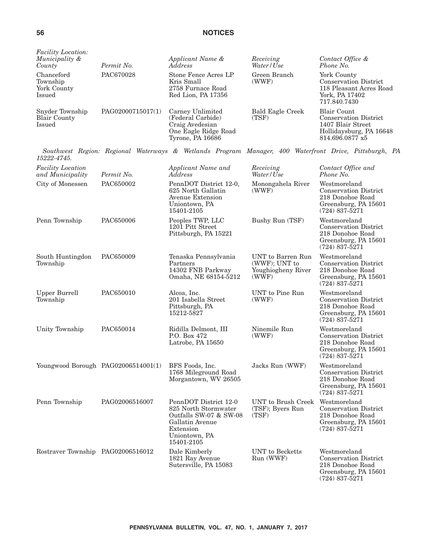| <b>Facility Location:</b><br>Municipality &<br>County   | Permit No.        | Applicant Name &<br>Address                                                                                                            | Receiving<br>Water/Use                                            | Contact Office &<br>Phone No.                                                                                         |  |
|---------------------------------------------------------|-------------------|----------------------------------------------------------------------------------------------------------------------------------------|-------------------------------------------------------------------|-----------------------------------------------------------------------------------------------------------------------|--|
| Chanceford<br>Township<br>York County<br>Issued         | PAC670028         | Stone Fence Acres LP<br>Kris Small<br>2758 Furnace Road<br>Red Lion, PA 17356                                                          | Green Branch<br>(WWF)                                             | York County<br><b>Conservation District</b><br>118 Pleasant Acres Road<br>York, PA 17402<br>717.840.7430              |  |
| Snyder Township<br><b>Blair County</b><br><b>Issued</b> | PAG02000715017(1) | Carney Unlimited<br>(Federal Carbide)<br>Craig Avedesian<br>One Eagle Ridge Road<br>Tyrone, PA 16686                                   | <b>Bald Eagle Creek</b><br>(TSF)                                  | <b>Blair Count</b><br><b>Conservation District</b><br>1407 Blair Street<br>Hollidaysburg, PA 16648<br>814.696.0877 x5 |  |
| 15222-4745.                                             |                   |                                                                                                                                        |                                                                   | Southwest Region: Regional Waterways & Wetlands Program Manager, 400 Waterfront Drive, Pittsburgh, PA                 |  |
| <b>Facility Location</b><br>and Municipality            | Permit No.        | Applicant Name and<br><b>Address</b>                                                                                                   | Receiving<br>Water / Use                                          | Contact Office and<br>Phone No.                                                                                       |  |
| City of Monessen                                        | PAC650002         | PennDOT District 12-0,<br>625 North Gallatin<br>Avenue Extension<br>Uniontown, PA<br>15401-2105                                        | Monongahela River<br>(WWF)                                        | Westmoreland<br><b>Conservation District</b><br>218 Donohoe Road<br>Greensburg, PA 15601<br>$(724) 837 - 5271$        |  |
| Penn Township                                           | PAC650006         | Peoples TWP, LLC<br>Bushy Run (TSF)<br>1201 Pitt Street<br>Pittsburgh, PA 15221                                                        |                                                                   | Westmoreland<br><b>Conservation District</b><br>218 Donohoe Road<br>Greensburg, PA 15601<br>$(724) 837 - 5271$        |  |
| South Huntingdon<br>Township                            | PAC650009         | Tenaska Pennsylvania<br>Partners<br>14302 FNB Parkway<br>Omaha, NE 68154-5212                                                          | UNT to Barren Run<br>(WWF); UNT to<br>Youghiogheny River<br>(WWF) | Westmoreland<br><b>Conservation District</b><br>218 Donohoe Road<br>Greensburg, PA 15601<br>$(724) 837 - 5271$        |  |
| <b>Upper Burrell</b><br>Township                        | PAC650010         | Alcoa, Inc.<br>201 Isabella Street<br>Pittsburgh, PA<br>15212-5827                                                                     | UNT to Pine Run<br>(WWF)                                          | Westmoreland<br><b>Conservation District</b><br>218 Donohoe Road<br>Greensburg, PA 15601<br>$(724) 837 - 5271$        |  |
| Unity Township                                          | PAC650014         | Ridilla Delmont, III<br>P.O. Box 472<br>Latrobe, PA 15650                                                                              | Ninemile Run<br>(WWF)                                             | Westmoreland<br><b>Conservation District</b><br>218 Donohoe Road<br>Greensburg, PA 15601<br>$(724) 837 - 5271$        |  |
| Youngwood Borough $PAG02006514001(1)$                   |                   | BFS Foods, Inc.<br>1768 Mileground Road<br>Morgantown, WV 26505                                                                        | Jacks Run (WWF)                                                   | Westmoreland<br><b>Conservation District</b><br>218 Donohoe Road<br>Greensburg, PA 15601<br>$(724) 837 - 5271$        |  |
| Penn Township                                           | PAG02006516007    | PennDOT District 12-0<br>825 North Stormwater<br>Outfalls SW-07 & SW-08<br>Gallatin Avenue<br>Extension<br>Uniontown, PA<br>15401-2105 | UNT to Brush Creek<br>$(TSF)$ ; Byers Run<br>(TSF)                | Westmoreland<br><b>Conservation District</b><br>218 Donohoe Road<br>Greensburg, PA 15601<br>$(724) 837 - 5271$        |  |
| Rostraver Township PAG02006516012                       |                   | Dale Kimberly<br>1821 Ray Avenue<br>Sutersville, PA 15083                                                                              | <b>UNT</b> to Becketts<br>Run (WWF)                               | Westmoreland<br><b>Conservation District</b><br>218 Donohoe Road<br>Greensburg, PA 15601<br>$(724) 837 - 5271$        |  |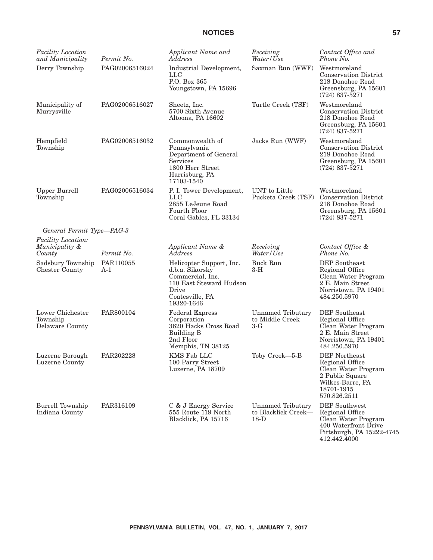| <b>Facility Location</b><br>and Municipality          | Permit No.         | Applicant Name and<br>Address                                                                                                        | Receiving<br>Water/Use                                    | Contact Office and<br>Phone No.                                                                                                     |
|-------------------------------------------------------|--------------------|--------------------------------------------------------------------------------------------------------------------------------------|-----------------------------------------------------------|-------------------------------------------------------------------------------------------------------------------------------------|
| Derry Township                                        | PAG02006516024     | Industrial Development,<br><b>LLC</b><br>P.O. Box 365<br>Youngstown, PA 15696                                                        | Saxman Run (WWF)                                          | Westmoreland<br><b>Conservation District</b><br>218 Donohoe Road<br>Greensburg, PA 15601<br>$(724) 837 - 5271$                      |
| Municipality of<br>Murrysville                        | PAG02006516027     | Sheetz, Inc.<br>5700 Sixth Avenue<br>Altoona, PA 16602                                                                               | Turtle Creek (TSF)                                        | Westmoreland<br><b>Conservation District</b><br>218 Donohoe Road<br>Greensburg, PA 15601<br>$(724)$ 837-5271                        |
| Hempfield<br>Township                                 | PAG02006516032     | Commonwealth of<br>Pennsylvania<br>Department of General<br>Services<br>1800 Herr Street<br>Harrisburg, PA<br>17103-1540             | Jacks Run (WWF)                                           | Westmoreland<br><b>Conservation District</b><br>218 Donohoe Road<br>Greensburg, PA 15601<br>$(724)$ 837-5271                        |
| <b>Upper Burrell</b><br>Township                      | PAG02006516034     | P. I. Tower Development,<br>LLC<br>2855 LeJeune Road<br>Fourth Floor<br>Coral Gables, FL 33134                                       | UNT to Little<br>Pucketa Creek (TSF)                      | Westmoreland<br><b>Conservation District</b><br>218 Donohoe Road<br>Greensburg, PA 15601<br>$(724)$ 837-5271                        |
| General Permit Type-PAG-3                             |                    |                                                                                                                                      |                                                           |                                                                                                                                     |
| <b>Facility Location:</b><br>Municipality &<br>County | Permit No.         | Applicant Name &<br>Address                                                                                                          | Receiving<br>Water / Use                                  | Contact Office &<br>Phone No.                                                                                                       |
| Sadsbury Township<br><b>Chester County</b>            | PAR110055<br>$A-1$ | Helicopter Support, Inc.<br>d.b.a. Sikorsky<br>Commercial, Inc.<br>110 East Steward Hudson<br>Drive<br>Coatesville, PA<br>19320-1646 | Buck Run<br>$3-H$                                         | DEP Southeast<br>Regional Office<br>Clean Water Program<br>2 E. Main Street<br>Norristown, PA 19401<br>484.250.5970                 |
| Lower Chichester<br>Township<br>Delaware County       | PAR800104          | <b>Federal Express</b><br>Corporation<br>3620 Hacks Cross Road<br><b>Building B</b><br>2nd Floor<br>Memphis, TN 38125                | <b>Unnamed Tributary</b><br>to Middle Creek<br>3-G        | DEP Southeast<br>Regional Office<br>Clean Water Program<br>2 E. Main Street<br>Norristown, PA 19401<br>484.250.5970                 |
| Luzerne Borough<br>Luzerne County                     | PAR202228          | <b>KMS Fab LLC</b><br>100 Parry Street<br>Luzerne, PA 18709                                                                          | Toby Creek-5-B                                            | <b>DEP</b> Northeast<br>Regional Office<br>Clean Water Program<br>2 Public Square<br>Wilkes-Barre, PA<br>18701-1915<br>570.826.2511 |
| <b>Burrell Township</b><br>Indiana County             | PAR316109          | C & J Energy Service<br>555 Route 119 North<br>Blacklick, PA 15716                                                                   | <b>Unnamed Tributary</b><br>to Blacklick Creek-<br>$18-D$ | <b>DEP</b> Southwest<br>Regional Office<br>Clean Water Program<br>400 Waterfront Drive<br>Pittsburgh, PA 15222-4745<br>412.442.4000 |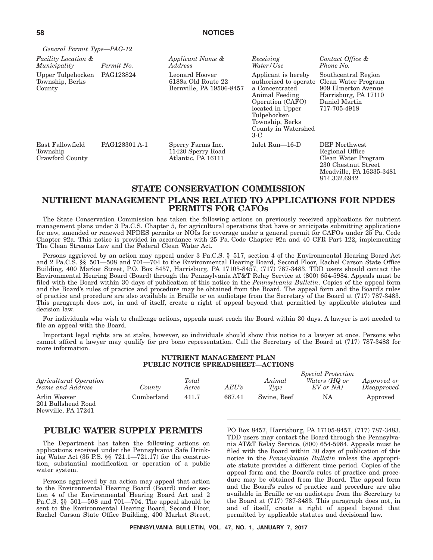| General Permit Type-PAG-12                      |               |                                                                  |                                                                                                                                                                                            |                                                                                                                            |
|-------------------------------------------------|---------------|------------------------------------------------------------------|--------------------------------------------------------------------------------------------------------------------------------------------------------------------------------------------|----------------------------------------------------------------------------------------------------------------------------|
| <i>Facility Location &amp;</i><br>Municipality  | Permit No.    | Applicant Name &<br><i>Address</i>                               | Receiving<br>Water/Use                                                                                                                                                                     | Contact Office &<br>Phone No.                                                                                              |
| Upper Tulpehocken<br>Township, Berks<br>County  | PAG123824     | Leonard Hoover<br>6188a Old Route 22<br>Bernville, PA 19506-8457 | Applicant is hereby<br>authorized to operate<br>a Concentrated<br>Animal Feeding<br>Operation (CAFO)<br>located in Upper<br>Tulpehocken<br>Township, Berks<br>County in Watershed<br>$3-C$ | Southcentral Region<br>Clean Water Program<br>909 Elmerton Avenue<br>Harrisburg, PA 17110<br>Daniel Martin<br>717-705-4918 |
| East Fallowfield<br>Township<br>Crawford County | PAG128301 A-1 | Sperry Farms Inc.<br>11420 Sperry Road<br>Atlantic, PA 16111     | Inlet Run—16-D                                                                                                                                                                             | DEP Northwest<br>Regional Office<br>Clean Water Program<br>230 Chestnut Street<br>Meadville, PA 16335-3481<br>814.332.6942 |

### **STATE CONSERVATION COMMISSION NUTRIENT MANAGEMENT PLANS RELATED TO APPLICATIONS FOR NPDES PERMITS FOR CAFOs**

The State Conservation Commission has taken the following actions on previously received applications for nutrient management plans under 3 Pa.C.S. Chapter 5, for agricultural operations that have or anticipate submitting applications for new, amended or renewed NPDES permits or NOIs for coverage under a general permit for CAFOs under 25 Pa. Code Chapter 92a. This notice is provided in accordance with 25 Pa. Code Chapter 92a and 40 CFR Part 122, implementing The Clean Streams Law and the Federal Clean Water Act.

Persons aggrieved by an action may appeal under 3 Pa.C.S. § 517, section 4 of the Environmental Hearing Board Act and 2 Pa.C.S. §§ 501—508 and 701—704 to the Environmental Hearing Board, Second Floor, Rachel Carson State Office Building, 400 Market Street, P.O. Box 8457, Harrisburg, PA 17105-8457, (717) 787-3483. TDD users should contact the Environmental Hearing Board (Board) through the Pennsylvania AT&T Relay Service at (800) 654-5984. Appeals must be filed with the Board within 30 days of publication of this notice in the *Pennsylvania Bulletin*. Copies of the appeal form and the Board's rules of practice and procedure may be obtained from the Board. The appeal form and the Board's rules of practice and procedure are also available in Braille or on audiotape from the Secretary of the Board at (717) 787-3483. This paragraph does not, in and of itself, create a right of appeal beyond that permitted by applicable statutes and decision law.

For individuals who wish to challenge actions, appeals must reach the Board within 30 days. A lawyer is not needed to file an appeal with the Board.

Important legal rights are at stake, however, so individuals should show this notice to a lawyer at once. Persons who cannot afford a lawyer may qualify for pro bono representation. Call the Secretary of the Board at (717) 787-3483 for more information.

### **NUTRIENT MANAGEMENT PLAN PUBLIC NOTICE SPREADSHEET—ACTIONS**

| <i>Agricultural Operation</i><br>Name and Address        | County     | Total<br>Acres | $AEU\!$ s | Animal<br>Type | <i>Special Protection</i><br>Waters (HQ or<br>EV or NA | Approved or<br>Disapproved |
|----------------------------------------------------------|------------|----------------|-----------|----------------|--------------------------------------------------------|----------------------------|
| Arlin Weaver<br>201 Bullshead Road<br>Newville, PA 17241 | Cumberland | 411.7          | 687.41    | Swine, Beef    | NA                                                     | Approved                   |

### **PUBLIC WATER SUPPLY PERMITS**

The Department has taken the following actions on applications received under the Pennsylvania Safe Drinking Water Act (35 P.S. §§ 721.1—721.17) for the construction, substantial modification or operation of a public water system.

Persons aggrieved by an action may appeal that action to the Environmental Hearing Board (Board) under section 4 of the Environmental Hearing Board Act and 2 Pa.C.S. §§ 501—508 and 701—704. The appeal should be sent to the Environmental Hearing Board, Second Floor, Rachel Carson State Office Building, 400 Market Street, PO Box 8457, Harrisburg, PA 17105-8457, (717) 787-3483. TDD users may contact the Board through the Pennsylvania AT&T Relay Service, (800) 654-5984. Appeals must be filed with the Board within 30 days of publication of this notice in the *Pennsylvania Bulletin* unless the appropriate statute provides a different time period. Copies of the appeal form and the Board's rules of practice and procedure may be obtained from the Board. The appeal form and the Board's rules of practice and procedure are also available in Braille or on audiotape from the Secretary to the Board at (717) 787-3483. This paragraph does not, in and of itself, create a right of appeal beyond that permitted by applicable statutes and decisional law.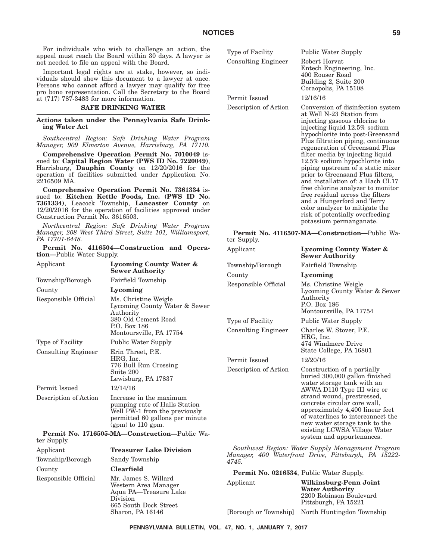For individuals who wish to challenge an action, the appeal must reach the Board within 30 days. A lawyer is not needed to file an appeal with the Board.

Important legal rights are at stake, however, so individuals should show this document to a lawyer at once. Persons who cannot afford a lawyer may qualify for free pro bono representation. Call the Secretary to the Board at (717) 787-3483 for more information.

### **SAFE DRINKING WATER**

**Actions taken under the Pennsylvania Safe Drinking Water Act**

*Southcentral Region: Safe Drinking Water Program Manager, 909 Elmerton Avenue, Harrisburg, PA 17110.*

**Comprehensive Operation Permit No. 7010049** issued to: **Capital Region Water (PWS ID No. 7220049)**, Harrisburg, **Dauphin County** on 12/20/2016 for the operation of facilities submitted under Application No. 2216509 MA.

**Comprehensive Operation Permit No. 7361334** issued to: **Kitchen Kettle Foods, Inc. (PWS ID No. 7361334)**, Leacock Township, **Lancaster County** on 12/20/2016 for the operation of facilities approved under Construction Permit No. 3616503.

*Northcentral Region: Safe Drinking Water Program Manager, 208 West Third Street, Suite 101, Williamsport, PA 17701-6448.*

**Permit No. 4116504—Construction and Operation—**Public Water Supply.

| Applicant                  | Lycoming County Water &<br><b>Sewer Authority</b>                                                                                                   | Township/Boroug<br>County            |  |
|----------------------------|-----------------------------------------------------------------------------------------------------------------------------------------------------|--------------------------------------|--|
| Township/Borough           | Fairfield Township                                                                                                                                  | Responsible Offic                    |  |
| County                     | Lycoming                                                                                                                                            |                                      |  |
| Responsible Official       | Ms. Christine Weigle<br>Lycoming County Water & Sewer<br>Authority<br>380 Old Cement Road<br>P.O. Box 186<br>Montoursville, PA 17754                | Type of Facility<br>Consulting Engin |  |
| Type of Facility           | Public Water Supply                                                                                                                                 |                                      |  |
| <b>Consulting Engineer</b> | Erin Threet, P.E.<br>HRG, Inc.<br>776 Bull Run Crossing<br>Suite 200<br>Lewisburg, PA 17837                                                         | Permit Issued<br>Description of Act  |  |
| Permit Issued              | 12/14/16                                                                                                                                            |                                      |  |
| Description of Action      | Increase in the maximum<br>pumping rate of Halls Station<br>Well PW-1 from the previously<br>permitted 60 gallons per minute<br>$(gpm)$ to 110 gpm. |                                      |  |
| ter Supply.                | Permit No. 1716505-MA-Construction-Public Wa-                                                                                                       |                                      |  |
| Applicant                  | <b>Treasurer Lake Division</b>                                                                                                                      | Southwest Regi                       |  |
| Township/Borough           | Sandy Township                                                                                                                                      | Manager, 400 W<br>4745.              |  |
| County                     | <b>Clearfield</b>                                                                                                                                   | Permit No. 02                        |  |
| Responsible Official       | Mr. James S. Willard<br>Western Area Manager<br>Aqua PA-Treasure Lake<br>Division<br>665 South Dock Street                                          | Applicant                            |  |
|                            | Sharon, PA 16146                                                                                                                                    | [Borough or Towr                     |  |

| Type of Facility      | <b>Public Water Supply</b>                                                                                                                                                                                                                                                                                                                                                                                                                                                                                                                                                                                                             |
|-----------------------|----------------------------------------------------------------------------------------------------------------------------------------------------------------------------------------------------------------------------------------------------------------------------------------------------------------------------------------------------------------------------------------------------------------------------------------------------------------------------------------------------------------------------------------------------------------------------------------------------------------------------------------|
| Consulting Engineer   | Robert Horvat<br>Entech Engineering, Inc.<br>400 Rouser Road<br>Building 2, Suite 200<br>Coraopolis, PA 15108                                                                                                                                                                                                                                                                                                                                                                                                                                                                                                                          |
| Permit Issued         | 12/16/16                                                                                                                                                                                                                                                                                                                                                                                                                                                                                                                                                                                                                               |
| Description of Action | Conversion of disinfection system<br>at Well N-23 Station from<br>injecting gaseous chlorine to<br>injecting liquid 12.5% sodium<br>hypochlorite into post-Greensand<br>Plus filtration piping, continuous<br>regeneration of Greensand Plus<br>filter media by injecting liquid<br>12.5% sodium hypochlorite into<br>piping upstream of a static mixer<br>prior to Greensand Plus filters,<br>and installation of: a Hach CL17<br>free chlorine analyzer to monitor<br>free residual across the filters<br>and a Hungerford and Terry<br>color analyzer to mitigate the<br>risk of potentially overfeeding<br>potassium permanganate. |

#### **Permit No. 4116507-MA—Construction—**Public Water Supply.

| Applicant             | Lycoming County Water &<br><b>Sewer Authority</b>                                                                                                                                                                                                                                                                                                             |
|-----------------------|---------------------------------------------------------------------------------------------------------------------------------------------------------------------------------------------------------------------------------------------------------------------------------------------------------------------------------------------------------------|
| Township/Borough      | Fairfield Township                                                                                                                                                                                                                                                                                                                                            |
| County                | Lycoming                                                                                                                                                                                                                                                                                                                                                      |
| Responsible Official  | Ms. Christine Weigle<br>Lycoming County Water & Sewer<br>Authority<br>P.O. Box 186<br>Montoursville, PA 17754                                                                                                                                                                                                                                                 |
| Type of Facility      | <b>Public Water Supply</b>                                                                                                                                                                                                                                                                                                                                    |
| Consulting Engineer   | Charles W. Stover, P.E.<br>HRG, Inc.<br>474 Windmere Drive<br>State College, PA 16801                                                                                                                                                                                                                                                                         |
| Permit Issued         | 12/20/16                                                                                                                                                                                                                                                                                                                                                      |
| Description of Action | Construction of a partially<br>buried 300,000 gallon finished<br>water storage tank with an<br>AWWA D110 Type III wire or<br>strand wound, prestressed,<br>concrete circular core wall,<br>approximately 4,400 linear feet<br>of waterlines to interconnect the<br>new water storage tank to the<br>existing LCWSA Village Water<br>system and appurtenances. |
|                       | Southwest Region: Water Supply Management Program                                                                                                                                                                                                                                                                                                             |

*Southwest Region: Water Supply Management Program Manager, 400 Waterfront Drive, Pittsburgh, PA 15222-*

|                       | Permit No. 0216534, Public Water Supply.                                  |
|-----------------------|---------------------------------------------------------------------------|
| Applicant             | Wilkinsburg-Penn Joint                                                    |
|                       | <b>Water Authority</b><br>2200 Robinson Boulevard<br>Pittsburgh, PA 15221 |
| [Borough or Township] | North Huntingdon Township                                                 |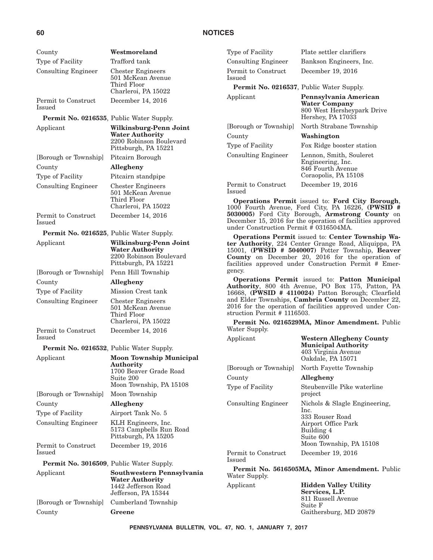| County                                           | Westmoreland                                                              | Typ                     |
|--------------------------------------------------|---------------------------------------------------------------------------|-------------------------|
| Type of Facility                                 | Trafford tank                                                             | Cor                     |
| <b>Consulting Engineer</b>                       | <b>Chester Engineers</b><br>501 McKean Avenue                             | Per<br><b>Issi</b>      |
|                                                  | Third Floor                                                               | F                       |
|                                                  | Charleroi, PA 15022                                                       |                         |
| Permit to Construct<br>Issued                    | December 14, 2016                                                         | App                     |
| Permit No. 0216535, Public Water Supply.         |                                                                           |                         |
| Applicant                                        | Wilkinsburg-Penn Joint                                                    | [Bo                     |
|                                                  | <b>Water Authority</b><br>2200 Robinson Boulevard<br>Pittsburgh, PA 15221 | Cou<br>Typ              |
| [Borough or Township]                            | Pitcairn Borough                                                          | Cor                     |
| County                                           | Allegheny                                                                 |                         |
| Type of Facility                                 | Pitcairn standpipe                                                        |                         |
| <b>Consulting Engineer</b>                       | <b>Chester Engineers</b>                                                  | Per                     |
|                                                  | 501 McKean Avenue                                                         | <b>Issi</b>             |
|                                                  | Third Floor<br>Charleroi, PA 15022                                        | C<br>100                |
| Permit to Construct                              | December 14, 2016                                                         | 503                     |
| Issued                                           |                                                                           | Dec                     |
| Permit No. 0216525, Public Water Supply.         |                                                                           | uno                     |
| Applicant                                        | Wilkinsburg-Penn Joint                                                    | C<br>ter                |
|                                                  | <b>Water Authority</b>                                                    | 150                     |
|                                                  | 2200 Robinson Boulevard<br>Pittsburgh, PA 15221                           | Co <sub>1</sub><br>faci |
| [Borough or Township]                            | Penn Hill Township                                                        | gen                     |
| County                                           | Allegheny                                                                 | C                       |
| Type of Facility                                 | Mission Crest tank                                                        | Au<br>166               |
| <b>Consulting Engineer</b>                       | <b>Chester Engineers</b>                                                  | and                     |
|                                                  | 501 McKean Avenue                                                         | 201                     |
|                                                  | Third Floor                                                               | strι                    |
| Permit to Construct                              | Charleroi, PA 15022                                                       | F<br>Wa                 |
| Issued                                           | December 14, 2016                                                         | App                     |
| <b>Permit No. 0216532, Public Water Supply.</b>  |                                                                           |                         |
| Applicant                                        | <b>Moon Township Municipal</b>                                            |                         |
|                                                  | Authority                                                                 | [Bo                     |
|                                                  | 1700 Beaver Grade Road<br>Suite 200                                       | Cοι                     |
|                                                  | Moon Township, PA 15108                                                   | Typ                     |
| [Borough or Township]                            | Moon Township                                                             |                         |
| County                                           | Allegheny                                                                 | Cor                     |
| Type of Facility                                 | Airport Tank No. 5                                                        |                         |
| <b>Consulting Engineer</b>                       | KLH Engineers, Inc.<br>5173 Campbells Run Road<br>Pittsburgh, PA 15205    |                         |
| Permit to Construct<br>Issued                    | December 19, 2016                                                         | Per                     |
| <b>Permit No. 3016509</b> , Public Water Supply. |                                                                           | <b>Issi</b>             |
| Applicant                                        | Southwestern Pennsylvania                                                 | F<br>Wa                 |
|                                                  | <b>Water Authority</b><br>1442 Jefferson Road<br>Jefferson, PA 15344      | App                     |
| [Borough or Township]                            | Cumberland Township                                                       |                         |
| County                                           | Greene                                                                    |                         |

be of Facility Plate settler clarifiers nsulting Engineer Bankson Engineers, Inc. mit to Construct  $_{\rm{ued}}$ December 19, 2016 **Permit No. 0216537**, Public Water Supply. Applicant **Pennsylvania American Water Company** 800 West Hersheypark Drive Hershey, PA 17033 rough or Township] North Strabane Township County **Washington** be of Facility Fox Ridge booster station nsulting Engineer Lennon, Smith, Souleret Engineering, Inc. 846 Fourth Avenue Coraopolis, PA 15108 mit to Construct ued December 19, 2016

**Operations Permit** issued to: **Ford City Borough**, 1000 Fourth Avenue, Ford City, PA 16226, **(PWSID # 5030005)** Ford City Borough, **Armstrong County** on cember 15, 2016 for the operation of facilities approved der Construction Permit # 0316504MA.

**Operations Permit** issued to: **Center Township Wa-**Authority, 224 Center Grange Road, Aliquippa, PA 15001, **(PWSID # 5040007)** Potter Township, **Beaver County** on December 20, 2016 for the operation of facilities approved under Construction Permit # Emericv.

**Operations Permit** issued to: **Patton Municipal Authority**, 800 4th Avenue, PO Box 175, Patton, PA 16668, **(PWSID # 4110024)** Patton Borough; Clearfield d Elder Townships, **Cambria County** on December 22, 2016 for the operation of facilities approved under Construction Permit # 1116503.

**Permit No. 0216529MA, Minor Amendment.** Public ter Supply.

| Applicant                     | <b>Western Allegheny County</b><br><b>Municipal Authority</b><br>403 Virginia Avenue<br>Oakdale, PA 15071                             |
|-------------------------------|---------------------------------------------------------------------------------------------------------------------------------------|
| [Borough or Township]         | North Fayette Township                                                                                                                |
| County                        | Allegheny                                                                                                                             |
| Type of Facility              | Steubenville Pike waterline<br>project                                                                                                |
| <b>Consulting Engineer</b>    | Nichols & Slagle Engineering,<br>Inc.<br>333 Rouser Road<br>Airport Office Park<br>Building 4<br>Suite 600<br>Moon Township, PA 15108 |
| Permit to Construct<br>Issued | December 19, 2016                                                                                                                     |
| Water Supply.                 | Permit No. 5616505MA, Minor Amendment. Public                                                                                         |

Applicant **Hidden Valley Utility Services, L.P.** 811 Russell Avenue Suite F Gaithersburg, MD 20879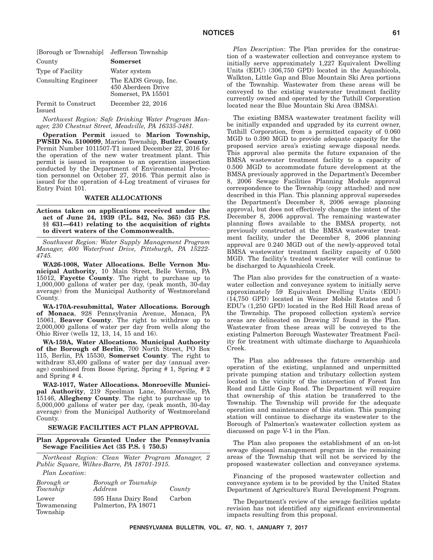| [Borough or Township]                | Jefferson Township                                               |
|--------------------------------------|------------------------------------------------------------------|
| County                               | <b>Somerset</b>                                                  |
| Type of Facility                     | Water system                                                     |
| <b>Consulting Engineer</b>           | The EADS Group, Inc.<br>450 Aberdeen Drive<br>Somerset, PA 15501 |
| Permit to Construct<br><b>Issued</b> | December 22, 2016                                                |

*Northwest Region: Safe Drinking Water Program Manager, 230 Chestnut Street, Meadville, PA 16335-3481.*

**Operation Permit** issued to **Marion Township, PWSID No. 5100099**, Marion Township, **Butler County**. Permit Number 1011507-T1 issued December 22, 2016 for the operation of the new water treatment plant. This permit is issued in response to an operation inspection conducted by the Department of Environmental Protection personnel on October 27, 2016. This permit also is issued for the operation of 4-Log treatment of viruses for Entry Point 101.

### **WATER ALLOCATIONS**

**Actions taken on applications received under the act of June 24, 1939 (P.L. 842, No. 365) (35 P.S. §§ 631—641) relating to the acquisition of rights to divert waters of the Commonwealth.**

*Southwest Region: Water Supply Management Program Manager, 400 Waterfront Drive, Pittsburgh, PA 15222- 4745.*

**WA26-1008, Water Allocations. Belle Vernon Municipal Authority**, 10 Main Street, Belle Vernon, PA 15012, **Fayette County**. The right to purchase up to 1,000,000 gallons of water per day, (peak month, 30-day average) from the Municipal Authority of Westmoreland County.

**WA-170A-resubmittal, Water Allocations. Borough of Monaca**, 928 Pennsylvania Avenue, Monaca, PA 15061, **Beaver County**. The right to withdraw up to 2,000,000 gallons of water per day from wells along the Ohio River (wells 12, 13, 14, 15 and 16).

**WA-159A, Water Allocations. Municipal Authority of the Borough of Berlin**, 700 North Street, PO Box 115, Berlin, PA 15530, **Somerset County**. The right to withdraw 83,400 gallons of water per day (annual average) combined from Boose Spring, Spring # 1, Spring # 2 and Spring # 4.

**WA2-1017, Water Allocations. Monroeville Municipal Authority**, 219 Speelman Lane, Monroeville, PA 15146, **Allegheny County**. The right to purchase up to 5,000,000 gallons of water per day, (peak month, 30-day average) from the Municipal Authority of Westmoreland County.

### **SEWAGE FACILITIES ACT PLAN APPROVAL**

#### **Plan Approvals Granted Under the Pennsylvania Sewage Facilities Act (35 P.S. § 750.5)**

*Northeast Region: Clean Water Program Manager, 2 Public Square, Wilkes-Barre, PA 18701-1915.*

*Plan Location*:

| Borough or<br>Township           | Borough or Township<br>Address             | County |
|----------------------------------|--------------------------------------------|--------|
| Lower<br>Towamensing<br>Township | 595 Hans Dairy Road<br>Palmerton, PA 18071 | Carbon |

*Plan Description*: The Plan provides for the construction of a wastewater collection and conveyance system to initially serve approximately 1,227 Equivalent Dwelling Units (EDU) (306,750 GPD) located in the Aquashicola, Walkton, Little Gap and Blue Mountain Ski Area portions of the Township. Wastewater from these areas will be conveyed to the existing wastewater treatment facility currently owned and operated by the Tuthill Corporation located near the Blue Mountain Ski Area (BMSA).

The existing BMSA wastewater treatment facility will be initially expanded and upgraded by its current owner, Tuthill Corporation, from a permitted capacity of 0.060 MGD to 0.390 MGD to provide adequate capacity for the proposed service area's existing sewage disposal needs. This approval also permits the future expansion of the BMSA wastewater treatment facility to a capacity of 0.500 MGD to accommodate future development at the BMSA previously approved in the Department's December 8, 2006 Sewage Facilities Planning Module approval correspondence to the Township (copy attached) and now described in this Plan. This planning approval supersedes the Department's December 8, 2006 sewage planning approval, but does not effectively change the intent of the December 8, 2006 approval. The remaining wastewater planning flows available to the BMSA property, not previously constructed at the BMSA wastewater treatment facility, under the December 8, 2006 planning approval are 0.240 MGD out of the newly-approved total BMSA wastewater treatment facility capacity of 0.500 MGD. The facility's treated wastewater will continue to be discharged to Aquashicola Creek.

The Plan also provides for the construction of a wastewater collection and conveyance system to initially serve approximately 59 Equivalent Dwelling Units (EDU) (14,750 GPD) located in Weiner Mobile Estates and 5 EDU's (1,250 GPD) located in the Red Hill Road areas of the Township. The proposed collection system's service areas are delineated on Drawing 37 found in the Plan. Wastewater from these areas will be conveyed to the existing Palmerton Borough Wastewater Treatment Facility for treatment with ultimate discharge to Aquashicola Creek.

The Plan also addresses the future ownership and operation of the existing, unplanned and unpermitted private pumping station and tributary collection system located in the vicinity of the intersection of Forest Inn Road and Little Gap Road. The Department will require that ownership of this station be transferred to the Township. The Township will provide for the adequate operation and maintenance of this station. This pumping station will continue to discharge its wastewater to the Borough of Palmerton's wastewater collection system as discussed on page V-1 in the Plan.

The Plan also proposes the establishment of an on-lot sewage disposal management program in the remaining areas of the Township that will not be serviced by the proposed wastewater collection and conveyance systems.

Financing of the proposed wastewater collection and conveyance system is to be provided by the United States Department of Agriculture's Rural Development Program.

The Department's review of the sewage facilities update revision has not identified any significant environmental impacts resulting from this proposal.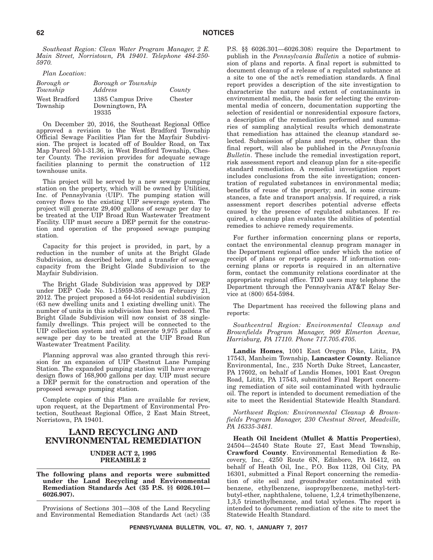*Southeast Region: Clean Water Program Manager, 2 E. Main Street, Norristown, PA 19401. Telephone 484-250- 5970.*

| Plan Location:            |                                               |         |
|---------------------------|-----------------------------------------------|---------|
| Borough or<br>Township    | Borough or Township<br>Address                | County  |
| West Bradford<br>Township | 1385 Campus Drive<br>Downingtown, PA<br>19335 | Chester |

On December 20, 2016, the Southeast Regional Office approved a revision to the West Bradford Township Official Sewage Facilities Plan for the Mayfair Subdivision. The project is located off of Boulder Road, on Tax Map Parcel 50-1-31.36, in West Bradford Township, Chester County. The revision provides for adequate sewage facilities planning to permit the construction of 112 townhouse units.

This project will be served by a new sewage pumping station on the property, which will be owned by Utilities, Inc. of Pennsylvania (UIP). The pumping station will convey flows to the existing UIP sewerage system. The project will generate 29,400 gallons of sewage per day to be treated at the UIP Broad Run Wastewater Treatment Facility. UIP must secure a DEP permit for the construction and operation of the proposed sewage pumping station.

Capacity for this project is provided, in part, by a reduction in the number of units at the Bright Glade Subdivision, as described below, and a transfer of sewage capacity from the Bright Glade Subdivision to the Mayfair Subdivision.

The Bright Glade Subdivision was approved by DEP under DEP Code No. 1-15959-350-3J on February 21, 2012. The project proposed a 64-lot residential subdivision (63 new dwelling units and 1 existing dwelling unit). The number of units in this subdivision has been reduced. The Bright Glade Subdivision will now consist of 38 singlefamily dwellings. This project will be connected to the UIP collection system and will generate 9,975 gallons of sewage per day to be treated at the UIP Broad Run Wastewater Treatment Facility.

Planning approval was also granted through this revision for an expansion of UIP Chestnut Lane Pumping Station. The expanded pumping station will have average design flows of 168,900 gallons per day. UIP must secure a DEP permit for the construction and operation of the proposed sewage pumping station.

Complete copies of this Plan are available for review, upon request, at the Department of Environmental Protection, Southeast Regional Office, 2 East Main Street, Norristown, PA 19401.

### **LAND RECYCLING AND ENVIRONMENTAL REMEDIATION**

#### **UNDER ACT 2, 1995 PREAMBLE 2**

#### **The following plans and reports were submitted under the Land Recycling and Environmental Remediation Standards Act (35 P.S. §§ 6026.101— 6026.907).**

Provisions of Sections 301—308 of the Land Recycling and Environmental Remediation Standards Act (act) (35 P.S. §§ 6026.301—6026.308) require the Department to publish in the *Pennsylvania Bulletin* a notice of submission of plans and reports. A final report is submitted to document cleanup of a release of a regulated substance at a site to one of the act's remediation standards. A final report provides a description of the site investigation to characterize the nature and extent of contaminants in environmental media, the basis for selecting the environmental media of concern, documentation supporting the selection of residential or nonresidential exposure factors, a description of the remediation performed and summaries of sampling analytical results which demonstrate that remediation has attained the cleanup standard selected. Submission of plans and reports, other than the final report, will also be published in the *Pennsylvania Bulletin*. These include the remedial investigation report, risk assessment report and cleanup plan for a site-specific standard remediation. A remedial investigation report includes conclusions from the site investigation; concentration of regulated substances in environmental media; benefits of reuse of the property; and, in some circumstances, a fate and transport analysis. If required, a risk assessment report describes potential adverse effects caused by the presence of regulated substances. If required, a cleanup plan evaluates the abilities of potential remedies to achieve remedy requirements.

For further information concerning plans or reports, contact the environmental cleanup program manager in the Department regional office under which the notice of receipt of plans or reports appears. If information concerning plans or reports is required in an alternative form, contact the community relations coordinator at the appropriate regional office. TDD users may telephone the Department through the Pennsylvania AT&T Relay Service at (800) 654-5984.

The Department has received the following plans and reports:

*Southcentral Region: Environmental Cleanup and Brownfields Program Manager, 909 Elmerton Avenue, Harrisburg, PA 17110. Phone 717.705.4705.*

**Landis Homes**, 1001 East Oregon Pike, Lititz, PA 17543, Manheim Township, **Lancaster County**. Reliance Environmental, Inc., 235 North Duke Street, Lancaster, PA 17602, on behalf of Landis Homes, 1001 East Oregon Road, Lititz, PA 17543, submitted Final Report concerning remediation of site soil contaminated with hydraulic oil. The report is intended to document remediation of the site to meet the Residential Statewide Health Standard.

*Northwest Region: Environmental Cleanup & Brownfields Program Manager, 230 Chestnut Street, Meadville, PA 16335-3481.*

**Heath Oil Incident (Mullet & Mattis Properties)**, 24504—24540 State Route 27, East Mead Township, **Crawford County**. Environmental Remediation & Recovery, Inc., 4250 Route 6N, Edinboro, PA 16412, on behalf of Heath Oil, Inc., P.O. Box 1128, Oil City, PA 16301, submitted a Final Report concerning the remediation of site soil and groundwater contaminated with benzene, ethylbenzene, isopropylbenzene, methyl-tertbutyl-ether, naphthalene, toluene, 1,2,4 trimethylbenzene, 1,3,5 trimethylbenzene, and total xylenes. The report is intended to document remediation of the site to meet the Statewide Health Standard.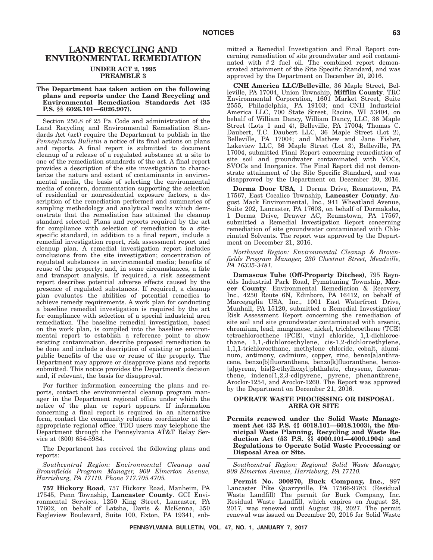### **LAND RECYCLING AND ENVIRONMENTAL REMEDIATION UNDER ACT 2, 1995 PREAMBLE 3**

**The Department has taken action on the following plans and reports under the Land Recycling and Environmental Remediation Standards Act (35 P.S. §§ 6026.101—6026.907).**

Section 250.8 of 25 Pa. Code and administration of the Land Recycling and Environmental Remediation Standards Act (act) require the Department to publish in the *Pennsylvania Bulletin* a notice of its final actions on plans and reports. A final report is submitted to document cleanup of a release of a regulated substance at a site to one of the remediation standards of the act. A final report provides a description of the site investigation to characterize the nature and extent of contaminants in environmental media, the basis of selecting the environmental media of concern, documentation supporting the selection of residential or nonresidential exposure factors, a description of the remediation performed and summaries of sampling methodology and analytical results which demonstrate that the remediation has attained the cleanup standard selected. Plans and reports required by the act for compliance with selection of remediation to a sitespecific standard, in addition to a final report, include a remedial investigation report, risk assessment report and cleanup plan. A remedial investigation report includes conclusions from the site investigation; concentration of regulated substances in environmental media; benefits of reuse of the property; and, in some circumstances, a fate and transport analysis. If required, a risk assessment report describes potential adverse effects caused by the presence of regulated substances. If required, a cleanup plan evaluates the abilities of potential remedies to achieve remedy requirements. A work plan for conducting a baseline remedial investigation is required by the act for compliance with selection of a special industrial area remediation. The baseline remedial investigation, based on the work plan, is compiled into the baseline environmental report to establish a reference point to show existing contamination, describe proposed remediation to be done and include a description of existing or potential public benefits of the use or reuse of the property. The Department may approve or disapprove plans and reports submitted. This notice provides the Department's decision and, if relevant, the basis for disapproval.

For further information concerning the plans and reports, contact the environmental cleanup program manager in the Department regional office under which the notice of the plan or report appears. If information concerning a final report is required in an alternative form, contact the community relations coordinator at the appropriate regional office. TDD users may telephone the Department through the Pennsylvania AT&T Relay Service at (800) 654-5984.

The Department has received the following plans and reports:

*Southcentral Region: Environmental Cleanup and Brownfields Program Manager, 909 Elmerton Avenue, Harrisburg, PA 17110. Phone 717.705.4705.*

**757 Hickory Road**, 757 Hickory Road, Manheim, PA 17545, Penn Township, **Lancaster County**. GCI Environmental Services, 1250 King Street, Lancaster, PA 17602, on behalf of Latsha, Davis & McKenna, 350 Eagleview Boulevard, Suite 100, Exton, PA 19341, submitted a Remedial Investigation and Final Report concerning remediation of site groundwater and soil contaminated with #2 fuel oil. The combined report demonstrated attainment of the Site Specific Standard, and was approved by the Department on December 20, 2016.

**CNH America LLC/Belleville**, 36 Maple Street, Belleville, PA 17004, Union Township, **Mifflin County**. TRC Environmental Corporation, 1601 Market Street, Suite 2555, Philadelphia, PA 19103; and CNH Industrial America LLC, 700 State Street, Racine, WI 53404, on behalf of William Dancy, William Dancy, LLC, 36 Maple Street (Lots 1 and 4), Belleville, PA 17004; Thomas C. Daubert, T.C. Daubert LLC, 36 Maple Street (Lot 2), Belleville, PA 17004; and Mathew and Jane Fisher, Lakeview LLC, 36 Maple Street (Lot 3), Belleville, PA 17004, submitted Final Report concerning remediation of site soil and groundwater contaminated with VOCs, SVOCs and Inorganics. The Final Report did not demonstrate attainment of the Site Specific Standard, and was disapproved by the Department on December 20, 2016.

**Dorma Door USA**, 1 Dorma Drive, Reamstown, PA 17567, East Cocalico Township, **Lancaster County**. August Mack Environmental, Inc., 941 Wheatland Avenue, Suite 202, Lancaster, PA 17603, on behalf of Dormakaba, 1 Dorma Drive, Drawer AC, Reamstown, PA 17567, submitted a Remedial Investigation Report concerning remediation of site groundwater contaminated with Chlorinated Solvents. The report was approved by the Department on December 21, 2016.

*Northwest Region: Environmental Cleanup & Brownfields Program Manager, 230 Chestnut Street, Meadville, PA 16335-3481.*

**Damascus Tube (Off-Property Ditches)**, 795 Reynolds Industrial Park Road, Pymatuning Township, **Mercer County**. Environmental Remediation & Recovery, Inc., 4250 Route 6N, Edinboro, PA 16412, on behalf of Marcegaglia USA, Inc., 1001 East Waterfront Drive, Munhall, PA 15120, submitted a Remedial Investigation/ Risk Assessment Report concerning the remediation of site soil and site groundwater contaminated with arsenic, chromium, lead, manganese, nickel, trichloroethene (TCE) tetrachloroethene (PCE), vinyl chloride, 1,1-dichloroethane, 1,1,-dichloroethylene, cis-1,2-dichloroethylene, 1,1,1-trichloroethane, methylene chloride, cobalt, aluminum, antimony, cadmium, copper, zinc, benzo[a]anthracene, benzo[b]fluoranthene, benzo[k]fluoranthene, benzo- [a]pyrene, bis[2-ethylhexyl]phthalate, chrysene, fluoranthene, indeno[1,2,3-cd]pyrene, pyrene, phenanthrene, Aroclor-1254, and Aroclor-1260. The Report was approved by the Department on December 21, 2016.

### **OPERATE WASTE PROCESSING OR DISPOSAL AREA OR SITE**

**Permits renewed under the Solid Waste Management Act (35 P.S. §§ 6018.101—6018.1003), the Municipal Waste Planning, Recycling and Waste Reduction Act (53 P.S. §§ 4000.101—4000.1904) and Regulations to Operate Solid Waste Processing or Disposal Area or Site.**

*Southcentral Region: Regional Solid Waste Manager, 909 Elmerton Avenue, Harrisburg, PA 17110.*

**Permit No. 300870, Buck Company, Inc.**, 897 Lancaster Pike Quarryville, PA 17566-9783. (Residual Waste Landfill) The permit for Buck Company, Inc. Residual Waste Landfill, which expires on August 28, 2017, was renewed until August 28, 2027. The permit renewal was issued on December 20, 2016 for Solid Waste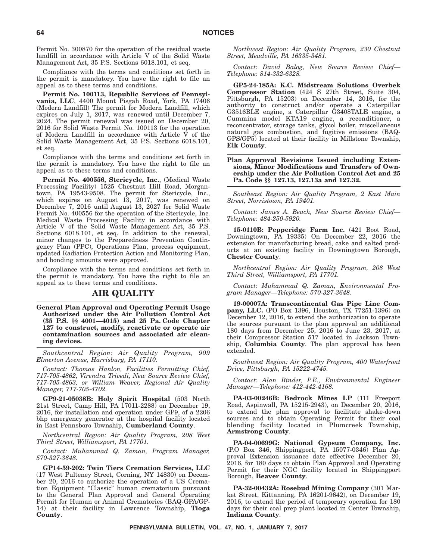Permit No. 300870 for the operation of the residual waste landfill in accordance with Article V of the Solid Waste Management Act, 35 P.S. Sections 6018.101, et seq.

Compliance with the terms and conditions set forth in the permit is mandatory. You have the right to file an appeal as to these terms and conditions.

**Permit No. 100113, Republic Services of Pennsylvania, LLC**, 4400 Mount Pisgah Road, York, PA 17406 (Modern Landfill) The permit for Modern Landfill, which expires on July 1, 2017, was renewed until December 7, 2024. The permit renewal was issued on December 20, 2016 for Solid Waste Permit No. 100113 for the operation of Modern Landfill in accordance with Article V of the Solid Waste Management Act, 35 P.S. Sections 6018.101, et seq.

Compliance with the terms and conditions set forth in the permit is mandatory. You have the right to file an appeal as to these terms and conditions.

**Permit No. 400556, Stericycle, Inc.**, (Medical Waste Processing Facility) 1525 Chestnut Hill Road, Morgantown, PA 19543-9508. The permit for Stericycle, Inc., which expires on August 13, 2017, was renewed on December 7, 2016 until August 13, 2027 for Solid Waste Permit No. 400556 for the operation of the Stericycle, Inc. Medical Waste Processing Facility in accordance with Article V of the Solid Waste Management Act, 35 P.S. Sections 6018.101, et seq. In addition to the renewal, minor changes to the Preparedness Prevention Contingency Plan (PPC), Operations Plan, process equipment, updated Radiation Protection Action and Monitoring Plan, and bonding amounts were approved.

Compliance with the terms and conditions set forth in the permit is mandatory. You have the right to file an appeal as to these terms and conditions.

### **AIR QUALITY**

**General Plan Approval and Operating Permit Usage Authorized under the Air Pollution Control Act (35 P.S. §§ 4001—4015) and 25 Pa. Code Chapter 127 to construct, modify, reactivate or operate air contamination sources and associated air cleaning devices.**

*Southcentral Region: Air Quality Program, 909 Elmerton Avenue, Harrisburg, PA 17110.*

*Contact: Thomas Hanlon, Facilities Permitting Chief, 717-705-4862, Virendra Trivedi, New Source Review Chief, 717-705-4863, or William Weaver, Regional Air Quality Manager, 717-705-4702.*

**GP9-21-05038B: Holy Spirit Hospital** (503 North 21st Street, Camp Hill, PA 17011-2288) on December 19, 2016, for installation and operation under GP9, of a 2206 bhp emergency generator at the hospital facility located in East Pennsboro Township, **Cumberland County**.

*Northcentral Region: Air Quality Program, 208 West Third Street, Williamsport, PA 17701.*

*Contact: Muhammad Q. Zaman, Program Manager, 570-327-3648.*

**GP14-59-202: Twin Tiers Cremation Services, LLC** (17 West Pulteney Street, Corning, NY 14830) on December 20, 2016 to authorize the operation of a US Cremation Equipment ''Classic'' human crematorium pursuant to the General Plan Approval and General Operating Permit for Human or Animal Crematories (BAQ-GPA/GP-14) at their facility in Lawrence Township, **Tioga County**.

*Northwest Region: Air Quality Program, 230 Chestnut Street, Meadville, PA 16335-3481.*

*Contact: David Balog, New Source Review Chief— Telephone: 814-332-6328.*

**GP5-24-185A: K.C. Midstream Solutions Overbek Compressor Station** (424 S 27th Street, Suite 304, Pittsburgh, PA 15203) on December 14, 2016, for the authority to construct and/or operate a Caterpillar G3516BLE engine, a Caterpillar G3408TALE engine, a Cummins model KTA19 engine, a reconditioner, a reconcentrator, storage tanks, glycol boiler, miscellaneous natural gas combustion, and fugitive emissions (BAQ-GPS/GP5) located at their facility in Millstone Township, **Elk County**.

#### **Plan Approval Revisions Issued including Extensions, Minor Modifications and Transfers of Ownership under the Air Pollution Control Act and 25 Pa. Code §§ 127.13, 127.13a and 127.32.**

*Southeast Region: Air Quality Program, 2 East Main Street, Norristown, PA 19401.*

*Contact: James A. Beach, New Source Review Chief— Telephone: 484-250-5920.*

**15-0110B: Pepperidge Farm Inc.** (421 Boot Road, Downingtown, PA 19335) On December 22, 2016 the extension for manufacturing bread, cake and salted products at an existing facility in Downingtown Borough, **Chester County**.

*Northcentral Region: Air Quality Program, 208 West Third Street, Williamsport, PA 17701.*

*Contact: Muhammad Q. Zaman, Environmental Program Manager—Telephone: 570-327-3648.*

**19-00007A: Transcontinental Gas Pipe Line Company, LLC.** (PO Box 1396, Houston, TX 77251-1396) on December 12, 2016, to extend the authorization to operate the sources pursuant to the plan approval an additional 180 days from December 25, 2016 to June 23, 2017, at their Compressor Station 517 located in Jackson Township, **Columbia County**. The plan approval has been extended.

*Southwest Region: Air Quality Program, 400 Waterfront Drive, Pittsburgh, PA 15222-4745.*

*Contact: Alan Binder, P.E., Environmental Engineer Manager—Telephone: 412-442-4168.*

**PA-03-00246B: Bedrock Mines LP** (111 Freeport Road, Aspinwall, PA 15215-2943), on December 20, 2016, to extend the plan approval to facilitate shake-down sources and to obtain Operating Permit for their coal blending facility located in Plumcreek Township, **Armstrong County**.

**PA-04-00699G: National Gypsum Company, Inc.** (P.O Box 346, Shippingport, PA 15077-0346) Plan Approval Extension issuance date effective December 20, 2016, for 180 days to obtain Plan Approval and Operating Permit for their NGC facility located in Shippingport Borough, **Beaver County**.

**PA-32-00432A: Rosebud Mining Company** (301 Market Street, Kittanning, PA 16201-9642), on December 19, 2016, to extend the period of temporary operation for 180 days for their coal prep plant located in Center Township, **Indiana County**.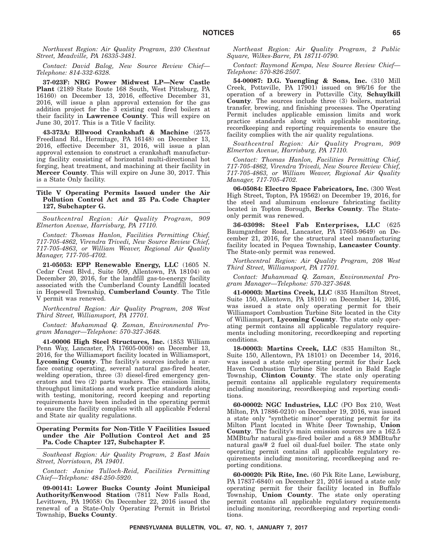*Northwest Region: Air Quality Program, 230 Chestnut Street, Meadville, PA 16335-3481.*

*Contact: David Balog, New Source Review Chief— Telephone: 814-332-6328.*

**37-023F: NRG Power Midwest LP—New Castle Plant** (2189 State Route 168 South, West Pittsburg, PA 16160) on December 13, 2016, effective December 31, 2016, will issue a plan approval extension for the gas addition project for the 3 existing coal fired boilers at their facility in **Lawrence County**. This will expire on June 30, 2017. This is a Title V facility.

**43-373A: Ellwood Crankshaft & Machine** (2575 Freedland Rd., Hermitage, PA 16148) on December 13, 2016, effective December 31, 2016, will issue a plan approval extension to construct a crankshaft manufacturing facility consisting of horizontal multi-directional hot forging, heat treatment, and machining at their facility in **Mercer County**. This will expire on June 30, 2017. This is a State Only facility.

#### **Title V Operating Permits Issued under the Air Pollution Control Act and 25 Pa. Code Chapter 127, Subchapter G.**

*Southcentral Region: Air Quality Program, 909 Elmerton Avenue, Harrisburg, PA 17110.*

*Contact: Thomas Hanlon, Facilities Permitting Chief, 717-705-4862, Virendra Trivedi, New Source Review Chief, 717-705-4863, or William Weaver, Regional Air Quality Manager, 717-705-4702.*

**21-05053: EPP Renewable Energy, LLC** (1605 N. Cedar Crest Blvd., Suite 509, Allentown, PA 18104) on December 20, 2016, for the landfill gas-to-energy facility associated with the Cumberland County Landfill located in Hopewell Township, **Cumberland County**. The Title V permit was renewed.

*Northcentral Region: Air Quality Program, 208 West Third Street, Williamsport, PA 17701.*

*Contact: Muhammad Q. Zaman, Environmental Program Manager—Telephone: 570-327-3648.*

**41-00006 High Steel Structures, Inc.** (1853 William Penn Way, Lancaster, PA 17605-0008) on December 13, 2016, for the Williamsport facility located in Williamsport, **Lycoming County**. The facility's sources include a surface coating operating, several natural gas-fired heater, welding operation, three (3) diesel-fired emergency generators and two (2) parts washers. The emission limits, throughput limitations and work practice standards along with testing, monitoring, record keeping and reporting requirements have been included in the operating permit to ensure the facility complies with all applicable Federal and State air quality regulations.

#### **Operating Permits for Non-Title V Facilities Issued under the Air Pollution Control Act and 25 Pa. Code Chapter 127, Subchapter F.**

*Southeast Region: Air Quality Program, 2 East Main Street, Norristown, PA 19401.*

*Contact: Janine Tulloch-Reid, Facilities Permitting Chief—Telephone: 484-250-5920.*

**09-00141: Lower Bucks County Joint Municipal Authority/Kenwood Station** (7811 New Falls Road, Levittown, PA 19058) On December 22, 2016 issued the renewal of a State-Only Operating Permit in Bristol Township, **Bucks County**.

*Northeast Region: Air Quality Program, 2 Public Square, Wilkes-Barre, PA 18711-0790.*

*Contact: Raymond Kempa, New Source Review Chief— Telephone: 570-826-2507.*

**54-00087: D.G. Yuengling & Sons, Inc.** (310 Mill Creek, Pottsville, PA  $17901$  issued on  $9/6/16$  for the operation of a brewery in Pottsville City, **Schuylkill County**. The sources include three (3) boilers, material transfer, brewing, and finishing processes. The Operating Permit includes applicable emission limits and work practice standards along with applicable monitoring, recordkeeping and reporting requirements to ensure the facility complies with the air quality regulations.

*Southcentral Region: Air Quality Program, 909 Elmerton Avenue, Harrisburg, PA 17110.*

*Contact: Thomas Hanlon, Facilities Permitting Chief, 717-705-4862, Virendra Trivedi, New Source Review Chief, 717-705-4863, or William Weaver, Regional Air Quality Manager, 717-705-4702.*

**06-05084: Electro Space Fabricators, Inc.** (300 West High Street, Topton, PA 19562) on December 19, 2016, for the steel and aluminum enclosure fabricating facility located in Topton Borough, **Berks County**. The Stateonly permit was renewed.

**36-03098: Steel Fab Enterprises, LLC** (625 Baumgardner Road, Lancaster, PA 17603-9649) on December 21, 2016, for the structural steel manufacturing facility located in Pequea Township, **Lancaster County**. The State-only permit was renewed.

*Northcentral Region: Air Quality Program, 208 West Third Street, Williamsport, PA 17701.*

*Contact: Muhammad Q. Zaman, Environmental Program Manager—Telephone: 570-327-3648.*

**41-00003: Martins Creek, LLC** (835 Hamilton Street, Suite 150, Allentown, PA 18101) on December 14, 2016, was issued a state only operating permit for their Williamsport Combustion Turbine Site located in the City of Williamsport, **Lycoming County**. The state only operating permit contains all applicable regulatory requirements including monitoring, recordkeeping and reporting conditions.

**18-00003: Martins Creek, LLC** (835 Hamilton St., Suite 150, Allentown, PA 18101) on December 14, 2016, was issued a state only operating permit for their Lock Haven Combustion Turbine Site located in Bald Eagle Township, **Clinton County**. The state only operating permit contains all applicable regulatory requirements including monitoring, recordkeeping and reporting conditions.

**60-00002: NGC Industries, LLC** (PO Box 210, West Milton, PA 17886-0210) on December 19, 2016, was issued a state only ''synthetic minor'' operating permit for its Milton Plant located in White Deer Township, **Union County**. The facility's main emission sources are a 162.5 MMBtu/hr natural gas-fired boiler and a 68.9 MMBtu/hr natural gas/# 2 fuel oil dual-fuel boiler. The state only operating permit contains all applicable regulatory requirements including monitoring, recordkeeping and reporting conditions.

**60-00020: Pik Rite, Inc.** (60 Pik Rite Lane, Lewisburg, PA 17837-6840) on December 21, 2016 issued a state only operating permit for their facility located in Buffalo Township, **Union County**. The state only operating permit contains all applicable regulatory requirements including monitoring, recordkeeping and reporting conditions.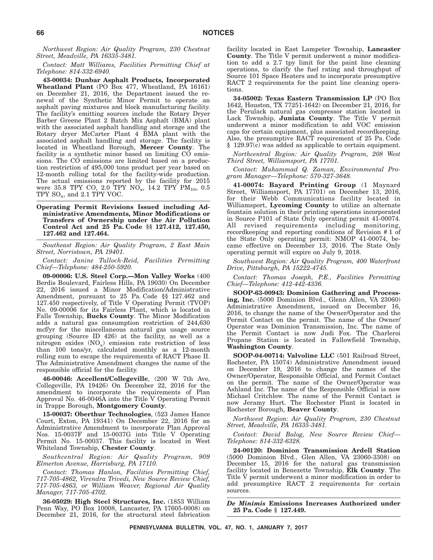*Northwest Region: Air Quality Program, 230 Chestnut Street, Meadville, PA 16335-3481.*

*Contact: Matt Williams, Facilities Permitting Chief at Telephone: 814-332-6940.*

**43-00034: Dunbar Asphalt Products, Incorporated Wheatland Plant** (PO Box 477, Wheatland, PA 16161) on December 21, 2016, the Department issued the renewal of the Synthetic Minor Permit to operate an asphalt paving mixtures and block manufacturing facility. The facility's emitting sources include the Rotary Dryer Barber Greene Plant 2 Batch Mix Asphalt (BMA) plant with the associated asphalt handling and storage and the Rotary dryer McCarter Plant 4 BMA plant with the associated asphalt handling and storage. The facility is located in Wheatland Borough, **Mercer County**. The facility is a synthetic minor based on limiting CO emissions. The CO emissions are limited based on a production restriction of 495,000 tons product per year based on 12-month rolling total for the facility-wide production. The actual emissions reported by the facility for 2015 were 35.8 TPY CO, 2.0 TPY NO<sub>x</sub>, 14.2 TPY PM<sub>10</sub>, 0.5 TPY  $SO_x$ , and 2.1 TPY VOC.

**Operating Permit Revisions Issued including Administrative Amendments, Minor Modifications or Transfers of Ownership under the Air Pollution Control Act and 25 Pa. Code §§ 127.412, 127.450, 127.462 and 127.464.**

*Southeast Region: Air Quality Program, 2 East Main Street, Norristown, PA 19401.*

*Contact: Janine Tulloch-Reid, Facilities Permitting Chief—Telephone: 484-250-5920.*

**09-00006: U.S. Steel Corp.—Mon Valley Works** (400 Berdis Boulevard, Fairless Hills, PA 19030) On December 22, 2016 issued a Minor Modification/Administrative Amendment, pursuant to 25 Pa. Code §§ 127.462 and 127.450 respectively, of Title V Operating Permit (TVOP) No. 09-00006 for its Fairless Plant, which is located in Falls Township, **Bucks County**. The Minor Modification adds a natural gas consumption restriction of 244,630 mcf/yr for the miscellaneous natural gas usage source grouping (Source ID 426) at the facility, as well as a nitrogen oxides  $(NO<sub>x</sub>)$  emission rate restriction of less than 100 tons/yr, calculated monthly as a 12-month rolling sum to escape the requirements of RACT Phase II. The Administrative Amendment changes the name of the responsible official for the facility.

**46-00046: Accellent/Collegeville**, (200 W 7th Ave, Collegeville, PA 19426) On December 22, 2016 for the amendment to incorporate the requirements of Plan Approval No. 46-0046A into the Title V Operating Permit in Trappe Borough, **Montgomery County**.

**15-00037: Oberthur Technologies**, (523 James Hance Court, Exton, PA 19341) On December 22, 2016 for an Administrative Amendment to incorporate Plan Approval Nos. 15-0037F and 15-0037G into Title V Operating Permit No. 15-00037. This facility is located in West Whiteland Township, **Chester County**.

*Southcentral Region: Air Quality Program, 909 Elmerton Avenue, Harrisburg, PA 17110.*

*Contact: Thomas Hanlon, Facilities Permitting Chief, 717-705-4862, Virendra Trivedi, New Source Review Chief, 717-705-4863, or William Weaver, Regional Air Quality Manager, 717-705-4702.*

**36-05029: High Steel Structures, Inc.** (1853 William Penn Way, PO Box 10008, Lancaster, PA 17605-0008) on December 21, 2016, for the structural steel fabrication facility located in East Lampeter Township, **Lancaster County**. The Title V permit underwent a minor modification to add a 2.7 tpy limit for the paint line cleaning operations, to clarify the fuel rating and throughput of Source 101 Space Heaters and to incorporate presumptive RACT 2 requirements for the paint line cleaning operations.

**34-05002: Texas Eastern Transmission LP** (PO Box 1642, Houston, TX 77251-1642) on December 21, 2016, for the Perulack natural gas compressor station located in Lack Township, **Juniata County**. The Title V permit underwent a minor modification to add VOC emission caps for certain equipment, plus associated recordkeeping. Also, the presumptive RACT requirement of 25 Pa. Code § 129.97(c) was added as applicable to certain equipment.

*Northcentral Region: Air Quality Program, 208 West Third Street, Williamsport, PA 17701.*

*Contact: Muhammad Q. Zaman, Environmental Program Manager—Telephone: 570-327-3648.*

**41-00074: Bayard Printing Group** (1 Maynard Street, Williamsport, PA 17701) on December 13, 2016, for their Webb Communications facility located in Williamsport, **Lycoming County** to utilize an alternate fountain solution in their printing operations incorporated in Source P101 of State Only operating permit 41-00074. All revised requirements including monitoring, recordkeeping and reporting conditions of Revision # 1 of the State Only operating permit: NMOP 41-00074, became effective on December 13, 2016. The State Only operating permit will expire on July 9, 2018.

*Southwest Region: Air Quality Program, 400 Waterfront Drive, Pittsburgh, PA 15222-4745.*

*Contact: Thomas Joseph, P.E., Facilities Permitting Chief—Telephone: 412-442-4336.*

**SOOP-63-00943: Dominion Gathering and Processing, Inc.** (5000 Dominion Blvd., Glenn Allen, VA 23060) Administrative Amendment, issued on December 16, 2016, to change the name of the Owner/Operator and the Permit Contact on the permit. The name of the Owner/ Operator was Dominion Transmission, Inc. The name of the Permit Contact is now Judi Fox. The Charleroi Propane Station is located in Fallowfield Township, **Washington County**.

**SOOP-04-00714: Valvoline LLC** (501 Railroad Street, Rochester, PA 15074) Administrative Amendment issued on December 19, 2016 to change the names of the Owner/Operator, Responsible Official, and Permit Contact on the permit. The name of the Owner/Operator was Ashland Inc. The name of the Responsible Official is now Michael Critchlow. The name of the Permit Contact is now Jeramy Hurt. The Rochester Plant is located in Rochester Borough, **Beaver County**.

*Northwest Region: Air Quality Program, 230 Chestnut Street, Meadville, PA 16335-3481.*

*Contact: David Balog, New Source Review Chief— Telephone: 814-332-6328.*

**24-00120: Dominion Transmission Ardell Station** (5000 Dominion Blvd., Glen Allen, VA 23060-3308) on December 15, 2016 for the natural gas transmission facility located in Benezette Township, **Elk County**. The Title V permit underwent a minor modification in order to add presumptive RACT 2 requirements for certain sources.

*De Minimis* **Emissions Increases Authorized under 25 Pa. Code § 127.449.**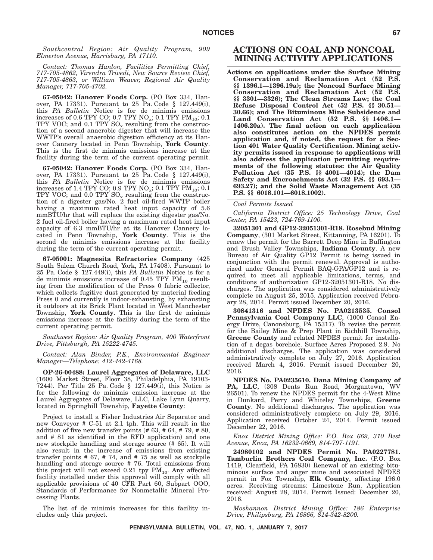*Southcentral Region: Air Quality Program, 909 Elmerton Avenue, Harrisburg, PA 17110.*

*Contact: Thomas Hanlon, Facilities Permitting Chief, 717-705-4862, Virendra Trivedi, New Source Review Chief, 717-705-4863, or William Weaver, Regional Air Quality Manager, 717-705-4702.*

**67-05042: Hanover Foods Corp.** (PO Box 334, Hanover, PA 17331). Pursuant to 25 Pa. Code § 127.449(i), this *PA Bulletin* Notice is for de minimis emissions increases of 0.6 TPY CO; 0.7 TPY  $NO_x$ ; 0.1 TPY  $PM_{10}$ ; 0.1 TPY VOC; and 0.1 TPY  $SO_x$  resulting from the construction of a second anaerobic digester that will increase the WWTP's overall anaerobic digestion efficiency at its Hanover Cannery located in Penn Township, **York County**. This is the first de minimis emissions increase at the facility during the term of the current operating permit.

**67-05042: Hanover Foods Corp.** (PO Box 334, Hanover, PA 17331). Pursuant to 25 Pa. Code § 127.449(i), this *PA Bulletin* Notice is for de minimis emissions increases of 1.4 TPY CO; 0.9 TPY  $NO_x$ ; 0.1 TPY  $PM_{10}$ ; 0.1 TPY VOC; and  $0.0$  TPY  $SO_x$  resulting from the construction of a digester gas/No. 2 fuel oil-fired WWTP boiler having a maximum rated heat input capacity of 5.6 mmBTU/hr that will replace the existing digester gas/No. 2 fuel oil-fired boiler having a maximum rated heat input capacity of 6.3 mmBTU/hr at its Hanover Cannery located in Penn Township, **York County**. This is the second de minimis emissions increase at the facility during the term of the current operating permit.

**67-05001: Magnesita Refractories Company** (425 South Salem Church Road, York, PA 17408). Pursuant to 25 Pa. Code § 127.449(i), this *PA Bulletin* Notice is for a de minimis emissions increase of  $0.45$  TPY PM<sub>10</sub> resulting from the modification of the Press 0 fabric collector, which collects fugitive dust generated by material feeding Press 0 and currently is indoor-exhausting, by exhausting it outdoors at its Brick Plant located in West Manchester Township, **York County**. This is the first de minimis emissions increase at the facility during the term of the current operating permit.

*Southwest Region: Air Quality Program, 400 Waterfront Drive, Pittsburgh, PA 15222-4745.*

*Contact: Alan Binder, P.E., Environmental Engineer Manager—Telephone: 412-442-4168.*

**OP-26-00488: Laurel Aggregates of Delaware, LLC** (1600 Market Street, Floor 38, Philadelphia, PA 19103- 7244). Per Title 25 Pa. Code § 127.449(i), this Notice is for the following de minimis emission increase at the Laurel Aggregates of Delaware, LLC, Lake Lynn Quarry, located in Springhill Township, **Fayette County**:

Project to install a Fisher Industries Air Separator and new Conveyor # C-51 at 2.1 tph. This will result in the addition of five new transfer points  $(# 63, # 64, # 79, # 80,$ and # 81 as identified in the RFD application) and one new stockpile handling and storage source (# 65). It will also result in the increase of emissions from existing transfer points  $# 67, # 74, and # 75 as well as stockpile$ handling and storage source # 76. Total emissions from this project will not exceed 0.21 tpy  $PM_{10}$ . Any affected facility installed under this approval will comply with all applicable provisions of 40 CFR Part 60, Subpart OOO, Standards of Performance for Nonmetallic Mineral Processing Plants.

The list of de minimis increases for this facility includes only this project.

### **ACTIONS ON COAL AND NONCOAL MINING ACTIVITY APPLICATIONS**

**Actions on applications under the Surface Mining Conservation and Reclamation Act (52 P.S. §§ 1396.1—1396.19a); the Noncoal Surface Mining Conservation and Reclamation Act (52 P.S. §§ 3301—3326); The Clean Streams Law; the Coal Refuse Disposal Control Act (52 P.S. §§ 30.51— 30.66); and The Bituminous Mine Subsidence and Land Conservation Act (52 P.S. §§ 1406.1— 1406.20a). The final action on each application also constitutes action on the NPDES permit application and, if noted, the request for a Section 401 Water Quality Certification. Mining activity permits issued in response to applications will also address the application permitting requirements of the following statutes: the Air Quality Pollution Act (35 P.S. §§ 4001—4014); the Dam Safety and Encroachments Act (32 P.S. §§ 693.1— 693.27); and the Solid Waste Management Act (35 P.S. §§ 6018.101—6018.1002).**

#### *Coal Permits Issued*

*California District Office: 25 Technology Drive, Coal Center, PA 15423, 724-769-1100.*

**32051301 and GP12-32051301-R18. Rosebud Mining Company**, (301 Market Street, Kittanning, PA 16201). To renew the permit for the Barrett Deep Mine in Buffington and Brush Valley Townships, **Indiana County**. A new Bureau of Air Quality GP12 Permit is being issued in conjunction with the permit renewal. Approval is authorized under General Permit BAQ-GPA/GP12 and is required to meet all applicable limitations, terms, and conditions of authorization GP12-32051301-R18. No discharges. The application was considered administratively complete on August 25, 2015. Application received February 28, 2014. Permit issued December 20, 2016.

**30841316 and NPDES No. PA0213535. Consol Pennsylvania Coal Company LLC**, (1000 Consol Energy Drive, Canonsburg, PA 15317). To revise the permit for the Bailey Mine & Prep Plant in Richhill Township, **Greene County** and related NPDES permit for installation of a degas borehole. Surface Acres Proposed 2.9. No additional discharges. The application was considered administratively complete on July 27, 2016. Application received March 4, 2016. Permit issued December 20, 2016.

**NPDES No. PA0235610. Dana Mining Company of PA, LLC**, (308 Dents Run Road, Morgantown, WV 26501). To renew the NPDES permit for the 4-West Mine in Dunkard, Perry and Whiteley Townships, **Greene County**. No additional discharges. The application was considered administratively complete on July 29, 2016. Application received October 24, 2014. Permit issued December 22, 2016.

*Knox District Mining Office: P.O. Box 669, 310 Best Avenue, Knox, PA 16232-0669, 814-797-1191.*

**24980102 and NPDES Permit No. PA0227781. Tamburlin Brothers Coal Company, Inc.** (P.O. Box 1419, Clearfield, PA 16830) Renewal of an existing bituminous surface and auger mine and associated NPDES permit in Fox Township, **Elk County**, affecting 196.0 acres. Receiving streams: Limestone Run. Application received: August 28, 2014. Permit Issued: December 20, 2016.

*Moshannon District Mining Office: 186 Enterprise Drive, Philipsburg, PA 16866, 814-342-8200.*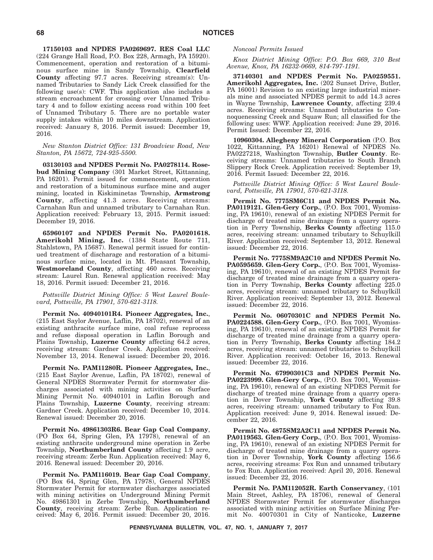**17150103 and NPDES PA0269697. RES Coal LLC** (224 Grange Hall Road, P.O. Box 228, Armagh, PA 15920). Commencement, operation and restoration of a bituminous surface mine in Sandy Township, **Clearfield County** affecting 97.7 acres. Receiving stream(s): Unnamed Tributaries to Sandy Lick Creek classified for the following use(s): CWF. This application also includes a stream encroachment for crossing over Unnamed Tributary 4 and to follow existing access road within 100 feet of Unnamed Tributary 5. There are no portable water supply intakes within 10 miles downstream. Application received: January 8, 2016. Permit issued: December 19, 2016.

*New Stanton District Office: 131 Broadview Road, New Stanton, PA 15672, 724-925-5500.*

**03130103 and NPDES Permit No. PA0278114. Rosebud Mining Company** (301 Market Street, Kittanning, PA 16201). Permit issued for commencement, operation and restoration of a bituminous surface mine and auger mining, located in Kiskiminetas Township, **Armstrong County**, affecting 41.3 acres. Receiving streams: Carnahan Run and unnamed tributary to Carnahan Run. Application received: February 13, 2015. Permit issued: December 19, 2016.

**65960107 and NPDES Permit No. PA0201618. Amerikohl Mining, Inc.** (1384 State Route 711, Stahlstown, PA 15687). Renewal permit issued for continued treatment of discharage and restoration of a bituminous surface mine, located in Mt. Pleasant Township, **Westmoreland County**, affecting 460 acres. Receiving stream: Laurel Run. Renewal application received: May 18, 2016. Permit issued: December 21, 2016.

*Pottsville District Mining Office: 5 West Laurel Boulevard, Pottsville, PA 17901, 570-621-3118.*

**Permit No. 40940101R4. Pioneer Aggregates, Inc.**, (215 East Saylor Avenue, Laflin, PA 18702), renewal of an existing anthracite surface mine, coal refuse reprocess and refuse disposal operation in Laflin Borough and Plains Township, **Luzerne County** affecting 64.2 acres, receiving stream: Gardner Creek. Application received: November 13, 2014. Renewal issued: December 20, 2016.

**Permit No. PAM11280R. Pioneer Aggregates, Inc.**, (215 East Saylor Avenue, Laflin, PA 18702), renewal of General NPDES Stormwater Permit for stormwater discharges associated with mining activities on Surface Mining Permit No. 40940101 in Laflin Borough and Plains Township, **Luzerne County**, receiving stream: Gardner Creek. Application received: December 10, 2014. Renewal issued: December 20, 2016.

**Permit No. 49861303R6. Bear Gap Coal Company**, (PO Box 64, Spring Glen, PA 17978), renewal of an existing anthracite underground mine operation in Zerbe Township, **Northumberland County** affecting 1.9 acre, receiving stream: Zerbe Run. Application received: May 6, 2016. Renewal issued: December 20, 2016.

**Permit No. PAM116019. Bear Gap Coal Company**, (PO Box 64, Spring Glen, PA 17978), General NPDES Stormwater Permit for stormwater discharges associated with mining activities on Underground Mining Permit No. 49861301 in Zerbe Township, **Northumberland County**, receiving stream: Zerbe Run. Application received: May 6, 2016. Permit issued: December 20, 2016.

#### *Noncoal Permits Issued*

*Knox District Mining Office: P.O. Box 669, 310 Best Avenue, Knox, PA 16232-0669, 814-797-1191.*

**37140301 and NPDES Permit No. PA0259551. Amerikohl Aggregates, Inc.** (202 Sunset Drive, Butler, PA 16001) Revision to an existing large industrial minerals mine and associated NPDES permit to add 14.3 acres in Wayne Township, **Lawrence County**, affecting 239.4 acres. Receiving streams: Unnamed tributaries to Connoquenessing Creek and Squaw Run; all classified for the following uses: WWF. Application received: June 29, 2016. Permit Issued: December 22, 2016.

**10960304. Allegheny Mineral Corporation** (P.O. Box 1022, Kittanning, PA 16201) Renewal of NPDES No. PA0227218, Washington Township, **Butler County**. Receiving streams: Unnamed tributaries to South Branch Slippery Rock Creek. Application received: September 19, 2016. Permit Issued: December 22, 2016.

*Pottsville District Mining Office: 5 West Laurel Boulevard, Pottsville, PA 17901, 570-621-3118.*

**Permit No. 7775SM6C11 and NPDES Permit No. PA0119121. Glen-Gery Corp.**, (P.O. Box 7001, Wyomissing, PA 19610), renewal of an existing NPDES Permit for discharge of treated mine drainage from a quarry operation in Perry Township, **Berks County** affecting 115.0 acres, receiving stream: unnamed tributary to Schuylkill River. Application received: September 13, 2012. Renewal issued: December 22, 2016.

**Permit No. 7775SM9A2C10 and NPDES Permit No. PA0595659. Glen-Gery Corp.**, (P.O. Box 7001, Wyomissing, PA 19610), renewal of an existing NPDES Permit for discharge of treated mine drainage from a quarry operation in Perry Township, **Berks County** affecting 225.0 acres, receiving stream: unnamed tributary to Schuylkill River. Application received: September 13, 2012. Renewal issued: December 22, 2016.

**Permit No. 06070301C and NPDES Permit No. PA0224588. Glen-Gery Corp.**, (P.O. Box 7001, Wyomissing, PA 19610), renewal of an existing NPDES Permit for discharge of treated mine drainage from a quarry operation in Perry Township, **Berks County** affecting 184.2 acres, receiving stream: unnamed tributaries to Schuylkill River. Application received: October 16, 2013. Renewal issued: December 22, 2016.

**Permit No. 67990301C3 and NPDES Permit No. PA0223999. Glen-Gery Corp.**, (P.O. Box 7001, Wyomissing, PA 19610), renewal of an existing NPDES Permit for discharge of treated mine drainage from a quarry operation in Dover Township, **York County** affecting 39.8 acres, receiving stream: unnamed tributary to Fox Run. Application received: June 9, 2014. Renewal issued: December 22, 2016.

**Permit No. 4875SM2A2C11 and NPDES Permit No. PA0119563. Glen-Gery Corp.**, (P.O. Box 7001, Wyomissing, PA 19610), renewal of an existing NPDES Permit for discharge of treated mine drainage from a quarry operation in Dover Township, **York County** affecting 156.6 acres, receiving streams: Fox Run and unnamed tributary to Fox Run. Application received: April 20, 2016. Renewal issued: December 22, 2016.

**Permit No. PAM112052R. Earth Conservancy**, (101 Main Street, Ashley, PA 18706), renewal of General NPDES Stormwater Permit for stormwater discharges associated with mining activities on Surface Mining Permit No. 40070301 in City of Nanticoke, **Luzerne**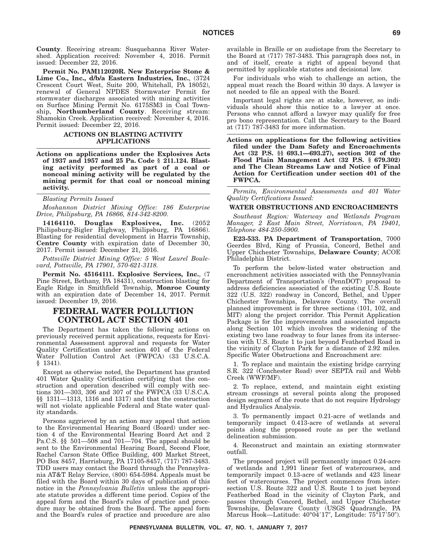**County**. Receiving stream: Susquehanna River Watershed. Application received: November 4, 2016. Permit issued: December 22, 2016.

**Permit No. PAM112020R. New Enterprise Stone & Lime Co., Inc., d/b/a Eastern Industries, Inc.**, (3724 Crescent Court West, Suite 200, Whitehall, PA 18052), renewal of General NPDES Stormwater Permit for stormwater discharges associated with mining activities on Surface Mining Permit No. 6175SM3 in Coal Township, **Northumberland County**. Receiving stream: Shamokin Creek. Application received: November 4, 2016. Permit issued: December 22, 2016.

#### **ACTIONS ON BLASTING ACTIVITY APPLICATIONS**

**Actions on applications under the Explosives Acts of 1937 and 1957 and 25 Pa. Code § 211.124. Blasting activity performed as part of a coal or noncoal mining activity will be regulated by the mining permit for that coal or noncoal mining activity.**

#### *Blasting Permits Issued*

*Moshannon District Mining Office: 186 Enterprise Drive, Philipsburg, PA 16866, 814-342-8200.*

**14164110. Douglas Explosives, Inc.** (2052 Philipsburg-Bigler Highway, Philipsburg, PA 16866). Blasting for residential development in Harris Township, **Centre County** with expiration date of December 30, 2017. Permit issued: December 21, 2016.

*Pottsville District Mining Office: 5 West Laurel Boulevard, Pottsville, PA 17901, 570-621-3118.*

**Permit No. 45164111. Explosive Services, Inc.**, (7 Pine Street, Bethany, PA 18431), construction blasting for Eagle Ridge in Smithfield Township, **Monroe County** with an expiration date of December 14, 2017. Permit issued: December 19, 2016.

### **FEDERAL WATER POLLUTION CONTROL ACT SECTION 401**

The Department has taken the following actions on previously received permit applications, requests for Environmental Assessment approval and requests for Water Quality Certification under section 401 of the Federal Water Pollution Control Act (FWPCA) (33 U.S.C.A. § 1341).

Except as otherwise noted, the Department has granted 401 Water Quality Certification certifying that the construction and operation described will comply with sections 301—303, 306 and 307 of the FWPCA (33 U.S.C.A. §§ 1311—1313, 1316 and 1317) and that the construction will not violate applicable Federal and State water quality standards.

Persons aggrieved by an action may appeal that action to the Environmental Hearing Board (Board) under section 4 of the Environmental Hearing Board Act and 2 Pa.C.S. §§ 501—508 and 701—704. The appeal should be sent to the Environmental Hearing Board, Second Floor, Rachel Carson State Office Building, 400 Market Street, PO Box 8457, Harrisburg, PA 17105-8457, (717) 787-3483. TDD users may contact the Board through the Pennsylvania AT&T Relay Service, (800) 654-5984. Appeals must be filed with the Board within 30 days of publication of this notice in the *Pennsylvania Bulletin* unless the appropriate statute provides a different time period. Copies of the appeal form and the Board's rules of practice and procedure may be obtained from the Board. The appeal form and the Board's rules of practice and procedure are also available in Braille or on audiotape from the Secretary to the Board at (717) 787-3483. This paragraph does not, in and of itself, create a right of appeal beyond that permitted by applicable statutes and decisional law.

For individuals who wish to challenge an action, the appeal must reach the Board within 30 days. A lawyer is not needed to file an appeal with the Board.

Important legal rights are at stake, however, so individuals should show this notice to a lawyer at once. Persons who cannot afford a lawyer may qualify for free pro bono representation. Call the Secretary to the Board at (717) 787-3483 for more information.

**Actions on applications for the following activities filed under the Dam Safety and Encroachments Act (32 P.S. §§ 693.1—693.27), section 302 of the Flood Plain Management Act (32 P.S. § 679.302) and The Clean Streams Law and Notice of Final Action for Certification under section 401 of the FWPCA.**

*Permits, Environmental Assessments and 401 Water Quality Certifications Issued:*

#### **WATER OBSTRUCTIONS AND ENCROACHMENTS**

*Southeast Region: Waterway and Wetlands Program Manager, 2 East Main Street, Norristown, PA 19401, Telephone 484-250-5900.*

**E23-533. PA Department of Transportation**, 7000 Geerdes Blvd, King of Prussia, Concord, Bethel and Upper Chichester Townships, **Delaware County**; ACOE Philadelphia District.

To perform the below-listed water obstruction and encroachment activities associated with the Pennsylvania Department of Transportation's (PennDOT) proposal to address deficiencies associated of the existing U.S. Route 322 (U.S. 322) roadway in Concord, Bethel, and Upper Chichester Townships, Delaware County. The overall planned improvement is for three sections (101, 102, and MIT) along the project corridor. This Permit Application Package is for the improvements and associated impacts along Section 101 which involves the widening of the existing two lane roadway to four lanes from its intersection with U.S. Route 1 to just beyond Featherbed Road in the vicinity of Clayton Park for a distance of 2.92 miles. Specific Water Obstructions and Encroachment are:

1. To replace and maintain the existing bridge carrying S.R. 322 (Conchester Road) over SEPTA rail and Webb Creek (WWF/MF).

2. To replace, extend, and maintain eight existing stream crossings at several points along the proposed design segment of the route that do not require Hydrology and Hydraulics Analysis.

3. To permanently impact 0.21-acre of wetlands and temporarily impact 0.413-acre of wetlands at several points along the proposed route as per the wetland delineation submission.

4. Reconstruct and maintain an existing stormwater outfall.

The proposed project will permanently impact 0.24-acre of wetlands and 1,991 linear feet of watercourses, and temporarily impact 0.13-acre of wetlands and 423 linear feet of watercourses. The project commences from intersection U.S. Route 322 and U.S. Route 1 to just beyond Featherbed Road in the vicinity of Clayton Park, and passes through Concord, Bethel, and Upper Chichester Townships, Delaware County (USGS Quadrangle, PA Marcus Hook—Latitude: 40°04'17", Longitude: 75°17'50").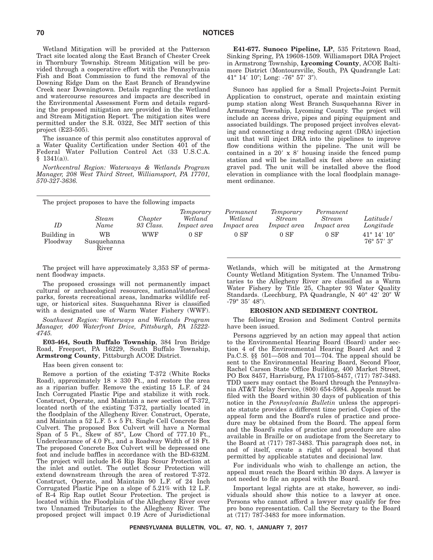Wetland Mitigation will be provided at the Patterson Tract site located along the East Branch of Chester Creek in Thornbury Township. Stream Mitigation will be provided through a cooperative effort with the Pennsylvania Fish and Boat Commission to fund the removal of the Downing Ridge Dam on the East Branch of Brandywine Creek near Downingtown. Details regarding the wetland and watercourse resources and impacts are described in the Environmental Assessment Form and details regarding the proposed mitigation are provided in the Wetland and Stream Mitigation Report. The mitigation sites were permitted under the S.R. 0322, Sec MIT section of this project (E23-505).

The issuance of this permit also constitutes approval of a Water Quality Certification under Section 401 of the Federal Water Pollution Control Act (33 U.S.C.A.  $§$  1341(a)).

*Northcentral Region: Waterways & Wetlands Program Manager, 208 West Third Street, Williamsport, PA 17701, 570-327-3636.*

The project proposes to have the following impacts *ID Steam Name Chapter 93 Class. Temporary Wetland Impact area* Building in Floodway WB Susquehanna River

The project will have approximately 3,353 SF of permanent floodway impacts.

The proposed crossings will not permanently impact cultural or archaeological resources, national/state/local parks, forests recreational areas, landmarks wildlife refuge, or historical sites. Susquehanna River is classified with a designated use of Warm Water Fishery (WWF).

*Southwest Region: Waterways and Wetlands Program Manager, 400 Waterfront Drive, Pittsburgh, PA 15222- 4745.*

**E03-464, South Buffalo Township**, 384 Iron Bridge Road, Freeport, PA 16229, South Buffalo Township, **Armstrong County**, Pittsburgh ACOE District.

Has been given consent to:

Remove a portion of the existing T-372 (White Rocks Road), approximately  $18 \times 330$  Ft., and restore the area as a riparian buffer. Remove the existing 15 L.F. of 24 Inch Corrugated Plastic Pipe and stabilize it with rock. Construct, Operate, and Maintain a new section of T-372, located north of the existing T-372, partially located in the floodplain of the Allegheny River. Construct, Operate, and Maintain a 52 L.F. 5 × 5 Ft. Single Cell Concrete Box Culvert. The proposed Box Culvert will have a Normal Span of 5 Ft., Skew of 85°, Low Chord of 777.10 Ft., Underclearance of 4.0 Ft., and a Roadway Width of 18 Ft. The proposed Concrete Box Culvert will be depressed one foot and include baffles in accordance with the BD-632M. The project will include R-6 Rip Rap Scour Protection at the inlet and outlet. The outlet Scour Protection will extend downstream through the area of restored T-372. Construct, Operate, and Maintain 90 L.F. of 24 Inch Corrugated Plastic Pipe on a slope of 5.21% with 12 L.F. of R-4 Rip Rap outlet Scour Protection. The project is located within the Floodplain of the Allegheny River over two Unnamed Tributaries to the Allegheny River. The proposed project will impact 0.19 Acre of Jurisdictional

**E41-677. Sunoco Pipeline, LP**, 535 Fritztown Road, Sinking Spring, PA 19608-1509. Williamsport DRA Project in Armstrong Township, **Lycoming County**, ACOE Baltimore District (Montoursville, South, PA Quadrangle Lat:  $41^{\circ}$   $14'$   $10''$ ; Long: -76°  $57'$   $3'$ ).

Sunoco has applied for a Small Projects-Joint Permit Application to construct, operate and maintain existing pump station along West Branch Susquehanna River in Armstrong Township, Lycoming County. The project will include an access drive, pipes and piping equipment and associated buildings. The proposed project involves elevating and connecting a drag reducing agent (DRA) injection unit that will inject DRA into the pipelines to improve flow conditions within the pipeline. The unit will be contained in a  $20'$  x  $8'$  housing inside the fenced pump station and will be installed six feet above an existing gravel pad. The unit will be installed above the flood elevation in compliance with the local floodplain management ordinance.

| hapter!<br>3 Class. | Temporary<br>Wetland<br><i>Impact area</i> | Permanent<br>Wetland<br><i>Impact area</i> | Temporary<br><i>Stream</i><br><i>Impact area</i> | Permanent<br><i>Stream</i><br><i>Impact area</i> | Latitude/<br>Longitude                         |
|---------------------|--------------------------------------------|--------------------------------------------|--------------------------------------------------|--------------------------------------------------|------------------------------------------------|
| WWF                 | $0S$ F                                     | $0S$ F                                     | $0S$ F                                           | $0S$ F                                           | $41^{\circ}$ 14' $10''$<br>$76^{\circ}$ 57' 3" |

Wetlands, which will be mitigated at the Armstrong County Wetland Mitigation System. The Unnamed Tributaries to the Allegheny River are classified as a Warm Water Fishery by Title 25, Chapter 93 Water Quality Standards. (Leechburg, PA Quadrangle, N 40° 42′ 20″ W  $-79^{\circ}$   $35'$   $48'$ ).

#### **EROSION AND SEDIMENT CONTROL**

The following Erosion and Sediment Control permits have been issued.

Persons aggrieved by an action may appeal that action to the Environmental Hearing Board (Board) under section 4 of the Environmental Hearing Board Act and 2 Pa.C.S. §§ 501—508 and 701—704. The appeal should be sent to the Environmental Hearing Board, Second Floor, Rachel Carson State Office Building, 400 Market Street, PO Box 8457, Harrisburg, PA 17105-8457, (717) 787-3483. TDD users may contact the Board through the Pennsylvania AT&T Relay Service, (800) 654-5984. Appeals must be filed with the Board within 30 days of publication of this notice in the *Pennsylvania Bulletin* unless the appropriate statute provides a different time period. Copies of the appeal form and the Board's rules of practice and procedure may be obtained from the Board. The appeal form and the Board's rules of practice and procedure are also available in Braille or on audiotape from the Secretary to the Board at (717) 787-3483. This paragraph does not, in and of itself, create a right of appeal beyond that permitted by applicable statutes and decisional law.

For individuals who wish to challenge an action, the appeal must reach the Board within 30 days. A lawyer is not needed to file an appeal with the Board.

Important legal rights are at stake, however, so individuals should show this notice to a lawyer at once. Persons who cannot afford a lawyer may qualify for free pro bono representation. Call the Secretary to the Board at (717) 787-3483 for more information.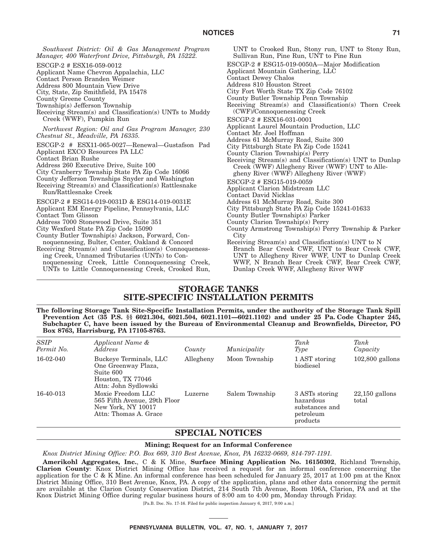*Southwest District: Oil & Gas Management Program Manager, 400 Waterfront Drive, Pittsburgh, PA 15222.* ESCGP-2 # ESX16-059-0012 Applicant Name Chevron Appalachia, LLC Contact Person Branden Weimer Address 800 Mountain View Drive City, State, Zip Smithfield, PA 15478 County Greene County Township(s) Jefferson Township Receiving Stream(s) and Classification(s) UNTs to Muddy Creek (WWF), Pumpkin Run *Northwest Region: Oil and Gas Program Manager, 230 Chestnut St., Meadville, PA 16335.* ESCGP-2 # ESX11-065-0027—Renewal—Gustafson Pad Applicant EXCO Resources PA LLC Contact Brian Rushe Address 260 Executive Drive, Suite 100 City Cranberry Township State PA Zip Code 16066 County Jefferson Townships Snyder and Washington Receiving Stream(s) and Classification(s) Rattlesnake Run/Rattlesnake Creek ESCGP-2 # ESG14-019-0031D & ESG14-019-0031E Applicant EM Energy Pipeline, Pennsylvania, LLC Contact Tom Glisson Address 7000 Stonewood Drive, Suite 351 City Wexford State PA Zip Code 15090 County Butler Township(s) Jackson, Forward, Connoquennesing, Bulter, Center, Oakland & Concord Receiving Stream(s) and Classification(s) Connoquenessing Creek, Unnamed Tributaries (UNTs) to Connoquenessing Creek, Little Connoquenessing Creek, UNTs to Little Connoquenessing Creek, Crooked Run,

UNT to Crooked Run, Stony run, UNT to Stony Run, Sullivan Run, Pine Run, UNT to Pine Run ESCGP-2 # ESG15-019-0050A—Major Modification Applicant Mountain Gathering, LLC Contact Dewey Chalos Address 810 Houston Street City Fort Worth State TX Zip Code 76102 County Butler Township Penn Township Receiving Stream(s) and Classification(s) Thorn Creek (CWF)/Connoquenessing Creek ESCGP-2 # ESX16-031-0001 Applicant Laurel Mountain Production, LLC Contact Mr. Joel Hoffman Address 61 McMurray Road, Suite 300 City Pittsburgh State PA Zip Code 15241 County Clarion Township(s) Perry Receiving Stream(s) and Classification(s) UNT to Dunlap Creek (WWF) Allegheny River (WWF) UNT to Allegheny River (WWF) Allegheny River (WWF) ESCGP-2 # ESG15-019-0059 Applicant Clarion Midstream LLC Contact David Nicklas Address 61 McMurray Road, Suite 300 City Pittsburgh State PA Zip Code 15241-01633 County Butler Township(s) Parker County Clarion Township(s) Perry County Armstrong Township(s) Perry Township & Parker City Receiving Stream(s) and Classification(s) UNT to N Branch Bear Creek CWF, UNT to Bear Creek CWF, UNT to Allegheny River WWF, UNT to Dunlap Creek WWF, N Branch Bear Creek CWF, Bear Creek CWF, Dunlap Creek WWF, Allegheny River WWF

### **STORAGE TANKS SITE-SPECIFIC INSTALLATION PERMITS**

**The following Storage Tank Site-Specific Installation Permits, under the authority of the Storage Tank Spill Prevention Act (35 P.S. §§ 6021.304, 6021.504, 6021.1101—6021.1102) and under 25 Pa. Code Chapter 245, Subchapter C, have been issued by the Bureau of Environmental Cleanup and Brownfields, Director, PO Box 8763, Harrisburg, PA 17105-8763.**

| <b>SSIP</b><br>Permit No. | Applicant Name &<br>Address                                                                             | County    | Municipality   | Tank<br>Type                                                           | Tank<br>Capacity          |
|---------------------------|---------------------------------------------------------------------------------------------------------|-----------|----------------|------------------------------------------------------------------------|---------------------------|
| 16-02-040                 | Buckeye Terminals, LLC<br>One Greenway Plaza,<br>Suite 600<br>Houston, TX 77046<br>Attn: John Sydlowski | Allegheny | Moon Township  | 1 AST storing<br>biodiesel                                             | $102,800$ gallons         |
| 16-40-013                 | Moxie Freedom LLC<br>565 Fifth Avenue, 29th Floor<br>New York, NY 10017<br>Attn: Thomas A. Grace        | Luzerne   | Salem Township | 3 ASTs storing<br>hazardous<br>substances and<br>petroleum<br>products | $22,150$ gallons<br>total |

### **SPECIAL NOTICES**

**Mining; Request for an Informal Conference**

*Knox District Mining Office: P.O. Box 669, 310 Best Avenue, Knox, PA 16232-0669, 814-797-1191.*

**Amerikohl Aggregates, Inc.**,C&K Mine, **Surface Mining Application No. 16150302**, Richland Township, **Clarion County**: Knox District Mining Office has received a request for an informal conference concerning the application for theC&K Mine. An informal conference has been scheduled for January 25, 2017 at 1:00 pm at the Knox District Mining Office, 310 Best Avenue, Knox, PA. A copy of the application, plans and other data concerning the permit are available at the Clarion County Conservation District, 214 South 7th Avenue, Room 106A, Clarion, PA and at the Knox District Mining Office during regular business hours of 8:00 am to 4:00 pm, Monday through Friday.

[Pa.B. Doc. No. 17-16. Filed for public inspection January 6, 2017, 9:00 a.m.]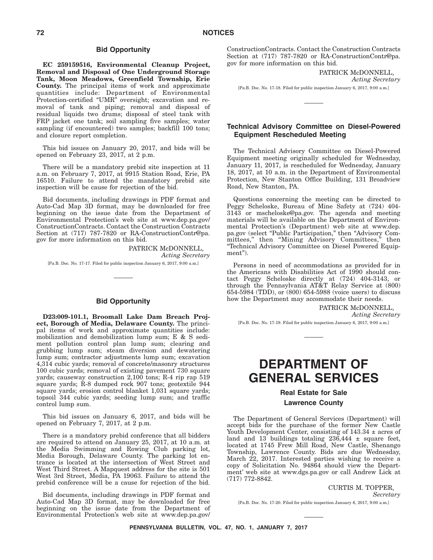### **Bid Opportunity**

**EC 259159516, Environmental Cleanup Project, Removal and Disposal of One Underground Storage Tank, Moon Meadows, Greenfield Township, Erie County.** The principal items of work and approximate quantities include: Department of Environmental Protection-certified "UMR" oversight; excavation and removal of tank and piping; removal and disposal of residual liquids two drums; disposal of steel tank with FRP jacket one tank; soil sampling five samples; water sampling (if encountered) two samples; backfill 100 tons; and closure report completion.

This bid issues on January 20, 2017, and bids will be opened on February 23, 2017, at 2 p.m.

There will be a mandatory prebid site inspection at 11 a.m. on February 7, 2017, at 9915 Station Road, Erie, PA 16510. Failure to attend the mandatory prebid site inspection will be cause for rejection of the bid.

Bid documents, including drawings in PDF format and Auto-Cad Map 3D format, may be downloaded for free beginning on the issue date from the Department of Environmental Protection's web site at www.dep.pa.gov/ ConstructionContracts. Contact the Construction Contracts Section at (717) 787-7820 or RA-ConstructionContr@pa. gov for more information on this bid.

> PATRICK McDONNELL, *Acting Secretary*

[Pa.B. Doc. No. 17-17. Filed for public inspection January 6, 2017, 9:00 a.m.]

### **Bid Opportunity**

**D23:009-101.1, Broomall Lake Dam Breach Project, Borough of Media, Delaware County.** The principal items of work and approximate quantities include: mobilization and demobilization lump sum; E & S sediment pollution control plan lump sum; clearing and grubbing lump sum; steam diversion and dewatering lump sum; contractor adjustments lump sum; excavation 4,314 cubic yards; removal of concrete/masonry structures 100 cubic yards; removal of existing pavement 730 square yards; causeway construction 2,100 tons; R-4 rip rap 519 square yards; R-8 dumped rock 907 tons; geotextile 944 square yards; erosion control blanket 1,031 square yards; topsoil 344 cubic yards; seeding lump sum; and traffic control lump sum.

This bid issues on January 6, 2017, and bids will be opened on February 7, 2017, at 2 p.m.

There is a mandatory prebid conference that all bidders are required to attend on January 25, 2017, at 10 a.m. at the Media Swimming and Rowing Club parking lot, Media Borough, Delaware County. The parking lot entrance is located at the intersection of West Street and West Third Street. A Mapquest address for the site is 501 West 3rd Street, Media, PA 19063. Failure to attend the prebid conference will be a cause for rejection of the bid.

Bid documents, including drawings in PDF format and Auto-Cad Map 3D format, may be downloaded for free beginning on the issue date from the Department of Environmental Protection's web site at www.dep.pa.gov/

ConstructionContracts. Contact the Construction Contracts Section at (717) 787-7820 or RA-ConstructionContr@pa. gov for more information on this bid.

PATRICK McDONNELL,

*Acting Secretary*

[Pa.B. Doc. No. 17-18. Filed for public inspection January 6, 2017, 9:00 a.m.]

### **Technical Advisory Committee on Diesel-Powered Equipment Rescheduled Meeting**

The Technical Advisory Committee on Diesel-Powered Equipment meeting originally scheduled for Wednesday, January 11, 2017, is rescheduled for Wednesday, January 18, 2017, at 10 a.m. in the Department of Environmental Protection, New Stanton Office Building, 131 Broadview Road, New Stanton, PA.

Questions concerning the meeting can be directed to Peggy Scheloske, Bureau of Mine Safety at (724) 404- 3143 or mscheloske@pa.gov. The agenda and meeting materials will be available on the Department of Environmental Protection's (Department) web site at www.dep. pa.gov (select "Public Participation," then "Advisory Committees,'' then ''Mining Advisory Committees,'' then ''Technical Advisory Committee on Diesel Powered Equipment").

Persons in need of accommodations as provided for in the Americans with Disabilities Act of 1990 should contact Peggy Scheloske directly at (724) 404-3143, or through the Pennsylvania AT&T Relay Service at (800) 654-5984 (TDD), or (800) 654-5988 (voice users) to discuss how the Department may accommodate their needs.

> PATRICK McDONNELL, *Acting Secretary*

[Pa.B. Doc. No. 17-19. Filed for public inspection January 6, 2017, 9:00 a.m.]

# **DEPARTMENT OF GENERAL SERVICES**

### **Real Estate for Sale Lawrence County**

The Department of General Services (Department) will accept bids for the purchase of the former New Castle Youth Development Center, consisting of  $143.34 \pm \text{acres}$  of land and  $13$  buildings totaling  $236,444 \pm$  square feet, located at 1745 Frew Mill Road, New Castle, Shenango Township, Lawrence County. Bids are due Wednesday, March 22, 2017. Interested parties wishing to receive a copy of Solicitation No. 94864 should view the Department' web site at www.dgs.pa.gov or call Andrew Lick at (717) 772-8842.

> CURTIS M. TOPPER, *Secretary*

[Pa.B. Doc. No. 17-20. Filed for public inspection January 6, 2017, 9:00 a.m.]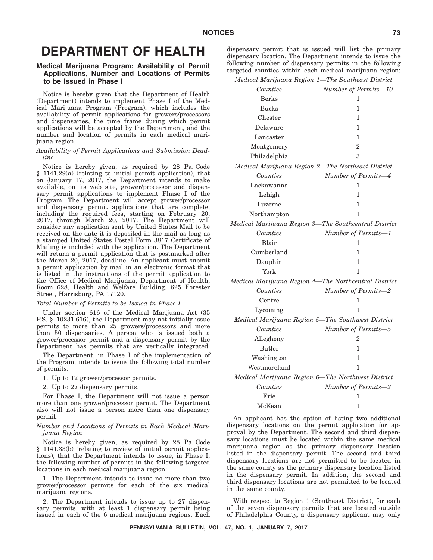# **DEPARTMENT OF HEALTH**

## **Medical Marijuana Program; Availability of Permit Applications, Number and Locations of Permits to be Issued in Phase I**

Notice is hereby given that the Department of Health (Department) intends to implement Phase I of the Medical Marijuana Program (Program), which includes the availability of permit applications for growers/processors and dispensaries, the time frame during which permit applications will be accepted by the Department, and the number and location of permits in each medical marijuana region.

## *Availability of Permit Applications and Submission Deadline*

Notice is hereby given, as required by 28 Pa. Code § 1141.29(a) (relating to initial permit application), that on January 17, 2017, the Department intends to make available, on its web site, grower/processor and dispensary permit applications to implement Phase I of the Program. The Department will accept grower/processor and dispensary permit applications that are complete, including the required fees, starting on February 20, 2017, through March 20, 2017. The Department will consider any application sent by United States Mail to be received on the date it is deposited in the mail as long as a stamped United States Postal Form 3817 Certificate of Mailing is included with the application. The Department will return a permit application that is postmarked after the March 20, 2017, deadline. An applicant must submit a permit application by mail in an electronic format that is listed in the instructions of the permit application to the Office of Medical Marijuana, Department of Health, Room 628, Health and Welfare Building, 625 Forester Street, Harrisburg, PA 17120.

### *Total Number of Permits to be Issued in Phase I*

Under section 616 of the Medical Marijuana Act (35 P.S. § 10231.616), the Department may not initially issue permits to more than 25 growers/processors and more than 50 dispensaries. A person who is issued both a grower/processor permit and a dispensary permit by the Department has permits that are vertically integrated.

The Department, in Phase I of the implementation of the Program, intends to issue the following total number of permits:

1. Up to 12 grower/processor permits.

2. Up to 27 dispensary permits.

For Phase I, the Department will not issue a person more than one grower/processor permit. The Department also will not issue a person more than one dispensary permit.

### *Number and Locations of Permits in Each Medical Marijuana Region*

Notice is hereby given, as required by 28 Pa. Code § 1141.33(b) (relating to review of initial permit applications), that the Department intends to issue, in Phase I, the following number of permits in the following targeted locations in each medical marijuana region:

1. The Department intends to issue no more than two grower/processor permits for each of the six medical marijuana regions.

2. The Department intends to issue up to 27 dispensary permits, with at least 1 dispensary permit being issued in each of the 6 medical marijuana regions. Each dispensary permit that is issued will list the primary dispensary location. The Department intends to issue the following number of dispensary permits in the following targeted counties within each medical marijuana region:

| Medical Marijuana Region 1-The Southeast District    |                      |
|------------------------------------------------------|----------------------|
| Counties                                             | Number of Permits-10 |
| <b>Berks</b>                                         | 1                    |
| <b>Bucks</b>                                         | 1                    |
| Chester                                              | 1                    |
| Delaware                                             | 1                    |
| Lancaster                                            | 1                    |
| Montgomery                                           | $\overline{2}$       |
| Philadelphia                                         | 3                    |
| Medical Marijuana Region 2-The Northeast District    |                      |
| Counties                                             | Number of Permits-4  |
| Lackawanna                                           | 1                    |
| Lehigh                                               | 1                    |
| Luzerne                                              | 1                    |
| Northampton                                          | 1                    |
| Medical Marijuana Region 3—The Southcentral District |                      |
| Counties                                             | Number of Permits-4  |
| Blair                                                | 1                    |
| Cumberland                                           | 1                    |
| Dauphin                                              | 1                    |
| York                                                 | 1                    |
| Medical Marijuana Region 4-The Northcentral District |                      |
| Counties                                             | Number of Permits-2  |
| $\operatorname{Centre}$                              | 1                    |
| Lycoming                                             | 1                    |
| Medical Marijuana Region 5-The Southwest District    |                      |
| Counties                                             | Number of Permits-5  |
| Allegheny                                            | 2                    |
| <b>Butler</b>                                        | 1                    |
| Washington                                           | 1                    |
| Westmoreland                                         | 1                    |
| Medical Marijuana Region 6-The Northwest District    |                      |
| Counties                                             | Number of Permits-2  |
| Erie                                                 | 1                    |
| McKean                                               | 1                    |

An applicant has the option of listing two additional dispensary locations on the permit application for approval by the Department. The second and third dispensary locations must be located within the same medical marijuana region as the primary dispensary location listed in the dispensary permit. The second and third dispensary locations are not permitted to be located in the same county as the primary dispensary location listed in the dispensary permit. In addition, the second and third dispensary locations are not permitted to be located in the same county.

With respect to Region 1 (Southeast District), for each of the seven dispensary permits that are located outside of Philadelphia County, a dispensary applicant may only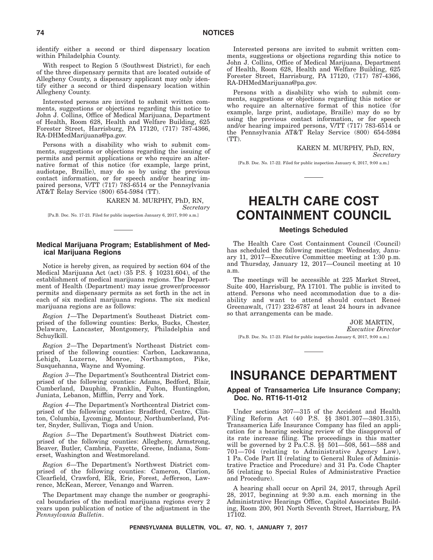identify either a second or third dispensary location within Philadelphia County.

With respect to Region 5 (Southwest District), for each of the three dispensary permits that are located outside of Allegheny County, a dispensary applicant may only identify either a second or third dispensary location within Allegheny County.

Interested persons are invited to submit written comments, suggestions or objections regarding this notice to John J. Collins, Office of Medical Marijuana, Department of Health, Room 628, Health and Welfare Building, 625 Forester Street, Harrisburg, PA 17120, (717) 787-4366, RA-DHMedMarijuana@pa.gov.

Persons with a disability who wish to submit comments, suggestions or objections regarding the issuing of permits and permit applications or who require an alternative format of this notice (for example, large print, audiotape, Braille), may do so by using the previous contact information, or for speech and/or hearing impaired persons, V/TT (717) 783-6514 or the Pennsylvania AT&T Relay Service (800) 654-5984 (TT).

> KAREN M. MURPHY, PhD, RN, *Secretary*

[Pa.B. Doc. No. 17-21. Filed for public inspection January 6, 2017, 9:00 a.m.]

# **Medical Marijuana Program; Establishment of Medical Marijuana Regions**

Notice is hereby given, as required by section 604 of the Medical Marijuana Act (act) (35 P.S. § 10231.604), of the establishment of medical marijuana regions. The Department of Health (Department) may issue grower/processor permits and dispensary permits as set forth in the act in each of six medical marijuana regions. The six medical marijuana regions are as follows:

*Region 1*—The Department's Southeast District comprised of the following counties: Berks, Bucks, Chester, Delaware, Lancaster, Montgomery, Philadelphia and Schuylkill.

*Region 2*—The Department's Northeast District comprised of the following counties: Carbon, Lackawanna, Lehigh, Luzerne, Monroe, Northampton, Pike, Susquehanna, Wayne and Wyoming.

*Region 3*—The Department's Southcentral District comprised of the following counties: Adams, Bedford, Blair, Cumberland, Dauphin, Franklin, Fulton, Huntingdon, Juniata, Lebanon, Mifflin, Perry and York.

*Region 4*—The Department's Northcentral District comprised of the following counties: Bradford, Centre, Clinton, Columbia, Lycoming, Montour, Northumberland, Potter, Snyder, Sullivan, Tioga and Union.

*Region 5*—The Department's Southwest District comprised of the following counties: Allegheny, Armstrong, Beaver, Butler, Cambria, Fayette, Greene, Indiana, Somerset, Washington and Westmoreland.

*Region 6*—The Department's Northwest District comprised of the following counties: Cameron, Clarion, Clearfield, Crawford, Elk, Erie, Forest, Jefferson, Lawrence, McKean, Mercer, Venango and Warren.

The Department may change the number or geographical boundaries of the medical marijuana regions every 2 years upon publication of notice of the adjustment in the *Pennsylvania Bulletin*.

Interested persons are invited to submit written comments, suggestions or objections regarding this notice to John J. Collins, Office of Medical Marijuana, Department of Health, Room 628, Health and Welfare Building, 625 Forester Street, Harrisburg, PA 17120, (717) 787-4366, RA-DHMedMarijuana@pa.gov.

Persons with a disability who wish to submit comments, suggestions or objections regarding this notice or who require an alternative format of this notice (for example, large print, audiotape, Braille) may do so by using the previous contact information, or for speech and/or hearing impaired persons, V/TT (717) 783-6514 or the Pennsylvania AT&T Relay Service (800) 654-5984 (TT).

> KAREN M. MURPHY, PhD, RN, *Secretary*

[Pa.B. Doc. No. 17-22. Filed for public inspection January 6, 2017, 9:00 a.m.]

# **HEALTH CARE COST CONTAINMENT COUNCIL**

# **Meetings Scheduled**

The Health Care Cost Containment Council (Council) has scheduled the following meetings: Wednesday, January 11, 2017—Executive Committee meeting at 1:30 p.m. and Thursday, January 12, 2017—Council meeting at 10 a.m.

The meetings will be accessible at 225 Market Street, Suite 400, Harrisburg, PA 17101. The public is invited to attend. Persons who need accommodation due to a disability and want to attend should contact Reneé Greenawalt, (717) 232-6787 at least 24 hours in advance so that arrangements can be made.

JOE MARTIN,

*Executive Director*

[Pa.B. Doc. No. 17-23. Filed for public inspection January 6, 2017, 9:00 a.m.]

# **INSURANCE DEPARTMENT**

## **Appeal of Transamerica Life Insurance Company; Doc. No. RT16-11-012**

Under sections 307—315 of the Accident and Health Filing Reform Act (40 P.S. §§ 3801.307—3801.315), Transamerica Life Insurance Company has filed an application for a hearing seeking review of the disapproval of its rate increase filing. The proceedings in this matter will be governed by 2 Pa.C.S. §§ 501—508, 561—588 and 701—704 (relating to Administrative Agency Law), 1 Pa. Code Part II (relating to General Rules of Administrative Practice and Procedure) and 31 Pa. Code Chapter 56 (relating to Special Rules of Administrative Practice and Procedure).

A hearing shall occur on April 24, 2017, through April 28, 2017, beginning at 9:30 a.m. each morning in the Administrative Hearings Office, Capitol Associates Building, Room 200, 901 North Seventh Street, Harrisburg, PA 17102.

**PENNSYLVANIA BULLETIN, VOL. 47, NO. 1, JANUARY 7, 2017**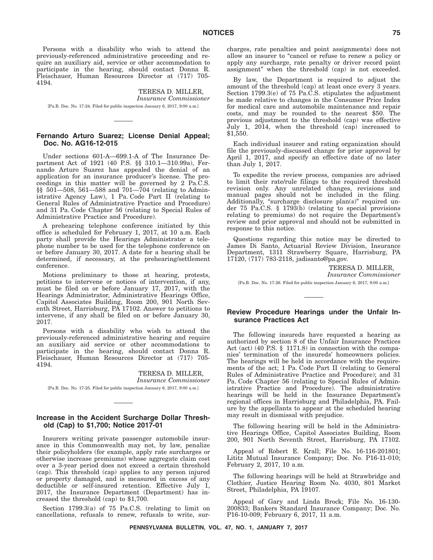Persons with a disability who wish to attend the previously-referenced administrative proceeding and require an auxiliary aid, service or other accommodation to participate in the hearing, should contact Donna R. Fleischauer, Human Resources Director at (717) 705- 4194.

TERESA D. MILLER, *Insurance Commissioner* [Pa.B. Doc. No. 17-24. Filed for public inspection January 6, 2017, 9:00 a.m.]

## **Fernando Arturo Suarez; License Denial Appeal; Doc. No. AG16-12-015**

Under sections 601-A—699.1-A of The Insurance Department Act of 1921 (40 P.S. §§ 310.1—310.99a), Fernando Arturo Suarez has appealed the denial of an application for an insurance producer's license. The proceedings in this matter will be governed by 2 Pa.C.S. §§ 501—508, 561—588 and 701—704 (relating to Administrative Agency Law), 1 Pa. Code Part II (relating to General Rules of Administrative Practice and Procedure) and 31 Pa. Code Chapter 56 (relating to Special Rules of Administrative Practice and Procedure).

A prehearing telephone conference initiated by this office is scheduled for February 1, 2017, at 10 a.m. Each party shall provide the Hearings Administrator a telephone number to be used for the telephone conference on or before January 30, 2017. A date for a hearing shall be determined, if necessary, at the prehearing/settlement conference.

Motions preliminary to those at hearing, protests, petitions to intervene or notices of intervention, if any, must be filed on or before January 17, 2017, with the Hearings Administrator, Administrative Hearings Office, Capitol Associates Building, Room 200, 901 North Seventh Street, Harrisburg, PA 17102. Answer to petitions to intervene, if any shall be filed on or before January 30, 2017.

Persons with a disability who wish to attend the previously-referenced administrative hearing and require an auxiliary aid service or other accommodations to participate in the hearing, should contact Donna R. Fleischauer, Human Resources Director at (717) 705- 4194.

> TERESA D. MILLER, *Insurance Commissioner*

[Pa.B. Doc. No. 17-25. Filed for public inspection January 6, 2017, 9:00 a.m.]

## **Increase in the Accident Surcharge Dollar Threshold (Cap) to \$1,700; Notice 2017-01**

Insurers writing private passenger automobile insurance in this Commonwealth may not, by law, penalize their policyholders (for example, apply rate surcharges or otherwise increase premiums) whose aggregate claim cost over a 3-year period does not exceed a certain threshold (cap). This threshold (cap) applies to any person injured or property damaged, and is measured in excess of any deductible or self-insured retention. Effective July 1, 2017, the Insurance Department (Department) has increased the threshold (cap) to \$1,700.

Section 1799.3(a) of 75 Pa.C.S. (relating to limit on cancellations, refusals to renew, refusals to write, surcharges, rate penalties and point assignments) does not allow an insurer to "cancel or refuse to renew a policy or apply any surcharge, rate penalty or driver record point assignment'' when the threshold (cap) is not exceeded.

By law, the Department is required to adjust the amount of the threshold (cap) at least once every 3 years. Section 1799.3(e) of 75 Pa.C.S. stipulates the adjustment be made relative to changes in the Consumer Price Index for medical care and automobile maintenance and repair costs, and may be rounded to the nearest \$50. The previous adjustment to the threshold (cap) was effective July 1, 2014, when the threshold (cap) increased to \$1,550.

Each individual insurer and rating organization should file the previously-discussed change for prior approval by April 1, 2017, and specify an effective date of no later than July 1, 2017.

To expedite the review process, companies are advised to limit their rate/rule filings to the required threshold revision only. Any unrelated changes, revisions and manual pages should not be included in the filing. Additionally, "surcharge disclosure plan(s)" required under 75 Pa.C.S. § 1793(b) (relating to special provisions relating to premiums) do not require the Department's review and prior approval and should not be submitted in response to this notice.

Questions regarding this notice may be directed to James Di Santo, Actuarial Review Division, Insurance Department, 1311 Strawberry Square, Harrisburg, PA 17120, (717) 783-2118, jadisanto@pa.gov.

TERESA D. MILLER,

*Insurance Commissioner*

[Pa.B. Doc. No. 17-26. Filed for public inspection January 6, 2017, 9:00 a.m.]

## **Review Procedure Hearings under the Unfair Insurance Practices Act**

The following insureds have requested a hearing as authorized by section 8 of the Unfair Insurance Practices Act (act) (40 P.S. § 1171.8) in connection with the companies' termination of the insureds' homeowners policies. The hearings will be held in accordance with the requirements of the act; 1 Pa. Code Part II (relating to General Rules of Administrative Practice and Procedure); and 31 Pa. Code Chapter 56 (relating to Special Rules of Administrative Practice and Procedure). The administrative hearings will be held in the Insurance Department's regional offices in Harrisburg and Philadelphia, PA. Failure by the appellants to appear at the scheduled hearing may result in dismissal with prejudice.

The following hearing will be held in the Administrative Hearings Office, Capitol Associates Building, Room 200, 901 North Seventh Street, Harrisburg, PA 17102.

Appeal of Robert E. Krall; File No. 16-116-201801; Lititz Mutual Insurance Company; Doc. No. P16-11-010; February 2, 2017, 10 a.m.

The following hearings will be held at Strawbridge and Clothier, Justice Hearing Room No. 4030, 801 Market Street, Philadelphia, PA 19107.

Appeal of Gary and Linda Brock; File No. 16-130- 200833; Bankers Standard Insurance Company; Doc. No. P16-10-009; February 6, 2017, 11 a.m.

**PENNSYLVANIA BULLETIN, VOL. 47, NO. 1, JANUARY 7, 2017**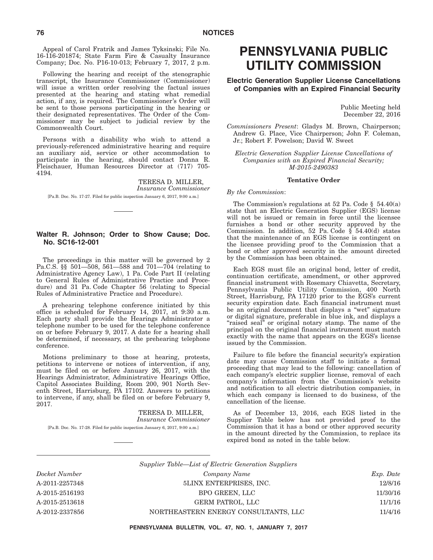Appeal of Carol Fratrik and James Tyksinski; File No. 16-116-201874; State Farm Fire & Casualty Insurance Company; Doc. No. P16-10-013; February 7, 2017, 2 p.m.

Following the hearing and receipt of the stenographic transcript, the Insurance Commissioner (Commissioner) will issue a written order resolving the factual issues presented at the hearing and stating what remedial action, if any, is required. The Commissioner's Order will be sent to those persons participating in the hearing or their designated representatives. The Order of the Commissioner may be subject to judicial review by the Commonwealth Court.

Persons with a disability who wish to attend a previously-referenced administrative hearing and require an auxiliary aid, service or other accommodation to participate in the hearing, should contact Donna R. Fleischauer, Human Resources Director at (717) 705- 4194.

TERESA D. MILLER, *Insurance Commissioner* [Pa.B. Doc. No. 17-27. Filed for public inspection January 6, 2017, 9:00 a.m.]

## **Walter R. Johnson; Order to Show Cause; Doc. No. SC16-12-001**

The proceedings in this matter will be governed by 2 Pa.C.S. §§ 501—508, 561—588 and 701—704 (relating to Administrative Agency Law), 1 Pa. Code Part II (relating to General Rules of Administrative Practice and Procedure) and 31 Pa. Code Chapter 56 (relating to Special Rules of Administrative Practice and Procedure).

A prehearing telephone conference initiated by this office is scheduled for February 14, 2017, at 9:30 a.m. Each party shall provide the Hearings Administrator a telephone number to be used for the telephone conference on or before February 9, 2017. A date for a hearing shall be determined, if necessary, at the prehearing telephone conference.

Motions preliminary to those at hearing, protests, petitions to intervene or notices of intervention, if any, must be filed on or before January 26, 2017, with the Hearings Administrator, Administrative Hearings Office, Capitol Associates Building, Room 200, 901 North Seventh Street, Harrisburg, PA 17102. Answers to petitions to intervene, if any, shall be filed on or before February 9, 2017.

> TERESA D. MILLER, *Insurance Commissioner*

[Pa.B. Doc. No. 17-28. Filed for public inspection January 6, 2017, 9:00 a.m.]

# **PENNSYLVANIA PUBLIC UTILITY COMMISSION**

**Electric Generation Supplier License Cancellations of Companies with an Expired Financial Security**

> Public Meeting held December 22, 2016

*Commissioners Present*: Gladys M. Brown, Chairperson; Andrew G. Place, Vice Chairperson; John F. Coleman, Jr.; Robert F. Powelson; David W. Sweet

*Electric Generation Supplier License Cancellations of Companies with an Expired Financial Security; M-2015-2490383*

### **Tentative Order**

### *By the Commission*:

The Commission's regulations at 52 Pa. Code  $\S$  54.40(a) state that an Electric Generation Supplier (EGS) license will not be issued or remain in force until the licensee furnishes a bond or other security approved by the Commission. In addition, 52 Pa. Code § 54.40(d) states that the maintenance of an EGS license is contingent on the licensee providing proof to the Commission that a bond or other approved security in the amount directed by the Commission has been obtained.

Each EGS must file an original bond, letter of credit, continuation certificate, amendment, or other approved financial instrument with Rosemary Chiavetta, Secretary, Pennsylvania Public Utility Commission, 400 North Street, Harrisburg, PA 17120 prior to the EGS's current security expiration date. Each financial instrument must be an original document that displays a ''wet'' signature or digital signature, preferable in blue ink, and displays a "raised seal" or original notary stamp. The name of the principal on the original financial instrument must match exactly with the name that appears on the EGS's license issued by the Commission.

Failure to file before the financial security's expiration date may cause Commission staff to initiate a formal proceeding that may lead to the following: cancellation of each company's electric supplier license, removal of each company's information from the Commission's website and notification to all electric distribution companies, in which each company is licensed to do business, of the cancellation of the license.

As of December 13, 2016, each EGS listed in the Supplier Table below has not provided proof to the Commission that it has a bond or other approved security in the amount directed by the Commission, to replace its expired bond as noted in the table below.

*Docket Number Company Name Exp. Date* A-2011-2257348 5LINX ENTERPRISES, INC. 12/8/16 A-2015-2516193 BPO GREEN, LLC 11/30/16 A-2015-2513618 GERM PATROL, LLC 11/1/16 A-2012-2337856 NORTHEASTERN ENERGY CONSULTANTS, LLC 11/4/16

**PENNSYLVANIA BULLETIN, VOL. 47, NO. 1, JANUARY 7, 2017**

*Supplier Table—List of Electric Generation Suppliers*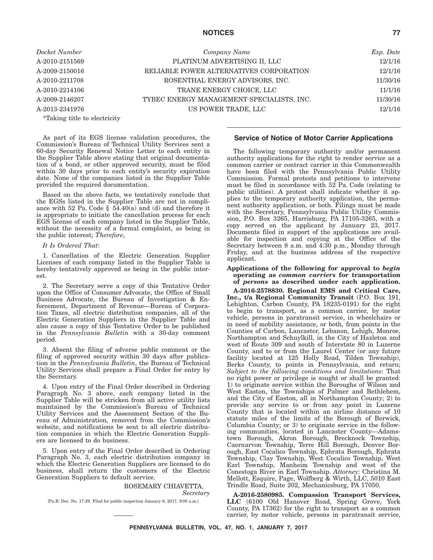## **NOTICES 77**

*Docket Number Company Name Exp. Date* A-2010-2151569 PLATINUM ADVERTISING II, LLC 12/1/16 A-2009-2150016 RELIABLE POWER ALTERNATIVES CORPORATION 12/1/16 A-2010-2211708 ROSENTHAL ENERGY ADVISORS, INC. 11/30/16 A-2010-2214106 **TRANE ENERGY CHOICE, LLC** 11/1/16 A-2009-2146207 TYBEC ENERGY MANAGEMENT SPECIALISTS, INC. 11/30/16 A-2013-2341976 US POWER TRADE, LLC 12/1/16 \*Taking title to electricity

As part of its EGS license validation procedures, the Commission's Bureau of Technical Utility Services sent a 60-day Security Renewal Notice Letter to each entity in the Supplier Table above stating that original documentation of a bond, or other approved security, must be filed within 30 days prior to each entity's security expiration date. None of the companies listed in the Supplier Table provided the required documentation.

Based on the above facts, we tentatively conclude that the EGSs listed in the Supplier Table are not in compliance with 52 Pa. Code  $\S$  54.40(a) and (d) and therefore it is appropriate to initiate the cancellation process for each EGS license of each company listed in the Supplier Table, without the necessity of a formal complaint, as being in the public interest; *Therefore*,

## *It Is Ordered That*:

1. Cancellation of the Electric Generation Supplier Licenses of each company listed in the Supplier Table is hereby tentatively approved as being in the public interest.

2. The Secretary serve a copy of this Tentative Order upon the Office of Consumer Advocate, the Office of Small Business Advocate, the Bureau of Investigation & Enforcement, Department of Revenue—Bureau of Corporation Taxes, all electric distribution companies, all of the Electric Generation Suppliers in the Supplier Table and also cause a copy of this Tentative Order to be published in the *Pennsylvania Bulletin* with a 30-day comment period.

3. Absent the filing of adverse public comment or the filing of approved security within 30 days after publication in the *Pennsylvania Bulletin*, the Bureau of Technical Utility Services shall prepare a Final Order for entry by the Secretary.

4. Upon entry of the Final Order described in Ordering Paragraph No. 3 above, each company listed in the Supplier Table will be stricken from all active utility lists maintained by the Commission's Bureau of Technical Utility Services and the Assessment Section of the Bureau of Administration, removed from the Commission's website, and notifications be sent to all electric distribution companies in which the Electric Generation Suppliers are licensed to do business.

5. Upon entry of the Final Order described in Ordering Paragraph No. 3, each electric distribution company in which the Electric Generation Suppliers are licensed to do business, shall return the customers of the Electric Generation Suppliers to default service.

## ROSEMARY CHIAVETTA, *Secretary*

[Pa.B. Doc. No. 17-29. Filed for public inspection January 6, 2017, 9:00 a.m.]

## **Service of Notice of Motor Carrier Applications**

The following temporary authority and/or permanent authority applications for the right to render service as a common carrier or contract carrier in this Commonwealth have been filed with the Pennsylvania Public Utility Commission. Formal protests and petitions to intervene must be filed in accordance with 52 Pa. Code (relating to public utilities). A protest shall indicate whether it applies to the temporary authority application, the permanent authority application, or both. Filings must be made with the Secretary, Pennsylvania Public Utility Commission, P.O. Box 3265, Harrisburg, PA 17105-3265, with a copy served on the applicant by January 23, 2017. Documents filed in support of the applications are available for inspection and copying at the Office of the Secretary between 8 a.m. and 4:30 p.m., Monday through Friday, and at the business address of the respective applicant.

### **Applications of the following for approval to** *begin* **operating as** *common carriers* **for transportation of** *persons* **as described under each application.**

**A-2016-2578830. Regional EMS and Critical Care, Inc., t/a Regional Community Transit** (P.O. Box 191, Lehighton, Carbon County, PA 18235-0191) for the right to begin to transport, as a common carrier, by motor vehicle, persons in paratransit service, in wheelchairs or in need of mobility assistance, or both, from points in the Counties of Carbon, Lancaster, Lebanon, Lehigh, Monroe, Northampton and Schuylkill, in the City of Hazleton and west of Route 309 and south of Interstate 80 in Luzerne County, and to or from the Laurel Center (or any future facility located at 125 Holly Road, Tilden Township), Berks County, to points in Pennsylvania, and return; *Subject to the following conditions and limitations*: That no right power or privilege is sought or shall be granted: 1) to originate service within the Boroughs of Wilson and West Easton, the Townships of Palmer and Bethlehem, and the City of Easton, all in Northampton County; 2) to provide any service to or from any point in Luzerne County that is located within an airline distance of 10 statute miles of the limits of the Borough of Berwick, Columbia County; or 3) to originate service in the following communities, located in Lancaster County—Adamstown Borough, Akron Borough, Brecknock Township, Caernarvon Township, Terre Hill Borough, Denver Borough, East Cocalico Township, Ephrata Borough, Ephrata Township, Clay Township, West Cocalico Township, West Earl Township, Manheim Township and west of the Conestoga River in Earl Township. *Attorney*: Christina M. Mellott, Esquire, Page, Wolfberg & Wirth, LLC, 5010 East Trindle Road, Suite 202, Mechanicsburg, PA 17050.

**A-2016-2580985. Compassion Transport Services, LLC** (6100 Old Hanover Road, Spring Grove, York County, PA 17362) for the right to transport as a common carrier, by motor vehicle, persons in paratransit service,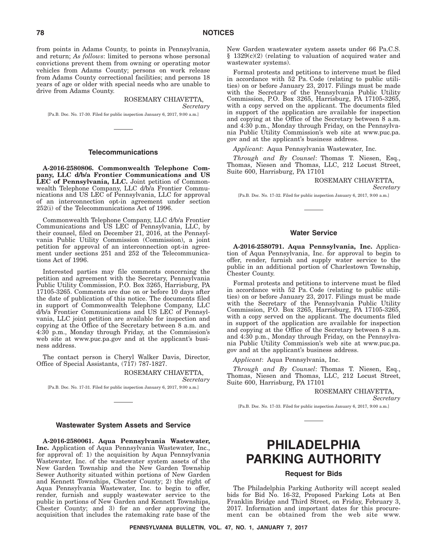from points in Adams County, to points in Pennsylvania, and return; *As follows*: limited to persons whose personal convictions prevent them from owning or operating motor vehicles from Adams County; persons on work release from Adams County correctional facilities; and persons 18 years of age or older with special needs who are unable to drive from Adams County.

# ROSEMARY CHIAVETTA,

*Secretary*

[Pa.B. Doc. No. 17-30. Filed for public inspection January 6, 2017, 9:00 a.m.]

## **Telecommunications**

**A-2016-2580806. Commonwealth Telephone Company, LLC d/b/a Frontier Communications and US LEC of Pennsylvania, LLC.** Joint petition of Commonwealth Telephone Company, LLC d/b/a Frontier Communications and US LEC of Pennsylvania, LLC for approval of an interconnection opt-in agreement under section 252(i) of the Telecommunications Act of 1996.

Commonwealth Telephone Company, LLC d/b/a Frontier Communications and US LEC of Pennsylvania, LLC, by their counsel, filed on December 21, 2016, at the Pennsylvania Public Utility Commission (Commission), a joint petition for approval of an interconnection opt-in agreement under sections 251 and 252 of the Telecommunications Act of 1996.

Interested parties may file comments concerning the petition and agreement with the Secretary, Pennsylvania Public Utility Commission, P.O. Box 3265, Harrisburg, PA 17105-3265. Comments are due on or before 10 days after the date of publication of this notice. The documents filed in support of Commonwealth Telephone Company, LLC d/b/a Frontier Communications and US LEC of Pennsylvania, LLC joint petition are available for inspection and copying at the Office of the Secretary between 8 a.m. and 4:30 p.m., Monday through Friday, at the Commission's web site at www.puc.pa.gov and at the applicant's business address.

The contact person is Cheryl Walker Davis, Director, Office of Special Assistants, (717) 787-1827.

> ROSEMARY CHIAVETTA, *Secretary*

[Pa.B. Doc. No. 17-31. Filed for public inspection January 6, 2017, 9:00 a.m.]

### **Wastewater System Assets and Service**

**A-2016-2580061. Aqua Pennsylvania Wastewater, Inc.** Application of Aqua Pennsylvania Wastewater, Inc., for approval of: 1) the acquisition by Aqua Pennsylvania Wastewater, Inc. of the wastewater system assets of the New Garden Township and the New Garden Township Sewer Authority situated within portions of New Garden and Kennett Townships, Chester County; 2) the right of Aqua Pennsylvania Wastewater, Inc. to begin to offer, render, furnish and supply wastewater service to the public in portions of New Garden and Kennett Townships, Chester County; and 3) for an order approving the acquisition that includes the ratemaking rate base of the

New Garden wastewater system assets under 66 Pa.C.S.  $§$  1329(c)(2) (relating to valuation of acquired water and wastewater systems).

Formal protests and petitions to intervene must be filed in accordance with 52 Pa. Code (relating to public utilities) on or before January 23, 2017. Filings must be made with the Secretary of the Pennsylvania Public Utility Commission, P.O. Box 3265, Harrisburg, PA 17105-3265, with a copy served on the applicant. The documents filed in support of the application are available for inspection and copying at the Office of the Secretary between 8 a.m. and 4:30 p.m., Monday through Friday, on the Pennsylvania Public Utility Commission's web site at www.puc.pa. gov and at the applicant's business address.

*Applicant*: Aqua Pennsylvania Wastewater, Inc.

*Through and By Counsel*: Thomas T. Niesen, Esq., Thomas, Niesen and Thomas, LLC, 212 Locust Street, Suite 600, Harrisburg, PA 17101

#### ROSEMARY CHIAVETTA,

*Secretary*

[Pa.B. Doc. No. 17-32. Filed for public inspection January 6, 2017, 9:00 a.m.]

## **Water Service**

**A-2016-2580791. Aqua Pennsylvania, Inc.** Application of Aqua Pennsylvania, Inc. for approval to begin to offer, render, furnish and supply water service to the public in an additional portion of Charlestown Township, Chester County.

Formal protests and petitions to intervene must be filed in accordance with 52 Pa. Code (relating to public utilities) on or before January 23, 2017. Filings must be made with the Secretary of the Pennsylvania Public Utility Commission, P.O. Box 3265, Harrisburg, PA 17105-3265, with a copy served on the applicant. The documents filed in support of the application are available for inspection and copying at the Office of the Secretary between 8 a.m. and 4:30 p.m., Monday through Friday, on the Pennsylvania Public Utility Commission's web site at www.puc.pa. gov and at the applicant's business address.

*Applicant*: Aqua Pennsylvania, Inc.

*Through and By Counsel*: Thomas T. Niesen, Esq., Thomas, Niesen and Thomas, LLC, 212 Locust Street, Suite 600, Harrisburg, PA 17101

> ROSEMARY CHIAVETTA, *Secretary*

[Pa.B. Doc. No. 17-33. Filed for public inspection January 6, 2017, 9:00 a.m.]

# **PHILADELPHIA PARKING AUTHORITY**

## **Request for Bids**

The Philadelphia Parking Authority will accept sealed bids for Bid No. 16-32, Proposed Parking Lots at Ben Franklin Bridge and Third Street, on Friday, February 3, 2017. Information and important dates for this procurement can be obtained from the web site www.

**PENNSYLVANIA BULLETIN, VOL. 47, NO. 1, JANUARY 7, 2017**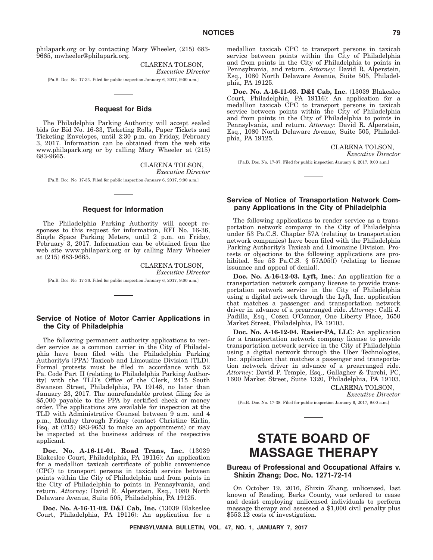philapark.org or by contacting Mary Wheeler, (215) 683- 9665, mwheeler@philapark.org.

> CLARENA TOLSON, *Executive Director*

[Pa.B. Doc. No. 17-34. Filed for public inspection January 6, 2017, 9:00 a.m.]

# **Request for Bids**

The Philadelphia Parking Authority will accept sealed bids for Bid No. 16-33, Ticketing Rolls, Paper Tickets and Ticketing Envelopes, until 2:30 p.m. on Friday, February 3, 2017. Information can be obtained from the web site www.philapark.org or by calling Mary Wheeler at (215) 683-9665.

> CLARENA TOLSON, *Executive Director*

[Pa.B. Doc. No. 17-35. Filed for public inspection January 6, 2017, 9:00 a.m.]

## **Request for Information**

The Philadelphia Parking Authority will accept responses to this request for information, RFI No. 16-36, Single Space Parking Meters, until 2 p.m. on Friday, February 3, 2017. Information can be obtained from the web site www.philapark.org or by calling Mary Wheeler at (215) 683-9665.

CLARENA TOLSON, *Executive Director* [Pa.B. Doc. No. 17-36. Filed for public inspection January 6, 2017, 9:00 a.m.]

## **Service of Notice of Motor Carrier Applications in the City of Philadelphia**

The following permanent authority applications to render service as a common carrier in the City of Philadelphia have been filed with the Philadelphia Parking Authority's (PPA) Taxicab and Limousine Division (TLD). Formal protests must be filed in accordance with 52 Pa. Code Part II (relating to Philadelphia Parking Authority) with the TLD's Office of the Clerk, 2415 South Swanson Street, Philadelphia, PA 19148, no later than January 23, 2017. The nonrefundable protest filing fee is \$5,000 payable to the PPA by certified check or money order. The applications are available for inspection at the TLD with Administrative Counsel between 9 a.m. and 4 p.m., Monday through Friday (contact Christine Kirlin, Esq. at  $(215)$  683-9653 to make an appointment) or may be inspected at the business address of the respective applicant.

**Doc. No. A-16-11-01. Road Trans, Inc.** (13039 Blakeslee Court, Philadelphia, PA 19116): An application for a medallion taxicab certificate of public convenience (CPC) to transport persons in taxicab service between points within the City of Philadelphia and from points in the City of Philadelphia to points in Pennsylvania, and return. *Attorney*: David R. Alperstein, Esq., 1080 North Delaware Avenue, Suite 505, Philadelphia, PA 19125.

**Doc. No. A-16-11-02. D&I Cab, Inc.** (13039 Blakeslee Court, Philadelphia, PA 19116): An application for a medallion taxicab CPC to transport persons in taxicab service between points within the City of Philadelphia and from points in the City of Philadelphia to points in Pennsylvania, and return. *Attorney*: David R. Alperstein, Esq., 1080 North Delaware Avenue, Suite 505, Philadelphia, PA 19125.

**Doc. No. A-16-11-03. D&I Cab, Inc.** (13039 Blakeslee Court, Philadelphia, PA 19116): An application for a medallion taxicab CPC to transport persons in taxicab service between points within the City of Philadelphia and from points in the City of Philadelphia to points in Pennsylvania, and return. *Attorney*: David R. Alperstein, Esq., 1080 North Delaware Avenue, Suite 505, Philadelphia, PA 19125.

CLARENA TOLSON,

*Executive Director*

[Pa.B. Doc. No. 17-37. Filed for public inspection January 6, 2017, 9:00 a.m.]

## **Service of Notice of Transportation Network Company Applications in the City of Philadelphia**

The following applications to render service as a transportation network company in the City of Philadelphia under 53 Pa.C.S. Chapter 57A (relating to transportation network companies) have been filed with the Philadelphia Parking Authority's Taxicab and Limousine Division. Protests or objections to the following applications are prohibited. See 53 Pa.C.S. § 57A05(f) (relating to license issuance and appeal of denial).

**Doc. No. A-16-12-03. Lyft, Inc.**: An application for a transportation network company license to provide transportation network service in the City of Philadelphia using a digital network through the Lyft, Inc. application that matches a passenger and transportation network driver in advance of a prearranged ride. *Attorney*: Calli J. Padilla, Esq., Cozen O'Connor, One Liberty Place, 1650 Market Street, Philadelphia, PA 19103.

**Doc. No. A-16-12-04. Rasier-PA, LLC**: An application for a transportation network company license to provide transportation network service in the City of Philadelphia using a digital network through the Uber Technologies, Inc. application that matches a passenger and transportation network driver in advance of a prearranged ride. *Attorney*: David P. Temple, Esq., Gallagher & Turchi, PC, 1600 Market Street, Suite 1320, Philadelphia, PA 19103.

> CLARENA TOLSON, *Executive Director*

[Pa.B. Doc. No. 17-38. Filed for public inspection January 6, 2017, 9:00 a.m.]

# **STATE BOARD OF MASSAGE THERAPY**

## **Bureau of Professional and Occupational Affairs v. Shixin Zhang; Doc. No. 1271-72-14**

On October 19, 2016, Shixin Zhang, unlicensed, last known of Reading, Berks County, was ordered to cease and desist employing unlicensed individuals to perform massage therapy and assessed a \$1,000 civil penalty plus \$553.12 costs of investigation.